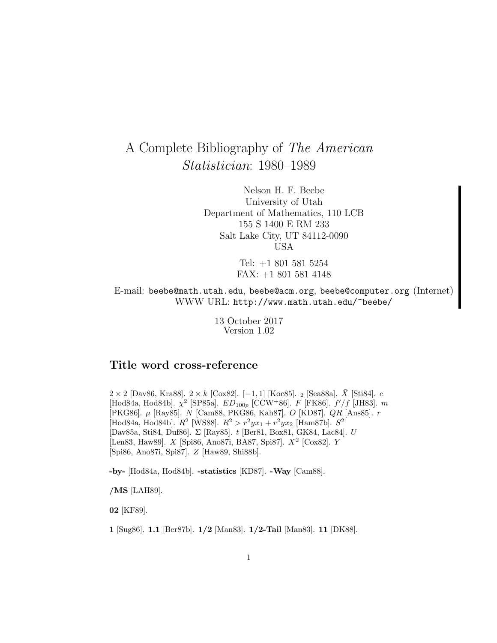# A Complete Bibliography of The American Statistician: 1980–1989

Nelson H. F. Beebe University of Utah Department of Mathematics, 110 LCB 155 S 1400 E RM 233 Salt Lake City, UT 84112-0090 USA

> Tel: +1 801 581 5254 FAX: +1 801 581 4148

E-mail: beebe@math.utah.edu, beebe@acm.org, beebe@computer.org (Internet) WWW URL: http://www.math.utah.edu/~beebe/

> 13 October 2017 Version 1.02

# **Title word cross-reference**

2 × 2 [Dav86, Kra88]. 2 × k [Cox82]. [−1, 1] [Koc85]. 2 [Sea88a].  $\bar{X}$  [Sti84]. c [Hod84a, Hod84b].  $\chi^2$  [SP85a].  $ED_{100p}$  [CCW+86].  $F$  [FK86].  $f'/f$  [JH83].  $m$ [PKG86]. µ [Ray85]. N [Cam88, PKG86, Kah87]. O [KD87]. QR [Ans85]. r [Hod84a, Hod84b].  $R^2$  [WS88].  $R^2 > r^2 y x_1 + r^2 y x_2$  [Ham87b].  $S^2$ [Dav85a, Sti84, Duf86]. Σ [Ray85]. t [Ber81, Box81, GK84, Lac84]. U [Len83, Haw89]. X [Spi86, Ano87i, BA87, Spi87]. X<sup>2</sup> [Cox82]. Y [Spi86, Ano87i, Spi87]. Z [Haw89, Shi88b].

**-by-** [Hod84a, Hod84b]. **-statistics** [KD87]. **-Way** [Cam88].

**/MS** [LAH89].

**02** [KF89].

**1** [Sug86]. **1.1** [Ber87b]. **1/2** [Man83]. **1/2-Tail** [Man83]. **11** [DK88].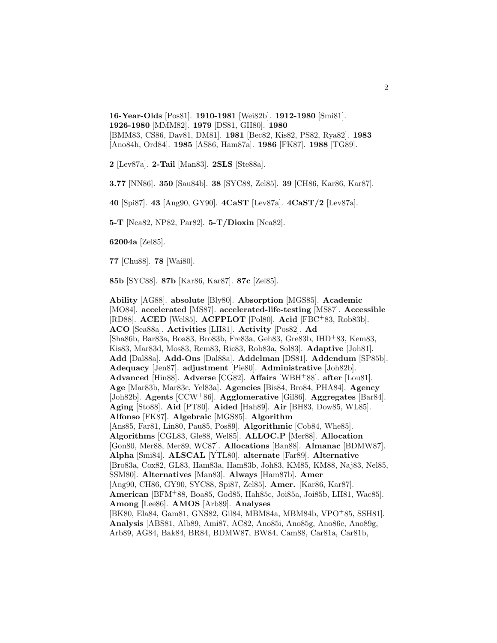**16-Year-Olds** [Pos81]. **1910-1981** [Wei82b]. **1912-1980** [Smi81]. **1926-1980** [MMM82]. **1979** [DS81, GH80]. **1980** [BMM83, CS86, Dav81, DM81]. **1981** [Bec82, Kis82, PS82, Rya82]. **1983** [Ano84h, Ord84]. **1985** [AS86, Ham87a]. **1986** [FK87]. **1988** [TG89].

**2** [Lev87a]. **2-Tail** [Man83]. **2SLS** [Ste88a].

**3.77** [NN86]. **350** [Sau84b]. **38** [SYC88, Zel85]. **39** [CH86, Kar86, Kar87].

**40** [Spi87]. **43** [Ang90, GY90]. **4CaST** [Lev87a]. **4CaST/2** [Lev87a].

**5-T** [Nea82, NP82, Par82]. **5-T/Dioxin** [Nea82].

**62004a** [Zel85].

**77** [Chu88]. **78** [Wai80].

**85b** [SYC88]. **87b** [Kar86, Kar87]. **87c** [Zel85].

**Ability** [AG88]. **absolute** [Bly80]. **Absorption** [MGS85]. **Academic** [MO84]. **accelerated** [MS87]. **accelerated-life-testing** [MS87]. **Accessible** [RD88]. **ACED** [Wel85]. **ACFPLOT** [Pol80]. **Acid** [FBC<sup>+</sup>83, Rob83b]. **ACO** [Sea88a]. **Activities** [LH81]. **Activity** [Pos82]. **Ad** [Sha86b, Bar83a, Boa83, Bro83b, Fre83a, Geh83, Gre83b, IHD<sup>+</sup>83, Kem83, Kis83, Mar83d, Mos83, Rem83, Ric83, Rob83a, Sol83]. **Adaptive** [Joh81]. **Add** [Dal88a]. **Add-Ons** [Dal88a]. **Addelman** [DS81]. **Addendum** [SP85b]. **Adequacy** [Jen87]. **adjustment** [Pie80]. **Administrative** [Joh82b]. **Advanced** [Hin88]. **Adverse** [CG82]. **Affairs** [WBH<sup>+</sup>88]. **after** [Lou81]. **Age** [Mar83b, Mar83c, Yel83a]. **Agencies** [Bis84, Bro84, PHA84]. **Agency** [Joh82b]. **Agents** [CCW<sup>+</sup>86]. **Agglomerative** [Gil86]. **Aggregates** [Bar84]. **Aging** [Sto88]. **Aid** [PT80]. **Aided** [Hah89]. **Air** [BH83, Dow85, WL85]. **Alfonso** [FK87]. **Algebraic** [MGS85]. **Algorithm** [Ans85, Far81, Lin80, Pau85, Pos89]. **Algorithmic** [Cob84, Whe85]. **Algorithms** [CGL83, Gle88, Wel85]. **ALLOC.P** [Mer88]. **Allocation** [Gon80, Mer88, Mer89, WC87]. **Allocations** [Ban88]. **Almanac** [BDMW87]. **Alpha** [Smi84]. **ALSCAL** [YTL80]. **alternate** [Far89]. **Alternative** [Bro83a, Cox82, GL83, Ham83a, Ham83b, Joh83, KM85, KM88, Naj83, Nel85, SSM80]. **Alternatives** [Man83]. **Always** [Ham87b]. **Amer** [Ang90, CH86, GY90, SYC88, Spi87, Zel85]. **Amer.** [Kar86, Kar87]. **American** [BFM<sup>+</sup>88, Boa85, God85, Hah85c, Joi85a, Joi85b, LH81, Wac85]. **Among** [Lee86]. **AMOS** [Arb89]. **Analyses** [BK80, Ela84, Gam81, GNS82, Gil84, MBM84a, MBM84b, VPO<sup>+</sup>85, SSH81]. **Analysis** [ABS81, Alb89, Ami87, AC82, Ano85i, Ano85g, Ano86e, Ano89g, Arb89, AG84, Bak84, BR84, BDMW87, BW84, Cam88, Car81a, Car81b,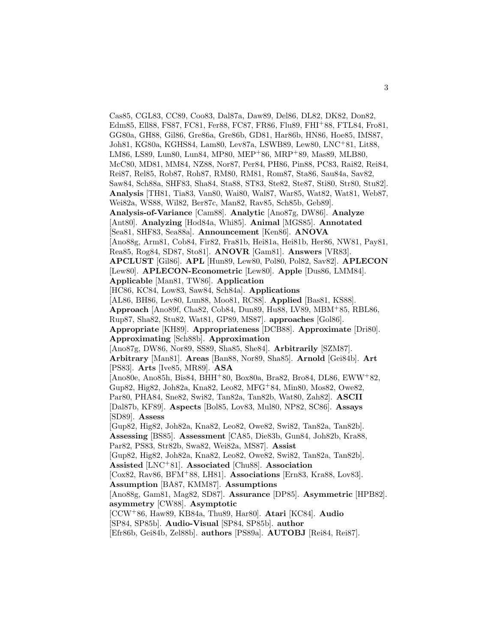Cas85, CGL83, CC89, Coo83, Dal87a, Daw89, Del86, DL82, DK82, Don82, Edm85, Ell88, FS87, FC81, Fer88, FC87, FR86, Flu89, FHI<sup>+</sup>88, FTL84, Fro81, GG80a, GH88, Gil86, Gre86a, Gre86b, GD81, Har86b, HN86, Hoe85, IMS87, Joh81, KG80a, KGHS84, Lam80, Lev87a, LSWB89, Lew80, LNC<sup>+</sup>81, Lit88, LM86, LS89, Lun80, Lun84, MP80, MEP<sup>+</sup>86, MRP<sup>+</sup>89, Mas89, MLB80, McC80, MD81, MM84, NZ88, Nor87, Per84, PH86, Pin88, PC83, Rai82, Rei84, Rei87, Rel85, Rob87, Roh87, RM80, RM81, Rom87, Sta86, Sau84a, Sav82, Saw84, Sch88a, SHF83, Sha84, Sta88, ST83, Ste82, Ste87, Sti80, Str80, Stu82]. **Analysis** [TH81, Tia83, Van80, Wai80, Wal87, War85, Wat82, Wat81, Web87, Wei82a, WS88, Wil82, Ber87c, Man82, Rav85, Sch85b, Geb89]. **Analysis-of-Variance** [Cam88]. **Analytic** [Ano87g, DW86]. **Analyze** [Ant80]. **Analyzing** [Hod84a, Whi85]. **Animal** [MGS85]. **Annotated** [Sea81, SHF83, Sea88a]. **Announcement** [Ken86]. **ANOVA** [Ano88g, Arm81, Cob84, Fir82, Fra81b, Hei81a, Hei81b, Her86, NW81, Pay81, Rea85, Rog84, SD87, Sto81]. **ANOVR** [Gam81]. **Answers** [VR83]. **APCLUST** [Gil86]. **APL** [Hun89, Lew80, Pol80, Pol82, Sav82]. **APLECON** [Lew80]. **APLECON-Econometric** [Lew80]. **Apple** [Dus86, LMM84]. **Applicable** [Man81, TW86]. **Application** [HC86, KC84, Low83, Saw84, Sch84a]. **Applications** [AL86, BH86, Lev80, Lun88, Moo81, RC88]. **Applied** [Bas81, KS88]. **Approach** [Ano89f, Cha82, Cob84, Dun89, Hu88, LV89, MBM<sup>+</sup>85, RBL86, Rup87, Sha82, Stu82, Wat81, GP89, MS87]. **approaches** [Gol86]. **Appropriate** [KH89]. **Appropriateness** [DCB88]. **Approximate** [Dri80]. **Approximating** [Sch88b]. **Approximation** [Ano87g, DW86, Nor89, SS89, Sha85, She84]. **Arbitrarily** [SZM87]. **Arbitrary** [Man81]. **Areas** [Ban88, Nor89, Sha85]. **Arnold** [Gei84b]. **Art** [PS83]. **Arts** [Ive85, MR89]. **ASA** [Ano80e, Ano85h, Bis84, BHH<sup>+</sup>80, Box80a, Bra82, Bro84, DL86, EWW<sup>+</sup>82, Gup82, Hig82, Joh82a, Kna82, Leo82, MFG<sup>+</sup>84, Min80, Mos82, Owe82, Par80, PHA84, Sne82, Swi82, Tan82a, Tan82b, Wat80, Zah82]. **ASCII** [Dal87b, KF89]. **Aspects** [Bol85, Lov83, Mul80, NP82, SC86]. **Assays** [SD89]. **Assess** [Gup82, Hig82, Joh82a, Kna82, Leo82, Owe82, Swi82, Tan82a, Tan82b]. **Assessing** [BS85]. **Assessment** [CA85, Die83b, Gun84, Joh82b, Kra88, Par82, PS83, Str82b, Swa82, Wei82a, MS87]. **Assist** [Gup82, Hig82, Joh82a, Kna82, Leo82, Owe82, Swi82, Tan82a, Tan82b]. **Assisted** [LNC<sup>+</sup>81]. **Associated** [Chu88]. **Association** [Cox82, Rav86, BFM<sup>+</sup>88, LH81]. **Associations** [Ern83, Kra88, Lov83]. **Assumption** [BA87, KMM87]. **Assumptions** [Ano88g, Gam81, Mag82, SD87]. **Assurance** [DP85]. **Asymmetric** [HPB82]. **asymmetry** [CW88]. **Asymptotic** [CCW<sup>+</sup>86, Haw89, KB84a, Thu89, Har80]. **Atari** [KC84]. **Audio** [SP84, SP85b]. **Audio-Visual** [SP84, SP85b]. **author** [Efr86b, Gei84b, Zel88b]. **authors** [PS89a]. **AUTOBJ** [Rei84, Rei87].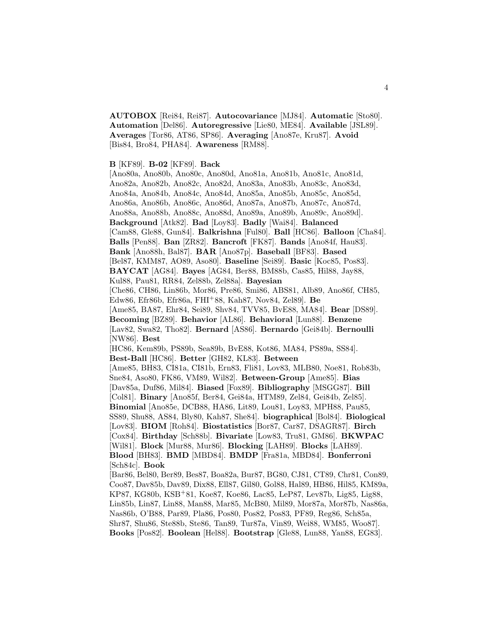**AUTOBOX** [Rei84, Rei87]. **Autocovariance** [MJ84]. **Automatic** [Sto80]. **Automation** [Del86]. **Autoregressive** [Lie80, ME84]. **Available** [JSL89]. **Averages** [Tor86, AT86, SP86]. **Averaging** [Ano87e, Kru87]. **Avoid** [Bis84, Bro84, PHA84]. **Awareness** [RM88].

#### **B** [KF89]. **B-02** [KF89]. **Back**

[Ano80a, Ano80b, Ano80c, Ano80d, Ano81a, Ano81b, Ano81c, Ano81d, Ano82a, Ano82b, Ano82c, Ano82d, Ano83a, Ano83b, Ano83c, Ano83d, Ano84a, Ano84b, Ano84c, Ano84d, Ano85a, Ano85b, Ano85c, Ano85d, Ano86a, Ano86b, Ano86c, Ano86d, Ano87a, Ano87b, Ano87c, Ano87d, Ano88a, Ano88b, Ano88c, Ano88d, Ano89a, Ano89b, Ano89c, Ano89d]. **Background** [Atk82]. **Bad** [Loy83]. **Badly** [Wai84]. **Balanced** [Cam88, Gle88, Gun84]. **Balkrishna** [Ful80]. **Ball** [HC86]. **Balloon** [Cha84]. **Balls** [Pen88]. **Ban** [ZR82]. **Bancroft** [FK87]. **Bands** [Ano84f, Hau83]. **Bank** [Ano88h, Bal87]. **BAR** [Ano87p]. **Baseball** [BF83]. **Based** [Bel87, KMM87, AO89, Aso80]. **Baseline** [Sei89]. **Basic** [Koc85, Pos83]. **BAYCAT** [AG84]. **Bayes** [AG84, Ber88, BM88b, Cas85, Hil88, Jay88, Kul88, Pau81, RR84, Zel88b, Zel88a]. **Bayesian** [Che86, CH86, Lin86b, Mor86, Pre86, Smi86, ABS81, Alb89, Ano86f, CH85, Edw86, Efr86b, Efr86a, FHI<sup>+</sup>88, Kah87, Nov84, Zel89]. **Be** [Ame85, BA87, Ehr84, Sei89, Shv84, TVV85, BvE88, MA84]. **Bear** [DS89]. **Becoming** [BZ89]. **Behavior** [AL86]. **Behavioral** [Lun88]. **Benzene** [Lav82, Swa82, Tho82]. **Bernard** [AS86]. **Bernardo** [Gei84b]. **Bernoulli** [NW86]. **Best** [HC86, Kem89b, PS89b, Sea89b, BvE88, Kot86, MA84, PS89a, SS84]. **Best-Ball** [HC86]. **Better** [GH82, KL83]. **Between** [Ame85, BH83, CI81a, CI81b, Ern83, Fli81, Lov83, MLB80, Noe81, Rob83b, Sne84, Aso80, FK86, VM89, Wil82]. **Between-Group** [Ame85]. **Bias** [Dav85a, Duf86, Mil84]. **Biased** [Fox89]. **Bibliography** [MSGG87]. **Bill** [Col81]. **Binary** [Ano85f, Ber84, Gei84a, HTM89, Zel84, Gei84b, Zel85]. **Binomial** [Ano85e, DCB88, HA86, Lit89, Lou81, Loy83, MPH88, Pau85, SS89, Shu88, AS84, Bly80, Kah87, She84]. **biographical** [Bol84]. **Biological** [Lov83]. **BIOM** [Roh84]. **Biostatistics** [Bor87, Car87, DSAGR87]. **Birch** [Cox84]. **Birthday** [Sch88b]. **Bivariate** [Low83, Tru81, GM86]. **BKWPAC** [Wil81]. **Block** [Mur88, Mur86]. **Blocking** [LAH89]. **Blocks** [LAH89]. **Blood** [BH83]. **BMD** [MBD84]. **BMDP** [Fra81a, MBD84]. **Bonferroni** [Sch84c]. **Book** [Bar86, Bel80, Ber89, Bes87, Boa82a, Bur87, BG80, CJ81, CT89, Chr81, Con89, Coo87, Dav85b, Dav89, Dix88, Ell87, Gil80, Gol88, Hal89, HB86, Hil85, KM89a, KP87, KG80b, KSB<sup>+</sup>81, Koe87, Koe86, Lac85, LeP87, Lev87b, Lig85, Lig88, Lin85b, Lin87, Lin88, Man88, Mar85, McB80, Mil89, Mor87a, Mor87b, Nas86a,

Nas86b, O'B88, Par89, Pla86, Pos80, Pos82, Pos83, PF89, Reg86, Sch85a, Shr87, Shu86, Ste88b, Ste86, Tan89, Tur87a, Vin89, Wei88, WM85, Woo87].

**Books** [Pos82]. **Boolean** [Hel88]. **Bootstrap** [Gle88, Lun88, Yan88, EG83].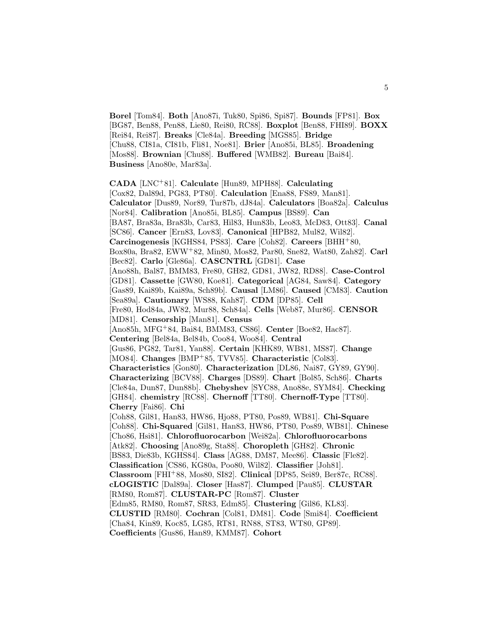**Borel** [Tom84]. **Both** [Ano87i, Tuk80, Spi86, Spi87]. **Bounds** [FP81]. **Box** [BG87, Ben88, Pen88, Lie80, Rei80, RC88]. **Boxplot** [Ben88, FHI89]. **BOXX** [Rei84, Rei87]. **Breaks** [Cle84a]. **Breeding** [MGS85]. **Bridge** [Chu88, CI81a, CI81b, Fli81, Noe81]. **Brier** [Ano85i, BL85]. **Broadening** [Mos88]. **Brownian** [Chu88]. **Buffered** [WMB82]. **Bureau** [Bai84]. **Business** [Ano80e, Mar83a].

**CADA** [LNC<sup>+</sup>81]. **Calculate** [Hun89, MPH88]. **Calculating** [Cox82, Dal89d, PG83, PT80]. **Calculation** [Ena88, FS89, Man81]. **Calculator** [Dus89, Nor89, Tur87b, dJ84a]. **Calculators** [Boa82a]. **Calculus** [Nor84]. **Calibration** [Ano85i, BL85]. **Campus** [BS89]. **Can** [BA87, Bra83a, Bra83b, Car83, Hil83, Hun83b, Leo83, McD83, Ott83]. **Canal** [SC86]. **Cancer** [Ern83, Lov83]. **Canonical** [HPB82, Mul82, Wil82]. **Carcinogenesis** [KGHS84, PS83]. **Care** [Coh82]. **Careers** [BHH<sup>+</sup>80, Box80a, Bra82, EWW<sup>+</sup>82, Min80, Mos82, Par80, Sne82, Wat80, Zah82]. **Carl** [Bec82]. **Carlo** [Gle86a]. **CASCNTRL** [GD81]. **Case** [Ano88h, Bal87, BMM83, Fre80, GH82, GD81, JW82, RD88]. **Case-Control** [GD81]. **Cassette** [GW80, Koe81]. **Categorical** [AG84, Saw84]. **Category** [Gas89, Kai89b, Kai89a, Sch89b]. **Causal** [LM86]. **Caused** [CM83]. **Caution** [Sea89a]. **Cautionary** [WS88, Kah87]. **CDM** [DP85]. **Cell** [Fre80, Hod84a, JW82, Mur88, Sch84a]. **Cells** [Web87, Mur86]. **CENSOR** [MD81]. **Censorship** [Man81]. **Census** [Ano85h, MFG<sup>+</sup>84, Bai84, BMM83, CS86]. **Center** [Boe82, Hac87]. **Centering** [Bel84a, Bel84b, Coo84, Woo84]. **Central** [Gus86, PG82, Tar81, Yan88]. **Certain** [KHK89, WB81, MS87]. **Change** [MO84]. **Changes** [BMP<sup>+</sup>85, TVV85]. **Characteristic** [Col83]. **Characteristics** [Gon80]. **Characterization** [DL86, Nai87, GY89, GY90]. **Characterizing** [BCV88]. **Charges** [DS89]. **Chart** [Bol85, Sch86]. **Charts** [Cle84a, Dun87, Dun88b]. **Chebyshev** [SYC88, Ano88e, SYM84]. **Checking** [GH84]. **chemistry** [RC88]. **Chernoff** [TT80]. **Chernoff-Type** [TT80]. **Cherry** [Fai86]. **Chi** [Coh88, Gil81, Han83, HW86, Hjo88, PT80, Pos89, WB81]. **Chi-Square** [Coh88]. **Chi-Squared** [Gil81, Han83, HW86, PT80, Pos89, WB81]. **Chinese** [Cho86, Hsi81]. **Chlorofluorocarbon** [Wei82a]. **Chlorofluorocarbons** [Atk82]. **Choosing** [Ano89g, Sta88]. **Choropleth** [GH82]. **Chronic** [BS83, Die83b, KGHS84]. **Class** [AG88, DM87, Mee86]. **Classic** [Fle82]. **Classification** [CS86, KG80a, Poo80, Wil82]. **Classifier** [Joh81]. **Classroom** [FHI<sup>+</sup>88, Mos80, SI82]. **Clinical** [DP85, Sei89, Ber87c, RC88]. **cLOGISTIC** [Dal89a]. **Closer** [Has87]. **Clumped** [Pau85]. **CLUSTAR** [RM80, Rom87]. **CLUSTAR-PC** [Rom87]. **Cluster** [Edm85, RM80, Rom87, SR83, Edm85]. **Clustering** [Gil86, KL83]. **CLUSTID** [RM80]. **Cochran** [Col81, DM81]. **Code** [Smi84]. **Coefficient** [Cha84, Kin89, Koc85, LG85, RT81, RN88, ST83, WT80, GP89].

**Coefficients** [Gus86, Han89, KMM87]. **Cohort**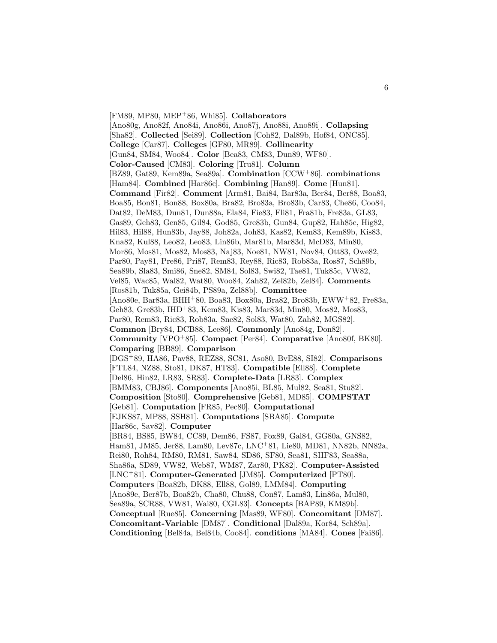[FM89, MP80, MEP<sup>+</sup>86, Whi85]. **Collaborators** [Ano80g, Ano82f, Ano84i, Ano86i, Ano87j, Ano88i, Ano89i]. **Collapsing** [Sha82]. **Collected** [Sei89]. **Collection** [Coh82, Dal89b, Hof84, ONC85]. **College** [Car87]. **Colleges** [GF80, MR89]. **Collinearity** [Gun84, SM84, Woo84]. **Color** [Bea83, CM83, Dun89, WF80]. **Color-Caused** [CM83]. **Coloring** [Tru81]. **Column** [BZ89, Gat89, Kem89a, Sea89a]. **Combination** [CCW<sup>+</sup>86]. **combinations** [Ham84]. **Combined** [Har86c]. **Combining** [Han89]. **Come** [Hun81]. **Command** [Fir82]. **Comment** [Arm81, Bai84, Bar83a, Ber84, Ber88, Boa83, Boa85, Bon81, Bon88, Box80a, Bra82, Bro83a, Bro83b, Car83, Che86, Coo84, Dat82, DeM83, Dun81, Dun88a, Ela84, Fie83, Fli81, Fra81b, Fre83a, GL83, Gas89, Geh83, Gen85, Gil84, God85, Gre83b, Gun84, Gup82, Hah85c, Hig82, Hil83, Hil88, Hun83b, Jay88, Joh82a, Joh83, Kas82, Kem83, Kem89b, Kis83, Kna82, Kul88, Leo82, Leo83, Lin86b, Mar81b, Mar83d, McD83, Min80, Mor86, Mos81, Mos82, Mos83, Naj83, Noe81, NW81, Nov84, Ott83, Owe82, Par80, Pay81, Pre86, Pri87, Rem83, Rey88, Ric83, Rob83a, Ros87, Sch89b, Sea89b, Sla83, Smi86, Sne82, SM84, Sol83, Swi82, Tae81, Tuk85c, VW82, Vel85, Wac85, Wal82, Wat80, Woo84, Zah82, Zel82b, Zel84]. **Comments** [Ros81b, Tuk85a, Gei84b, PS89a, Zel88b]. **Committee** [Ano80e, Bar83a, BHH<sup>+</sup>80, Boa83, Box80a, Bra82, Bro83b, EWW<sup>+</sup>82, Fre83a, Geh83, Gre83b, IHD<sup>+</sup>83, Kem83, Kis83, Mar83d, Min80, Mos82, Mos83, Par80, Rem83, Ric83, Rob83a, Sne82, Sol83, Wat80, Zah82, MGS82]. **Common** [Bry84, DCB88, Lee86]. **Commonly** [Ano84g, Don82]. **Community** [VPO<sup>+</sup>85]. **Compact** [Per84]. **Comparative** [Ano80f, BK80]. **Comparing** [BB89]. **Comparison** [DGS<sup>+</sup>89, HA86, Pav88, REZ88, SC81, Aso80, BvE88, SI82]. **Comparisons** [FTL84, NZ88, Sto81, DK87, HT83]. **Compatible** [Ell88]. **Complete** [Del86, Hin82, LR83, SR83]. **Complete-Data** [LR83]. **Complex** [BMM83, CBJ86]. **Components** [Ano85i, BL85, Mul82, Sea81, Stu82]. **Composition** [Sto80]. **Comprehensive** [Geb81, MD85]. **COMPSTAT** [Geb81]. **Computation** [FR85, Pec80]. **Computational** [EJKS87, MP88, SSH81]. **Computations** [SBA85]. **Compute** [Har86c, Sav82]. **Computer** [BR84, BS85, BW84, CC89, Dem86, FS87, Fox89, Gal84, GG80a, GNS82, Ham81, JM85, Jer88, Lam80, Lev87c, LNC<sup>+</sup>81, Lie80, MD81, NN82b, NN82a, Rei80, Roh84, RM80, RM81, Saw84, SD86, SF80, Sea81, SHF83, Sea88a, Sha86a, SD89, VW82, Web87, WM87, Zar80, PK82]. **Computer-Assisted** [LNC<sup>+</sup>81]. **Computer-Generated** [JM85]. **Computerized** [PT80]. **Computers** [Boa82b, DK88, Ell88, Gol89, LMM84]. **Computing** [Ano89e, Ber87b, Boa82b, Cha80, Chu88, Con87, Lam83, Lin86a, Mul80, Sea89a, SCR88, VW81, Wai80, CGL83]. **Concepts** [BAP89, KM89b]. **Conceptual** [Rue85]. **Concerning** [Mas89, WF80]. **Concomitant** [DM87]. **Concomitant-Variable** [DM87]. **Conditional** [Dal89a, Kor84, Sch89a]. **Conditioning** [Bel84a, Bel84b, Coo84]. **conditions** [MA84]. **Cones** [Fai86].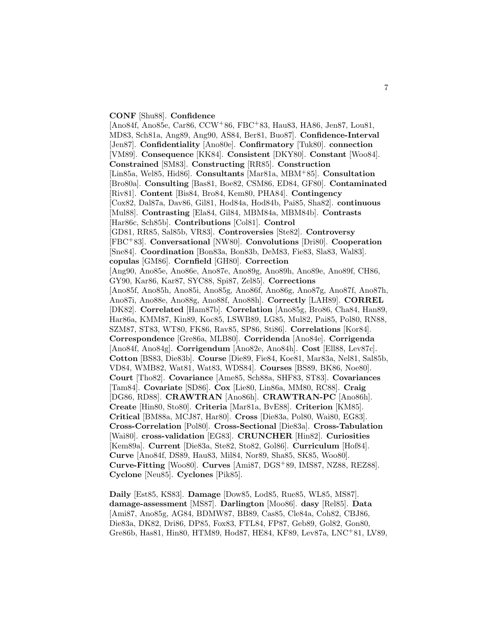#### **CONF** [Shu88]. **Confidence**

[Ano84f, Ano85e, Car86, CCW<sup>+</sup>86, FBC<sup>+</sup>83, Hau83, HA86, Jen87, Lou81, MD83, Sch81a, Ang89, Ang90, AS84, Ber81, Buo87]. **Confidence-Interval** [Jen87]. **Confidentiality** [Ano80e]. **Confirmatory** [Tuk80]. **connection** [VM89]. **Consequence** [KK84]. **Consistent** [DKY80]. **Constant** [Woo84]. **Constrained** [SM83]. **Constructing** [RR85]. **Construction** [Lin85a, Wel85, Hid86]. **Consultants** [Mar81a, MBM<sup>+</sup>85]. **Consultation** [Bro80a]. **Consulting** [Bas81, Boe82, CSM86, ED84, GF80]. **Contaminated** [Riv81]. **Content** [Bis84, Bro84, Kem80, PHA84]. **Contingency** [Cox82, Dal87a, Dav86, Gil81, Hod84a, Hod84b, Pai85, Sha82]. **continuous** [Mul88]. **Contrasting** [Ela84, Gil84, MBM84a, MBM84b]. **Contrasts** [Har86c, Sch85b]. **Contributions** [Col81]. **Control** [GD81, RR85, Sal85b, VR83]. **Controversies** [Ste82]. **Controversy** [FBC<sup>+</sup>83]. **Conversational** [NW80]. **Convolutions** [Dri80]. **Cooperation** [Sne84]. **Coordination** [Bon83a, Bon83b, DeM83, Fie83, Sla83, Wal83]. **copulas** [GM86]. **Cornfield** [GH80]. **Correction** [Ang90, Ano85e, Ano86e, Ano87e, Ano89g, Ano89h, Ano89e, Ano89f, CH86, GY90, Kar86, Kar87, SYC88, Spi87, Zel85]. **Corrections** [Ano85f, Ano85h, Ano85i, Ano85g, Ano86f, Ano86g, Ano87g, Ano87f, Ano87h, Ano87i, Ano88e, Ano88g, Ano88f, Ano88h]. **Correctly** [LAH89]. **CORREL** [DK82]. **Correlated** [Ham87b]. **Correlation** [Ano85g, Bro86, Cha84, Han89, Har86a, KMM87, Kin89, Koc85, LSWB89, LG85, Mul82, Pai85, Pol80, RN88, SZM87, ST83, WT80, FK86, Rav85, SP86, Sti86]. **Correlations** [Kor84]. **Correspondence** [Gre86a, MLB80]. **Corridenda** [Ano84e]. **Corrigenda** [Ano84f, Ano84g]. **Corrigendum** [Ano82e, Ano84h]. **Cost** [Ell88, Lev87c]. **Cotton** [BS83, Die83b]. **Course** [Die89, Fie84, Koe81, Mar83a, Nel81, Sal85b, VD84, WMB82, Wat81, Wat83, WDS84]. **Courses** [BS89, BK86, Noe80]. **Court** [Tho82]. **Covariance** [Ame85, Sch88a, SHF83, ST83]. **Covariances** [Tam84]. **Covariate** [SD86]. **Cox** [Lie80, Lin86a, MM80, RC88]. **Craig** [DG86, RD88]. **CRAWTRAN** [Ano86h]. **CRAWTRAN-PC** [Ano86h]. **Create** [Hin80, Sto80]. **Criteria** [Mar81a, BvE88]. **Criterion** [KM85]. **Critical** [BM88a, MCJ87, Har80]. **Cross** [Die83a, Pol80, Wai80, EG83]. **Cross-Correlation** [Pol80]. **Cross-Sectional** [Die83a]. **Cross-Tabulation** [Wai80]. **cross-validation** [EG83]. **CRUNCHER** [Hin82]. **Curiosities** [Kem89a]. **Current** [Die83a, Ste82, Sto82, Gol86]. **Curriculum** [Hof84]. **Curve** [Ano84f, DS89, Hau83, Mil84, Nor89, Sha85, SK85, Woo80]. **Curve-Fitting** [Woo80]. **Curves** [Ami87, DGS<sup>+</sup>89, IMS87, NZ88, REZ88]. **Cyclone** [Neu85]. **Cyclones** [Pik85].

**Daily** [Est85, KS83]. **Damage** [Dow85, Lod85, Rue85, WL85, MS87]. **damage-assessment** [MS87]. **Darlington** [Moo86]. **dasy** [Rel85]. **Data** [Ami87, Ano85g, AG84, BDMW87, BB89, Cas85, Cle84a, Coh82, CBJ86, Die83a, DK82, Dri86, DP85, Fox83, FTL84, FP87, Geb89, Gol82, Gon80, Gre86b, Has81, Hin80, HTM89, Hod87, HE84, KF89, Lev87a, LNC<sup>+</sup>81, LV89,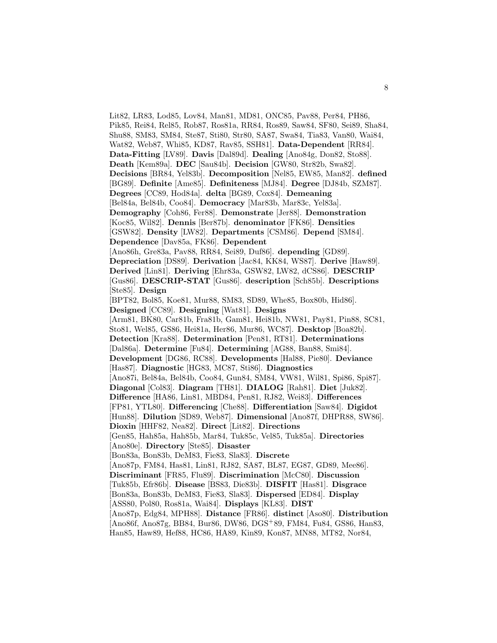Lit82, LR83, Lod85, Lov84, Man81, MD81, ONC85, Pav88, Per84, PH86, Pik85, Rei84, Rel85, Rob87, Ros81a, RR84, Ros89, Saw84, SF80, Sei89, Sha84, Shu88, SM83, SM84, Ste87, Sti80, Str80, SA87, Swa84, Tia83, Van80, Wai84, Wat82, Web87, Whi85, KD87, Rav85, SSH81]. **Data-Dependent** [RR84]. **Data-Fitting** [LV89]. **Davis** [Dal89d]. **Dealing** [Ano84g, Don82, Sto88]. **Death** [Kem89a]. **DEC** [Sau84b]. **Decision** [GW80, Str82b, Swa82]. **Decisions** [BR84, Yel83b]. **Decomposition** [Nel85, EW85, Man82]. **defined** [BG89]. **Definite** [Ame85]. **Definiteness** [MJ84]. **Degree** [DJ84b, SZM87]. **Degrees** [CC89, Hod84a]. **delta** [BG89, Cox84]. **Demeaning** [Bel84a, Bel84b, Coo84]. **Democracy** [Mar83b, Mar83c, Yel83a]. **Demography** [Coh86, Fer88]. **Demonstrate** [Jer88]. **Demonstration** [Koc85, Wil82]. **Dennis** [Ber87b]. **denominator** [FK86]. **Densities** [GSW82]. **Density** [LW82]. **Departments** [CSM86]. **Depend** [SM84]. **Dependence** [Dav85a, FK86]. **Dependent** [Ano86h, Gre83a, Pav88, RR84, Sei89, Duf86]. **depending** [GD89]. **Depreciation** [DS89]. **Derivation** [Jac84, KK84, WS87]. **Derive** [Haw89]. **Derived** [Lin81]. **Deriving** [Ehr83a, GSW82, LW82, dCS86]. **DESCRIP** [Gus86]. **DESCRIP-STAT** [Gus86]. **description** [Sch85b]. **Descriptions** [Ste85]. **Design** [BPT82, Bol85, Koe81, Mur88, SM83, SD89, Whe85, Box80b, Hid86]. **Designed** [CC89]. **Designing** [Wat81]. **Designs** [Arm81, BK80, Car81b, Fra81b, Gam81, Hei81b, NW81, Pay81, Pin88, SC81, Sto81, Wel85, GS86, Hei81a, Her86, Mur86, WC87]. **Desktop** [Boa82b]. **Detection** [Kra88]. **Determination** [Pen81, RT81]. **Determinations** [Dal86a]. **Determine** [Fu84]. **Determining** [AG88, Ban88, Smi84]. **Development** [DG86, RC88]. **Developments** [Hal88, Pie80]. **Deviance** [Has87]. **Diagnostic** [HG83, MC87, Sti86]. **Diagnostics** [Ano87i, Bel84a, Bel84b, Coo84, Gun84, SM84, VW81, Wil81, Spi86, Spi87]. **Diagonal** [Col83]. **Diagram** [TH81]. **DIALOG** [Rah81]. **Diet** [Juk82]. **Difference** [HA86, Lin81, MBD84, Pen81, RJ82, Wei83]. **Differences** [FP81, YTL80]. **Differencing** [Che88]. **Differentiation** [Saw84]. **Digidot** [Hun88]. **Dilution** [SD89, Web87]. **Dimensional** [Ano87f, DHPR88, SW86]. **Dioxin** [HHF82, Nea82]. **Direct** [Lit82]. **Directions** [Gen85, Hah85a, Hah85b, Mar84, Tuk85c, Vel85, Tuk85a]. **Directories** [Ano80e]. **Directory** [Ste85]. **Disaster** [Bon83a, Bon83b, DeM83, Fie83, Sla83]. **Discrete** [Ano87p, FM84, Has81, Lin81, RJ82, SA87, BL87, EG87, GD89, Mee86]. **Discriminant** [FR85, Flu89]. **Discrimination** [McC80]. **Discussion** [Tuk85b, Efr86b]. **Disease** [BS83, Die83b]. **DISFIT** [Has81]. **Disgrace** [Bon83a, Bon83b, DeM83, Fie83, Sla83]. **Dispersed** [ED84]. **Display** [ASS80, Pol80, Ros81a, Wai84]. **Displays** [KL83]. **DIST** [Ano87p, Edg84, MPH88]. **Distance** [FR86]. **distinct** [Aso80]. **Distribution** [Ano86f, Ano87g, BB84, Bur86, DW86, DGS<sup>+</sup>89, FM84, Fu84, GS86, Han83, Han85, Haw89, Hef88, HC86, HA89, Kin89, Kon87, MN88, MT82, Nor84,

8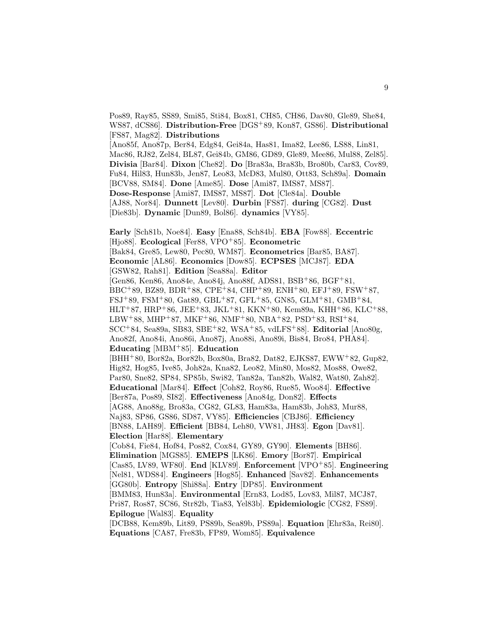Pos89, Ray85, SS89, Smi85, Sti84, Box81, CH85, CH86, Dav80, Gle89, She84, WS87, dCS86]. **Distribution-Free** [DGS<sup>+</sup>89, Kon87, GS86]. **Distributional** [FS87, Mag82]. **Distributions**

[Ano85f, Ano87p, Ber84, Edg84, Gei84a, Has81, Ima82, Lee86, LS88, Lin81, Mac86, RJ82, Zel84, BL87, Gei84b, GM86, GD89, Gle89, Mee86, Mul88, Zel85]. **Divisia** [Bar84]. **Dixon** [Che82]. **Do** [Bra83a, Bra83b, Bro80b, Car83, Cov89, Fu84, Hil83, Hun83b, Jen87, Leo83, McD83, Mul80, Ott83, Sch89a]. **Domain** [BCV88, SM84]. **Done** [Ame85]. **Dose** [Ami87, IMS87, MS87]. **Dose-Response** [Ami87, IMS87, MS87]. **Dot** [Cle84a]. **Double** [AJ88, Nor84]. **Dunnett** [Lev80]. **Durbin** [FS87]. **during** [CG82]. **Dust** [Die83b]. **Dynamic** [Dun89, Bol86]. **dynamics** [VY85].

**Early** [Sch81b, Noe84]. **Easy** [Ena88, Sch84b]. **EBA** [Fow88]. **Eccentric** [Hjo88]. **Ecological** [Fer88, VPO<sup>+</sup>85]. **Econometric** [Bak84, Gre85, Lew80, Pec80, WM87]. **Econometrics** [Bar85, BA87]. **Economic** [AL86]. **Economics** [Dow85]. **ECPSES** [MCJ87]. **EDA** [GSW82, Rah81]. **Edition** [Sea88a]. **Editor** [Gen86, Ken86, Ano84e, Ano84j, Ano88f, ADS81, BSB<sup>+</sup>86, BGF<sup>+</sup>81, BBC<sup>+</sup>89, BZ89, BDR<sup>+</sup>88, CPE<sup>+</sup>84, CHP<sup>+</sup>89, ENH<sup>+</sup>80, EFJ<sup>+</sup>89, FSW<sup>+</sup>87, FSJ<sup>+</sup>89, FSM<sup>+</sup>80, Gat89, GBL<sup>+</sup>87, GFL<sup>+</sup>85, GN85, GLM<sup>+</sup>81, GMB<sup>+</sup>84, HLT+87, HRP+86, JEE+83, JKL+81, KKN+80, Kem89a, KHH+86, KLC+88, LBW+88, MHP+87, MKF+86, NMF+80, NBA+82, PSD+83, RSI+84, SCC<sup>+</sup>84, Sea89a, SB83, SBE<sup>+</sup>82, WSA<sup>+</sup>85, vdLFS<sup>+</sup>88]. **Editorial** [Ano80g, Ano82f, Ano84i, Ano86i, Ano87j, Ano88i, Ano89i, Bis84, Bro84, PHA84]. **Educating** [MBM<sup>+</sup>85]. **Education** [BHH<sup>+</sup>80, Bor82a, Bor82b, Box80a, Bra82, Dat82, EJKS87, EWW<sup>+</sup>82, Gup82, Hig82, Hog85, Ive85, Joh82a, Kna82, Leo82, Min80, Mos82, Mos88, Owe82, Par80, Sne82, SP84, SP85b, Swi82, Tan82a, Tan82b, Wal82, Wat80, Zah82]. **Educational** [Mar84]. **Effect** [Coh82, Roy86, Rue85, Woo84]. **Effective** [Ber87a, Pos89, SI82]. **Effectiveness** [Ano84g, Don82]. **Effects** [AG88, Ano88g, Bro83a, CG82, GL83, Ham83a, Ham83b, Joh83, Mur88, Naj83, SP86, GS86, SD87, VY85]. **Efficiencies** [CBJ86]. **Efficiency** [BN88, LAH89]. **Efficient** [BB84, Leh80, VW81, JH83]. **Egon** [Dav81]. **Election** [Har88]. **Elementary** [Cob84, Fie84, Hof84, Pos82, Cox84, GY89, GY90]. **Elements** [BH86]. **Elimination** [MGS85]. **EMEPS** [LK86]. **Emory** [Bor87]. **Empirical** [Cas85, LV89, WF80]. **End** [KLV89]. **Enforcement** [VPO<sup>+</sup>85]. **Engineering** [Nel81, WDS84]. **Engineers** [Hog85]. **Enhanced** [Sav82]. **Enhancements** [GG80b]. **Entropy** [Shi88a]. **Entry** [DP85]. **Environment** [BMM83, Hun83a]. **Environmental** [Ern83, Lod85, Lov83, Mil87, MCJ87, Pri87, Ros87, SC86, Str82b, Tia83, Yel83b]. **Epidemiologic** [CG82, FS89]. **Epilogue** [Wal83]. **Equality** [DCB88, Kem89b, Lit89, PS89b, Sea89b, PS89a]. **Equation** [Ehr83a, Rei80].

**Equations** [CA87, Fre83b, FP89, Wom85]. **Equivalence**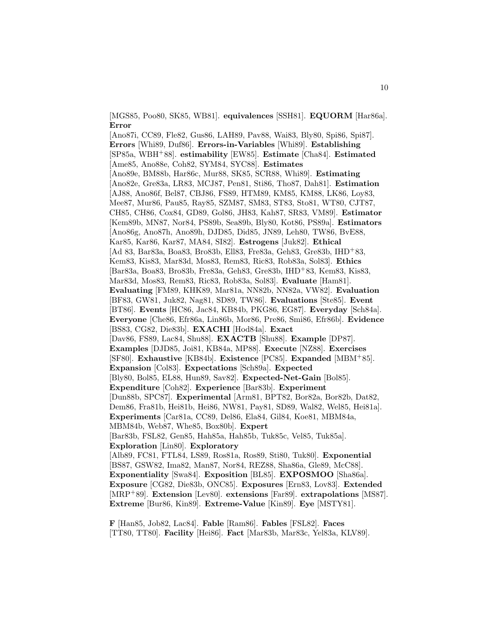[MGS85, Poo80, SK85, WB81]. **equivalences** [SSH81]. **EQUORM** [Har86a]. **Error**

[Ano87i, CC89, Fle82, Gus86, LAH89, Pav88, Wai83, Bly80, Spi86, Spi87]. **Errors** [Whi89, Duf86]. **Errors-in-Variables** [Whi89]. **Establishing** [SP85a, WBH<sup>+</sup>88]. **estimability** [EW85]. **Estimate** [Cha84]. **Estimated** [Ame85, Ano88e, Coh82, SYM84, SYC88]. **Estimates** [Ano89e, BM88b, Har86c, Mur88, SK85, SCR88, Whi89]. **Estimating** [Ano82e, Gre83a, LR83, MCJ87, Pen81, Sti86, Tho87, Dah81]. **Estimation** [AJ88, Ano86f, Bel87, CBJ86, FS89, HTM89, KM85, KM88, LK86, Loy83, Mee87, Mur86, Pau85, Ray85, SZM87, SM83, ST83, Sto81, WT80, CJT87, CH85, CH86, Cox84, GD89, Gol86, JH83, Kah87, SR83, VM89]. **Estimator** [Kem89b, MN87, Nor84, PS89b, Sea89b, Bly80, Kot86, PS89a]. **Estimators** [Ano86g, Ano87h, Ano89h, DJD85, Did85, JN89, Leh80, TW86, BvE88, Kar85, Kar86, Kar87, MA84, SI82]. **Estrogens** [Juk82]. **Ethical** [Ad 83, Bar83a, Boa83, Bro83b, Ell83, Fre83a, Geh83, Gre83b, IHD<sup>+</sup>83, Kem83, Kis83, Mar83d, Mos83, Rem83, Ric83, Rob83a, Sol83]. **Ethics** [Bar83a, Boa83, Bro83b, Fre83a, Geh83, Gre83b, IHD<sup>+</sup>83, Kem83, Kis83, Mar83d, Mos83, Rem83, Ric83, Rob83a, Sol83]. **Evaluate** [Ham81]. **Evaluating** [FM89, KHK89, Mar81a, NN82b, NN82a, VW82]. **Evaluation** [BF83, GW81, Juk82, Nag81, SD89, TW86]. **Evaluations** [Ste85]. **Event** [BT86]. **Events** [HC86, Jac84, KB84b, PKG86, EG87]. **Everyday** [Sch84a]. **Everyone** [Che86, Efr86a, Lin86b, Mor86, Pre86, Smi86, Efr86b]. **Evidence** [BS83, CG82, Die83b]. **EXACHI** [Hod84a]. **Exact** [Dav86, FS89, Lac84, Shu88]. **EXACTB** [Shu88]. **Example** [DP87]. **Examples** [DJD85, Joi81, KB84a, MP88]. **Execute** [NZ88]. **Exercises** [SF80]. **Exhaustive** [KB84b]. **Existence** [PC85]. **Expanded** [MBM<sup>+</sup>85]. **Expansion** [Col83]. **Expectations** [Sch89a]. **Expected** [Bly80, Bol85, EL88, Hun89, Sav82]. **Expected-Net-Gain** [Bol85]. **Expenditure** [Coh82]. **Experience** [Bar83b]. **Experiment** [Dun88b, SPC87]. **Experimental** [Arm81, BPT82, Bor82a, Bor82b, Dat82, Dem86, Fra81b, Hei81b, Hei86, NW81, Pay81, SD89, Wal82, Wel85, Hei81a]. **Experiments** [Car81a, CC89, Del86, Ela84, Gil84, Koe81, MBM84a, MBM84b, Web87, Whe85, Box80b]. **Expert** [Bar83b, FSL82, Gen85, Hah85a, Hah85b, Tuk85c, Vel85, Tuk85a]. **Exploration** [Lin80]. **Exploratory** [Alb89, FC81, FTL84, LS89, Ros81a, Ros89, Sti80, Tuk80]. **Exponential** [BS87, GSW82, Ima82, Man87, Nor84, REZ88, Sha86a, Gle89, McC88]. **Exponentiality** [Swa84]. **Exposition** [BL85]. **EXPOSMOO** [Sha86a]. **Exposure** [CG82, Die83b, ONC85]. **Exposures** [Ern83, Lov83]. **Extended** [MRP<sup>+</sup>89]. **Extension** [Lev80]. **extensions** [Far89]. **extrapolations** [MS87]. **Extreme** [Bur86, Kin89]. **Extreme-Value** [Kin89]. **Eye** [MSTY81].

**F** [Han85, Job82, Lac84]. **Fable** [Ram86]. **Fables** [FSL82]. **Faces** [TT80, TT80]. **Facility** [Hei86]. **Fact** [Mar83b, Mar83c, Yel83a, KLV89].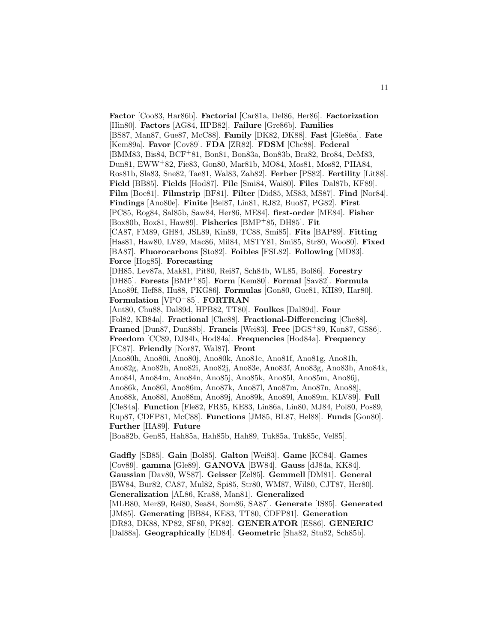**Factor** [Coo83, Har86b]. **Factorial** [Car81a, Del86, Her86]. **Factorization** [Hin80]. **Factors** [AG84, HPB82]. **Failure** [Gre86b]. **Families** [BS87, Man87, Gue87, McC88]. **Family** [DK82, DK88]. **Fast** [Gle86a]. **Fate** [Kem89a]. **Favor** [Cov89]. **FDA** [ZR82]. **FDSM** [Che88]. **Federal** [BMM83, Bis84, BCF<sup>+</sup>81, Bon81, Bon83a, Bon83b, Bra82, Bro84, DeM83, Dun81, EWW<sup>+</sup>82, Fie83, Gon80, Mar81b, MO84, Mos81, Mos82, PHA84, Ros81b, Sla83, Sne82, Tae81, Wal83, Zah82]. **Ferber** [PS82]. **Fertility** [Lit88]. **Field** [BB85]. **Fields** [Hod87]. **File** [Smi84, Wai80]. **Files** [Dal87b, KF89]. **Film** [Boe81]. **Filmstrip** [BF81]. **Filter** [Did85, MS83, MS87]. **Find** [Nor84]. **Findings** [Ano80e]. **Finite** [Bel87, Lin81, RJ82, Buo87, PG82]. **First** [PC85, Rog84, Sal85b, Saw84, Her86, ME84]. **first-order** [ME84]. **Fisher** [Box80b, Box81, Haw89]. **Fisheries** [BMP<sup>+</sup>85, DH85]. **Fit** [CA87, FM89, GH84, JSL89, Kin89, TC88, Smi85]. **Fits** [BAP89]. **Fitting** [Has81, Haw80, LV89, Mac86, Mil84, MSTY81, Smi85, Str80, Woo80]. **Fixed** [BA87]. **Fluorocarbons** [Sto82]. **Foibles** [FSL82]. **Following** [MD83]. **Force** [Hog85]. **Forecasting** [DH85, Lev87a, Mak81, Pit80, Rei87, Sch84b, WL85, Bol86]. **Forestry** [DH85]. **Forests** [BMP<sup>+</sup>85]. **Form** [Kem80]. **Formal** [Sav82]. **Formula** [Ano89f, Hef88, Hu88, PKG86]. **Formulas** [Gon80, Gue81, KH89, Har80]. **Formulation** [VPO<sup>+</sup>85]. **FORTRAN** [Ant80, Chu88, Dal89d, HPB82, TT80]. **Foulkes** [Dal89d]. **Four** [Fol82, KB84a]. **Fractional** [Che88]. **Fractional-Differencing** [Che88]. **Framed** [Dun87, Dun88b]. **Francis** [Wei83]. **Free** [DGS<sup>+</sup>89, Kon87, GS86]. **Freedom** [CC89, DJ84b, Hod84a]. **Frequencies** [Hod84a]. **Frequency** [FC87]. **Friendly** [Nor87, Wal87]. **Front** [Ano80h, Ano80i, Ano80j, Ano80k, Ano81e, Ano81f, Ano81g, Ano81h, Ano82g, Ano82h, Ano82i, Ano82j, Ano83e, Ano83f, Ano83g, Ano83h, Ano84k, Ano84l, Ano84m, Ano84n, Ano85j, Ano85k, Ano85l, Ano85m, Ano86j, Ano86k, Ano86l, Ano86m, Ano87k, Ano87l, Ano87m, Ano87n, Ano88j, Ano88k, Ano88l, Ano88m, Ano89j, Ano89k, Ano89l, Ano89m, KLV89]. **Full** [Cle84a]. **Function** [Fle82, FR85, KE83, Lin86a, Lin80, MJ84, Pol80, Pos89, Rup87, CDFP81, McC88]. **Functions** [JM85, BL87, Hel88]. **Funds** [Gon80]. **Further** [HA89]. **Future** [Boa82b, Gen85, Hah85a, Hah85b, Hah89, Tuk85a, Tuk85c, Vel85].

**Gadfly** [SB85]. **Gain** [Bol85]. **Galton** [Wei83]. **Game** [KC84]. **Games** [Cov89]. **gamma** [Gle89]. **GANOVA** [BW84]. **Gauss** [dJ84a, KK84]. **Gaussian** [Dav80, WS87]. **Geisser** [Zel85]. **Gemmell** [DM81]. **General** [BW84, Bur82, CA87, Mul82, Spi85, Str80, WM87, Wil80, CJT87, Her80]. **Generalization** [AL86, Kra88, Man81]. **Generalized** [MLB80, Mer89, Rei80, Sea84, Som86, SA87]. **Generate** [IS85]. **Generated** [JM85]. **Generating** [BB84, KE83, TT80, CDFP81]. **Generation** [DR83, DK88, NP82, SF80, PK82]. **GENERATOR** [ES86]. **GENERIC** [Dal88a]. **Geographically** [ED84]. **Geometric** [Sha82, Stu82, Sch85b].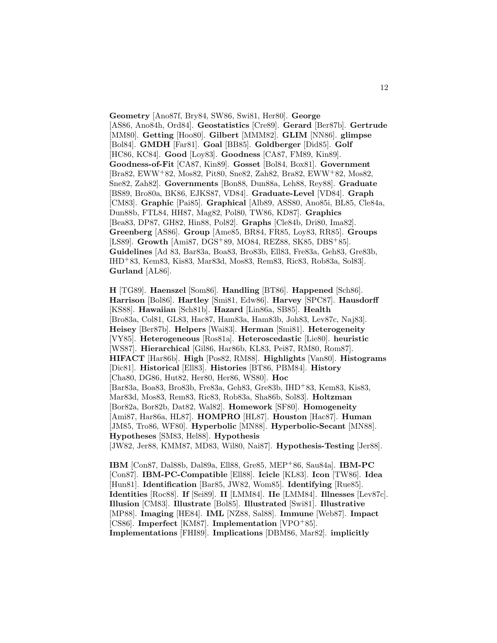**Geometry** [Ano87f, Bry84, SW86, Swi81, Her80]. **George** [AS86, Ano84h, Ord84]. **Geostatistics** [Cre89]. **Gerard** [Ber87b]. **Gertrude** [MM80]. **Getting** [Hoo80]. **Gilbert** [MMM82]. **GLIM** [NN86]. **glimpse** [Bol84]. **GMDH** [Far81]. **Goal** [BB85]. **Goldberger** [Did85]. **Golf** [HC86, KC84]. **Good** [Loy83]. **Goodness** [CA87, FM89, Kin89]. **Goodness-of-Fit** [CA87, Kin89]. **Gosset** [Bol84, Box81]. **Government** [Bra82, EWW<sup>+</sup>82, Mos82, Pit80, Sne82, Zah82, Bra82, EWW<sup>+</sup>82, Mos82, Sne82, Zah82]. **Governments** [Bon88, Dun88a, Leh88, Rey88]. **Graduate** [BS89, Bro80a, BK86, EJKS87, VD84]. **Graduate-Level** [VD84]. **Graph** [CM83]. **Graphic** [Pai85]. **Graphical** [Alb89, ASS80, Ano85i, BL85, Cle84a, Dun88b, FTL84, HH87, Mag82, Pol80, TW86, KD87]. **Graphics** [Bea83, DP87, GH82, Hin88, Pol82]. **Graphs** [Cle84b, Dri80, Ima82]. **Greenberg** [AS86]. **Group** [Ame85, BR84, FR85, Loy83, RR85]. **Groups** [LS89]. **Growth** [Ami87, DGS<sup>+</sup>89, MO84, REZ88, SK85, DBS<sup>+</sup>85]. **Guidelines** [Ad 83, Bar83a, Boa83, Bro83b, Ell83, Fre83a, Geh83, Gre83b, IHD<sup>+</sup>83, Kem83, Kis83, Mar83d, Mos83, Rem83, Ric83, Rob83a, Sol83]. **Gurland** [AL86].

**H** [TG89]. **Haenszel** [Som86]. **Handling** [BT86]. **Happened** [Sch86]. **Harrison** [Bol86]. **Hartley** [Smi81, Edw86]. **Harvey** [SPC87]. **Hausdorff** [KS88]. **Hawaiian** [Sch81b]. **Hazard** [Lin86a, SB85]. **Health** [Bro83a, Col81, GL83, Hac87, Ham83a, Ham83b, Joh83, Lev87c, Naj83]. **Heisey** [Ber87b]. **Helpers** [Wai83]. **Herman** [Smi81]. **Heterogeneity** [VY85]. **Heterogeneous** [Ros81a]. **Heteroscedastic** [Lie80]. **heuristic** [WS87]. **Hierarchical** [Gil86, Har86b, KL83, Pei87, RM80, Rom87]. **HIFACT** [Har86b]. **High** [Pos82, RM88]. **Highlights** [Van80]. **Histograms** [Dic81]. **Historical** [Ell83]. **Histories** [BT86, PBM84]. **History** [Cha80, DG86, Hut82, Her80, Her86, WS80]. **Hoc** [Bar83a, Boa83, Bro83b, Fre83a, Geh83, Gre83b, IHD<sup>+</sup>83, Kem83, Kis83, Mar83d, Mos83, Rem83, Ric83, Rob83a, Sha86b, Sol83]. **Holtzman** [Bor82a, Bor82b, Dat82, Wal82]. **Homework** [SF80]. **Homogeneity** [Ami87, Har86a, HL87]. **HOMPRO** [HL87]. **Houston** [Hac87]. **Human** [JM85, Tro86, WF80]. **Hyperbolic** [MN88]. **Hyperbolic-Secant** [MN88]. **Hypotheses** [SM83, Hel88]. **Hypothesis** [JW82, Jer88, KMM87, MD83, Wil80, Nai87]. **Hypothesis-Testing** [Jer88].

**IBM** [Con87, Dal88b, Dal89a, Ell88, Gre85, MEP<sup>+</sup>86, Sau84a]. **IBM-PC** [Con87]. **IBM-PC-Compatible** [Ell88]. **Icicle** [KL83]. **Icon** [TW86]. **Idea** [Hun81]. **Identification** [Bar85, JW82, Wom85]. **Identifying** [Rue85]. **Identities** [Roc88]. **If** [Sei89]. **II** [LMM84]. **IIe** [LMM84]. **Illnesses** [Lev87c]. **Illusion** [CM83]. **Illustrate** [Bol85]. **Illustrated** [Swi81]. **Illustrative** [MP88]. **Imaging** [HE84]. **IML** [NZ88, Sal88]. **Immune** [Web87]. **Impact** [CS86]. **Imperfect** [KM87]. **Implementation** [VPO<sup>+</sup>85]. **Implementations** [FHI89]. **Implications** [DBM86, Mar82]. **implicitly**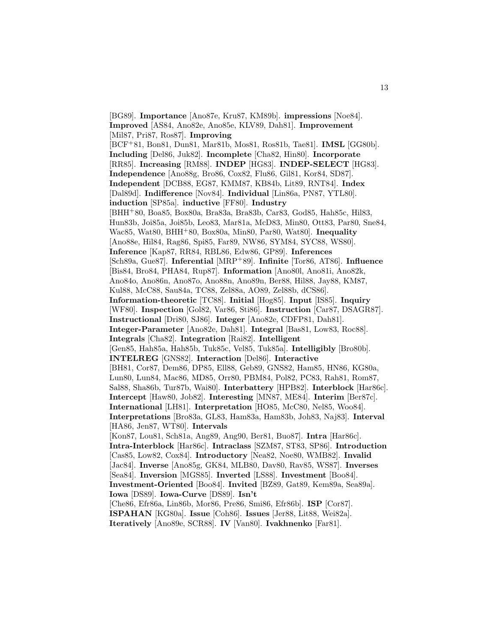[BG89]. **Importance** [Ano87e, Kru87, KM89b]. **impressions** [Noe84]. **Improved** [AS84, Ano82e, Ano85e, KLV89, Dah81]. **Improvement** [Mil87, Pri87, Ros87]. **Improving** [BCF<sup>+</sup>81, Bon81, Dun81, Mar81b, Mos81, Ros81b, Tae81]. **IMSL** [GG80b]. **Including** [Del86, Juk82]. **Incomplete** [Cha82, Hin80]. **Incorporate** [RR85]. **Increasing** [RM88]. **INDEP** [HG83]. **INDEP-SELECT** [HG83]. **Independence** [Ano88g, Bro86, Cox82, Flu86, Gil81, Kor84, SD87]. **Independent** [DCB88, EG87, KMM87, KB84b, Lit89, RNT84]. **Index** [Dal89d]. **Indifference** [Nov84]. **Individual** [Lin86a, PN87, YTL80]. **induction** [SP85a]. **inductive** [FF80]. **Industry** [BHH<sup>+</sup>80, Boa85, Box80a, Bra83a, Bra83b, Car83, God85, Hah85c, Hil83, Hun83b, Joi85a, Joi85b, Leo83, Mar81a, McD83, Min80, Ott83, Par80, Sne84, Wac85, Wat80, BHH<sup>+</sup>80, Box80a, Min80, Par80, Wat80]. **Inequality** [Ano88e, Hil84, Rag86, Spi85, Far89, NW86, SYM84, SYC88, WS80]. **Inference** [Kap87, RR84, RBL86, Edw86, GP89]. **Inferences** [Sch89a, Gue87]. **Inferential** [MRP<sup>+</sup>89]. **Infinite** [Tor86, AT86]. **Influence** [Bis84, Bro84, PHA84, Rup87]. **Information** [Ano80l, Ano81i, Ano82k, Ano84o, Ano86n, Ano87o, Ano88n, Ano89n, Ber88, Hil88, Jay88, KM87, Kul88, McC88, Sau84a, TC88, Zel88a, AO89, Zel88b, dCS86]. **Information-theoretic** [TC88]. **Initial** [Hog85]. **Input** [IS85]. **Inquiry** [WF80]. **Inspection** [Gol82, Var86, Sti86]. **Instruction** [Car87, DSAGR87]. **Instructional** [Dri80, SJ86]. **Integer** [Ano82e, CDFP81, Dah81]. **Integer-Parameter** [Ano82e, Dah81]. **Integral** [Bas81, Low83, Roc88]. **Integrals** [Cha82]. **Integration** [Rai82]. **Intelligent** [Gen85, Hah85a, Hah85b, Tuk85c, Vel85, Tuk85a]. **Intelligibly** [Bro80b]. **INTELREG** [GNS82]. **Interaction** [Del86]. **Interactive** [BH81, Cor87, Dem86, DP85, Ell88, Geb89, GNS82, Ham85, HN86, KG80a, Lun80, Lun84, Mac86, MD85, Orr80, PBM84, Pol82, PC83, Rah81, Rom87, Sal88, Sha86b, Tur87b, Wai80]. **Interbattery** [HPB82]. **Interblock** [Har86c]. **Intercept** [Haw80, Job82]. **Interesting** [MN87, ME84]. **Interim** [Ber87c]. **International** [LH81]. **Interpretation** [HO85, McC80, Nel85, Woo84]. **Interpretations** [Bro83a, GL83, Ham83a, Ham83b, Joh83, Naj83]. **Interval** [HA86, Jen87, WT80]. **Intervals** [Kon87, Lou81, Sch81a, Ang89, Ang90, Ber81, Buo87]. **Intra** [Har86c]. **Intra-Interblock** [Har86c]. **Intraclass** [SZM87, ST83, SP86]. **Introduction** [Cas85, Low82, Cox84]. **Introductory** [Nea82, Noe80, WMB82]. **Invalid** [Jac84]. **Inverse** [Ano85g, GK84, MLB80, Dav80, Rav85, WS87]. **Inverses** [Sea84]. **Inversion** [MGS85]. **Inverted** [LS88]. **Investment** [Boo84]. **Investment-Oriented** [Boo84]. **Invited** [BZ89, Gat89, Kem89a, Sea89a]. **Iowa** [DS89]. **Iowa-Curve** [DS89]. **Isn't** [Che86, Efr86a, Lin86b, Mor86, Pre86, Smi86, Efr86b]. **ISP** [Cor87]. **ISPAHAN** [KG80a]. **Issue** [Coh86]. **Issues** [Jer88, Lit88, Wei82a]. **Iteratively** [Ano89e, SCR88]. **IV** [Van80]. **Ivakhnenko** [Far81].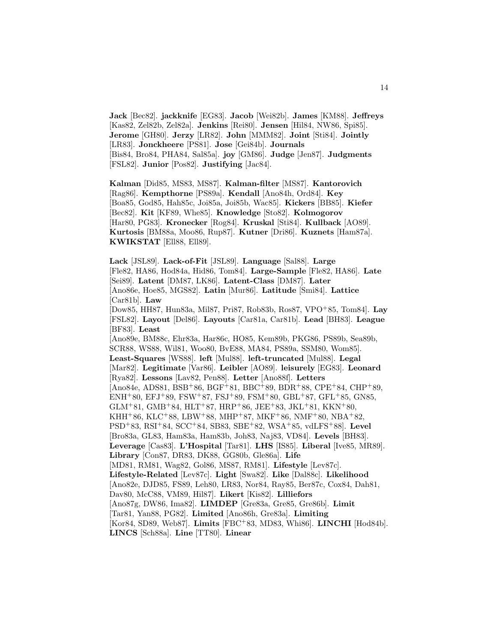**Jack** [Bec82]. **jackknife** [EG83]. **Jacob** [Wei82b]. **James** [KM88]. **Jeffreys** [Kas82, Zel82b, Zel82a]. **Jenkins** [Rei80]. **Jensen** [Hil84, NW86, Spi85]. **Jerome** [GH80]. **Jerzy** [LR82]. **John** [MMM82]. **Joint** [Sti84]. **Jointly** [LR83]. **Jonckheere** [PS81]. **Jose** [Gei84b]. **Journals** [Bis84, Bro84, PHA84, Sal85a]. **joy** [GM86]. **Judge** [Jen87]. **Judgments** [FSL82]. **Junior** [Pos82]. **Justifying** [Jac84].

**Kalman** [Did85, MS83, MS87]. **Kalman-filter** [MS87]. **Kantorovich** [Rag86]. **Kempthorne** [PS89a]. **Kendall** [Ano84h, Ord84]. **Key** [Boa85, God85, Hah85c, Joi85a, Joi85b, Wac85]. **Kickers** [BB85]. **Kiefer** [Bec82]. **Kit** [KF89, Whe85]. **Knowledge** [Sto82]. **Kolmogorov** [Har80, PG83]. **Kronecker** [Rog84]. **Kruskal** [Sti84]. **Kullback** [AO89]. **Kurtosis** [BM88a, Moo86, Rup87]. **Kutner** [Dri86]. **Kuznets** [Ham87a]. **KWIKSTAT** [Ell88, Ell89].

**Lack** [JSL89]. **Lack-of-Fit** [JSL89]. **Language** [Sal88]. **Large** [Fle82, HA86, Hod84a, Hid86, Tom84]. **Large-Sample** [Fle82, HA86]. **Late** [Sei89]. **Latent** [DM87, LK86]. **Latent-Class** [DM87]. **Later** [Ano86e, Hoe85, MGS82]. **Latin** [Mur86]. **Latitude** [Smi84]. **Lattice** [Car81b]. **Law** [Dow85, HH87, Hun83a, Mil87, Pri87, Rob83b, Ros87, VPO<sup>+</sup>85, Tom84]. **Lay** [FSL82]. **Layout** [Del86]. **Layouts** [Car81a, Car81b]. **Lead** [BH83]. **League** [BF83]. **Least** [Ano89e, BM88c, Ehr83a, Har86c, HO85, Kem89b, PKG86, PS89b, Sea89b, SCR88, WS88, Wil81, Woo80, BvE88, MA84, PS89a, SSM80, Wom85]. **Least-Squares** [WS88]. **left** [Mul88]. **left-truncated** [Mul88]. **Legal** [Mar82]. **Legitimate** [Var86]. **Leibler** [AO89]. **leisurely** [EG83]. **Leonard** [Rya82]. **Lessons** [Lav82, Pen88]. **Letter** [Ano88f]. **Letters** [Ano84e, ADS81, BSB<sup>+</sup>86, BGF<sup>+</sup>81, BBC<sup>+</sup>89, BDR<sup>+</sup>88, CPE<sup>+</sup>84, CHP<sup>+</sup>89, ENH<sup>+</sup>80, EFJ<sup>+</sup>89, FSW<sup>+</sup>87, FSJ<sup>+</sup>89, FSM<sup>+</sup>80, GBL<sup>+</sup>87, GFL<sup>+</sup>85, GN85, GLM+81, GMB+84, HLT+87, HRP+86, JEE+83, JKL+81, KKN+80, KHH+86, KLC+88, LBW+88, MHP+87, MKF+86, NMF+80, NBA+82, PSD<sup>+</sup>83, RSI<sup>+</sup>84, SCC<sup>+</sup>84, SB83, SBE<sup>+</sup>82, WSA<sup>+</sup>85, vdLFS<sup>+</sup>88]. **Level** [Bro83a, GL83, Ham83a, Ham83b, Joh83, Naj83, VD84]. **Levels** [BH83]. **Leverage** [Cas83]. **L'Hospital** [Tar81]. **LHS** [IS85]. **Liberal** [Ive85, MR89]. **Library** [Con87, DR83, DK88, GG80b, Gle86a]. **Life** [MD81, RM81, Wag82, Gol86, MS87, RM81]. **Lifestyle** [Lev87c]. **Lifestyle-Related** [Lev87c]. **Light** [Swa82]. **Like** [Dal88c]. **Likelihood** [Ano82e, DJD85, FS89, Leh80, LR83, Nor84, Ray85, Ber87c, Cox84, Dah81, Dav80, McC88, VM89, Hil87]. **Likert** [Kis82]. **Lilliefors** [Ano87g, DW86, Ima82]. **LIMDEP** [Gre83a, Gre85, Gre86b]. **Limit** [Tar81, Yan88, PG82]. **Limited** [Ano86h, Gre83a]. **Limiting** [Kor84, SD89, Web87]. **Limits** [FBC<sup>+</sup>83, MD83, Whi86]. **LINCHI** [Hod84b]. **LINCS** [Sch88a]. **Line** [TT80]. **Linear**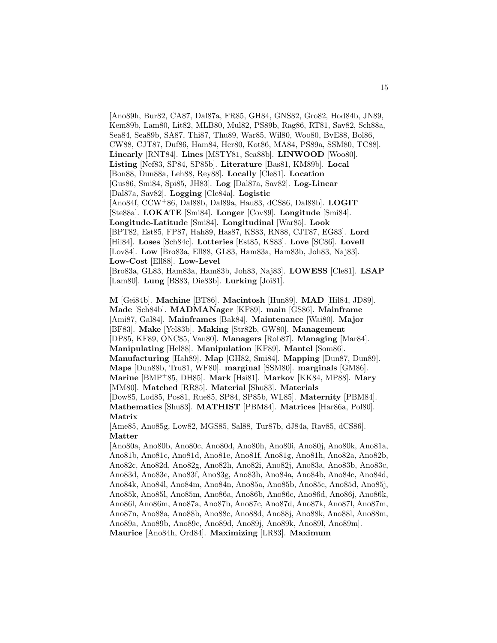[Ano89h, Bur82, CA87, Dal87a, FR85, GH84, GNS82, Gro82, Hod84b, JN89, Kem89b, Lam80, Lit82, MLB80, Mul82, PS89b, Rag86, RT81, Sav82, Sch88a, Sea84, Sea89b, SA87, Thi87, Thu89, War85, Wil80, Woo80, BvE88, Bol86, CW88, CJT87, Duf86, Ham84, Her80, Kot86, MA84, PS89a, SSM80, TC88]. **Linearly** [RNT84]. **Lines** [MSTY81, Sea88b]. **LINWOOD** [Woo80]. **Listing** [Nef83, SP84, SP85b]. **Literature** [Bas81, KM89b]. **Local** [Bon88, Dun88a, Leh88, Rey88]. **Locally** [Cle81]. **Location** [Gus86, Smi84, Spi85, JH83]. **Log** [Dal87a, Sav82]. **Log-Linear** [Dal87a, Sav82]. **Logging** [Cle84a]. **Logistic** [Ano84f, CCW<sup>+</sup>86, Dal88b, Dal89a, Hau83, dCS86, Dal88b]. **LOGIT** [Ste88a]. **LOKATE** [Smi84]. **Longer** [Cov89]. **Longitude** [Smi84]. **Longitude-Latitude** [Smi84]. **Longitudinal** [War85]. **Look** [BPT82, Est85, FP87, Hah89, Has87, KS83, RN88, CJT87, EG83]. **Lord** [Hil84]. **Loses** [Sch84c]. **Lotteries** [Est85, KS83]. **Love** [SC86]. **Lovell** [Lov84]. **Low** [Bro83a, Ell88, GL83, Ham83a, Ham83b, Joh83, Naj83]. **Low-Cost** [Ell88]. **Low-Level** [Bro83a, GL83, Ham83a, Ham83b, Joh83, Naj83]. **LOWESS** [Cle81]. **LSAP** [Lam80]. **Lung** [BS83, Die83b]. **Lurking** [Joi81].

**M** [Gei84b]. **Machine** [BT86]. **Macintosh** [Hun89]. **MAD** [Hil84, JD89]. **Made** [Sch84b]. **MADMANager** [KF89]. **main** [GS86]. **Mainframe** [Ami87, Gal84]. **Mainframes** [Bak84]. **Maintenance** [Wai80]. **Major** [BF83]. **Make** [Yel83b]. **Making** [Str82b, GW80]. **Management** [DP85, KF89, ONC85, Van80]. **Managers** [Rob87]. **Managing** [Mar84]. **Manipulating** [Hel88]. **Manipulation** [KF89]. **Mantel** [Som86]. **Manufacturing** [Hah89]. **Map** [GH82, Smi84]. **Mapping** [Dun87, Dun89]. **Maps** [Dun88b, Tru81, WF80]. **marginal** [SSM80]. **marginals** [GM86]. **Marine** [BMP<sup>+</sup>85, DH85]. **Mark** [Hsi81]. **Markov** [KK84, MP88]. **Mary** [MM80]. **Matched** [RR85]. **Material** [Shu83]. **Materials** [Dow85, Lod85, Pos81, Rue85, SP84, SP85b, WL85]. **Maternity** [PBM84]. **Mathematics** [Shu83]. **MATHIST** [PBM84]. **Matrices** [Har86a, Pol80]. **Matrix**

[Ame85, Ano85g, Low82, MGS85, Sal88, Tur87b, dJ84a, Rav85, dCS86]. **Matter**

[Ano80a, Ano80b, Ano80c, Ano80d, Ano80h, Ano80i, Ano80j, Ano80k, Ano81a, Ano81b, Ano81c, Ano81d, Ano81e, Ano81f, Ano81g, Ano81h, Ano82a, Ano82b, Ano82c, Ano82d, Ano82g, Ano82h, Ano82i, Ano82j, Ano83a, Ano83b, Ano83c, Ano83d, Ano83e, Ano83f, Ano83g, Ano83h, Ano84a, Ano84b, Ano84c, Ano84d, Ano84k, Ano84l, Ano84m, Ano84n, Ano85a, Ano85b, Ano85c, Ano85d, Ano85j, Ano85k, Ano85l, Ano85m, Ano86a, Ano86b, Ano86c, Ano86d, Ano86j, Ano86k, Ano86l, Ano86m, Ano87a, Ano87b, Ano87c, Ano87d, Ano87k, Ano87l, Ano87m, Ano87n, Ano88a, Ano88b, Ano88c, Ano88d, Ano88j, Ano88k, Ano88l, Ano88m, Ano89a, Ano89b, Ano89c, Ano89d, Ano89j, Ano89k, Ano89l, Ano89m]. **Maurice** [Ano84h, Ord84]. **Maximizing** [LR83]. **Maximum**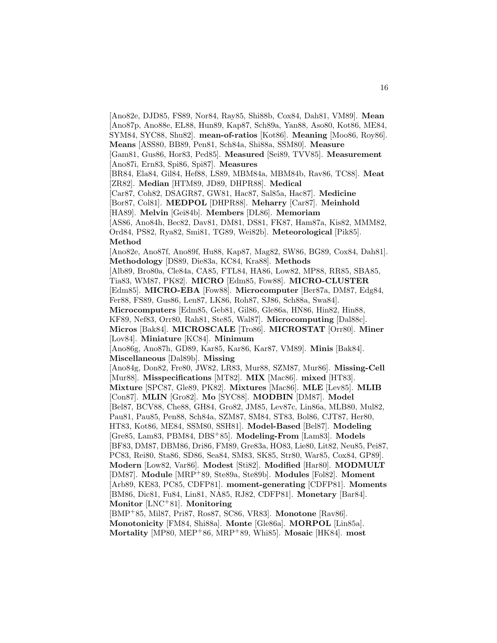[Ano82e, DJD85, FS89, Nor84, Ray85, Shi88b, Cox84, Dah81, VM89]. **Mean** [Ano87p, Ano88e, EL88, Hun89, Kap87, Sch89a, Yan88, Aso80, Kot86, ME84, SYM84, SYC88, Shu82]. **mean-of-ratios** [Kot86]. **Meaning** [Moo86, Roy86].

**Means** [ASS80, BB89, Pen81, Sch84a, Shi88a, SSM80]. **Measure**

[Gam81, Gus86, Hor83, Ped85]. **Measured** [Sei89, TVV85]. **Measurement** [Ano87i, Ern83, Spi86, Spi87]. **Measures**

[BR84, Ela84, Gil84, Hef88, LS89, MBM84a, MBM84b, Rav86, TC88]. **Meat** [ZR82]. **Median** [HTM89, JD89, DHPR88]. **Medical**

[Car87, Coh82, DSAGR87, GW81, Hac87, Sal85a, Hac87]. **Medicine**

[Bor87, Col81]. **MEDPOL** [DHPR88]. **Meharry** [Car87]. **Meinhold**

[HA89]. **Melvin** [Gei84b]. **Members** [DL86]. **Memoriam**

[AS86, Ano84h, Bec82, Dav81, DM81, DS81, FK87, Ham87a, Kis82, MMM82,

Ord84, PS82, Rya82, Smi81, TG89, Wei82b]. **Meteorological** [Pik85]. **Method**

[Ano82e, Ano87f, Ano89f, Hu88, Kap87, Mag82, SW86, BG89, Cox84, Dah81]. **Methodology** [DS89, Die83a, KC84, Kra88]. **Methods**

[Alb89, Bro80a, Cle84a, CA85, FTL84, HA86, Low82, MP88, RR85, SBA85, Tia83, WM87, PK82]. **MICRO** [Edm85, Fow88]. **MICRO-CLUSTER**

[Edm85]. **MICRO-EBA** [Fow88]. **Microcomputer** [Ber87a, DM87, Edg84, Fer88, FS89, Gus86, Len87, LK86, Roh87, SJ86, Sch88a, Swa84].

**Microcomputers** [Edm85, Geb81, Gil86, Gle86a, HN86, Hin82, Hin88,

KF89, Nef83, Orr80, Rah81, Ste85, Wal87]. **Microcomputing** [Dal88c].

**Micros** [Bak84]. **MICROSCALE** [Tro86]. **MICROSTAT** [Orr80]. **Miner** [Lov84]. **Miniature** [KC84]. **Minimum**

[Ano86g, Ano87h, GD89, Kar85, Kar86, Kar87, VM89]. **Minis** [Bak84]. **Miscellaneous** [Dal89b]. **Missing**

[Ano84g, Don82, Fre80, JW82, LR83, Mur88, SZM87, Mur86]. **Missing-Cell** [Mur88]. **Misspecifications** [MT82]. **MIX** [Mac86]. **mixed** [HT83].

**Mixture** [SPC87, Gle89, PK82]. **Mixtures** [Mac86]. **MLE** [Lev85]. **MLIB** [Con87]. **MLIN** [Gro82]. **Mo** [SYC88]. **MODBIN** [DM87]. **Model**

[Bel87, BCV88, Che88, GH84, Gro82, JM85, Lev87c, Lin86a, MLB80, Mul82,

Pau81, Pau85, Pen88, Sch84a, SZM87, SM84, ST83, Bol86, CJT87, Her80,

HT83, Kot86, ME84, SSM80, SSH81]. **Model-Based** [Bel87]. **Modeling**

[Gre85, Lam83, PBM84, DBS<sup>+</sup>85]. **Modeling-From** [Lam83]. **Models**

[BF83, DM87, DBM86, Dri86, FM89, Gre83a, HO83, Lie80, Lit82, Neu85, Pei87,

PC83, Rei80, Sta86, SD86, Sea84, SM83, SK85, Str80, War85, Cox84, GP89]. **Modern** [Low82, Var86]. **Modest** [Sti82]. **Modified** [Har80]. **MODMULT** [DM87]. **Module** [MRP<sup>+</sup>89, Ste89a, Ste89b]. **Modules** [Fol82]. **Moment** [Arb89, KE83, PC85, CDFP81]. **moment-generating** [CDFP81]. **Moments**

[BM86, Dic81, Fu84, Lin81, NA85, RJ82, CDFP81]. **Monetary** [Bar84]. **Monitor** [LNC<sup>+</sup>81]. **Monitoring**

[BMP<sup>+</sup>85, Mil87, Pri87, Ros87, SC86, VR83]. **Monotone** [Rav86]. **Monotonicity** [FM84, Shi88a]. **Monte** [Gle86a]. **MORPOL** [Lin85a]. **Mortality** [MP80, MEP<sup>+</sup>86, MRP<sup>+</sup>89, Whi85]. **Mosaic** [HK84]. **most**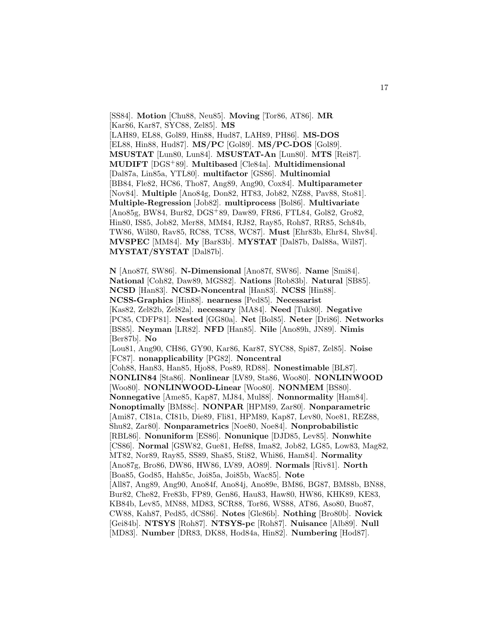[SS84]. **Motion** [Chu88, Neu85]. **Moving** [Tor86, AT86]. **MR** [Kar86, Kar87, SYC88, Zel85]. **MS** [LAH89, EL88, Gol89, Hin88, Hud87, LAH89, PH86]. **MS-DOS** [EL88, Hin88, Hud87]. **MS/PC** [Gol89]. **MS/PC-DOS** [Gol89]. **MSUSTAT** [Lun80, Lun84]. **MSUSTAT-An** [Lun80]. **MTS** [Rei87]. **MUDIFT** [DGS<sup>+</sup>89]. **Multibased** [Cle84a]. **Multidimensional** [Dal87a, Lin85a, YTL80]. **multifactor** [GS86]. **Multinomial** [BB84, Fle82, HC86, Tho87, Ang89, Ang90, Cox84]. **Multiparameter** [Nov84]. **Multiple** [Ano84g, Don82, HT83, Job82, NZ88, Pav88, Sto81]. **Multiple-Regression** [Job82]. **multiprocess** [Bol86]. **Multivariate** [Ano85g, BW84, Bur82, DGS<sup>+</sup>89, Daw89, FR86, FTL84, Gol82, Gro82, Hin80, IS85, Job82, Mer88, MM84, RJ82, Ray85, Roh87, RR85, Sch84b, TW86, Wil80, Rav85, RC88, TC88, WC87]. **Must** [Ehr83b, Ehr84, Shv84]. **MVSPEC** [MM84]. **My** [Bar83b]. **MYSTAT** [Dal87b, Dal88a, Wil87]. **MYSTAT/SYSTAT** [Dal87b].

**N** [Ano87f, SW86]. **N-Dimensional** [Ano87f, SW86]. **Name** [Smi84]. **National** [Coh82, Daw89, MGS82]. **Nations** [Rob83b]. **Natural** [SB85]. **NCSD** [Han83]. **NCSD-Noncentral** [Han83]. **NCSS** [Hin88]. **NCSS-Graphics** [Hin88]. **nearness** [Ped85]. **Necessarist** [Kas82, Zel82b, Zel82a]. **necessary** [MA84]. **Need** [Tuk80]. **Negative** [PC85, CDFP81]. **Nested** [GG80a]. **Net** [Bol85]. **Neter** [Dri86]. **Networks** [BS85]. **Neyman** [LR82]. **NFD** [Han85]. **Nile** [Ano89h, JN89]. **Nimis** [Ber87b]. **No** [Lou81, Ang90, CH86, GY90, Kar86, Kar87, SYC88, Spi87, Zel85]. **Noise** [FC87]. **nonapplicability** [PG82]. **Noncentral** [Coh88, Han83, Han85, Hjo88, Pos89, RD88]. **Nonestimable** [BL87]. **NONLIN84** [Sta86]. **Nonlinear** [LV89, Sta86, Woo80]. **NONLINWOOD** [Woo80]. **NONLINWOOD-Linear** [Woo80]. **NONMEM** [BS80]. **Nonnegative** [Ame85, Kap87, MJ84, Mul88]. **Nonnormality** [Ham84]. **Nonoptimally** [BM88c]. **NONPAR** [HPM89, Zar80]. **Nonparametric** [Ami87, CI81a, CI81b, Die89, Fli81, HPM89, Kap87, Lev80, Noe81, REZ88, Shu82, Zar80]. **Nonparametrics** [Noe80, Noe84]. **Nonprobabilistic** [RBL86]. **Nonuniform** [ES86]. **Nonunique** [DJD85, Lev85]. **Nonwhite** [CS86]. **Normal** [GSW82, Gue81, Hef88, Ima82, Job82, LG85, Low83, Mag82, MT82, Nor89, Ray85, SS89, Sha85, Sti82, Whi86, Ham84]. **Normality** [Ano87g, Bro86, DW86, HW86, LV89, AO89]. **Normals** [Riv81]. **North** [Boa85, God85, Hah85c, Joi85a, Joi85b, Wac85]. **Note** [All87, Ang89, Ang90, Ano84f, Ano84j, Ano89e, BM86, BG87, BM88b, BN88, Bur82, Che82, Fre83b, FP89, Gen86, Hau83, Haw80, HW86, KHK89, KE83, KB84b, Lev85, MN88, MD83, SCR88, Tor86, WS88, AT86, Aso80, Buo87, CW88, Kah87, Ped85, dCS86]. **Notes** [Gle86b]. **Nothing** [Bro80b]. **Novick** [Gei84b]. **NTSYS** [Roh87]. **NTSYS-pc** [Roh87]. **Nuisance** [Alb89]. **Null** [MD83]. **Number** [DR83, DK88, Hod84a, Hin82]. **Numbering** [Hod87].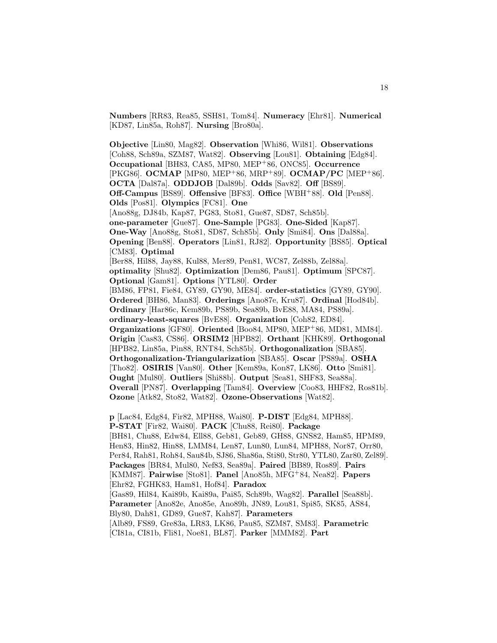**Numbers** [RR83, Rea85, SSH81, Tom84]. **Numeracy** [Ehr81]. **Numerical** [KD87, Lin85a, Roh87]. **Nursing** [Bro80a].

**Objective** [Lin80, Mag82]. **Observation** [Whi86, Wil81]. **Observations** [Coh88, Sch89a, SZM87, Wat82]. **Observing** [Lou81]. **Obtaining** [Edg84]. **Occupational** [BH83, CA85, MP80, MEP<sup>+</sup>86, ONC85]. **Occurrence** [PKG86]. **OCMAP** [MP80, MEP<sup>+</sup>86, MRP<sup>+</sup>89]. **OCMAP/PC** [MEP<sup>+</sup>86]. **OCTA** [Dal87a]. **ODDJOB** [Dal89b]. **Odds** [Sav82]. **Off** [BS89]. **Off-Campus** [BS89]. **Offensive** [BF83]. **Office** [WBH<sup>+</sup>88]. **Old** [Pen88]. **Olds** [Pos81]. **Olympics** [FC81]. **One** [Ano88g, DJ84b, Kap87, PG83, Sto81, Gue87, SD87, Sch85b]. **one-parameter** [Gue87]. **One-Sample** [PG83]. **One-Sided** [Kap87]. **One-Way** [Ano88g, Sto81, SD87, Sch85b]. **Only** [Smi84]. **Ons** [Dal88a]. **Opening** [Ben88]. **Operators** [Lin81, RJ82]. **Opportunity** [BS85]. **Optical** [CM83]. **Optimal** [Ber88, Hil88, Jay88, Kul88, Mer89, Pen81, WC87, Zel88b, Zel88a]. **optimality** [Shu82]. **Optimization** [Dem86, Pau81]. **Optimum** [SPC87]. **Optional** [Gam81]. **Options** [YTL80]. **Order** [BM86, FP81, Fie84, GY89, GY90, ME84]. **order-statistics** [GY89, GY90]. **Ordered** [BH86, Man83]. **Orderings** [Ano87e, Kru87]. **Ordinal** [Hod84b]. **Ordinary** [Har86c, Kem89b, PS89b, Sea89b, BvE88, MA84, PS89a]. **ordinary-least-squares** [BvE88]. **Organization** [Coh82, ED84]. **Organizations** [GF80]. **Oriented** [Boo84, MP80, MEP<sup>+</sup>86, MD81, MM84]. **Origin** [Cas83, CS86]. **ORSIM2** [HPB82]. **Orthant** [KHK89]. **Orthogonal** [HPB82, Lin85a, Pin88, RNT84, Sch85b]. **Orthogonalization** [SBA85]. **Orthogonalization-Triangularization** [SBA85]. **Oscar** [PS89a]. **OSHA** [Tho82]. **OSIRIS** [Van80]. **Other** [Kem89a, Kon87, LK86]. **Otto** [Smi81]. **Ought** [Mul80]. **Outliers** [Shi88b]. **Output** [Sea81, SHF83, Sea88a]. **Overall** [PN87]. **Overlapping** [Tam84]. **Overview** [Coo83, HHF82, Ros81b]. **Ozone** [Atk82, Sto82, Wat82]. **Ozone-Observations** [Wat82].

**p** [Lac84, Edg84, Fir82, MPH88, Wai80]. **P-DIST** [Edg84, MPH88]. **P-STAT** [Fir82, Wai80]. **PACK** [Chu88, Rei80]. **Package** [BH81, Chu88, Edw84, Ell88, Geb81, Geb89, GH88, GNS82, Ham85, HPM89, Hen83, Hin82, Hin88, LMM84, Len87, Lun80, Lun84, MPH88, Nor87, Orr80, Per84, Rah81, Roh84, Sau84b, SJ86, Sha86a, Sti80, Str80, YTL80, Zar80, Zel89]. **Packages** [BR84, Mul80, Nef83, Sea89a]. **Paired** [BB89, Ros89]. **Pairs** [KMM87]. **Pairwise** [Sto81]. **Panel** [Ano85h, MFG<sup>+</sup>84, Nea82]. **Papers** [Ehr82, FGHK83, Ham81, Hof84]. **Paradox** [Gas89, Hil84, Kai89b, Kai89a, Pai85, Sch89b, Wag82]. **Parallel** [Sea88b]. **Parameter** [Ano82e, Ano85e, Ano89h, JN89, Lou81, Spi85, SK85, AS84, Bly80, Dah81, GD89, Gue87, Kah87]. **Parameters** [Alb89, FS89, Gre83a, LR83, LK86, Pau85, SZM87, SM83]. **Parametric** [CI81a, CI81b, Fli81, Noe81, BL87]. **Parker** [MMM82]. **Part**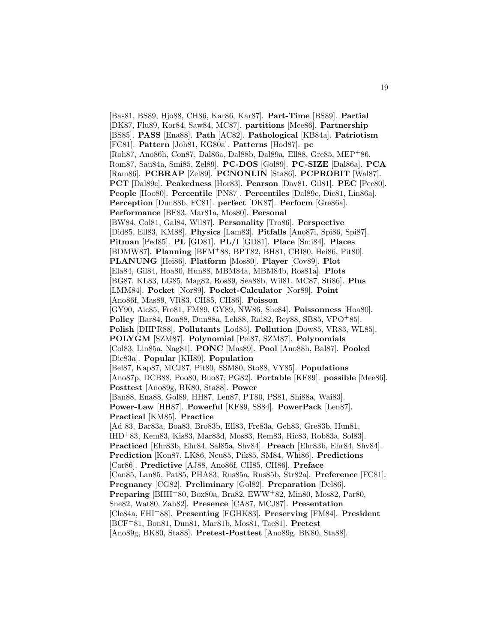[Bas81, BS89, Hjo88, CH86, Kar86, Kar87]. **Part-Time** [BS89]. **Partial** [DK87, Flu89, Kor84, Saw84, MC87]. **partitions** [Mee86]. **Partnership** [BS85]. **PASS** [Ena88]. **Path** [AC82]. **Pathological** [KB84a]. **Patriotism** [FC81]. **Pattern** [Joh81, KG80a]. **Patterns** [Hod87]. **pc** [Roh87, Ano86h, Con87, Dal86a, Dal88b, Dal89a, Ell88, Gre85, MEP<sup>+</sup>86, Rom87, Sau84a, Smi85, Zel89]. **PC-DOS** [Gol89]. **PC-SIZE** [Dal86a]. **PCA** [Ram86]. **PCBRAP** [Zel89]. **PCNONLIN** [Sta86]. **PCPROBIT** [Wal87]. **PCT** [Dal89c]. **Peakedness** [Hor83]. **Pearson** [Dav81, Gil81]. **PEC** [Pec80]. **People** [Hoo80]. **Percentile** [PN87]. **Percentiles** [Dal89c, Dic81, Lin86a]. **Perception** [Dun88b, FC81]. **perfect** [DK87]. **Perform** [Gre86a]. **Performance** [BF83, Mar81a, Mos80]. **Personal** [BW84, Col81, Gal84, Wil87]. **Personality** [Tro86]. **Perspective** [Did85, Ell83, KM88]. **Physics** [Lam83]. **Pitfalls** [Ano87i, Spi86, Spi87]. **Pitman** [Ped85]. **PL** [GD81]. **PL/I** [GD81]. **Place** [Smi84]. **Places** [BDMW87]. **Planning** [BFM<sup>+</sup>88, BPT82, BH81, CBI80, Hei86, Pit80]. **PLANUNG** [Hei86]. **Platform** [Mos80]. **Player** [Cov89]. **Plot** [Ela84, Gil84, Hoa80, Hun88, MBM84a, MBM84b, Ros81a]. **Plots** [BG87, KL83, LG85, Mag82, Ros89, Sea88b, Wil81, MC87, Sti86]. **Plus** [LMM84]. **Pocket** [Nor89]. **Pocket-Calculator** [Nor89]. **Point** [Ano86f, Mas89, VR83, CH85, CH86]. **Poisson** [GY90, Aic85, Fro81, FM89, GY89, NW86, She84]. **Poissonness** [Hoa80]. **Policy** [Bar84, Bon88, Dun88a, Leh88, Rai82, Rey88, SB85, VPO+85]. **Polish** [DHPR88]. **Pollutants** [Lod85]. **Pollution** [Dow85, VR83, WL85]. **POLYGM** [SZM87]. **Polynomial** [Pei87, SZM87]. **Polynomials** [Col83, Lin85a, Nag81]. **PONC** [Mas89]. **Pool** [Ano88h, Bal87]. **Pooled** [Die83a]. **Popular** [KH89]. **Population** [Bel87, Kap87, MCJ87, Pit80, SSM80, Sto88, VY85]. **Populations** [Ano87p, DCB88, Poo80, Buo87, PG82]. **Portable** [KF89]. **possible** [Mee86]. **Posttest** [Ano89g, BK80, Sta88]. **Power** [Ban88, Ena88, Gol89, HH87, Len87, PT80, PS81, Shi88a, Wai83]. **Power-Law** [HH87]. **Powerful** [KF89, SS84]. **PowerPack** [Len87]. **Practical** [KM85]. **Practice** [Ad 83, Bar83a, Boa83, Bro83b, Ell83, Fre83a, Geh83, Gre83b, Hun81, IHD<sup>+</sup>83, Kem83, Kis83, Mar83d, Mos83, Rem83, Ric83, Rob83a, Sol83]. **Practiced** [Ehr83b, Ehr84, Sal85a, Shv84]. **Preach** [Ehr83b, Ehr84, Shv84]. **Prediction** [Kon87, LK86, Neu85, Pik85, SM84, Whi86]. **Predictions** [Car86]. **Predictive** [AJ88, Ano86f, CH85, CH86]. **Preface** [Can85, Lan85, Pat85, PHA83, Rus85a, Rus85b, Str82a]. **Preference** [FC81]. **Pregnancy** [CG82]. **Preliminary** [Gol82]. **Preparation** [Del86]. **Preparing** [BHH+80, Box80a, Bra82, EWW+82, Min80, Mos82, Par80, Sne82, Wat80, Zah82]. **Presence** [CA87, MCJ87]. **Presentation** [Cle84a, FHI<sup>+</sup>88]. **Presenting** [FGHK83]. **Preserving** [FM84]. **President** [BCF<sup>+</sup>81, Bon81, Dun81, Mar81b, Mos81, Tae81]. **Pretest** [Ano89g, BK80, Sta88]. **Pretest-Posttest** [Ano89g, BK80, Sta88].

19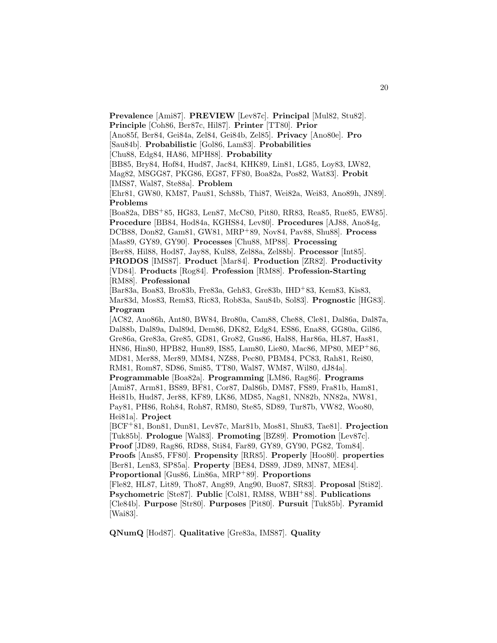**Prevalence** [Ami87]. **PREVIEW** [Lev87c]. **Principal** [Mul82, Stu82].

**Principle** [Coh86, Ber87c, Hil87]. **Printer** [TT80]. **Prior**

[Ano85f, Ber84, Gei84a, Zel84, Gei84b, Zel85]. **Privacy** [Ano80e]. **Pro**

[Sau84b]. **Probabilistic** [Gol86, Lam83]. **Probabilities**

[Chu88, Edg84, HA86, MPH88]. **Probability**

[BB85, Bry84, Hof84, Hud87, Jac84, KHK89, Lin81, LG85, Loy83, LW82,

Mag82, MSGG87, PKG86, EG87, FF80, Boa82a, Pos82, Wat83]. **Probit** [IMS87, Wal87, Ste88a]. **Problem**

[Ehr81, GW80, KM87, Pau81, Sch88b, Thi87, Wei82a, Wei83, Ano89h, JN89]. **Problems**

[Boa82a, DBS<sup>+</sup>85, HG83, Len87, McC80, Pit80, RR83, Rea85, Rue85, EW85]. **Procedure** [BB84, Hod84a, KGHS84, Lev80]. **Procedures** [AJ88, Ano84g, DCB88, Don82, Gam81, GW81, MRP<sup>+</sup>89, Nov84, Pav88, Shu88]. **Process** [Mas89, GY89, GY90]. **Processes** [Chu88, MP88]. **Processing**

[Ber88, Hil88, Hod87, Jay88, Kul88, Zel88a, Zel88b]. **Processor** [Int85].

**PRODOS** [IMS87]. **Product** [Mar84]. **Production** [ZR82]. **Productivity** [VD84]. **Products** [Rog84]. **Profession** [RM88]. **Profession-Starting** [RM88]. **Professional**

[Bar83a, Boa83, Bro83b, Fre83a, Geh83, Gre83b, IHD<sup>+</sup>83, Kem83, Kis83, Mar83d, Mos83, Rem83, Ric83, Rob83a, Sau84b, Sol83]. **Prognostic** [HG83]. **Program**

[AC82, Ano86h, Ant80, BW84, Bro80a, Cam88, Che88, Cle81, Dal86a, Dal87a, Dal88b, Dal89a, Dal89d, Dem86, DK82, Edg84, ES86, Ena88, GG80a, Gil86, Gre86a, Gre83a, Gre85, GD81, Gro82, Gus86, Hal88, Har86a, HL87, Has81, HN86, Hin80, HPB82, Hun89, IS85, Lam80, Lie80, Mac86, MP80, MEP<sup>+</sup>86, MD81, Mer88, Mer89, MM84, NZ88, Pec80, PBM84, PC83, Rah81, Rei80, RM81, Rom87, SD86, Smi85, TT80, Wal87, WM87, Wil80, dJ84a]. **Programmable** [Boa82a]. **Programming** [LM86, Rag86]. **Programs** [Ami87, Arm81, BS89, BF81, Cor87, Dal86b, DM87, FS89, Fra81b, Ham81, Hei81b, Hud87, Jer88, KF89, LK86, MD85, Nag81, NN82b, NN82a, NW81, Pay81, PH86, Roh84, Roh87, RM80, Ste85, SD89, Tur87b, VW82, Woo80, Hei81a]. **Project** [BCF<sup>+</sup>81, Bon81, Dun81, Lev87c, Mar81b, Mos81, Shu83, Tae81]. **Projection**

[Tuk85b]. **Prologue** [Wal83]. **Promoting** [BZ89]. **Promotion** [Lev87c]. **Proof** [JD89, Rag86, RD88, Sti84, Far89, GY89, GY90, PG82, Tom84]. **Proofs** [Ans85, FF80]. **Propensity** [RR85]. **Properly** [Hoo80]. **properties**

[Ber81, Len83, SP85a]. **Property** [BE84, DS89, JD89, MN87, ME84].

**Proportional** [Gus86, Lin86a, MRP<sup>+</sup>89]. **Proportions**

[Fle82, HL87, Lit89, Tho87, Ang89, Ang90, Buo87, SR83]. **Proposal** [Sti82]. **Psychometric** [Ste87]. **Public** [Col81, RM88, WBH<sup>+</sup>88]. **Publications** [Cle84b]. **Purpose** [Str80]. **Purposes** [Pit80]. **Pursuit** [Tuk85b]. **Pyramid** [Wai83].

**QNumQ** [Hod87]. **Qualitative** [Gre83a, IMS87]. **Quality**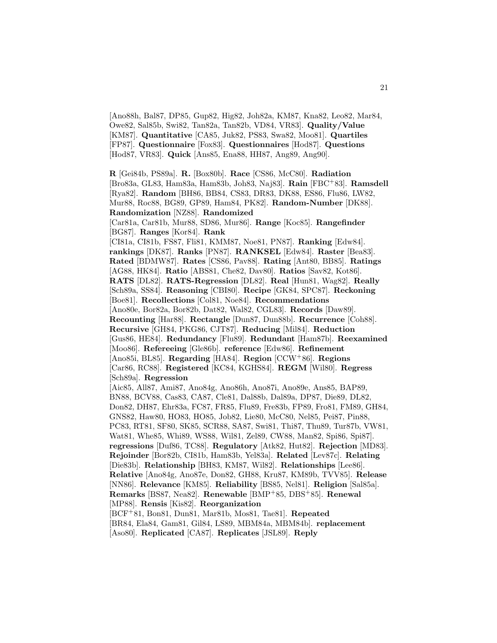[Ano88h, Bal87, DP85, Gup82, Hig82, Joh82a, KM87, Kna82, Leo82, Mar84, Owe82, Sal85b, Swi82, Tan82a, Tan82b, VD84, VR83]. **Quality/Value** [KM87]. **Quantitative** [CA85, Juk82, PS83, Swa82, Moo81]. **Quartiles** [FP87]. **Questionnaire** [Fox83]. **Questionnaires** [Hod87]. **Questions** [Hod87, VR83]. **Quick** [Ans85, Ena88, HH87, Ang89, Ang90].

**R** [Gei84b, PS89a]. **R.** [Box80b]. **Race** [CS86, McC80]. **Radiation** [Bro83a, GL83, Ham83a, Ham83b, Joh83, Naj83]. **Rain** [FBC<sup>+</sup>83]. **Ramsdell** [Rya82]. **Random** [BH86, BB84, CS83, DR83, DK88, ES86, Flu86, LW82, Mur88, Roc88, BG89, GP89, Ham84, PK82]. **Random-Number** [DK88]. **Randomization** [NZ88]. **Randomized** [Car81a, Car81b, Mur88, SD86, Mur86]. **Range** [Koc85]. **Rangefinder** [BG87]. **Ranges** [Kor84]. **Rank** [CI81a, CI81b, FS87, Fli81, KMM87, Noe81, PN87]. **Ranking** [Edw84]. **rankings** [DK87]. **Ranks** [PN87]. **RANKSEL** [Edw84]. **Raster** [Bea83]. **Rated** [BDMW87]. **Rates** [CS86, Pav88]. **Rating** [Ant80, BB85]. **Ratings** [AG88, HK84]. **Ratio** [ABS81, Che82, Dav80]. **Ratios** [Sav82, Kot86]. **RATS** [DL82]. **RATS-Regression** [DL82]. **Real** [Hun81, Wag82]. **Really** [Sch89a, SS84]. **Reasoning** [CBI80]. **Recipe** [GK84, SPC87]. **Reckoning** [Boe81]. **Recollections** [Col81, Noe84]. **Recommendations** [Ano80e, Bor82a, Bor82b, Dat82, Wal82, CGL83]. **Records** [Daw89]. **Recounting** [Har88]. **Rectangle** [Dun87, Dun88b]. **Recurrence** [Coh88]. **Recursive** [GH84, PKG86, CJT87]. **Reducing** [Mil84]. **Reduction** [Gus86, HE84]. **Redundancy** [Flu89]. **Redundant** [Ham87b]. **Reexamined** [Moo86]. **Refereeing** [Gle86b]. **reference** [Edw86]. **Refinement** [Ano85i, BL85]. **Regarding** [HA84]. **Region** [CCW<sup>+</sup>86]. **Regions** [Car86, RC88]. **Registered** [KC84, KGHS84]. **REGM** [Wil80]. **Regress** [Sch89a]. **Regression** [Aic85, All87, Ami87, Ano84g, Ano86h, Ano87i, Ano89e, Ans85, BAP89, BN88, BCV88, Cas83, CA87, Cle81, Dal88b, Dal89a, DP87, Die89, DL82, Don82, DH87, Ehr83a, FC87, FR85, Flu89, Fre83b, FP89, Fro81, FM89, GH84, GNS82, Haw80, HO83, HO85, Job82, Lie80, McC80, Nel85, Pei87, Pin88, PC83, RT81, SF80, SK85, SCR88, SA87, Swi81, Thi87, Thu89, Tur87b, VW81, Wat81, Whe85, Whi89, WS88, Wil81, Zel89, CW88, Man82, Spi86, Spi87]. **regressions** [Duf86, TC88]. **Regulatory** [Atk82, Hut82]. **Rejection** [MD83]. **Rejoinder** [Bor82b, CI81b, Ham83b, Yel83a]. **Related** [Lev87c]. **Relating** [Die83b]. **Relationship** [BH83, KM87, Wil82]. **Relationships** [Lee86]. **Relative** [Ano84g, Ano87e, Don82, GH88, Kru87, KM89b, TVV85]. **Release** [NN86]. **Relevance** [KM85]. **Reliability** [BS85, Nel81]. **Religion** [Sal85a]. **Remarks** [BS87, Nea82]. **Renewable** [BMP<sup>+</sup>85, DBS<sup>+</sup>85]. **Renewal** [MP88]. **Rensis** [Kis82]. **Reorganization** [BCF<sup>+</sup>81, Bon81, Dun81, Mar81b, Mos81, Tae81]. **Repeated** [BR84, Ela84, Gam81, Gil84, LS89, MBM84a, MBM84b]. **replacement** [Aso80]. **Replicated** [CA87]. **Replicates** [JSL89]. **Reply**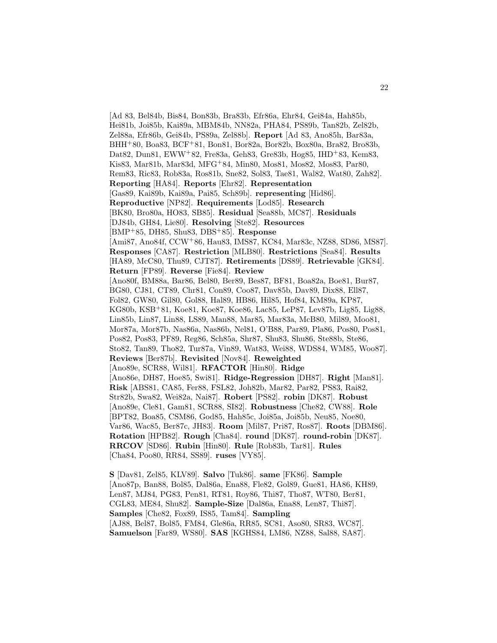[Ad 83, Bel84b, Bis84, Bon83b, Bra83b, Efr86a, Ehr84, Gei84a, Hah85b, Hei81b, Joi85b, Kai89a, MBM84b, NN82a, PHA84, PS89b, Tan82b, Zel82b, Zel88a, Efr86b, Gei84b, PS89a, Zel88b]. **Report** [Ad 83, Ano85h, Bar83a, BHH<sup>+</sup>80, Boa83, BCF<sup>+</sup>81, Bon81, Bor82a, Bor82b, Box80a, Bra82, Bro83b, Dat82, Dun81, EWW<sup>+</sup>82, Fre83a, Geh83, Gre83b, Hog85, IHD<sup>+</sup>83, Kem83, Kis83, Mar81b, Mar83d, MFG<sup>+</sup>84, Min80, Mos81, Mos82, Mos83, Par80, Rem83, Ric83, Rob83a, Ros81b, Sne82, Sol83, Tae81, Wal82, Wat80, Zah82]. **Reporting** [HA84]. **Reports** [Ehr82]. **Representation** [Gas89, Kai89b, Kai89a, Pai85, Sch89b]. **representing** [Hid86]. **Reproductive** [NP82]. **Requirements** [Lod85]. **Research** [BK80, Bro80a, HO83, SB85]. **Residual** [Sea88b, MC87]. **Residuals** [DJ84b, GH84, Lie80]. **Resolving** [Ste82]. **Resources** [BMP<sup>+</sup>85, DH85, Shu83, DBS<sup>+</sup>85]. **Response** [Ami87, Ano84f, CCW<sup>+</sup>86, Hau83, IMS87, KC84, Mar83c, NZ88, SD86, MS87]. **Responses** [CA87]. **Restriction** [MLB80]. **Restrictions** [Sea84]. **Results** [HA89, McC80, Thu89, CJT87]. **Retirements** [DS89]. **Retrievable** [GK84]. **Return** [FP89]. **Reverse** [Fie84]. **Review** [Ano80f, BM88a, Bar86, Bel80, Ber89, Bes87, BF81, Boa82a, Boe81, Bur87, BG80, CJ81, CT89, Chr81, Con89, Coo87, Dav85b, Dav89, Dix88, Ell87, Fol82, GW80, Gil80, Gol88, Hal89, HB86, Hil85, Hof84, KM89a, KP87, KG80b, KSB<sup>+</sup>81, Koe81, Koe87, Koe86, Lac85, LeP87, Lev87b, Lig85, Lig88, Lin85b, Lin87, Lin88, LS89, Man88, Mar85, Mar83a, McB80, Mil89, Moo81, Mor87a, Mor87b, Nas86a, Nas86b, Nel81, O'B88, Par89, Pla86, Pos80, Pos81, Pos82, Pos83, PF89, Reg86, Sch85a, Shr87, Shu83, Shu86, Ste88b, Ste86, Sto82, Tan89, Tho82, Tur87a, Vin89, Wat83, Wei88, WDS84, WM85, Woo87]. **Reviews** [Ber87b]. **Revisited** [Nov84]. **Reweighted** [Ano89e, SCR88, Wil81]. **RFACTOR** [Hin80]. **Ridge** [Ano86e, DH87, Hoe85, Swi81]. **Ridge-Regression** [DH87]. **Right** [Man81]. **Risk** [ABS81, CA85, Fer88, FSL82, Joh82b, Mar82, Par82, PS83, Rai82, Str82b, Swa82, Wei82a, Nai87]. **Robert** [PS82]. **robin** [DK87]. **Robust** [Ano89e, Cle81, Gam81, SCR88, SI82]. **Robustness** [Che82, CW88]. **Role** [BPT82, Boa85, CSM86, God85, Hah85c, Joi85a, Joi85b, Neu85, Noe80, Var86, Wac85, Ber87c, JH83]. **Room** [Mil87, Pri87, Ros87]. **Roots** [DBM86]. **Rotation** [HPB82]. **Rough** [Cha84]. **round** [DK87]. **round-robin** [DK87]. **RRCOV** [SD86]. **Rubin** [Hin80]. **Rule** [Rob83b, Tar81]. **Rules** [Cha84, Poo80, RR84, SS89]. **ruses** [VY85].

**S** [Dav81, Zel85, KLV89]. **Salvo** [Tuk86]. **same** [FK86]. **Sample** [Ano87p, Ban88, Bol85, Dal86a, Ena88, Fle82, Gol89, Gue81, HA86, KH89, Len87, MJ84, PG83, Pen81, RT81, Roy86, Thi87, Tho87, WT80, Ber81, CGL83, ME84, Shu82]. **Sample-Size** [Dal86a, Ena88, Len87, Thi87]. **Samples** [Che82, Fox89, IS85, Tam84]. **Sampling** [AJ88, Bel87, Bol85, FM84, Gle86a, RR85, SC81, Aso80, SR83, WC87]. **Samuelson** [Far89, WS80]. **SAS** [KGHS84, LM86, NZ88, Sal88, SA87].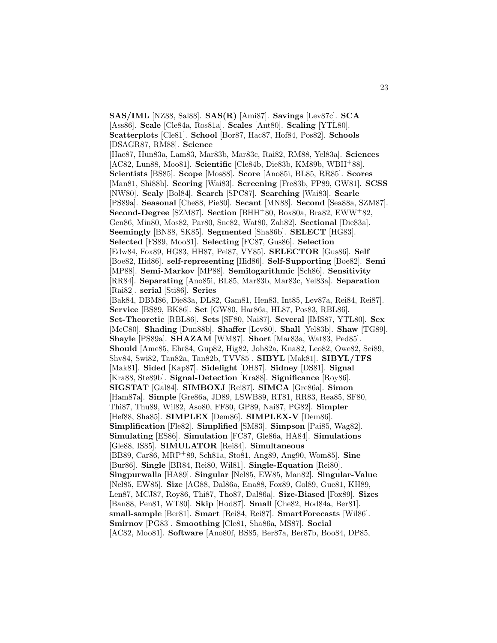**SAS/IML** [NZ88, Sal88]. **SAS(R)** [Ami87]. **Savings** [Lev87c]. **SCA** [Ass86]. **Scale** [Cle84a, Ros81a]. **Scales** [Ant80]. **Scaling** [YTL80]. **Scatterplots** [Cle81]. **School** [Bor87, Hac87, Hof84, Pos82]. **Schools** [DSAGR87, RM88]. **Science** [Hac87, Hun83a, Lam83, Mar83b, Mar83c, Rai82, RM88, Yel83a]. **Sciences** [AC82, Lun88, Moo81]. **Scientific** [Cle84b, Die83b, KM89b, WBH<sup>+</sup>88]. **Scientists** [BS85]. **Scope** [Mos88]. **Score** [Ano85i, BL85, RR85]. **Scores** [Man81, Shi88b]. **Scoring** [Wai83]. **Screening** [Fre83b, FP89, GW81]. **SCSS** [NW80]. **Sealy** [Bol84]. **Search** [SPC87]. **Searching** [Wai83]. **Searle** [PS89a]. **Seasonal** [Che88, Pie80]. **Secant** [MN88]. **Second** [Sea88a, SZM87]. **Second-Degree** [SZM87]. **Section** [BHH<sup>+</sup>80, Box80a, Bra82, EWW<sup>+</sup>82, Gen86, Min80, Mos82, Par80, Sne82, Wat80, Zah82]. **Sectional** [Die83a]. **Seemingly** [BN88, SK85]. **Segmented** [Sha86b]. **SELECT** [HG83]. **Selected** [FS89, Moo81]. **Selecting** [FC87, Gus86]. **Selection** [Edw84, Fox89, HG83, HH87, Pei87, VY85]. **SELECTOR** [Gus86]. **Self** [Boe82, Hid86]. **self-representing** [Hid86]. **Self-Supporting** [Boe82]. **Semi** [MP88]. **Semi-Markov** [MP88]. **Semilogarithmic** [Sch86]. **Sensitivity** [RR84]. **Separating** [Ano85i, BL85, Mar83b, Mar83c, Yel83a]. **Separation** [Rai82]. **serial** [Sti86]. **Series** [Bak84, DBM86, Die83a, DL82, Gam81, Hen83, Int85, Lev87a, Rei84, Rei87]. **Service** [BS89, BK86]. **Set** [GW80, Har86a, HL87, Pos83, RBL86]. **Set-Theoretic** [RBL86]. **Sets** [SF80, Nai87]. **Several** [IMS87, YTL80]. **Sex** [McC80]. **Shading** [Dun88b]. **Shaffer** [Lev80]. **Shall** [Yel83b]. **Shaw** [TG89]. **Shayle** [PS89a]. **SHAZAM** [WM87]. **Short** [Mar83a, Wat83, Ped85]. **Should** [Ame85, Ehr84, Gup82, Hig82, Joh82a, Kna82, Leo82, Owe82, Sei89, Shv84, Swi82, Tan82a, Tan82b, TVV85]. **SIBYL** [Mak81]. **SIBYL/TFS** [Mak81]. **Sided** [Kap87]. **Sidelight** [DH87]. **Sidney** [DS81]. **Signal** [Kra88, Ste89b]. **Signal-Detection** [Kra88]. **Significance** [Roy86]. **SIGSTAT** [Gal84]. **SIMBOXJ** [Rei87]. **SIMCA** [Gre86a]. **Simon** [Ham87a]. **Simple** [Gre86a, JD89, LSWB89, RT81, RR83, Rea85, SF80, Thi87, Thu89, Wil82, Aso80, FF80, GP89, Nai87, PG82]. **Simpler** [Hef88, Sha85]. **SIMPLEX** [Dem86]. **SIMPLEX-V** [Dem86]. **Simplification** [Fle82]. **Simplified** [SM83]. **Simpson** [Pai85, Wag82]. **Simulating** [ES86]. **Simulation** [FC87, Gle86a, HA84]. **Simulations** [Gle88, IS85]. **SIMULATOR** [Rei84]. **Simultaneous** [BB89, Car86, MRP<sup>+</sup>89, Sch81a, Sto81, Ang89, Ang90, Wom85]. **Sine** [Bur86]. **Single** [BR84, Rei80, Wil81]. **Single-Equation** [Rei80]. **Singpurwalla** [HA89]. **Singular** [Nel85, EW85, Man82]. **Singular-Value** [Nel85, EW85]. **Size** [AG88, Dal86a, Ena88, Fox89, Gol89, Gue81, KH89, Len87, MCJ87, Roy86, Thi87, Tho87, Dal86a]. **Size-Biased** [Fox89]. **Sizes** [Ban88, Pen81, WT80]. **Skip** [Hod87]. **Small** [Che82, Hod84a, Ber81]. **small-sample** [Ber81]. **Smart** [Rei84, Rei87]. **SmartForecasts** [Wil86]. **Smirnov** [PG83]. **Smoothing** [Cle81, Sha86a, MS87]. **Social** [AC82, Moo81]. **Software** [Ano80f, BS85, Ber87a, Ber87b, Boo84, DP85,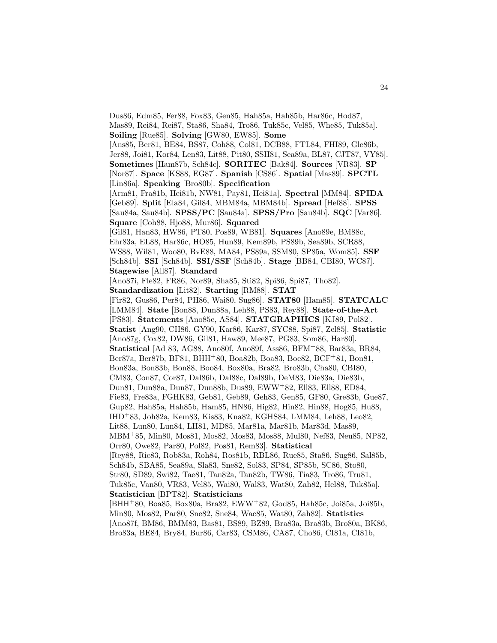Dus86, Edm85, Fer88, Fox83, Gen85, Hah85a, Hah85b, Har86c, Hod87, Mas89, Rei84, Rei87, Sta86, Sha84, Tro86, Tuk85c, Vel85, Whe85, Tuk85a]. **Soiling** [Rue85]. **Solving** [GW80, EW85]. **Some** [Ans85, Ber81, BE84, BS87, Coh88, Col81, DCB88, FTL84, FHI89, Gle86b, Jer88, Joi81, Kor84, Len83, Lit88, Pit80, SSH81, Sea89a, BL87, CJT87, VY85]. **Sometimes** [Ham87b, Sch84c]. **SORITEC** [Bak84]. **Sources** [VR83]. **SP** [Nor87]. **Space** [KS88, EG87]. **Spanish** [CS86]. **Spatial** [Mas89]. **SPCTL** [Lin86a]. **Speaking** [Bro80b]. **Specification** [Arm81, Fra81b, Hei81b, NW81, Pay81, Hei81a]. **Spectral** [MM84]. **SPIDA** [Geb89]. **Split** [Ela84, Gil84, MBM84a, MBM84b]. **Spread** [Hef88]. **SPSS** [Sau84a, Sau84b]. **SPSS/PC** [Sau84a]. **SPSS/Pro** [Sau84b]. **SQC** [Var86]. **Square** [Coh88, Hjo88, Mur86]. **Squared** [Gil81, Han83, HW86, PT80, Pos89, WB81]. **Squares** [Ano89e, BM88c, Ehr83a, EL88, Har86c, HO85, Hun89, Kem89b, PS89b, Sea89b, SCR88, WS88, Wil81, Woo80, BvE88, MA84, PS89a, SSM80, SP85a, Wom85]. **SSF** [Sch84b]. **SSI** [Sch84b]. **SSI/SSF** [Sch84b]. **Stage** [BB84, CBI80, WC87]. **Stagewise** [All87]. **Standard** [Ano87i, Fle82, FR86, Nor89, Sha85, Sti82, Spi86, Spi87, Tho82]. **Standardization** [Lit82]. **Starting** [RM88]. **STAT** [Fir82, Gus86, Per84, PH86, Wai80, Sug86]. **STAT80** [Ham85]. **STATCALC** [LMM84]. **State** [Bon88, Dun88a, Leh88, PS83, Rey88]. **State-of-the-Art** [PS83]. **Statements** [Ano85e, AS84]. **STATGRAPHICS** [KJ89, Pol82]. **Statist** [Ang90, CH86, GY90, Kar86, Kar87, SYC88, Spi87, Zel85]. **Statistic** [Ano87g, Cox82, DW86, Gil81, Haw89, Mee87, PG83, Som86, Har80]. **Statistical** [Ad 83, AG88, Ano80f, Ano89f, Ass86, BFM<sup>+</sup>88, Bar83a, BR84, Ber87a, Ber87b, BF81, BHH<sup>+</sup>80, Boa82b, Boa83, Boe82, BCF<sup>+</sup>81, Bon81, Bon83a, Bon83b, Bon88, Boo84, Box80a, Bra82, Bro83b, Cha80, CBI80, CM83, Con87, Cor87, Dal86b, Dal88c, Dal89b, DeM83, Die83a, Die83b, Dun81, Dun88a, Dun87, Dun88b, Dus89, EWW<sup>+</sup>82, Ell83, Ell88, ED84, Fie83, Fre83a, FGHK83, Geb81, Geb89, Geh83, Gen85, GF80, Gre83b, Gue87, Gup82, Hah85a, Hah85b, Ham85, HN86, Hig82, Hin82, Hin88, Hog85, Hu88, IHD<sup>+</sup>83, Joh82a, Kem83, Kis83, Kna82, KGHS84, LMM84, Leh88, Leo82, Lit88, Lun80, Lun84, LH81, MD85, Mar81a, Mar81b, Mar83d, Mas89, MBM<sup>+</sup>85, Min80, Mos81, Mos82, Mos83, Mos88, Mul80, Nef83, Neu85, NP82, Orr80, Owe82, Par80, Pol82, Pos81, Rem83]. **Statistical** [Rey88, Ric83, Rob83a, Roh84, Ros81b, RBL86, Rue85, Sta86, Sug86, Sal85b, Sch84b, SBA85, Sea89a, Sla83, Sne82, Sol83, SP84, SP85b, SC86, Sto80, Str80, SD89, Swi82, Tae81, Tan82a, Tan82b, TW86, Tia83, Tro86, Tru81, Tuk85c, Van80, VR83, Vel85, Wai80, Wal83, Wat80, Zah82, Hel88, Tuk85a]. **Statistician** [BPT82]. **Statisticians** [BHH<sup>+</sup>80, Boa85, Box80a, Bra82, EWW<sup>+</sup>82, God85, Hah85c, Joi85a, Joi85b, Min80, Mos82, Par80, Sne82, Sne84, Wac85, Wat80, Zah82]. **Statistics** [Ano87f, BM86, BMM83, Bas81, BS89, BZ89, Bra83a, Bra83b, Bro80a, BK86, Bro83a, BE84, Bry84, Bur86, Car83, CSM86, CA87, Cho86, CI81a, CI81b,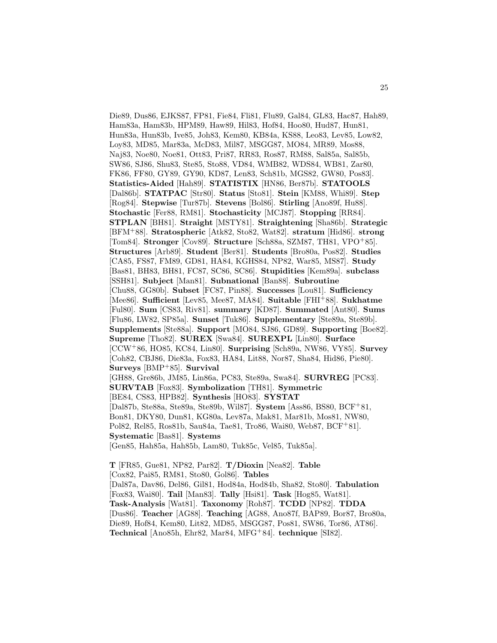Die89, Dus86, EJKS87, FP81, Fie84, Fli81, Flu89, Gal84, GL83, Hac87, Hah89, Ham83a, Ham83b, HPM89, Haw89, Hil83, Hof84, Hoo80, Hud87, Hun81, Hun83a, Hun83b, Ive85, Joh83, Kem80, KB84a, KS88, Leo83, Lev85, Low82, Loy83, MD85, Mar83a, McD83, Mil87, MSGG87, MO84, MR89, Mos88, Naj83, Noe80, Noe81, Ott83, Pri87, RR83, Ros87, RM88, Sal85a, Sal85b, SW86, SJ86, Shu83, Ste85, Sto88, VD84, WMB82, WDS84, WB81, Zar80, FK86, FF80, GY89, GY90, KD87, Len83, Sch81b, MGS82, GW80, Pos83]. **Statistics-Aided** [Hah89]. **STATISTIX** [HN86, Ber87b]. **STATOOLS** [Dal86b]. **STATPAC** [Str80]. **Status** [Sto81]. **Stein** [KM88, Whi89]. **Step** [Rog84]. **Stepwise** [Tur87b]. **Stevens** [Bol86]. **Stirling** [Ano89f, Hu88]. **Stochastic** [Fer88, RM81]. **Stochasticity** [MCJ87]. **Stopping** [RR84]. **STPLAN** [BH81]. **Straight** [MSTY81]. **Straightening** [Sha86b]. **Strategic** [BFM<sup>+</sup>88]. **Stratospheric** [Atk82, Sto82, Wat82]. **stratum** [Hid86]. **strong** [Tom84]. **Stronger** [Cov89]. **Structure** [Sch88a, SZM87, TH81, VPO<sup>+</sup>85]. **Structures** [Arb89]. **Student** [Ber81]. **Students** [Bro80a, Pos82]. **Studies** [CA85, FS87, FM89, GD81, HA84, KGHS84, NP82, War85, MS87]. **Study** [Bas81, BH83, BH81, FC87, SC86, SC86]. **Stupidities** [Kem89a]. **subclass** [SSH81]. **Subject** [Man81]. **Subnational** [Ban88]. **Subroutine** [Chu88, GG80b]. **Subset** [FC87, Pin88]. **Successes** [Lou81]. **Sufficiency** [Mee86]. **Sufficient** [Lev85, Mee87, MA84]. **Suitable** [FHI<sup>+</sup>88]. **Sukhatme** [Ful80]. **Sum** [CS83, Riv81]. **summary** [KD87]. **Summated** [Ant80]. **Sums** [Flu86, LW82, SP85a]. **Sunset** [Tuk86]. **Supplementary** [Ste89a, Ste89b]. **Supplements** [Ste88a]. **Support** [MO84, SJ86, GD89]. **Supporting** [Boe82]. **Supreme** [Tho82]. **SUREX** [Swa84]. **SUREXPL** [Lin80]. **Surface** [CCW<sup>+</sup>86, HO85, KC84, Lin80]. **Surprising** [Sch89a, NW86, VY85]. **Survey** [Coh82, CBJ86, Die83a, Fox83, HA84, Lit88, Nor87, Sha84, Hid86, Pie80]. **Surveys** [BMP<sup>+</sup>85]. **Survival** [GH88, Gre86b, JM85, Lin86a, PC83, Ste89a, Swa84]. **SURVREG** [PC83]. **SURVTAB** [Fox83]. **Symbolization** [TH81]. **Symmetric** [BE84, CS83, HPB82]. **Synthesis** [HO83]. **SYSTAT** [Dal87b, Ste88a, Ste89a, Ste89b, Wil87]. **System** [Ass86, BS80, BCF<sup>+</sup>81, Bon81, DKY80, Dun81, KG80a, Lev87a, Mak81, Mar81b, Mos81, NW80, Pol82, Rel85, Ros81b, Sau84a, Tae81, Tro86, Wai80, Web87, BCF<sup>+</sup>81]. **Systematic** [Bas81]. **Systems** [Gen85, Hah85a, Hah85b, Lam80, Tuk85c, Vel85, Tuk85a].

**T** [FR85, Gue81, NP82, Par82]. **T/Dioxin** [Nea82]. **Table** [Cox82, Pai85, RM81, Sto80, Gol86]. **Tables** [Dal87a, Dav86, Del86, Gil81, Hod84a, Hod84b, Sha82, Sto80]. **Tabulation** [Fox83, Wai80]. **Tail** [Man83]. **Tally** [Hsi81]. **Task** [Hog85, Wat81]. **Task-Analysis** [Wat81]. **Taxonomy** [Roh87]. **TCDD** [NP82]. **TDDA** [Dus86]. **Teacher** [AG88]. **Teaching** [AG88, Ano87f, BAP89, Bor87, Bro80a, Die89, Hof84, Kem80, Lit82, MD85, MSGG87, Pos81, SW86, Tor86, AT86]. **Technical** [Ano85h, Ehr82, Mar84, MFG<sup>+</sup>84]. **technique** [SI82].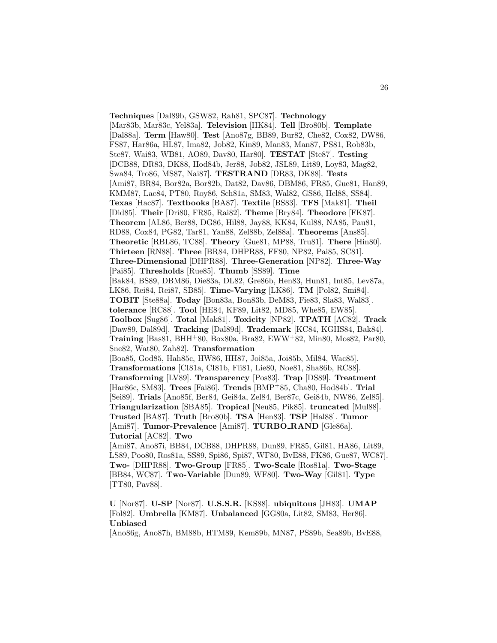**Techniques** [Dal89b, GSW82, Rah81, SPC87]. **Technology** [Mar83b, Mar83c, Yel83a]. **Television** [HK84]. **Tell** [Bro80b]. **Template** [Dal88a]. **Term** [Haw80]. **Test** [Ano87g, BB89, Bur82, Che82, Cox82, DW86, FS87, Har86a, HL87, Ima82, Job82, Kin89, Man83, Man87, PS81, Rob83b, Ste87, Wai83, WB81, AO89, Dav80, Har80]. **TESTAT** [Ste87]. **Testing** [DCB88, DR83, DK88, Hod84b, Jer88, Job82, JSL89, Lit89, Loy83, Mag82, Swa84, Tro86, MS87, Nai87]. **TESTRAND** [DR83, DK88]. **Tests** [Ami87, BR84, Bor82a, Bor82b, Dat82, Dav86, DBM86, FR85, Gue81, Han89, KMM87, Lac84, PT80, Roy86, Sch81a, SM83, Wal82, GS86, Hel88, SS84]. **Texas** [Hac87]. **Textbooks** [BA87]. **Textile** [BS83]. **TFS** [Mak81]. **Theil** [Did85]. **Their** [Dri80, FR85, Rai82]. **Theme** [Bry84]. **Theodore** [FK87]. **Theorem** [AL86, Ber88, DG86, Hil88, Jay88, KK84, Kul88, NA85, Pau81, RD88, Cox84, PG82, Tar81, Yan88, Zel88b, Zel88a]. **Theorems** [Ans85]. **Theoretic** [RBL86, TC88]. **Theory** [Gue81, MP88, Tru81]. **There** [Hin80]. **Thirteen** [RN88]. **Three** [BR84, DHPR88, FF80, NP82, Pai85, SC81]. **Three-Dimensional** [DHPR88]. **Three-Generation** [NP82]. **Three-Way** [Pai85]. **Thresholds** [Rue85]. **Thumb** [SS89]. **Time** [Bak84, BS89, DBM86, Die83a, DL82, Gre86b, Hen83, Hun81, Int85, Lev87a, LK86, Rei84, Rei87, SB85]. **Time-Varying** [LK86]. **TM** [Pol82, Smi84]. **TOBIT** [Ste88a]. **Today** [Bon83a, Bon83b, DeM83, Fie83, Sla83, Wal83]. **tolerance** [RC88]. **Tool** [HE84, KF89, Lit82, MD85, Whe85, EW85]. **Toolbox** [Sug86]. **Total** [Mak81]. **Toxicity** [NP82]. **TPATH** [AC82]. **Track** [Daw89, Dal89d]. **Tracking** [Dal89d]. **Trademark** [KC84, KGHS84, Bak84]. **Training** [Bas81, BHH<sup>+</sup>80, Box80a, Bra82, EWW<sup>+</sup>82, Min80, Mos82, Par80, Sne82, Wat80, Zah82]. **Transformation** [Boa85, God85, Hah85c, HW86, HH87, Joi85a, Joi85b, Mil84, Wac85]. **Transformations** [CI81a, CI81b, Fli81, Lie80, Noe81, Sha86b, RC88]. **Transforming** [LV89]. **Transparency** [Pos83]. **Trap** [DS89]. **Treatment** [Har86c, SM83]. **Trees** [Fai86]. **Trends** [BMP<sup>+</sup>85, Cha80, Hod84b]. **Trial** [Sei89]. **Trials** [Ano85f, Ber84, Gei84a, Zel84, Ber87c, Gei84b, NW86, Zel85]. **Triangularization** [SBA85]. **Tropical** [Neu85, Pik85]. **truncated** [Mul88]. **Trusted** [BA87]. **Truth** [Bro80b]. **TSA** [Hen83]. **TSP** [Hal88]. **Tumor** [Ami87]. **Tumor-Prevalence** [Ami87]. **TURBO RAND** [Gle86a]. **Tutorial** [AC82]. **Two** [Ami87, Ano87i, BB84, DCB88, DHPR88, Dun89, FR85, Gil81, HA86, Lit89, LS89, Poo80, Ros81a, SS89, Spi86, Spi87, WF80, BvE88, FK86, Gue87, WC87]. **Two-** [DHPR88]. **Two-Group** [FR85]. **Two-Scale** [Ros81a]. **Two-Stage**

[BB84, WC87]. **Two-Variable** [Dun89, WF80]. **Two-Way** [Gil81]. **Type** [TT80, Pav88].

**U** [Nor87]. **U-SP** [Nor87]. **U.S.S.R.** [KS88]. **ubiquitous** [JH83]. **UMAP** [Fol82]. **Umbrella** [KM87]. **Unbalanced** [GG80a, Lit82, SM83, Her86]. **Unbiased**

[Ano86g, Ano87h, BM88b, HTM89, Kem89b, MN87, PS89b, Sea89b, BvE88,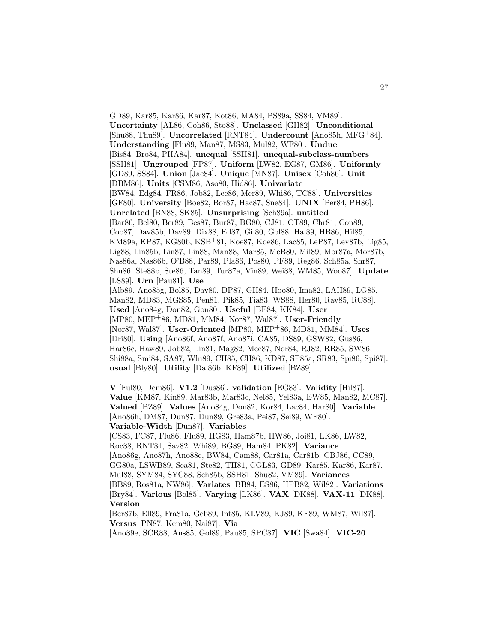GD89, Kar85, Kar86, Kar87, Kot86, MA84, PS89a, SS84, VM89]. **Uncertainty** [AL86, Coh86, Sto88]. **Unclassed** [GH82]. **Unconditional** [Shu88, Thu89]. **Uncorrelated** [RNT84]. **Undercount** [Ano85h, MFG<sup>+</sup>84]. **Understanding** [Flu89, Man87, MS83, Mul82, WF80]. **Undue** [Bis84, Bro84, PHA84]. **unequal** [SSH81]. **unequal-subclass-numbers** [SSH81]. **Ungrouped** [FP87]. **Uniform** [LW82, EG87, GM86]. **Uniformly** [GD89, SS84]. **Union** [Jac84]. **Unique** [MN87]. **Unisex** [Coh86]. **Unit** [DBM86]. **Units** [CSM86, Aso80, Hid86]. **Univariate** [BW84, Edg84, FR86, Job82, Lee86, Mer89, Whi86, TC88]. **Universities** [GF80]. **University** [Boe82, Bor87, Hac87, Sne84]. **UNIX** [Per84, PH86]. **Unrelated** [BN88, SK85]. **Unsurprising** [Sch89a]. **untitled** [Bar86, Bel80, Ber89, Bes87, Bur87, BG80, CJ81, CT89, Chr81, Con89, Coo87, Dav85b, Dav89, Dix88, Ell87, Gil80, Gol88, Hal89, HB86, Hil85, KM89a, KP87, KG80b, KSB<sup>+</sup>81, Koe87, Koe86, Lac85, LeP87, Lev87b, Lig85, Lig88, Lin85b, Lin87, Lin88, Man88, Mar85, McB80, Mil89, Mor87a, Mor87b, Nas86a, Nas86b, O'B88, Par89, Pla86, Pos80, PF89, Reg86, Sch85a, Shr87, Shu86, Ste88b, Ste86, Tan89, Tur87a, Vin89, Wei88, WM85, Woo87]. **Update** [LS89]. **Urn** [Pau81]. **Use** [Alb89, Ano85g, Bol85, Dav80, DP87, GH84, Hoo80, Ima82, LAH89, LG85, Man82, MD83, MGS85, Pen81, Pik85, Tia83, WS88, Her80, Rav85, RC88]. **Used** [Ano84g, Don82, Gon80]. **Useful** [BE84, KK84]. **User** [MP80, MEP<sup>+</sup>86, MD81, MM84, Nor87, Wal87]. **User-Friendly** [Nor87, Wal87]. **User-Oriented** [MP80, MEP<sup>+</sup>86, MD81, MM84]. **Uses** [Dri80]. **Using** [Ano86f, Ano87f, Ano87i, CA85, DS89, GSW82, Gus86, Har86c, Haw89, Job82, Lin81, Mag82, Mee87, Nor84, RJ82, RR85, SW86, Shi88a, Smi84, SA87, Whi89, CH85, CH86, KD87, SP85a, SR83, Spi86, Spi87]. **usual** [Bly80]. **Utility** [Dal86b, KF89]. **Utilized** [BZ89].

**V** [Ful80, Dem86]. **V1.2** [Dus86]. **validation** [EG83]. **Validity** [Hil87]. **Value** [KM87, Kin89, Mar83b, Mar83c, Nel85, Yel83a, EW85, Man82, MC87]. **Valued** [BZ89]. **Values** [Ano84g, Don82, Kor84, Lac84, Har80]. **Variable** [Ano86h, DM87, Dun87, Dun89, Gre83a, Pei87, Sei89, WF80]. **Variable-Width** [Dun87]. **Variables** [CS83, FC87, Flu86, Flu89, HG83, Ham87b, HW86, Joi81, LK86, LW82, Roc88, RNT84, Sav82, Whi89, BG89, Ham84, PK82]. **Variance** [Ano86g, Ano87h, Ano88e, BW84, Cam88, Car81a, Car81b, CBJ86, CC89, GG80a, LSWB89, Sea81, Ste82, TH81, CGL83, GD89, Kar85, Kar86, Kar87, Mul88, SYM84, SYC88, Sch85b, SSH81, Shu82, VM89]. **Variances** [BB89, Ros81a, NW86]. **Variates** [BB84, ES86, HPB82, Wil82]. **Variations** [Bry84]. **Various** [Bol85]. **Varying** [LK86]. **VAX** [DK88]. **VAX-11** [DK88]. **Version** [Ber87b, Ell89, Fra81a, Geb89, Int85, KLV89, KJ89, KF89, WM87, Wil87]. **Versus** [PN87, Kem80, Nai87]. **Via**

[Ano89e, SCR88, Ans85, Gol89, Pau85, SPC87]. **VIC** [Swa84]. **VIC-20**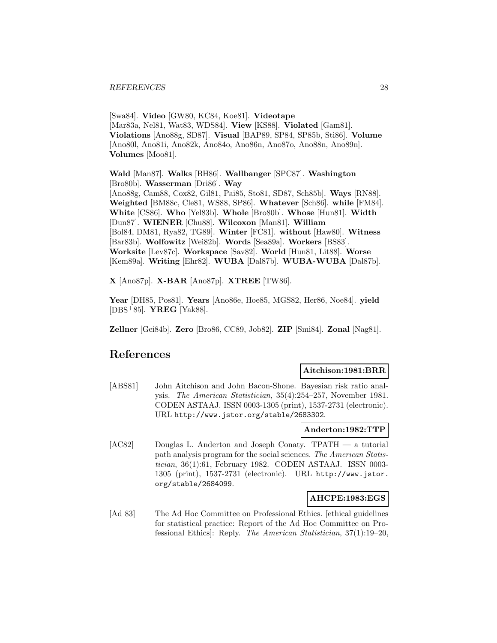[Swa84]. **Video** [GW80, KC84, Koe81]. **Videotape** [Mar83a, Nel81, Wat83, WDS84]. **View** [KS88]. **Violated** [Gam81]. **Violations** [Ano88g, SD87]. **Visual** [BAP89, SP84, SP85b, Sti86]. **Volume** [Ano80l, Ano81i, Ano82k, Ano84o, Ano86n, Ano87o, Ano88n, Ano89n]. **Volumes** [Moo81].

**Wald** [Man87]. **Walks** [BH86]. **Wallbanger** [SPC87]. **Washington** [Bro80b]. **Wasserman** [Dri86]. **Way** [Ano88g, Cam88, Cox82, Gil81, Pai85, Sto81, SD87, Sch85b]. **Ways** [RN88]. **Weighted** [BM88c, Cle81, WS88, SP86]. **Whatever** [Sch86]. **while** [FM84]. **White** [CS86]. **Who** [Yel83b]. **Whole** [Bro80b]. **Whose** [Hun81]. **Width** [Dun87]. **WIENER** [Chu88]. **Wilcoxon** [Man81]. **William** [Bol84, DM81, Rya82, TG89]. **Winter** [FC81]. **without** [Haw80]. **Witness** [Bar83b]. **Wolfowitz** [Wei82b]. **Words** [Sea89a]. **Workers** [BS83]. **Worksite** [Lev87c]. **Workspace** [Sav82]. **World** [Hun81, Lit88]. **Worse** [Kem89a]. **Writing** [Ehr82]. **WUBA** [Dal87b]. **WUBA-WUBA** [Dal87b].

**X** [Ano87p]. **X-BAR** [Ano87p]. **XTREE** [TW86].

**Year** [DH85, Pos81]. **Years** [Ano86e, Hoe85, MGS82, Her86, Noe84]. **yield** [DBS<sup>+</sup>85]. **YREG** [Yak88].

**Zellner** [Gei84b]. **Zero** [Bro86, CC89, Job82]. **ZIP** [Smi84]. **Zonal** [Nag81].

# **References**

# **Aitchison:1981:BRR**

[ABS81] John Aitchison and John Bacon-Shone. Bayesian risk ratio analysis. The American Statistician, 35(4):254–257, November 1981. CODEN ASTAAJ. ISSN 0003-1305 (print), 1537-2731 (electronic). URL http://www.jstor.org/stable/2683302.

# **Anderton:1982:TTP**

[AC82] Douglas L. Anderton and Joseph Conaty. TPATH — a tutorial path analysis program for the social sciences. The American Statistician, 36(1):61, February 1982. CODEN ASTAAJ. ISSN 0003- 1305 (print), 1537-2731 (electronic). URL http://www.jstor. org/stable/2684099.

# **AHCPE:1983:EGS**

[Ad 83] The Ad Hoc Committee on Professional Ethics. [ethical guidelines] for statistical practice: Report of the Ad Hoc Committee on Professional Ethics]: Reply. The American Statistician, 37(1):19–20,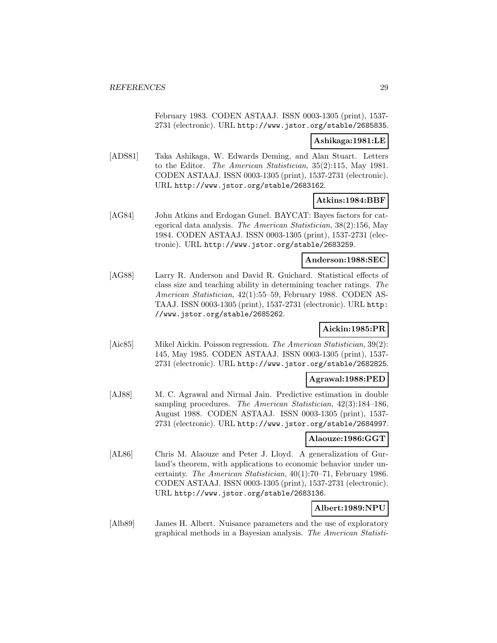February 1983. CODEN ASTAAJ. ISSN 0003-1305 (print), 1537- 2731 (electronic). URL http://www.jstor.org/stable/2685835.

# **Ashikaga:1981:LE**

[ADS81] Taka Ashikaga, W. Edwards Deming, and Alan Stuart. Letters to the Editor. The American Statistician, 35(2):115, May 1981. CODEN ASTAAJ. ISSN 0003-1305 (print), 1537-2731 (electronic). URL http://www.jstor.org/stable/2683162.

# **Atkins:1984:BBF**

[AG84] John Atkins and Erdogan Gunel. BAYCAT: Bayes factors for categorical data analysis. The American Statistician, 38(2):156, May 1984. CODEN ASTAAJ. ISSN 0003-1305 (print), 1537-2731 (electronic). URL http://www.jstor.org/stable/2683259.

#### **Anderson:1988:SEC**

[AG88] Larry R. Anderson and David R. Guichard. Statistical effects of class size and teaching ability in determining teacher ratings. The American Statistician, 42(1):55–59, February 1988. CODEN AS-TAAJ. ISSN 0003-1305 (print), 1537-2731 (electronic). URL http: //www.jstor.org/stable/2685262.

# **Aickin:1985:PR**

[Aic85] Mikel Aickin. Poisson regression. The American Statistician, 39(2): 145, May 1985. CODEN ASTAAJ. ISSN 0003-1305 (print), 1537- 2731 (electronic). URL http://www.jstor.org/stable/2682825.

# **Agrawal:1988:PED**

[AJ88] M. C. Agrawal and Nirmal Jain. Predictive estimation in double sampling procedures. The American Statistician, 42(3):184–186, August 1988. CODEN ASTAAJ. ISSN 0003-1305 (print), 1537- 2731 (electronic). URL http://www.jstor.org/stable/2684997.

#### **Alaouze:1986:GGT**

[AL86] Chris M. Alaouze and Peter J. Lloyd. A generalization of Gurland's theorem, with applications to economic behavior under uncertainty. The American Statistician, 40(1):70–71, February 1986. CODEN ASTAAJ. ISSN 0003-1305 (print), 1537-2731 (electronic). URL http://www.jstor.org/stable/2683136.

# **Albert:1989:NPU**

[Alb89] James H. Albert. Nuisance parameters and the use of exploratory graphical methods in a Bayesian analysis. The American Statisti-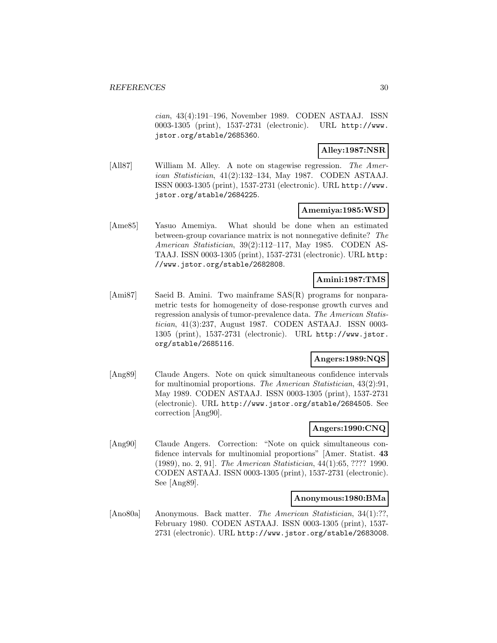cian, 43(4):191–196, November 1989. CODEN ASTAAJ. ISSN 0003-1305 (print), 1537-2731 (electronic). URL http://www. jstor.org/stable/2685360.

# **Alley:1987:NSR**

[All87] William M. Alley. A note on stagewise regression. The American Statistician, 41(2):132–134, May 1987. CODEN ASTAAJ. ISSN 0003-1305 (print), 1537-2731 (electronic). URL http://www. jstor.org/stable/2684225.

### **Amemiya:1985:WSD**

[Ame85] Yasuo Amemiya. What should be done when an estimated between-group covariance matrix is not nonnegative definite? The American Statistician, 39(2):112–117, May 1985. CODEN AS-TAAJ. ISSN 0003-1305 (print), 1537-2731 (electronic). URL http: //www.jstor.org/stable/2682808.

# **Amini:1987:TMS**

[Ami87] Saeid B. Amini. Two mainframe SAS(R) programs for nonparametric tests for homogeneity of dose-response growth curves and regression analysis of tumor-prevalence data. The American Statistician, 41(3):237, August 1987. CODEN ASTAAJ. ISSN 0003- 1305 (print), 1537-2731 (electronic). URL http://www.jstor. org/stable/2685116.

# **Angers:1989:NQS**

[Ang89] Claude Angers. Note on quick simultaneous confidence intervals for multinomial proportions. The American Statistician, 43(2):91, May 1989. CODEN ASTAAJ. ISSN 0003-1305 (print), 1537-2731 (electronic). URL http://www.jstor.org/stable/2684505. See correction [Ang90].

# **Angers:1990:CNQ**

[Ang90] Claude Angers. Correction: "Note on quick simultaneous confidence intervals for multinomial proportions" [Amer. Statist. **43** (1989), no. 2, 91]. The American Statistician, 44(1):65, ???? 1990. CODEN ASTAAJ. ISSN 0003-1305 (print), 1537-2731 (electronic). See [Ang89].

# **Anonymous:1980:BMa**

[Ano80a] Anonymous. Back matter. The American Statistician, 34(1):??, February 1980. CODEN ASTAAJ. ISSN 0003-1305 (print), 1537- 2731 (electronic). URL http://www.jstor.org/stable/2683008.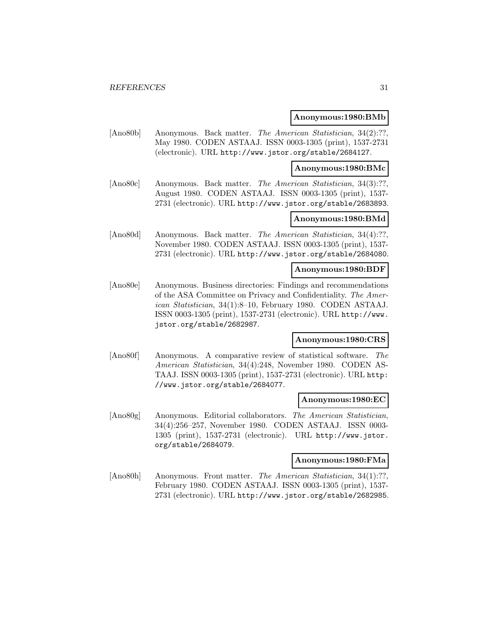#### **Anonymous:1980:BMb**

[Ano80b] Anonymous. Back matter. The American Statistician, 34(2):??, May 1980. CODEN ASTAAJ. ISSN 0003-1305 (print), 1537-2731 (electronic). URL http://www.jstor.org/stable/2684127.

#### **Anonymous:1980:BMc**

[Ano80c] Anonymous. Back matter. The American Statistician, 34(3):??, August 1980. CODEN ASTAAJ. ISSN 0003-1305 (print), 1537- 2731 (electronic). URL http://www.jstor.org/stable/2683893.

# **Anonymous:1980:BMd**

[Ano80d] Anonymous. Back matter. The American Statistician, 34(4):??, November 1980. CODEN ASTAAJ. ISSN 0003-1305 (print), 1537- 2731 (electronic). URL http://www.jstor.org/stable/2684080.

#### **Anonymous:1980:BDF**

[Ano80e] Anonymous. Business directories: Findings and recommendations of the ASA Committee on Privacy and Confidentiality. The American Statistician, 34(1):8–10, February 1980. CODEN ASTAAJ. ISSN 0003-1305 (print), 1537-2731 (electronic). URL http://www. jstor.org/stable/2682987.

# **Anonymous:1980:CRS**

[Ano80f] Anonymous. A comparative review of statistical software. The American Statistician, 34(4):248, November 1980. CODEN AS-TAAJ. ISSN 0003-1305 (print), 1537-2731 (electronic). URL http: //www.jstor.org/stable/2684077.

#### **Anonymous:1980:EC**

[Ano80g] Anonymous. Editorial collaborators. The American Statistician, 34(4):256–257, November 1980. CODEN ASTAAJ. ISSN 0003- 1305 (print), 1537-2731 (electronic). URL http://www.jstor. org/stable/2684079.

#### **Anonymous:1980:FMa**

[Ano80h] Anonymous. Front matter. The American Statistician, 34(1):??, February 1980. CODEN ASTAAJ. ISSN 0003-1305 (print), 1537- 2731 (electronic). URL http://www.jstor.org/stable/2682985.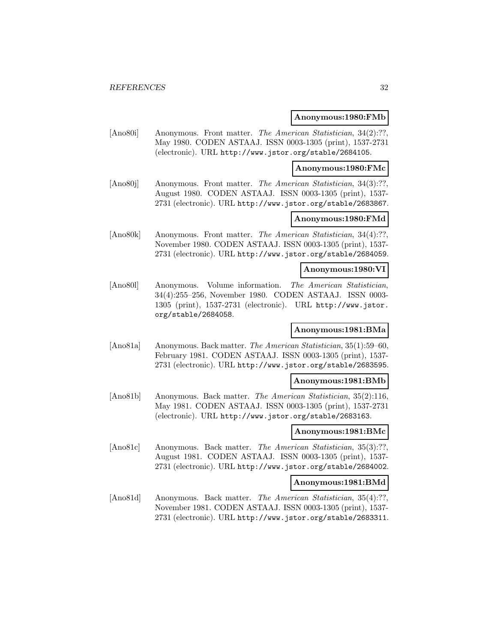#### **Anonymous:1980:FMb**

[Ano80i] Anonymous. Front matter. The American Statistician, 34(2):??, May 1980. CODEN ASTAAJ. ISSN 0003-1305 (print), 1537-2731 (electronic). URL http://www.jstor.org/stable/2684105.

#### **Anonymous:1980:FMc**

[Ano80j] Anonymous. Front matter. The American Statistician, 34(3):??, August 1980. CODEN ASTAAJ. ISSN 0003-1305 (print), 1537- 2731 (electronic). URL http://www.jstor.org/stable/2683867.

# **Anonymous:1980:FMd**

[Ano80k] Anonymous. Front matter. The American Statistician, 34(4):??, November 1980. CODEN ASTAAJ. ISSN 0003-1305 (print), 1537- 2731 (electronic). URL http://www.jstor.org/stable/2684059.

#### **Anonymous:1980:VI**

[Ano80l] Anonymous. Volume information. The American Statistician, 34(4):255–256, November 1980. CODEN ASTAAJ. ISSN 0003- 1305 (print), 1537-2731 (electronic). URL http://www.jstor. org/stable/2684058.

# **Anonymous:1981:BMa**

[Ano81a] Anonymous. Back matter. The American Statistician, 35(1):59–60, February 1981. CODEN ASTAAJ. ISSN 0003-1305 (print), 1537- 2731 (electronic). URL http://www.jstor.org/stable/2683595.

#### **Anonymous:1981:BMb**

[Ano81b] Anonymous. Back matter. The American Statistician, 35(2):116, May 1981. CODEN ASTAAJ. ISSN 0003-1305 (print), 1537-2731 (electronic). URL http://www.jstor.org/stable/2683163.

# **Anonymous:1981:BMc**

[Ano81c] Anonymous. Back matter. The American Statistician, 35(3):??, August 1981. CODEN ASTAAJ. ISSN 0003-1305 (print), 1537- 2731 (electronic). URL http://www.jstor.org/stable/2684002.

# **Anonymous:1981:BMd**

[Ano81d] Anonymous. Back matter. The American Statistician, 35(4):??, November 1981. CODEN ASTAAJ. ISSN 0003-1305 (print), 1537- 2731 (electronic). URL http://www.jstor.org/stable/2683311.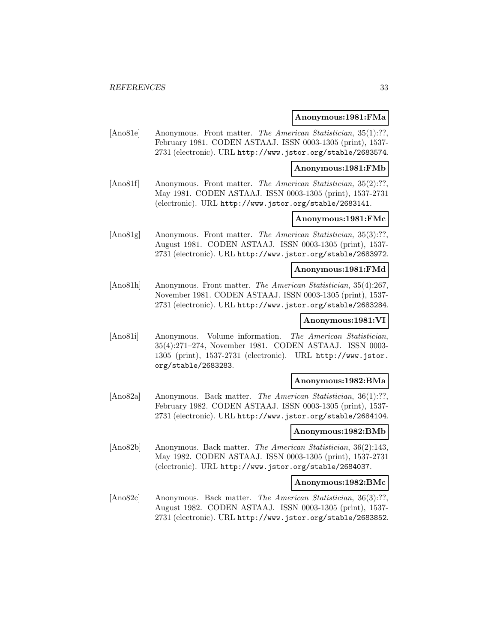#### **Anonymous:1981:FMa**

[Ano81e] Anonymous. Front matter. The American Statistician, 35(1):??, February 1981. CODEN ASTAAJ. ISSN 0003-1305 (print), 1537- 2731 (electronic). URL http://www.jstor.org/stable/2683574.

**Anonymous:1981:FMb**

[Ano81f] Anonymous. Front matter. *The American Statistician*, 35(2):??, May 1981. CODEN ASTAAJ. ISSN 0003-1305 (print), 1537-2731 (electronic). URL http://www.jstor.org/stable/2683141.

# **Anonymous:1981:FMc**

[Ano81g] Anonymous. Front matter. The American Statistician, 35(3):??, August 1981. CODEN ASTAAJ. ISSN 0003-1305 (print), 1537- 2731 (electronic). URL http://www.jstor.org/stable/2683972.

#### **Anonymous:1981:FMd**

[Ano81h] Anonymous. Front matter. The American Statistician, 35(4):267, November 1981. CODEN ASTAAJ. ISSN 0003-1305 (print), 1537- 2731 (electronic). URL http://www.jstor.org/stable/2683284.

# **Anonymous:1981:VI**

[Ano81i] Anonymous. Volume information. The American Statistician, 35(4):271–274, November 1981. CODEN ASTAAJ. ISSN 0003- 1305 (print), 1537-2731 (electronic). URL http://www.jstor. org/stable/2683283.

### **Anonymous:1982:BMa**

[Ano82a] Anonymous. Back matter. The American Statistician, 36(1):??, February 1982. CODEN ASTAAJ. ISSN 0003-1305 (print), 1537- 2731 (electronic). URL http://www.jstor.org/stable/2684104.

# **Anonymous:1982:BMb**

[Ano82b] Anonymous. Back matter. The American Statistician, 36(2):143, May 1982. CODEN ASTAAJ. ISSN 0003-1305 (print), 1537-2731 (electronic). URL http://www.jstor.org/stable/2684037.

# **Anonymous:1982:BMc**

[Ano82c] Anonymous. Back matter. The American Statistician, 36(3):??, August 1982. CODEN ASTAAJ. ISSN 0003-1305 (print), 1537- 2731 (electronic). URL http://www.jstor.org/stable/2683852.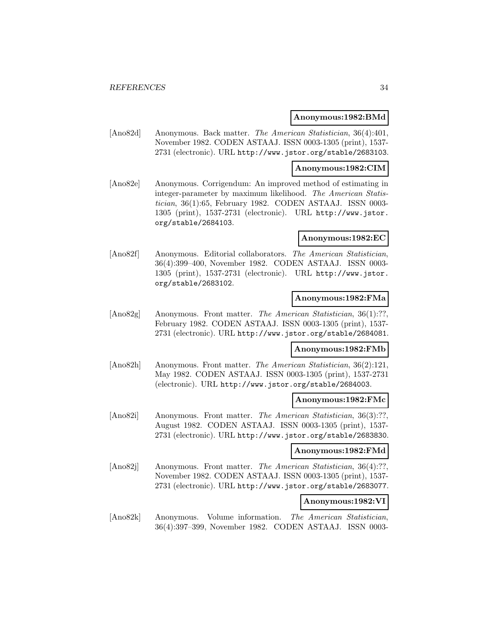#### **Anonymous:1982:BMd**

[Ano82d] Anonymous. Back matter. The American Statistician, 36(4):401, November 1982. CODEN ASTAAJ. ISSN 0003-1305 (print), 1537- 2731 (electronic). URL http://www.jstor.org/stable/2683103.

#### **Anonymous:1982:CIM**

[Ano82e] Anonymous. Corrigendum: An improved method of estimating in integer-parameter by maximum likelihood. The American Statistician, 36(1):65, February 1982. CODEN ASTAAJ. ISSN 0003- 1305 (print), 1537-2731 (electronic). URL http://www.jstor. org/stable/2684103.

#### **Anonymous:1982:EC**

[Ano82f] Anonymous. Editorial collaborators. The American Statistician, 36(4):399–400, November 1982. CODEN ASTAAJ. ISSN 0003- 1305 (print), 1537-2731 (electronic). URL http://www.jstor. org/stable/2683102.

# **Anonymous:1982:FMa**

[Ano82g] Anonymous. Front matter. The American Statistician, 36(1):??, February 1982. CODEN ASTAAJ. ISSN 0003-1305 (print), 1537- 2731 (electronic). URL http://www.jstor.org/stable/2684081.

# **Anonymous:1982:FMb**

[Ano82h] Anonymous. Front matter. The American Statistician, 36(2):121, May 1982. CODEN ASTAAJ. ISSN 0003-1305 (print), 1537-2731 (electronic). URL http://www.jstor.org/stable/2684003.

### **Anonymous:1982:FMc**

[Ano82i] Anonymous. Front matter. The American Statistician, 36(3):??, August 1982. CODEN ASTAAJ. ISSN 0003-1305 (print), 1537- 2731 (electronic). URL http://www.jstor.org/stable/2683830.

#### **Anonymous:1982:FMd**

[Ano82]] Anonymous. Front matter. The American Statistician, 36(4):??, November 1982. CODEN ASTAAJ. ISSN 0003-1305 (print), 1537- 2731 (electronic). URL http://www.jstor.org/stable/2683077.

# **Anonymous:1982:VI**

[Ano82k] Anonymous. Volume information. The American Statistician, 36(4):397–399, November 1982. CODEN ASTAAJ. ISSN 0003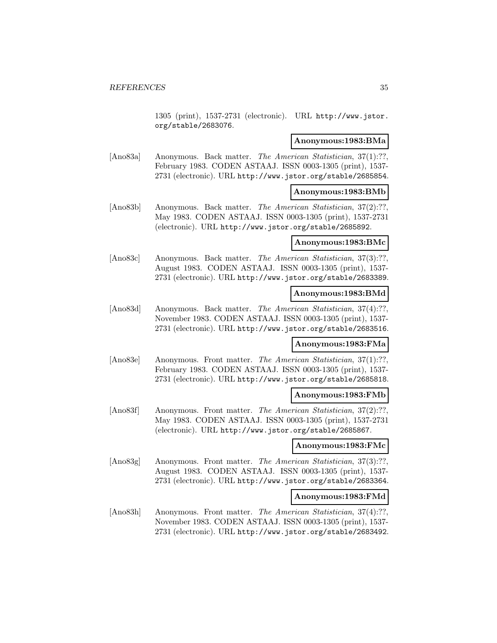1305 (print), 1537-2731 (electronic). URL http://www.jstor. org/stable/2683076.

#### **Anonymous:1983:BMa**

[Ano83a] Anonymous. Back matter. The American Statistician, 37(1):??, February 1983. CODEN ASTAAJ. ISSN 0003-1305 (print), 1537- 2731 (electronic). URL http://www.jstor.org/stable/2685854.

## **Anonymous:1983:BMb**

[Ano83b] Anonymous. Back matter. The American Statistician, 37(2):??, May 1983. CODEN ASTAAJ. ISSN 0003-1305 (print), 1537-2731 (electronic). URL http://www.jstor.org/stable/2685892.

# **Anonymous:1983:BMc**

[Ano83c] Anonymous. Back matter. The American Statistician, 37(3):??. August 1983. CODEN ASTAAJ. ISSN 0003-1305 (print), 1537- 2731 (electronic). URL http://www.jstor.org/stable/2683389.

# **Anonymous:1983:BMd**

[Ano83d] Anonymous. Back matter. *The American Statistician*, 37(4):??, November 1983. CODEN ASTAAJ. ISSN 0003-1305 (print), 1537- 2731 (electronic). URL http://www.jstor.org/stable/2683516.

### **Anonymous:1983:FMa**

[Ano83e] Anonymous. Front matter. The American Statistician, 37(1):??, February 1983. CODEN ASTAAJ. ISSN 0003-1305 (print), 1537- 2731 (electronic). URL http://www.jstor.org/stable/2685818.

#### **Anonymous:1983:FMb**

[Ano83f] Anonymous. Front matter. The American Statistician, 37(2):??. May 1983. CODEN ASTAAJ. ISSN 0003-1305 (print), 1537-2731 (electronic). URL http://www.jstor.org/stable/2685867.

#### **Anonymous:1983:FMc**

[Ano83g] Anonymous. Front matter. The American Statistician, 37(3):??, August 1983. CODEN ASTAAJ. ISSN 0003-1305 (print), 1537- 2731 (electronic). URL http://www.jstor.org/stable/2683364.

### **Anonymous:1983:FMd**

[Ano83h] Anonymous. Front matter. The American Statistician, 37(4):??, November 1983. CODEN ASTAAJ. ISSN 0003-1305 (print), 1537- 2731 (electronic). URL http://www.jstor.org/stable/2683492.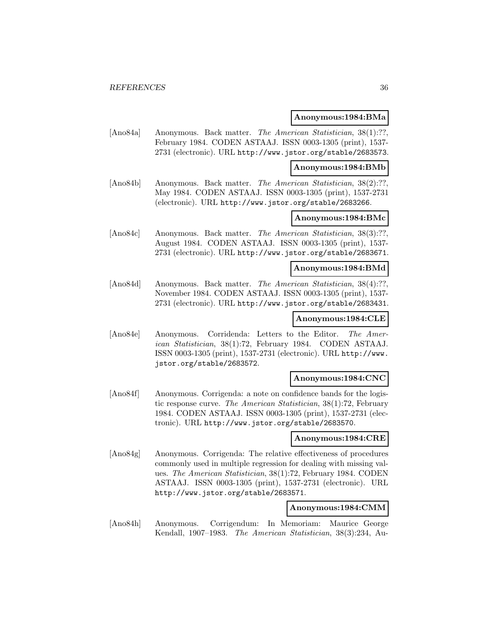#### **Anonymous:1984:BMa**

[Ano84a] Anonymous. Back matter. *The American Statistician*, 38(1):??, February 1984. CODEN ASTAAJ. ISSN 0003-1305 (print), 1537- 2731 (electronic). URL http://www.jstor.org/stable/2683573.

#### **Anonymous:1984:BMb**

[Ano84b] Anonymous. Back matter. The American Statistician, 38(2):??, May 1984. CODEN ASTAAJ. ISSN 0003-1305 (print), 1537-2731 (electronic). URL http://www.jstor.org/stable/2683266.

# **Anonymous:1984:BMc**

[Ano84c] Anonymous. Back matter. *The American Statistician*, 38(3):??, August 1984. CODEN ASTAAJ. ISSN 0003-1305 (print), 1537- 2731 (electronic). URL http://www.jstor.org/stable/2683671.

# **Anonymous:1984:BMd**

[Ano84d] Anonymous. Back matter. The American Statistician, 38(4):??, November 1984. CODEN ASTAAJ. ISSN 0003-1305 (print), 1537- 2731 (electronic). URL http://www.jstor.org/stable/2683431.

# **Anonymous:1984:CLE**

[Ano84e] Anonymous. Corridenda: Letters to the Editor. The American Statistician, 38(1):72, February 1984. CODEN ASTAAJ. ISSN 0003-1305 (print), 1537-2731 (electronic). URL http://www. jstor.org/stable/2683572.

#### **Anonymous:1984:CNC**

[Ano84f] Anonymous. Corrigenda: a note on confidence bands for the logistic response curve. The American Statistician, 38(1):72, February 1984. CODEN ASTAAJ. ISSN 0003-1305 (print), 1537-2731 (electronic). URL http://www.jstor.org/stable/2683570.

## **Anonymous:1984:CRE**

[Ano84g] Anonymous. Corrigenda: The relative effectiveness of procedures commonly used in multiple regression for dealing with missing values. The American Statistician, 38(1):72, February 1984. CODEN ASTAAJ. ISSN 0003-1305 (print), 1537-2731 (electronic). URL http://www.jstor.org/stable/2683571.

#### **Anonymous:1984:CMM**

[Ano84h] Anonymous. Corrigendum: In Memoriam: Maurice George Kendall, 1907–1983. The American Statistician, 38(3):234, Au-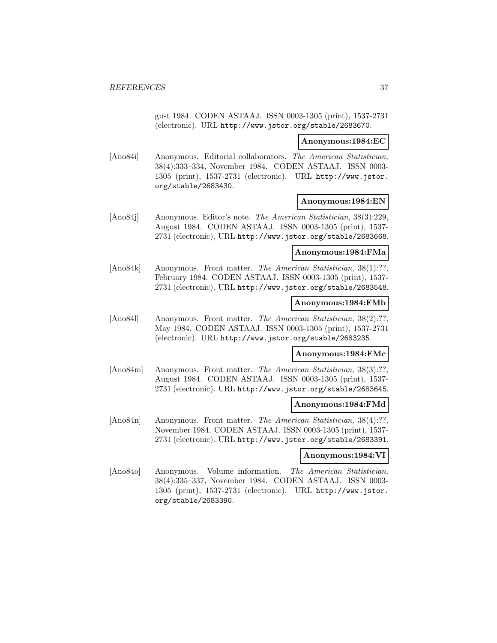gust 1984. CODEN ASTAAJ. ISSN 0003-1305 (print), 1537-2731 (electronic). URL http://www.jstor.org/stable/2683670.

#### **Anonymous:1984:EC**

[Ano84i] Anonymous. Editorial collaborators. The American Statistician, 38(4):333–334, November 1984. CODEN ASTAAJ. ISSN 0003- 1305 (print), 1537-2731 (electronic). URL http://www.jstor. org/stable/2683430.

#### **Anonymous:1984:EN**

[Ano84j] Anonymous. Editor's note. The American Statistician, 38(3):229, August 1984. CODEN ASTAAJ. ISSN 0003-1305 (print), 1537- 2731 (electronic). URL http://www.jstor.org/stable/2683668.

#### **Anonymous:1984:FMa**

[Ano84k] Anonymous. Front matter. The American Statistician, 38(1):??, February 1984. CODEN ASTAAJ. ISSN 0003-1305 (print), 1537- 2731 (electronic). URL http://www.jstor.org/stable/2683548.

## **Anonymous:1984:FMb**

[Ano84l] Anonymous. Front matter. The American Statistician, 38(2):??, May 1984. CODEN ASTAAJ. ISSN 0003-1305 (print), 1537-2731 (electronic). URL http://www.jstor.org/stable/2683235.

## **Anonymous:1984:FMc**

[Ano84m] Anonymous. Front matter. The American Statistician, 38(3):??. August 1984. CODEN ASTAAJ. ISSN 0003-1305 (print), 1537- 2731 (electronic). URL http://www.jstor.org/stable/2683645.

### **Anonymous:1984:FMd**

[Ano84n] Anonymous. Front matter. The American Statistician, 38(4):??, November 1984. CODEN ASTAAJ. ISSN 0003-1305 (print), 1537- 2731 (electronic). URL http://www.jstor.org/stable/2683391.

## **Anonymous:1984:VI**

[Ano84o] Anonymous. Volume information. The American Statistician, 38(4):335–337, November 1984. CODEN ASTAAJ. ISSN 0003- 1305 (print), 1537-2731 (electronic). URL http://www.jstor. org/stable/2683390.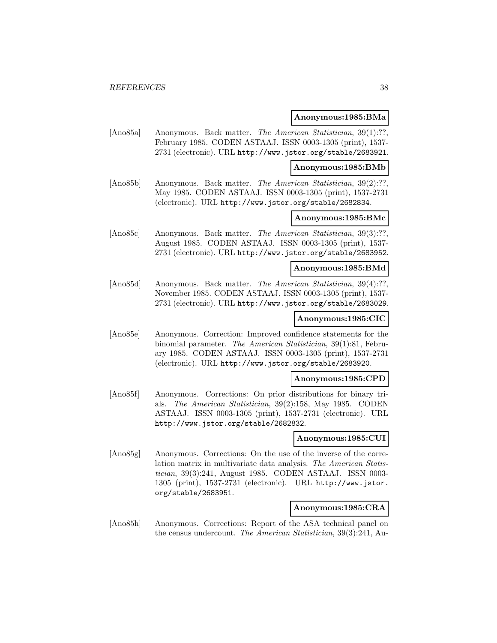#### **Anonymous:1985:BMa**

[Ano85a] Anonymous. Back matter. *The American Statistician*, 39(1):??, February 1985. CODEN ASTAAJ. ISSN 0003-1305 (print), 1537- 2731 (electronic). URL http://www.jstor.org/stable/2683921.

#### **Anonymous:1985:BMb**

[Ano85b] Anonymous. Back matter. The American Statistician, 39(2):??, May 1985. CODEN ASTAAJ. ISSN 0003-1305 (print), 1537-2731 (electronic). URL http://www.jstor.org/stable/2682834.

## **Anonymous:1985:BMc**

[Ano85c] Anonymous. Back matter. The American Statistician, 39(3):??, August 1985. CODEN ASTAAJ. ISSN 0003-1305 (print), 1537- 2731 (electronic). URL http://www.jstor.org/stable/2683952.

## **Anonymous:1985:BMd**

[Ano85d] Anonymous. Back matter. The American Statistician, 39(4):??, November 1985. CODEN ASTAAJ. ISSN 0003-1305 (print), 1537- 2731 (electronic). URL http://www.jstor.org/stable/2683029.

### **Anonymous:1985:CIC**

[Ano85e] Anonymous. Correction: Improved confidence statements for the binomial parameter. The American Statistician, 39(1):81, February 1985. CODEN ASTAAJ. ISSN 0003-1305 (print), 1537-2731 (electronic). URL http://www.jstor.org/stable/2683920.

#### **Anonymous:1985:CPD**

[Ano85f] Anonymous. Corrections: On prior distributions for binary trials. The American Statistician, 39(2):158, May 1985. CODEN ASTAAJ. ISSN 0003-1305 (print), 1537-2731 (electronic). URL http://www.jstor.org/stable/2682832.

#### **Anonymous:1985:CUI**

[Ano85g] Anonymous. Corrections: On the use of the inverse of the correlation matrix in multivariate data analysis. The American Statistician, 39(3):241, August 1985. CODEN ASTAAJ. ISSN 0003- 1305 (print), 1537-2731 (electronic). URL http://www.jstor. org/stable/2683951.

### **Anonymous:1985:CRA**

[Ano85h] Anonymous. Corrections: Report of the ASA technical panel on the census undercount. The American Statistician, 39(3):241, Au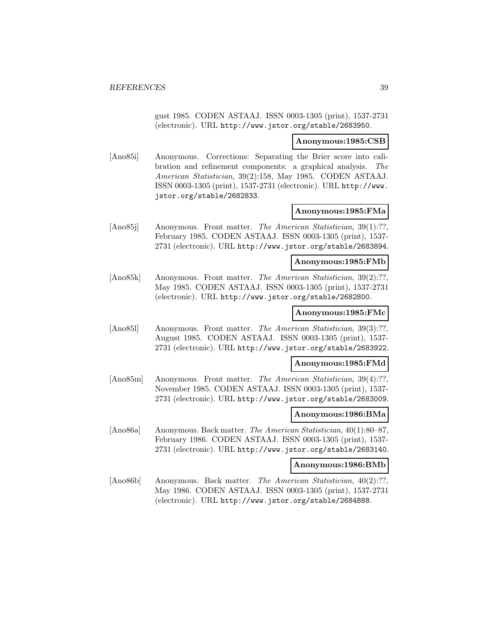gust 1985. CODEN ASTAAJ. ISSN 0003-1305 (print), 1537-2731 (electronic). URL http://www.jstor.org/stable/2683950.

#### **Anonymous:1985:CSB**

[Ano85i] Anonymous. Corrections: Separating the Brier score into calibration and refinement components: a graphical analysis. The American Statistician, 39(2):158, May 1985. CODEN ASTAAJ. ISSN 0003-1305 (print), 1537-2731 (electronic). URL http://www. jstor.org/stable/2682833.

### **Anonymous:1985:FMa**

[Ano85j] Anonymous. Front matter. The American Statistician, 39(1):??, February 1985. CODEN ASTAAJ. ISSN 0003-1305 (print), 1537- 2731 (electronic). URL http://www.jstor.org/stable/2683894.

### **Anonymous:1985:FMb**

[Ano85k] Anonymous. Front matter. The American Statistician, 39(2):??, May 1985. CODEN ASTAAJ. ISSN 0003-1305 (print), 1537-2731 (electronic). URL http://www.jstor.org/stable/2682800.

#### **Anonymous:1985:FMc**

[Ano851] Anonymous. Front matter. The American Statistician, 39(3):??, August 1985. CODEN ASTAAJ. ISSN 0003-1305 (print), 1537- 2731 (electronic). URL http://www.jstor.org/stable/2683922.

### **Anonymous:1985:FMd**

[Ano85m] Anonymous. Front matter. The American Statistician, 39(4):??, November 1985. CODEN ASTAAJ. ISSN 0003-1305 (print), 1537- 2731 (electronic). URL http://www.jstor.org/stable/2683009.

## **Anonymous:1986:BMa**

[Ano86a] Anonymous. Back matter. The American Statistician, 40(1):80–87, February 1986. CODEN ASTAAJ. ISSN 0003-1305 (print), 1537- 2731 (electronic). URL http://www.jstor.org/stable/2683140.

### **Anonymous:1986:BMb**

[Ano86b] Anonymous. Back matter. The American Statistician, 40(2):??, May 1986. CODEN ASTAAJ. ISSN 0003-1305 (print), 1537-2731 (electronic). URL http://www.jstor.org/stable/2684888.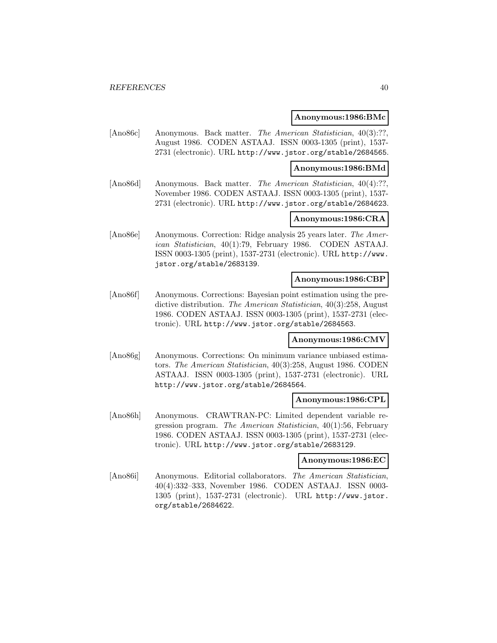#### **Anonymous:1986:BMc**

[Ano86c] Anonymous. Back matter. The American Statistician, 40(3):??, August 1986. CODEN ASTAAJ. ISSN 0003-1305 (print), 1537- 2731 (electronic). URL http://www.jstor.org/stable/2684565.

#### **Anonymous:1986:BMd**

[Ano86d] Anonymous. Back matter. The American Statistician, 40(4):??, November 1986. CODEN ASTAAJ. ISSN 0003-1305 (print), 1537- 2731 (electronic). URL http://www.jstor.org/stable/2684623.

### **Anonymous:1986:CRA**

[Ano86e] Anonymous. Correction: Ridge analysis 25 years later. The American Statistician, 40(1):79, February 1986. CODEN ASTAAJ. ISSN 0003-1305 (print), 1537-2731 (electronic). URL http://www. jstor.org/stable/2683139.

### **Anonymous:1986:CBP**

[Ano86f] Anonymous. Corrections: Bayesian point estimation using the predictive distribution. The American Statistician, 40(3):258, August 1986. CODEN ASTAAJ. ISSN 0003-1305 (print), 1537-2731 (electronic). URL http://www.jstor.org/stable/2684563.

#### **Anonymous:1986:CMV**

[Ano86g] Anonymous. Corrections: On minimum variance unbiased estimators. The American Statistician, 40(3):258, August 1986. CODEN ASTAAJ. ISSN 0003-1305 (print), 1537-2731 (electronic). URL http://www.jstor.org/stable/2684564.

#### **Anonymous:1986:CPL**

[Ano86h] Anonymous. CRAWTRAN-PC: Limited dependent variable regression program. The American Statistician, 40(1):56, February 1986. CODEN ASTAAJ. ISSN 0003-1305 (print), 1537-2731 (electronic). URL http://www.jstor.org/stable/2683129.

#### **Anonymous:1986:EC**

[Ano86i] Anonymous. Editorial collaborators. The American Statistician, 40(4):332–333, November 1986. CODEN ASTAAJ. ISSN 0003- 1305 (print), 1537-2731 (electronic). URL http://www.jstor. org/stable/2684622.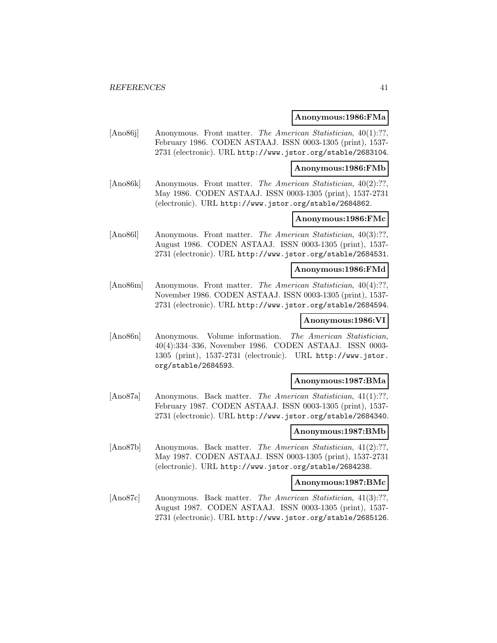#### **Anonymous:1986:FMa**

[Ano86j] Anonymous. Front matter. The American Statistician, 40(1):??, February 1986. CODEN ASTAAJ. ISSN 0003-1305 (print), 1537- 2731 (electronic). URL http://www.jstor.org/stable/2683104.

#### **Anonymous:1986:FMb**

[Ano86k] Anonymous. Front matter. The American Statistician, 40(2):??, May 1986. CODEN ASTAAJ. ISSN 0003-1305 (print), 1537-2731 (electronic). URL http://www.jstor.org/stable/2684862.

## **Anonymous:1986:FMc**

[Ano86l] Anonymous. Front matter. The American Statistician, 40(3):??, August 1986. CODEN ASTAAJ. ISSN 0003-1305 (print), 1537- 2731 (electronic). URL http://www.jstor.org/stable/2684531.

### **Anonymous:1986:FMd**

[Ano86m] Anonymous. Front matter. The American Statistician, 40(4):??, November 1986. CODEN ASTAAJ. ISSN 0003-1305 (print), 1537- 2731 (electronic). URL http://www.jstor.org/stable/2684594.

## **Anonymous:1986:VI**

[Ano86n] Anonymous. Volume information. The American Statistician, 40(4):334–336, November 1986. CODEN ASTAAJ. ISSN 0003- 1305 (print), 1537-2731 (electronic). URL http://www.jstor. org/stable/2684593.

### **Anonymous:1987:BMa**

[Ano87a] Anonymous. Back matter. The American Statistician, 41(1):??, February 1987. CODEN ASTAAJ. ISSN 0003-1305 (print), 1537- 2731 (electronic). URL http://www.jstor.org/stable/2684340.

### **Anonymous:1987:BMb**

[Ano87b] Anonymous. Back matter. The American Statistician, 41(2):??, May 1987. CODEN ASTAAJ. ISSN 0003-1305 (print), 1537-2731 (electronic). URL http://www.jstor.org/stable/2684238.

## **Anonymous:1987:BMc**

[Ano87c] Anonymous. Back matter. The American Statistician, 41(3):??, August 1987. CODEN ASTAAJ. ISSN 0003-1305 (print), 1537- 2731 (electronic). URL http://www.jstor.org/stable/2685126.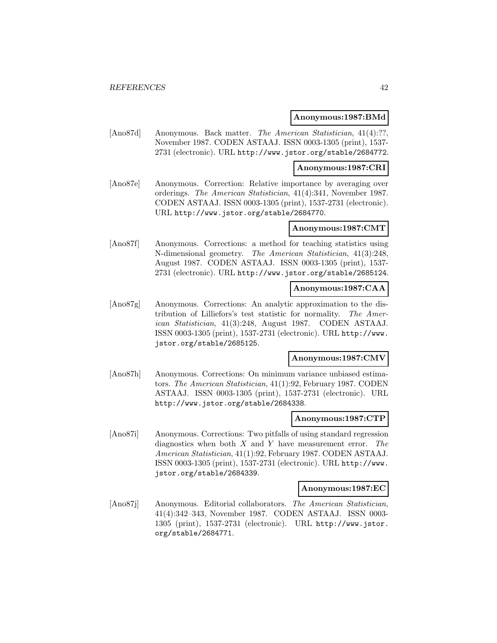#### **Anonymous:1987:BMd**

[Ano87d] Anonymous. Back matter. The American Statistician, 41(4):??, November 1987. CODEN ASTAAJ. ISSN 0003-1305 (print), 1537- 2731 (electronic). URL http://www.jstor.org/stable/2684772.

#### **Anonymous:1987:CRI**

[Ano87e] Anonymous. Correction: Relative importance by averaging over orderings. The American Statistician, 41(4):341, November 1987. CODEN ASTAAJ. ISSN 0003-1305 (print), 1537-2731 (electronic). URL http://www.jstor.org/stable/2684770.

### **Anonymous:1987:CMT**

[Ano87f] Anonymous. Corrections: a method for teaching statistics using N-dimensional geometry. The American Statistician, 41(3):248, August 1987. CODEN ASTAAJ. ISSN 0003-1305 (print), 1537- 2731 (electronic). URL http://www.jstor.org/stable/2685124.

### **Anonymous:1987:CAA**

[Ano87g] Anonymous. Corrections: An analytic approximation to the distribution of Lilliefors's test statistic for normality. The American Statistician, 41(3):248, August 1987. CODEN ASTAAJ. ISSN 0003-1305 (print), 1537-2731 (electronic). URL http://www. jstor.org/stable/2685125.

#### **Anonymous:1987:CMV**

[Ano87h] Anonymous. Corrections: On minimum variance unbiased estimators. The American Statistician, 41(1):92, February 1987. CODEN ASTAAJ. ISSN 0003-1305 (print), 1537-2731 (electronic). URL http://www.jstor.org/stable/2684338.

#### **Anonymous:1987:CTP**

[Ano87i] Anonymous. Corrections: Two pitfalls of using standard regression diagnostics when both  $X$  and  $Y$  have measurement error. The American Statistician, 41(1):92, February 1987. CODEN ASTAAJ. ISSN 0003-1305 (print), 1537-2731 (electronic). URL http://www. jstor.org/stable/2684339.

#### **Anonymous:1987:EC**

[Ano87j] Anonymous. Editorial collaborators. The American Statistician, 41(4):342–343, November 1987. CODEN ASTAAJ. ISSN 0003- 1305 (print), 1537-2731 (electronic). URL http://www.jstor. org/stable/2684771.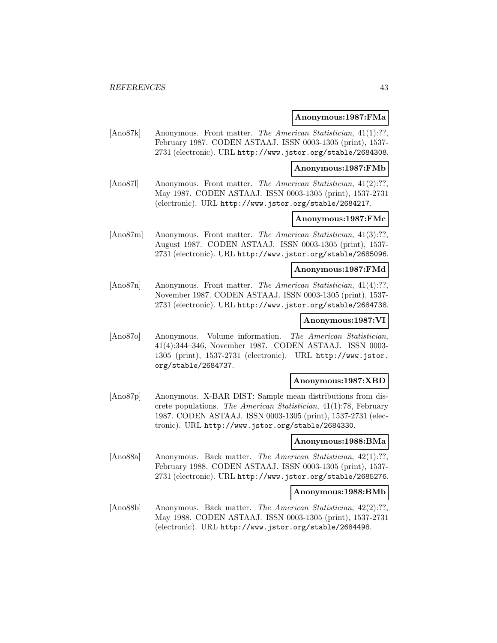#### **Anonymous:1987:FMa**

[Ano87k] Anonymous. Front matter. The American Statistician, 41(1):??, February 1987. CODEN ASTAAJ. ISSN 0003-1305 (print), 1537- 2731 (electronic). URL http://www.jstor.org/stable/2684308.

**Anonymous:1987:FMb**

[Ano87l] Anonymous. Front matter. The American Statistician, 41(2):??, May 1987. CODEN ASTAAJ. ISSN 0003-1305 (print), 1537-2731 (electronic). URL http://www.jstor.org/stable/2684217.

## **Anonymous:1987:FMc**

[Ano87m] Anonymous. Front matter. The American Statistician, 41(3):??, August 1987. CODEN ASTAAJ. ISSN 0003-1305 (print), 1537- 2731 (electronic). URL http://www.jstor.org/stable/2685096.

### **Anonymous:1987:FMd**

[Ano87n] Anonymous. Front matter. The American Statistician, 41(4):??, November 1987. CODEN ASTAAJ. ISSN 0003-1305 (print), 1537- 2731 (electronic). URL http://www.jstor.org/stable/2684738.

## **Anonymous:1987:VI**

[Ano87o] Anonymous. Volume information. The American Statistician, 41(4):344–346, November 1987. CODEN ASTAAJ. ISSN 0003- 1305 (print), 1537-2731 (electronic). URL http://www.jstor. org/stable/2684737.

#### **Anonymous:1987:XBD**

[Ano87p] Anonymous. X-BAR DIST: Sample mean distributions from discrete populations. The American Statistician, 41(1):78, February 1987. CODEN ASTAAJ. ISSN 0003-1305 (print), 1537-2731 (electronic). URL http://www.jstor.org/stable/2684330.

## **Anonymous:1988:BMa**

[Ano88a] Anonymous. Back matter. The American Statistician, 42(1):??, February 1988. CODEN ASTAAJ. ISSN 0003-1305 (print), 1537- 2731 (electronic). URL http://www.jstor.org/stable/2685276.

#### **Anonymous:1988:BMb**

[Ano88b] Anonymous. Back matter. The American Statistician, 42(2):??, May 1988. CODEN ASTAAJ. ISSN 0003-1305 (print), 1537-2731 (electronic). URL http://www.jstor.org/stable/2684498.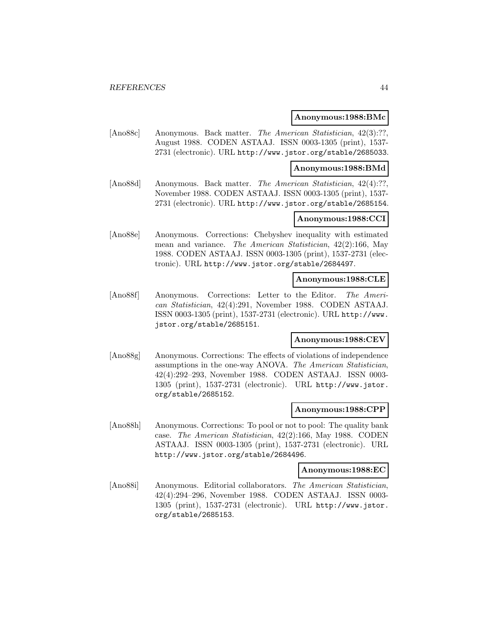#### **Anonymous:1988:BMc**

[Ano88c] Anonymous. Back matter. The American Statistician, 42(3):??, August 1988. CODEN ASTAAJ. ISSN 0003-1305 (print), 1537- 2731 (electronic). URL http://www.jstor.org/stable/2685033.

#### **Anonymous:1988:BMd**

[Ano88d] Anonymous. Back matter. The American Statistician, 42(4):??, November 1988. CODEN ASTAAJ. ISSN 0003-1305 (print), 1537- 2731 (electronic). URL http://www.jstor.org/stable/2685154.

### **Anonymous:1988:CCI**

[Ano88e] Anonymous. Corrections: Chebyshev inequality with estimated mean and variance. The American Statistician, 42(2):166, May 1988. CODEN ASTAAJ. ISSN 0003-1305 (print), 1537-2731 (electronic). URL http://www.jstor.org/stable/2684497.

### **Anonymous:1988:CLE**

[Ano88f] Anonymous. Corrections: Letter to the Editor. The American Statistician, 42(4):291, November 1988. CODEN ASTAAJ. ISSN 0003-1305 (print), 1537-2731 (electronic). URL http://www. jstor.org/stable/2685151.

### **Anonymous:1988:CEV**

[Ano88g] Anonymous. Corrections: The effects of violations of independence assumptions in the one-way ANOVA. The American Statistician, 42(4):292–293, November 1988. CODEN ASTAAJ. ISSN 0003- 1305 (print), 1537-2731 (electronic). URL http://www.jstor. org/stable/2685152.

#### **Anonymous:1988:CPP**

[Ano88h] Anonymous. Corrections: To pool or not to pool: The quality bank case. The American Statistician, 42(2):166, May 1988. CODEN ASTAAJ. ISSN 0003-1305 (print), 1537-2731 (electronic). URL http://www.jstor.org/stable/2684496.

#### **Anonymous:1988:EC**

[Ano88i] Anonymous. Editorial collaborators. The American Statistician, 42(4):294–296, November 1988. CODEN ASTAAJ. ISSN 0003- 1305 (print), 1537-2731 (electronic). URL http://www.jstor. org/stable/2685153.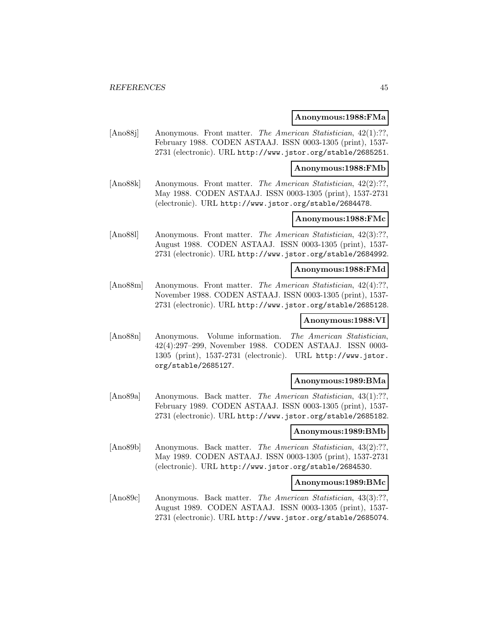#### **Anonymous:1988:FMa**

[Ano88j] Anonymous. Front matter. The American Statistician, 42(1):??, February 1988. CODEN ASTAAJ. ISSN 0003-1305 (print), 1537- 2731 (electronic). URL http://www.jstor.org/stable/2685251.

#### **Anonymous:1988:FMb**

[Ano88k] Anonymous. Front matter. The American Statistician, 42(2):??, May 1988. CODEN ASTAAJ. ISSN 0003-1305 (print), 1537-2731 (electronic). URL http://www.jstor.org/stable/2684478.

## **Anonymous:1988:FMc**

[Ano88l] Anonymous. Front matter. The American Statistician, 42(3):??, August 1988. CODEN ASTAAJ. ISSN 0003-1305 (print), 1537- 2731 (electronic). URL http://www.jstor.org/stable/2684992.

### **Anonymous:1988:FMd**

[Ano88m] Anonymous. Front matter. The American Statistician, 42(4):??, November 1988. CODEN ASTAAJ. ISSN 0003-1305 (print), 1537- 2731 (electronic). URL http://www.jstor.org/stable/2685128.

### **Anonymous:1988:VI**

[Ano88n] Anonymous. Volume information. The American Statistician, 42(4):297–299, November 1988. CODEN ASTAAJ. ISSN 0003- 1305 (print), 1537-2731 (electronic). URL http://www.jstor. org/stable/2685127.

### **Anonymous:1989:BMa**

[Ano89a] Anonymous. Back matter. *The American Statistician*, 43(1):??, February 1989. CODEN ASTAAJ. ISSN 0003-1305 (print), 1537- 2731 (electronic). URL http://www.jstor.org/stable/2685182.

### **Anonymous:1989:BMb**

[Ano89b] Anonymous. Back matter. The American Statistician, 43(2):??, May 1989. CODEN ASTAAJ. ISSN 0003-1305 (print), 1537-2731 (electronic). URL http://www.jstor.org/stable/2684530.

## **Anonymous:1989:BMc**

[Ano89c] Anonymous. Back matter. The American Statistician, 43(3):??, August 1989. CODEN ASTAAJ. ISSN 0003-1305 (print), 1537- 2731 (electronic). URL http://www.jstor.org/stable/2685074.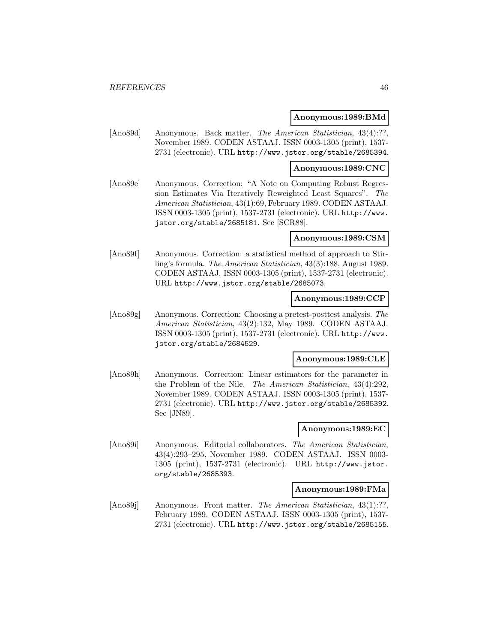#### **Anonymous:1989:BMd**

[Ano89d] Anonymous. Back matter. The American Statistician, 43(4):??, November 1989. CODEN ASTAAJ. ISSN 0003-1305 (print), 1537- 2731 (electronic). URL http://www.jstor.org/stable/2685394.

#### **Anonymous:1989:CNC**

[Ano89e] Anonymous. Correction: "A Note on Computing Robust Regression Estimates Via Iteratively Reweighted Least Squares". The American Statistician, 43(1):69, February 1989. CODEN ASTAAJ. ISSN 0003-1305 (print), 1537-2731 (electronic). URL http://www. jstor.org/stable/2685181. See [SCR88].

#### **Anonymous:1989:CSM**

[Ano89f] Anonymous. Correction: a statistical method of approach to Stirling's formula. The American Statistician, 43(3):188, August 1989. CODEN ASTAAJ. ISSN 0003-1305 (print), 1537-2731 (electronic). URL http://www.jstor.org/stable/2685073.

### **Anonymous:1989:CCP**

[Ano89g] Anonymous. Correction: Choosing a pretest-posttest analysis. The American Statistician, 43(2):132, May 1989. CODEN ASTAAJ. ISSN 0003-1305 (print), 1537-2731 (electronic). URL http://www. jstor.org/stable/2684529.

#### **Anonymous:1989:CLE**

[Ano89h] Anonymous. Correction: Linear estimators for the parameter in the Problem of the Nile. The American Statistician, 43(4):292, November 1989. CODEN ASTAAJ. ISSN 0003-1305 (print), 1537- 2731 (electronic). URL http://www.jstor.org/stable/2685392. See [JN89].

### **Anonymous:1989:EC**

[Ano89i] Anonymous. Editorial collaborators. The American Statistician, 43(4):293–295, November 1989. CODEN ASTAAJ. ISSN 0003- 1305 (print), 1537-2731 (electronic). URL http://www.jstor. org/stable/2685393.

#### **Anonymous:1989:FMa**

[Ano89j] Anonymous. Front matter. The American Statistician, 43(1):??, February 1989. CODEN ASTAAJ. ISSN 0003-1305 (print), 1537- 2731 (electronic). URL http://www.jstor.org/stable/2685155.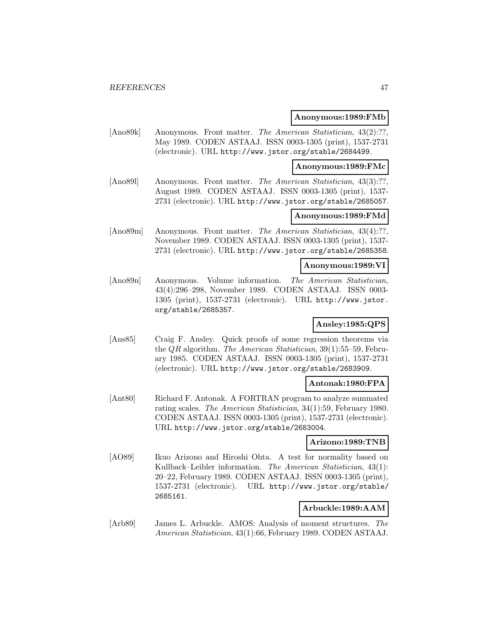#### **Anonymous:1989:FMb**

[Ano89k] Anonymous. Front matter. *The American Statistician*, 43(2):??, May 1989. CODEN ASTAAJ. ISSN 0003-1305 (print), 1537-2731 (electronic). URL http://www.jstor.org/stable/2684499.

#### **Anonymous:1989:FMc**

[Ano891] Anonymous. Front matter. The American Statistician, 43(3):??, August 1989. CODEN ASTAAJ. ISSN 0003-1305 (print), 1537- 2731 (electronic). URL http://www.jstor.org/stable/2685057.

### **Anonymous:1989:FMd**

[Ano89m] Anonymous. Front matter. The American Statistician, 43(4):??, November 1989. CODEN ASTAAJ. ISSN 0003-1305 (print), 1537- 2731 (electronic). URL http://www.jstor.org/stable/2685358.

### **Anonymous:1989:VI**

[Ano89n] Anonymous. Volume information. The American Statistician, 43(4):296–298, November 1989. CODEN ASTAAJ. ISSN 0003- 1305 (print), 1537-2731 (electronic). URL http://www.jstor. org/stable/2685357.

# **Ansley:1985:QPS**

[Ans85] Craig F. Ansley. Quick proofs of some regression theorems via the QR algorithm. The American Statistician, 39(1):55–59, February 1985. CODEN ASTAAJ. ISSN 0003-1305 (print), 1537-2731 (electronic). URL http://www.jstor.org/stable/2683909.

### **Antonak:1980:FPA**

[Ant80] Richard F. Antonak. A FORTRAN program to analyze summated rating scales. The American Statistician, 34(1):59, February 1980. CODEN ASTAAJ. ISSN 0003-1305 (print), 1537-2731 (electronic). URL http://www.jstor.org/stable/2683004.

### **Arizono:1989:TNB**

[AO89] Ikuo Arizono and Hiroshi Ohta. A test for normality based on Kullback–Leibler information. The American Statistician, 43(1): 20–22, February 1989. CODEN ASTAAJ. ISSN 0003-1305 (print), 1537-2731 (electronic). URL http://www.jstor.org/stable/ 2685161.

## **Arbuckle:1989:AAM**

[Arb89] James L. Arbuckle. AMOS: Analysis of moment structures. The American Statistician, 43(1):66, February 1989. CODEN ASTAAJ.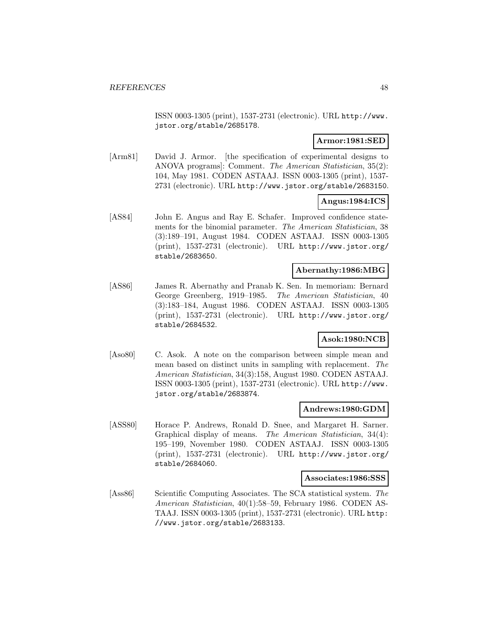ISSN 0003-1305 (print), 1537-2731 (electronic). URL http://www. jstor.org/stable/2685178.

## **Armor:1981:SED**

[Arm81] David J. Armor. [the specification of experimental designs to ANOVA programs]: Comment. The American Statistician, 35(2): 104, May 1981. CODEN ASTAAJ. ISSN 0003-1305 (print), 1537- 2731 (electronic). URL http://www.jstor.org/stable/2683150.

# **Angus:1984:ICS**

[AS84] John E. Angus and Ray E. Schafer. Improved confidence statements for the binomial parameter. The American Statistician, 38 (3):189–191, August 1984. CODEN ASTAAJ. ISSN 0003-1305 (print), 1537-2731 (electronic). URL http://www.jstor.org/ stable/2683650.

# **Abernathy:1986:MBG**

[AS86] James R. Abernathy and Pranab K. Sen. In memoriam: Bernard George Greenberg, 1919–1985. The American Statistician, 40 (3):183–184, August 1986. CODEN ASTAAJ. ISSN 0003-1305 (print), 1537-2731 (electronic). URL http://www.jstor.org/ stable/2684532.

# **Asok:1980:NCB**

[Aso80] C. Asok. A note on the comparison between simple mean and mean based on distinct units in sampling with replacement. The American Statistician, 34(3):158, August 1980. CODEN ASTAAJ. ISSN 0003-1305 (print), 1537-2731 (electronic). URL http://www. jstor.org/stable/2683874.

### **Andrews:1980:GDM**

[ASS80] Horace P. Andrews, Ronald D. Snee, and Margaret H. Sarner. Graphical display of means. The American Statistician, 34(4): 195–199, November 1980. CODEN ASTAAJ. ISSN 0003-1305 (print), 1537-2731 (electronic). URL http://www.jstor.org/ stable/2684060.

#### **Associates:1986:SSS**

[Ass86] Scientific Computing Associates. The SCA statistical system. The American Statistician, 40(1):58–59, February 1986. CODEN AS-TAAJ. ISSN 0003-1305 (print), 1537-2731 (electronic). URL http: //www.jstor.org/stable/2683133.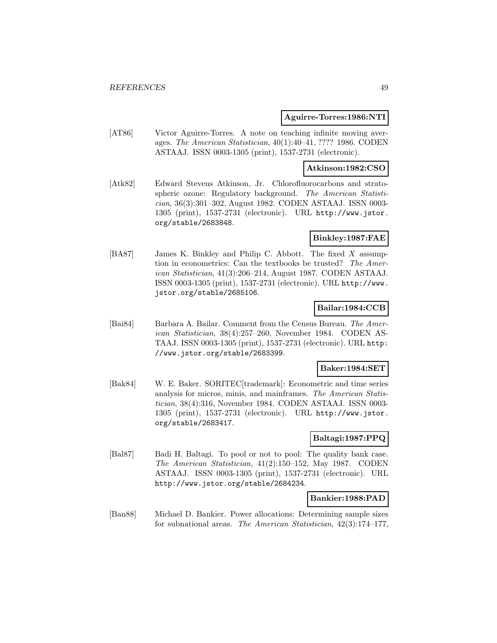### **Aguirre-Torres:1986:NTI**

[AT86] Victor Aguirre-Torres. A note on teaching infinite moving averages. The American Statistician, 40(1):40–41, ???? 1986. CODEN ASTAAJ. ISSN 0003-1305 (print), 1537-2731 (electronic).

## **Atkinson:1982:CSO**

[Atk82] Edward Stevens Atkinson, Jr. Chlorofluorocarbons and stratospheric ozone: Regulatory background. The American Statistician, 36(3):301–302, August 1982. CODEN ASTAAJ. ISSN 0003- 1305 (print), 1537-2731 (electronic). URL http://www.jstor. org/stable/2683848.

### **Binkley:1987:FAE**

[BA87] James K. Binkley and Philip C. Abbott. The fixed X assumption in econometrics: Can the textbooks be trusted? The American Statistician, 41(3):206–214, August 1987. CODEN ASTAAJ. ISSN 0003-1305 (print), 1537-2731 (electronic). URL http://www. jstor.org/stable/2685106.

## **Bailar:1984:CCB**

[Bai84] Barbara A. Bailar. Comment from the Census Bureau. The American Statistician, 38(4):257–260, November 1984. CODEN AS-TAAJ. ISSN 0003-1305 (print), 1537-2731 (electronic). URL http: //www.jstor.org/stable/2683399.

### **Baker:1984:SET**

[Bak84] W. E. Baker. SORITEC[trademark]: Econometric and time series analysis for micros, minis, and mainframes. The American Statistician, 38(4):316, November 1984. CODEN ASTAAJ. ISSN 0003- 1305 (print), 1537-2731 (electronic). URL http://www.jstor. org/stable/2683417.

### **Baltagi:1987:PPQ**

[Bal87] Badi H. Baltagi. To pool or not to pool: The quality bank case. The American Statistician, 41(2):150–152, May 1987. CODEN ASTAAJ. ISSN 0003-1305 (print), 1537-2731 (electronic). URL http://www.jstor.org/stable/2684234.

### **Bankier:1988:PAD**

[Ban88] Michael D. Bankier. Power allocations: Determining sample sizes for subnational areas. The American Statistician, 42(3):174–177,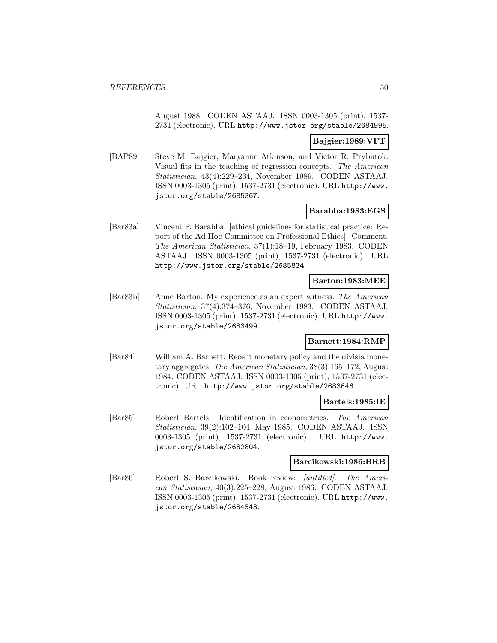August 1988. CODEN ASTAAJ. ISSN 0003-1305 (print), 1537- 2731 (electronic). URL http://www.jstor.org/stable/2684995.

### **Bajgier:1989:VFT**

[BAP89] Steve M. Bajgier, Maryanne Atkinson, and Victor R. Prybutok. Visual fits in the teaching of regression concepts. The American Statistician, 43(4):229–234, November 1989. CODEN ASTAAJ. ISSN 0003-1305 (print), 1537-2731 (electronic). URL http://www. jstor.org/stable/2685367.

## **Barabba:1983:EGS**

[Bar83a] Vincent P. Barabba. [ethical guidelines for statistical practice: Report of the Ad Hoc Committee on Professional Ethics]: Comment. The American Statistician, 37(1):18–19, February 1983. CODEN ASTAAJ. ISSN 0003-1305 (print), 1537-2731 (electronic). URL http://www.jstor.org/stable/2685834.

## **Barton:1983:MEE**

[Bar83b] Anne Barton. My experience as an expert witness. The American Statistician, 37(4):374–376, November 1983. CODEN ASTAAJ. ISSN 0003-1305 (print), 1537-2731 (electronic). URL http://www. jstor.org/stable/2683499.

## **Barnett:1984:RMP**

[Bar84] William A. Barnett. Recent monetary policy and the divisia monetary aggregates. The American Statistician, 38(3):165–172, August 1984. CODEN ASTAAJ. ISSN 0003-1305 (print), 1537-2731 (electronic). URL http://www.jstor.org/stable/2683646.

### **Bartels:1985:IE**

[Bar85] Robert Bartels. Identification in econometrics. The American Statistician, 39(2):102–104, May 1985. CODEN ASTAAJ. ISSN 0003-1305 (print), 1537-2731 (electronic). URL http://www. jstor.org/stable/2682804.

#### **Barcikowski:1986:BRB**

[Bar86] Robert S. Barcikowski. Book review: [untitled]. The American Statistician, 40(3):225–228, August 1986. CODEN ASTAAJ. ISSN 0003-1305 (print), 1537-2731 (electronic). URL http://www. jstor.org/stable/2684543.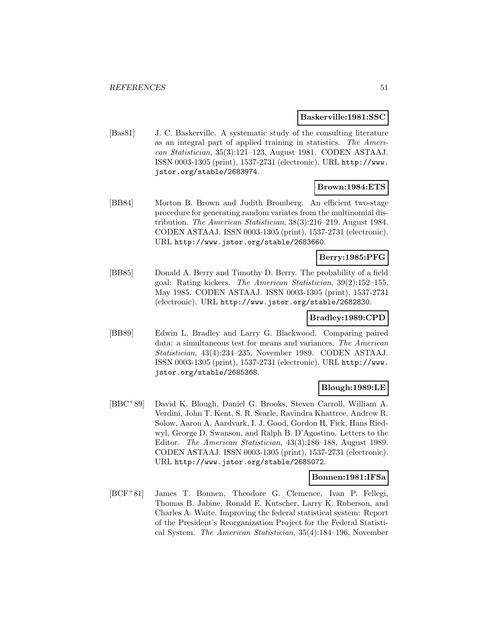#### **Baskerville:1981:SSC**

[Bas81] J. C. Baskerville. A systematic study of the consulting literature as an integral part of applied training in statistics. The American Statistician, 35(3):121–123, August 1981. CODEN ASTAAJ. ISSN 0003-1305 (print), 1537-2731 (electronic). URL http://www. jstor.org/stable/2683974.

## **Brown:1984:ETS**

[BB84] Morton B. Brown and Judith Bromberg. An efficient two-stage procedure for generating random variates from the multinomial distribution. The American Statistician, 38(3):216–219, August 1984. CODEN ASTAAJ. ISSN 0003-1305 (print), 1537-2731 (electronic). URL http://www.jstor.org/stable/2683660.

### **Berry:1985:PFG**

[BB85] Donald A. Berry and Timothy D. Berry. The probability of a field goal: Rating kickers. The American Statistician, 39(2):152–155, May 1985. CODEN ASTAAJ. ISSN 0003-1305 (print), 1537-2731 (electronic). URL http://www.jstor.org/stable/2682830.

### **Bradley:1989:CPD**

[BB89] Edwin L. Bradley and Larry G. Blackwood. Comparing paired data: a simultaneous test for means and variances. The American Statistician, 43(4):234–235, November 1989. CODEN ASTAAJ. ISSN 0003-1305 (print), 1537-2731 (electronic). URL http://www. jstor.org/stable/2685368.

## **Blough:1989:LE**

[BBC<sup>+</sup>89] David K. Blough, Daniel G. Brooks, Steven Carroll, William A. Verdini, John T. Kent, S. R. Searle, Ravindra Khattree, Andrew R. Solow, Aaron A. Aardvark, I. J. Good, Gordon H. Fick, Hans Riedwyl, George D. Swanson, and Ralph B. D'Agostino. Letters to the Editor. The American Statistician, 43(3):186–188, August 1989. CODEN ASTAAJ. ISSN 0003-1305 (print), 1537-2731 (electronic). URL http://www.jstor.org/stable/2685072.

#### **Bonnen:1981:IFSa**

[BCF<sup>+</sup>81] James T. Bonnen, Theodore G. Clemence, Ivan P. Fellegi, Thomas B. Jabine, Ronald E. Kutscher, Larry K. Roberson, and Charles A. Waite. Improving the federal statistical system: Report of the President's Reorganization Project for the Federal Statistical System. The American Statistician, 35(4):184–196, November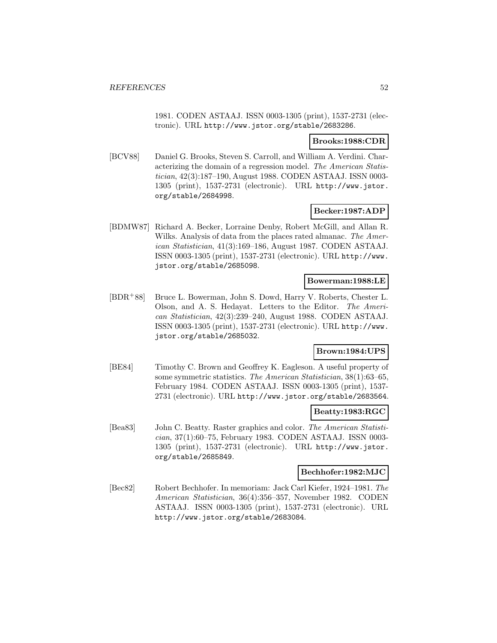1981. CODEN ASTAAJ. ISSN 0003-1305 (print), 1537-2731 (electronic). URL http://www.jstor.org/stable/2683286.

### **Brooks:1988:CDR**

[BCV88] Daniel G. Brooks, Steven S. Carroll, and William A. Verdini. Characterizing the domain of a regression model. The American Statistician, 42(3):187–190, August 1988. CODEN ASTAAJ. ISSN 0003- 1305 (print), 1537-2731 (electronic). URL http://www.jstor. org/stable/2684998.

# **Becker:1987:ADP**

[BDMW87] Richard A. Becker, Lorraine Denby, Robert McGill, and Allan R. Wilks. Analysis of data from the places rated almanac. The American Statistician, 41(3):169–186, August 1987. CODEN ASTAAJ. ISSN 0003-1305 (print), 1537-2731 (electronic). URL http://www. jstor.org/stable/2685098.

## **Bowerman:1988:LE**

[BDR<sup>+</sup>88] Bruce L. Bowerman, John S. Dowd, Harry V. Roberts, Chester L. Olson, and A. S. Hedayat. Letters to the Editor. The American Statistician, 42(3):239–240, August 1988. CODEN ASTAAJ. ISSN 0003-1305 (print), 1537-2731 (electronic). URL http://www. jstor.org/stable/2685032.

# **Brown:1984:UPS**

[BE84] Timothy C. Brown and Geoffrey K. Eagleson. A useful property of some symmetric statistics. The American Statistician, 38(1):63–65, February 1984. CODEN ASTAAJ. ISSN 0003-1305 (print), 1537- 2731 (electronic). URL http://www.jstor.org/stable/2683564.

### **Beatty:1983:RGC**

[Bea83] John C. Beatty. Raster graphics and color. The American Statistician, 37(1):60–75, February 1983. CODEN ASTAAJ. ISSN 0003- 1305 (print), 1537-2731 (electronic). URL http://www.jstor. org/stable/2685849.

### **Bechhofer:1982:MJC**

[Bec82] Robert Bechhofer. In memoriam: Jack Carl Kiefer, 1924–1981. The American Statistician, 36(4):356–357, November 1982. CODEN ASTAAJ. ISSN 0003-1305 (print), 1537-2731 (electronic). URL http://www.jstor.org/stable/2683084.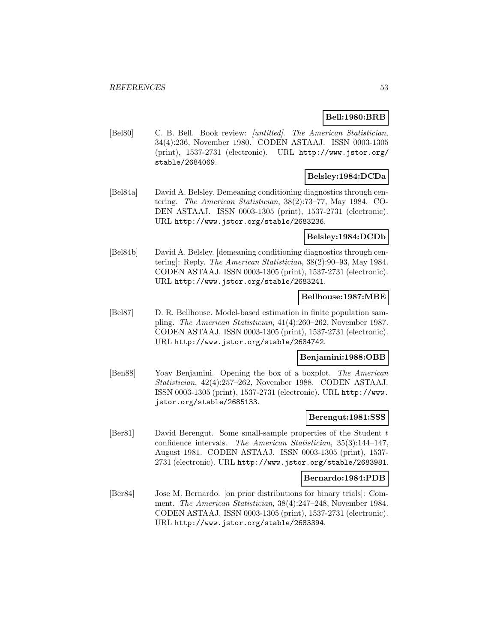## **Bell:1980:BRB**

[Bel80] C. B. Bell. Book review: [untitled]. The American Statistician, 34(4):236, November 1980. CODEN ASTAAJ. ISSN 0003-1305 (print), 1537-2731 (electronic). URL http://www.jstor.org/ stable/2684069.

# **Belsley:1984:DCDa**

[Bel84a] David A. Belsley. Demeaning conditioning diagnostics through centering. The American Statistician, 38(2):73–77, May 1984. CO-DEN ASTAAJ. ISSN 0003-1305 (print), 1537-2731 (electronic). URL http://www.jstor.org/stable/2683236.

### **Belsley:1984:DCDb**

[Bel84b] David A. Belsley. [demeaning conditioning diagnostics through centering]: Reply. The American Statistician, 38(2):90–93, May 1984. CODEN ASTAAJ. ISSN 0003-1305 (print), 1537-2731 (electronic). URL http://www.jstor.org/stable/2683241.

### **Bellhouse:1987:MBE**

[Bel87] D. R. Bellhouse. Model-based estimation in finite population sampling. The American Statistician, 41(4):260–262, November 1987. CODEN ASTAAJ. ISSN 0003-1305 (print), 1537-2731 (electronic). URL http://www.jstor.org/stable/2684742.

## **Benjamini:1988:OBB**

[Ben88] Yoav Benjamini. Opening the box of a boxplot. The American Statistician, 42(4):257–262, November 1988. CODEN ASTAAJ. ISSN 0003-1305 (print), 1537-2731 (electronic). URL http://www. jstor.org/stable/2685133.

### **Berengut:1981:SSS**

[Ber81] David Berengut. Some small-sample properties of the Student t confidence intervals. The American Statistician, 35(3):144–147, August 1981. CODEN ASTAAJ. ISSN 0003-1305 (print), 1537- 2731 (electronic). URL http://www.jstor.org/stable/2683981.

### **Bernardo:1984:PDB**

[Ber84] Jose M. Bernardo. [on prior distributions for binary trials]: Comment. The American Statistician, 38(4):247–248, November 1984. CODEN ASTAAJ. ISSN 0003-1305 (print), 1537-2731 (electronic). URL http://www.jstor.org/stable/2683394.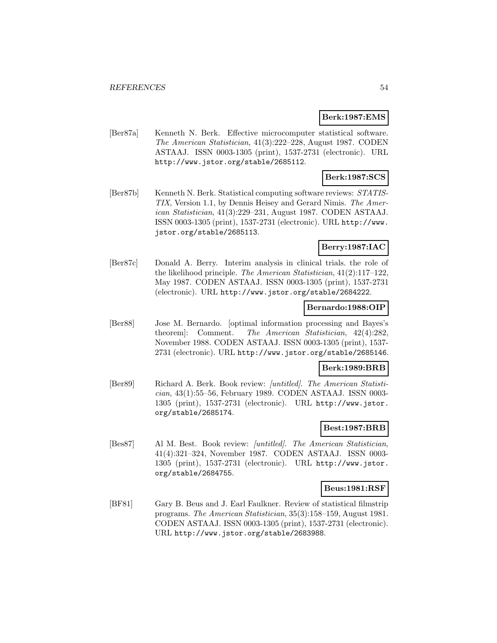### **Berk:1987:EMS**

[Ber87a] Kenneth N. Berk. Effective microcomputer statistical software. The American Statistician, 41(3):222–228, August 1987. CODEN ASTAAJ. ISSN 0003-1305 (print), 1537-2731 (electronic). URL http://www.jstor.org/stable/2685112.

# **Berk:1987:SCS**

[Ber87b] Kenneth N. Berk. Statistical computing software reviews: STATIS-TIX, Version 1.1, by Dennis Heisey and Gerard Nimis. The American Statistician, 41(3):229–231, August 1987. CODEN ASTAAJ. ISSN 0003-1305 (print), 1537-2731 (electronic). URL http://www. jstor.org/stable/2685113.

## **Berry:1987:IAC**

[Ber87c] Donald A. Berry. Interim analysis in clinical trials. the role of the likelihood principle. The American Statistician, 41(2):117–122, May 1987. CODEN ASTAAJ. ISSN 0003-1305 (print), 1537-2731 (electronic). URL http://www.jstor.org/stable/2684222.

### **Bernardo:1988:OIP**

[Ber88] Jose M. Bernardo. [optimal information processing and Bayes's theorem]: Comment. The American Statistician, 42(4):282, November 1988. CODEN ASTAAJ. ISSN 0003-1305 (print), 1537- 2731 (electronic). URL http://www.jstor.org/stable/2685146.

### **Berk:1989:BRB**

[Ber89] Richard A. Berk. Book review: [untitled]. The American Statistician, 43(1):55–56, February 1989. CODEN ASTAAJ. ISSN 0003- 1305 (print), 1537-2731 (electronic). URL http://www.jstor. org/stable/2685174.

# **Best:1987:BRB**

[Bes87] Al M. Best. Book review: [untitled]. The American Statistician, 41(4):321–324, November 1987. CODEN ASTAAJ. ISSN 0003- 1305 (print), 1537-2731 (electronic). URL http://www.jstor. org/stable/2684755.

### **Beus:1981:RSF**

[BF81] Gary B. Beus and J. Earl Faulkner. Review of statistical filmstrip programs. The American Statistician, 35(3):158–159, August 1981. CODEN ASTAAJ. ISSN 0003-1305 (print), 1537-2731 (electronic). URL http://www.jstor.org/stable/2683988.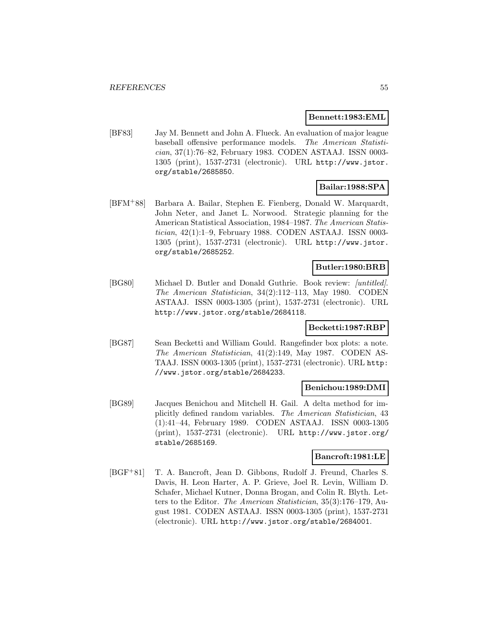### **Bennett:1983:EML**

[BF83] Jay M. Bennett and John A. Flueck. An evaluation of major league baseball offensive performance models. The American Statistician, 37(1):76–82, February 1983. CODEN ASTAAJ. ISSN 0003- 1305 (print), 1537-2731 (electronic). URL http://www.jstor. org/stable/2685850.

# **Bailar:1988:SPA**

[BFM<sup>+</sup>88] Barbara A. Bailar, Stephen E. Fienberg, Donald W. Marquardt, John Neter, and Janet L. Norwood. Strategic planning for the American Statistical Association, 1984–1987. The American Statistician, 42(1):1–9, February 1988. CODEN ASTAAJ. ISSN 0003- 1305 (print), 1537-2731 (electronic). URL http://www.jstor. org/stable/2685252.

# **Butler:1980:BRB**

[BG80] Michael D. Butler and Donald Guthrie. Book review: [untitled]. The American Statistician, 34(2):112–113, May 1980. CODEN ASTAAJ. ISSN 0003-1305 (print), 1537-2731 (electronic). URL http://www.jstor.org/stable/2684118.

## **Becketti:1987:RBP**

[BG87] Sean Becketti and William Gould. Rangefinder box plots: a note. The American Statistician, 41(2):149, May 1987. CODEN AS-TAAJ. ISSN 0003-1305 (print), 1537-2731 (electronic). URL http: //www.jstor.org/stable/2684233.

### **Benichou:1989:DMI**

[BG89] Jacques Benichou and Mitchell H. Gail. A delta method for implicitly defined random variables. The American Statistician, 43 (1):41–44, February 1989. CODEN ASTAAJ. ISSN 0003-1305 (print), 1537-2731 (electronic). URL http://www.jstor.org/ stable/2685169.

### **Bancroft:1981:LE**

[BGF<sup>+</sup>81] T. A. Bancroft, Jean D. Gibbons, Rudolf J. Freund, Charles S. Davis, H. Leon Harter, A. P. Grieve, Joel R. Levin, William D. Schafer, Michael Kutner, Donna Brogan, and Colin R. Blyth. Letters to the Editor. The American Statistician, 35(3):176–179, August 1981. CODEN ASTAAJ. ISSN 0003-1305 (print), 1537-2731 (electronic). URL http://www.jstor.org/stable/2684001.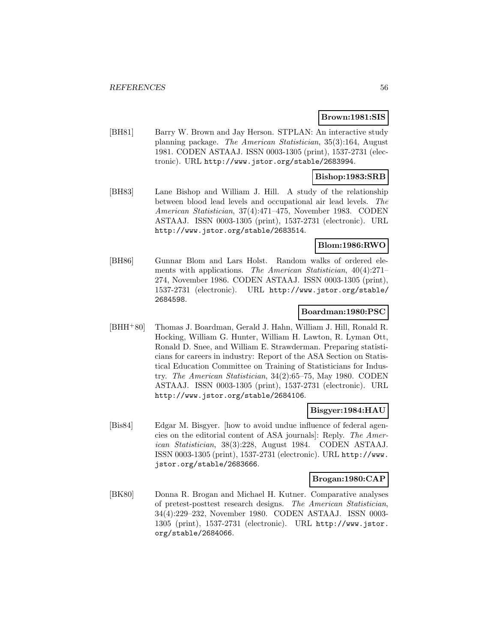### **Brown:1981:SIS**

[BH81] Barry W. Brown and Jay Herson. STPLAN: An interactive study planning package. The American Statistician, 35(3):164, August 1981. CODEN ASTAAJ. ISSN 0003-1305 (print), 1537-2731 (electronic). URL http://www.jstor.org/stable/2683994.

### **Bishop:1983:SRB**

[BH83] Lane Bishop and William J. Hill. A study of the relationship between blood lead levels and occupational air lead levels. The American Statistician, 37(4):471–475, November 1983. CODEN ASTAAJ. ISSN 0003-1305 (print), 1537-2731 (electronic). URL http://www.jstor.org/stable/2683514.

# **Blom:1986:RWO**

[BH86] Gunnar Blom and Lars Holst. Random walks of ordered elements with applications. The American Statistician, 40(4):271– 274, November 1986. CODEN ASTAAJ. ISSN 0003-1305 (print), 1537-2731 (electronic). URL http://www.jstor.org/stable/ 2684598.

### **Boardman:1980:PSC**

[BHH<sup>+</sup>80] Thomas J. Boardman, Gerald J. Hahn, William J. Hill, Ronald R. Hocking, William G. Hunter, William H. Lawton, R. Lyman Ott, Ronald D. Snee, and William E. Strawderman. Preparing statisticians for careers in industry: Report of the ASA Section on Statistical Education Committee on Training of Statisticians for Industry. The American Statistician, 34(2):65–75, May 1980. CODEN ASTAAJ. ISSN 0003-1305 (print), 1537-2731 (electronic). URL http://www.jstor.org/stable/2684106.

### **Bisgyer:1984:HAU**

[Bis84] Edgar M. Bisgyer. [how to avoid undue influence of federal agencies on the editorial content of ASA journals]: Reply. The American Statistician, 38(3):228, August 1984. CODEN ASTAAJ. ISSN 0003-1305 (print), 1537-2731 (electronic). URL http://www. jstor.org/stable/2683666.

#### **Brogan:1980:CAP**

[BK80] Donna R. Brogan and Michael H. Kutner. Comparative analyses of pretest-posttest research designs. The American Statistician, 34(4):229–232, November 1980. CODEN ASTAAJ. ISSN 0003- 1305 (print), 1537-2731 (electronic). URL http://www.jstor. org/stable/2684066.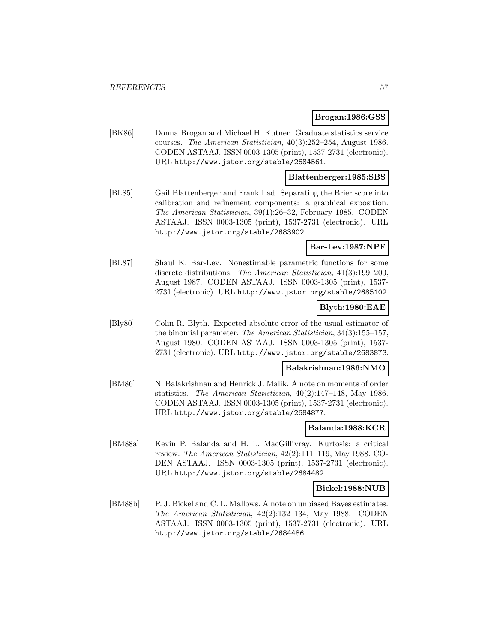### **Brogan:1986:GSS**

[BK86] Donna Brogan and Michael H. Kutner. Graduate statistics service courses. The American Statistician, 40(3):252–254, August 1986. CODEN ASTAAJ. ISSN 0003-1305 (print), 1537-2731 (electronic). URL http://www.jstor.org/stable/2684561.

### **Blattenberger:1985:SBS**

[BL85] Gail Blattenberger and Frank Lad. Separating the Brier score into calibration and refinement components: a graphical exposition. The American Statistician, 39(1):26–32, February 1985. CODEN ASTAAJ. ISSN 0003-1305 (print), 1537-2731 (electronic). URL http://www.jstor.org/stable/2683902.

### **Bar-Lev:1987:NPF**

[BL87] Shaul K. Bar-Lev. Nonestimable parametric functions for some discrete distributions. The American Statistician, 41(3):199–200, August 1987. CODEN ASTAAJ. ISSN 0003-1305 (print), 1537- 2731 (electronic). URL http://www.jstor.org/stable/2685102.

# **Blyth:1980:EAE**

[Bly80] Colin R. Blyth. Expected absolute error of the usual estimator of the binomial parameter. The American Statistician, 34(3):155–157, August 1980. CODEN ASTAAJ. ISSN 0003-1305 (print), 1537- 2731 (electronic). URL http://www.jstor.org/stable/2683873.

### **Balakrishnan:1986:NMO**

[BM86] N. Balakrishnan and Henrick J. Malik. A note on moments of order statistics. The American Statistician, 40(2):147–148, May 1986. CODEN ASTAAJ. ISSN 0003-1305 (print), 1537-2731 (electronic). URL http://www.jstor.org/stable/2684877.

## **Balanda:1988:KCR**

[BM88a] Kevin P. Balanda and H. L. MacGillivray. Kurtosis: a critical review. The American Statistician, 42(2):111–119, May 1988. CO-DEN ASTAAJ. ISSN 0003-1305 (print), 1537-2731 (electronic). URL http://www.jstor.org/stable/2684482.

### **Bickel:1988:NUB**

[BM88b] P. J. Bickel and C. L. Mallows. A note on unbiased Bayes estimates. The American Statistician, 42(2):132–134, May 1988. CODEN ASTAAJ. ISSN 0003-1305 (print), 1537-2731 (electronic). URL http://www.jstor.org/stable/2684486.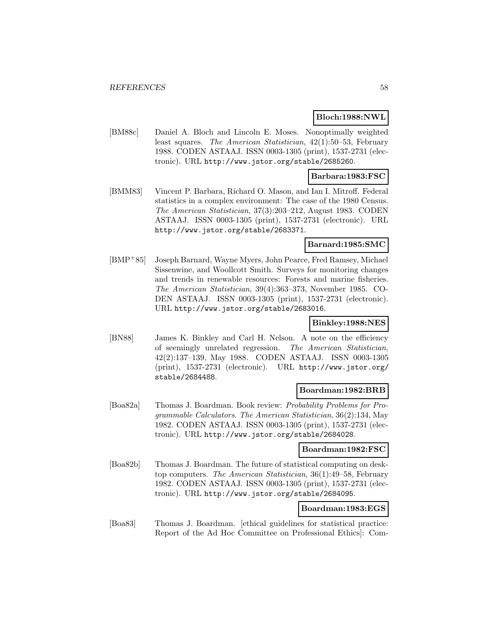### **Bloch:1988:NWL**

[BM88c] Daniel A. Bloch and Lincoln E. Moses. Nonoptimally weighted least squares. The American Statistician, 42(1):50–53, February 1988. CODEN ASTAAJ. ISSN 0003-1305 (print), 1537-2731 (electronic). URL http://www.jstor.org/stable/2685260.

### **Barbara:1983:FSC**

[BMM83] Vincent P. Barbara, Richard O. Mason, and Ian I. Mitroff. Federal statistics in a complex environment: The case of the 1980 Census. The American Statistician, 37(3):203–212, August 1983. CODEN ASTAAJ. ISSN 0003-1305 (print), 1537-2731 (electronic). URL http://www.jstor.org/stable/2683371.

### **Barnard:1985:SMC**

[BMP<sup>+</sup>85] Joseph Barnard, Wayne Myers, John Pearce, Fred Ramsey, Michael Sissenwine, and Woollcott Smith. Surveys for monitoring changes and trends in renewable resources: Forests and marine fisheries. The American Statistician, 39(4):363–373, November 1985. CO-DEN ASTAAJ. ISSN 0003-1305 (print), 1537-2731 (electronic). URL http://www.jstor.org/stable/2683016.

### **Binkley:1988:NES**

[BN88] James K. Binkley and Carl H. Nelson. A note on the efficiency of seemingly unrelated regression. The American Statistician, 42(2):137–139, May 1988. CODEN ASTAAJ. ISSN 0003-1305 (print), 1537-2731 (electronic). URL http://www.jstor.org/ stable/2684488.

### **Boardman:1982:BRB**

[Boa82a] Thomas J. Boardman. Book review: Probability Problems for Programmable Calculators. The American Statistician, 36(2):134, May 1982. CODEN ASTAAJ. ISSN 0003-1305 (print), 1537-2731 (electronic). URL http://www.jstor.org/stable/2684028.

#### **Boardman:1982:FSC**

[Boa82b] Thomas J. Boardman. The future of statistical computing on desktop computers. The American Statistician, 36(1):49–58, February 1982. CODEN ASTAAJ. ISSN 0003-1305 (print), 1537-2731 (electronic). URL http://www.jstor.org/stable/2684095.

# **Boardman:1983:EGS**

[Boa83] Thomas J. Boardman. [ethical guidelines for statistical practice: Report of the Ad Hoc Committee on Professional Ethics]: Com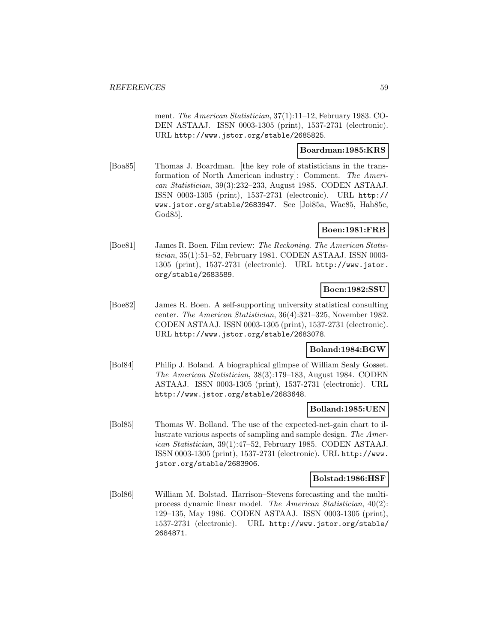ment. The American Statistician, 37(1):11–12, February 1983. CO-DEN ASTAAJ. ISSN 0003-1305 (print), 1537-2731 (electronic). URL http://www.jstor.org/stable/2685825.

### **Boardman:1985:KRS**

[Boa85] Thomas J. Boardman. [the key role of statisticians in the transformation of North American industry]: Comment. The American Statistician, 39(3):232–233, August 1985. CODEN ASTAAJ. ISSN 0003-1305 (print), 1537-2731 (electronic). URL http:// www.jstor.org/stable/2683947. See [Joi85a, Wac85, Hah85c, God85].

## **Boen:1981:FRB**

[Boe81] James R. Boen. Film review: The Reckoning. The American Statistician, 35(1):51–52, February 1981. CODEN ASTAAJ. ISSN 0003- 1305 (print), 1537-2731 (electronic). URL http://www.jstor. org/stable/2683589.

## **Boen:1982:SSU**

[Boe82] James R. Boen. A self-supporting university statistical consulting center. The American Statistician, 36(4):321–325, November 1982. CODEN ASTAAJ. ISSN 0003-1305 (print), 1537-2731 (electronic). URL http://www.jstor.org/stable/2683078.

### **Boland:1984:BGW**

[Bol84] Philip J. Boland. A biographical glimpse of William Sealy Gosset. The American Statistician, 38(3):179–183, August 1984. CODEN ASTAAJ. ISSN 0003-1305 (print), 1537-2731 (electronic). URL http://www.jstor.org/stable/2683648.

### **Bolland:1985:UEN**

[Bol85] Thomas W. Bolland. The use of the expected-net-gain chart to illustrate various aspects of sampling and sample design. The American Statistician, 39(1):47–52, February 1985. CODEN ASTAAJ. ISSN 0003-1305 (print), 1537-2731 (electronic). URL http://www. jstor.org/stable/2683906.

### **Bolstad:1986:HSF**

[Bol86] William M. Bolstad. Harrison–Stevens forecasting and the multiprocess dynamic linear model. The American Statistician, 40(2): 129–135, May 1986. CODEN ASTAAJ. ISSN 0003-1305 (print), 1537-2731 (electronic). URL http://www.jstor.org/stable/ 2684871.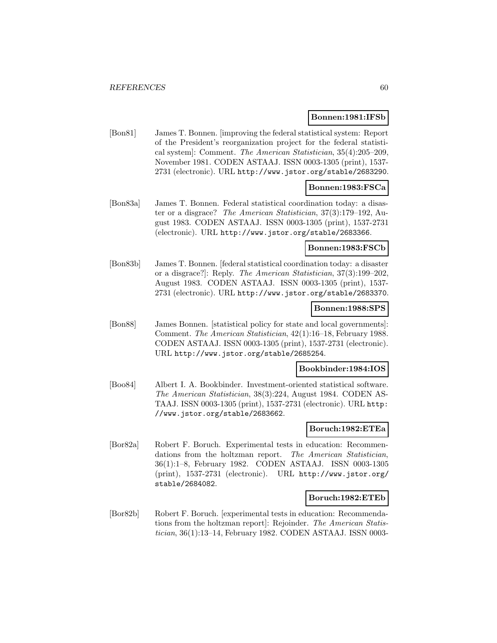#### **Bonnen:1981:IFSb**

[Bon81] James T. Bonnen. [improving the federal statistical system: Report of the President's reorganization project for the federal statistical system]: Comment. The American Statistician, 35(4):205–209, November 1981. CODEN ASTAAJ. ISSN 0003-1305 (print), 1537- 2731 (electronic). URL http://www.jstor.org/stable/2683290.

## **Bonnen:1983:FSCa**

[Bon83a] James T. Bonnen. Federal statistical coordination today: a disaster or a disgrace? The American Statistician, 37(3):179–192, August 1983. CODEN ASTAAJ. ISSN 0003-1305 (print), 1537-2731 (electronic). URL http://www.jstor.org/stable/2683366.

#### **Bonnen:1983:FSCb**

[Bon83b] James T. Bonnen. [federal statistical coordination today: a disaster or a disgrace?]: Reply. The American Statistician, 37(3):199–202, August 1983. CODEN ASTAAJ. ISSN 0003-1305 (print), 1537- 2731 (electronic). URL http://www.jstor.org/stable/2683370.

### **Bonnen:1988:SPS**

[Bon88] James Bonnen. [statistical policy for state and local governments]: Comment. The American Statistician, 42(1):16–18, February 1988. CODEN ASTAAJ. ISSN 0003-1305 (print), 1537-2731 (electronic). URL http://www.jstor.org/stable/2685254.

#### **Bookbinder:1984:IOS**

[Boo84] Albert I. A. Bookbinder. Investment-oriented statistical software. The American Statistician, 38(3):224, August 1984. CODEN AS-TAAJ. ISSN 0003-1305 (print), 1537-2731 (electronic). URL http: //www.jstor.org/stable/2683662.

## **Boruch:1982:ETEa**

[Bor82a] Robert F. Boruch. Experimental tests in education: Recommendations from the holtzman report. The American Statistician, 36(1):1–8, February 1982. CODEN ASTAAJ. ISSN 0003-1305 (print), 1537-2731 (electronic). URL http://www.jstor.org/ stable/2684082.

### **Boruch:1982:ETEb**

[Bor82b] Robert F. Boruch. [experimental tests in education: Recommendations from the holtzman report]: Rejoinder. The American Statistician, 36(1):13–14, February 1982. CODEN ASTAAJ. ISSN 0003-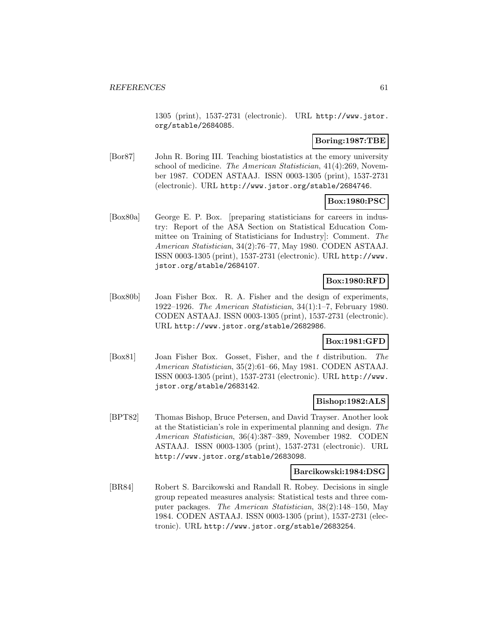1305 (print), 1537-2731 (electronic). URL http://www.jstor. org/stable/2684085.

## **Boring:1987:TBE**

[Bor87] John R. Boring III. Teaching biostatistics at the emory university school of medicine. The American Statistician, 41(4):269, November 1987. CODEN ASTAAJ. ISSN 0003-1305 (print), 1537-2731 (electronic). URL http://www.jstor.org/stable/2684746.

# **Box:1980:PSC**

[Box80a] George E. P. Box. [preparing statisticians for careers in industry: Report of the ASA Section on Statistical Education Committee on Training of Statisticians for Industry]: Comment. The American Statistician, 34(2):76–77, May 1980. CODEN ASTAAJ. ISSN 0003-1305 (print), 1537-2731 (electronic). URL http://www. jstor.org/stable/2684107.

# **Box:1980:RFD**

[Box80b] Joan Fisher Box. R. A. Fisher and the design of experiments, 1922–1926. The American Statistician, 34(1):1–7, February 1980. CODEN ASTAAJ. ISSN 0003-1305 (print), 1537-2731 (electronic). URL http://www.jstor.org/stable/2682986.

# **Box:1981:GFD**

[Box81] Joan Fisher Box. Gosset, Fisher, and the t distribution. The American Statistician, 35(2):61–66, May 1981. CODEN ASTAAJ. ISSN 0003-1305 (print), 1537-2731 (electronic). URL http://www. jstor.org/stable/2683142.

## **Bishop:1982:ALS**

[BPT82] Thomas Bishop, Bruce Petersen, and David Trayser. Another look at the Statistician's role in experimental planning and design. The American Statistician, 36(4):387–389, November 1982. CODEN ASTAAJ. ISSN 0003-1305 (print), 1537-2731 (electronic). URL http://www.jstor.org/stable/2683098.

## **Barcikowski:1984:DSG**

[BR84] Robert S. Barcikowski and Randall R. Robey. Decisions in single group repeated measures analysis: Statistical tests and three computer packages. The American Statistician, 38(2):148–150, May 1984. CODEN ASTAAJ. ISSN 0003-1305 (print), 1537-2731 (electronic). URL http://www.jstor.org/stable/2683254.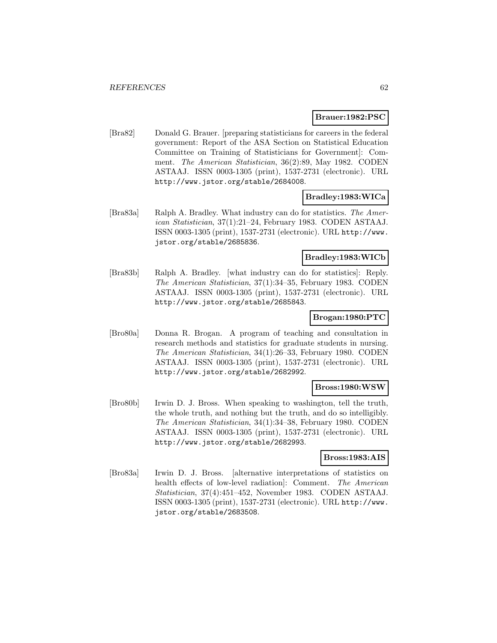### **Brauer:1982:PSC**

[Bra82] Donald G. Brauer. [preparing statisticians for careers in the federal government: Report of the ASA Section on Statistical Education Committee on Training of Statisticians for Government]: Comment. The American Statistician, 36(2):89, May 1982. CODEN ASTAAJ. ISSN 0003-1305 (print), 1537-2731 (electronic). URL http://www.jstor.org/stable/2684008.

### **Bradley:1983:WICa**

[Bra83a] Ralph A. Bradley. What industry can do for statistics. The American Statistician, 37(1):21–24, February 1983. CODEN ASTAAJ. ISSN 0003-1305 (print), 1537-2731 (electronic). URL http://www. jstor.org/stable/2685836.

## **Bradley:1983:WICb**

[Bra83b] Ralph A. Bradley. [what industry can do for statistics]: Reply. The American Statistician, 37(1):34–35, February 1983. CODEN ASTAAJ. ISSN 0003-1305 (print), 1537-2731 (electronic). URL http://www.jstor.org/stable/2685843.

# **Brogan:1980:PTC**

[Bro80a] Donna R. Brogan. A program of teaching and consultation in research methods and statistics for graduate students in nursing. The American Statistician, 34(1):26–33, February 1980. CODEN ASTAAJ. ISSN 0003-1305 (print), 1537-2731 (electronic). URL http://www.jstor.org/stable/2682992.

## **Bross:1980:WSW**

[Bro80b] Irwin D. J. Bross. When speaking to washington, tell the truth, the whole truth, and nothing but the truth, and do so intelligibly. The American Statistician, 34(1):34–38, February 1980. CODEN ASTAAJ. ISSN 0003-1305 (print), 1537-2731 (electronic). URL http://www.jstor.org/stable/2682993.

#### **Bross:1983:AIS**

[Bro83a] Irwin D. J. Bross. [alternative interpretations of statistics on health effects of low-level radiation]: Comment. The American Statistician, 37(4):451–452, November 1983. CODEN ASTAAJ. ISSN 0003-1305 (print), 1537-2731 (electronic). URL http://www. jstor.org/stable/2683508.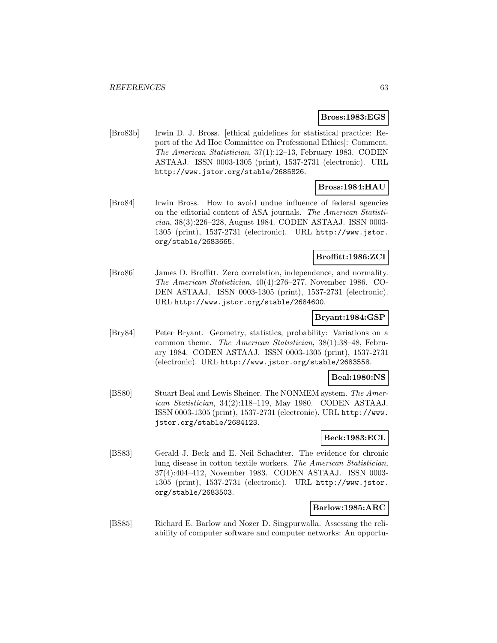#### **Bross:1983:EGS**

[Bro83b] Irwin D. J. Bross. [ethical guidelines for statistical practice: Report of the Ad Hoc Committee on Professional Ethics]: Comment. The American Statistician, 37(1):12–13, February 1983. CODEN ASTAAJ. ISSN 0003-1305 (print), 1537-2731 (electronic). URL http://www.jstor.org/stable/2685826.

# **Bross:1984:HAU**

[Bro84] Irwin Bross. How to avoid undue influence of federal agencies on the editorial content of ASA journals. The American Statistician, 38(3):226–228, August 1984. CODEN ASTAAJ. ISSN 0003- 1305 (print), 1537-2731 (electronic). URL http://www.jstor. org/stable/2683665.

### **Broffitt:1986:ZCI**

[Bro86] James D. Broffitt. Zero correlation, independence, and normality. The American Statistician, 40(4):276–277, November 1986. CO-DEN ASTAAJ. ISSN 0003-1305 (print), 1537-2731 (electronic). URL http://www.jstor.org/stable/2684600.

### **Bryant:1984:GSP**

[Bry84] Peter Bryant. Geometry, statistics, probability: Variations on a common theme. The American Statistician, 38(1):38–48, February 1984. CODEN ASTAAJ. ISSN 0003-1305 (print), 1537-2731 (electronic). URL http://www.jstor.org/stable/2683558.

### **Beal:1980:NS**

[BS80] Stuart Beal and Lewis Sheiner. The NONMEM system. The American Statistician, 34(2):118–119, May 1980. CODEN ASTAAJ. ISSN 0003-1305 (print), 1537-2731 (electronic). URL http://www. jstor.org/stable/2684123.

## **Beck:1983:ECL**

[BS83] Gerald J. Beck and E. Neil Schachter. The evidence for chronic lung disease in cotton textile workers. The American Statistician, 37(4):404–412, November 1983. CODEN ASTAAJ. ISSN 0003- 1305 (print), 1537-2731 (electronic). URL http://www.jstor. org/stable/2683503.

#### **Barlow:1985:ARC**

[BS85] Richard E. Barlow and Nozer D. Singpurwalla. Assessing the reliability of computer software and computer networks: An opportu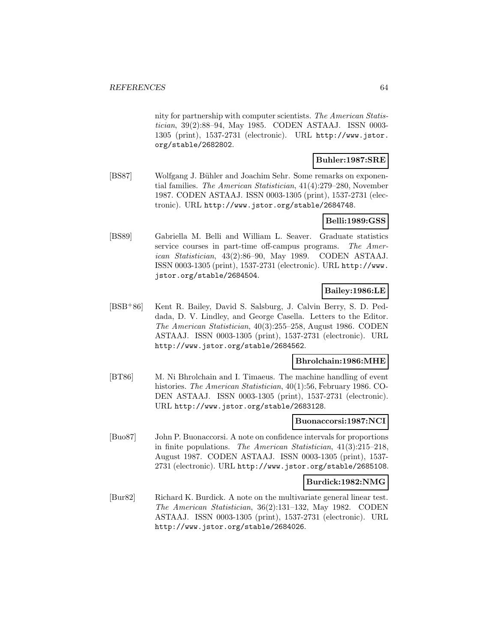nity for partnership with computer scientists. The American Statistician, 39(2):88–94, May 1985. CODEN ASTAAJ. ISSN 0003- 1305 (print), 1537-2731 (electronic). URL http://www.jstor. org/stable/2682802.

## **Buhler:1987:SRE**

[BS87] Wolfgang J. Bühler and Joachim Sehr. Some remarks on exponential families. The American Statistician, 41(4):279–280, November 1987. CODEN ASTAAJ. ISSN 0003-1305 (print), 1537-2731 (electronic). URL http://www.jstor.org/stable/2684748.

## **Belli:1989:GSS**

[BS89] Gabriella M. Belli and William L. Seaver. Graduate statistics service courses in part-time off-campus programs. The American Statistician, 43(2):86–90, May 1989. CODEN ASTAAJ. ISSN 0003-1305 (print), 1537-2731 (electronic). URL http://www. jstor.org/stable/2684504.

## **Bailey:1986:LE**

[BSB<sup>+</sup>86] Kent R. Bailey, David S. Salsburg, J. Calvin Berry, S. D. Peddada, D. V. Lindley, and George Casella. Letters to the Editor. The American Statistician, 40(3):255–258, August 1986. CODEN ASTAAJ. ISSN 0003-1305 (print), 1537-2731 (electronic). URL http://www.jstor.org/stable/2684562.

# **Bhrolchain:1986:MHE**

[BT86] M. Ni Bhrolchain and I. Timaeus. The machine handling of event histories. The American Statistician, 40(1):56, February 1986. CO-DEN ASTAAJ. ISSN 0003-1305 (print), 1537-2731 (electronic). URL http://www.jstor.org/stable/2683128.

#### **Buonaccorsi:1987:NCI**

[Buo87] John P. Buonaccorsi. A note on confidence intervals for proportions in finite populations. The American Statistician, 41(3):215–218, August 1987. CODEN ASTAAJ. ISSN 0003-1305 (print), 1537- 2731 (electronic). URL http://www.jstor.org/stable/2685108.

### **Burdick:1982:NMG**

[Bur82] Richard K. Burdick. A note on the multivariate general linear test. The American Statistician, 36(2):131–132, May 1982. CODEN ASTAAJ. ISSN 0003-1305 (print), 1537-2731 (electronic). URL http://www.jstor.org/stable/2684026.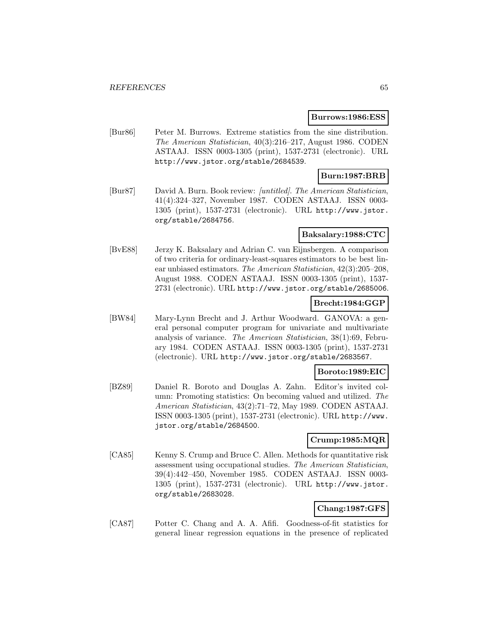#### **Burrows:1986:ESS**

[Bur86] Peter M. Burrows. Extreme statistics from the sine distribution. The American Statistician, 40(3):216–217, August 1986. CODEN ASTAAJ. ISSN 0003-1305 (print), 1537-2731 (electronic). URL http://www.jstor.org/stable/2684539.

### **Burn:1987:BRB**

[Bur87] David A. Burn. Book review: [untitled]. The American Statistician, 41(4):324–327, November 1987. CODEN ASTAAJ. ISSN 0003- 1305 (print), 1537-2731 (electronic). URL http://www.jstor. org/stable/2684756.

### **Baksalary:1988:CTC**

[BvE88] Jerzy K. Baksalary and Adrian C. van Eijnsbergen. A comparison of two criteria for ordinary-least-squares estimators to be best linear unbiased estimators. The American Statistician, 42(3):205–208, August 1988. CODEN ASTAAJ. ISSN 0003-1305 (print), 1537- 2731 (electronic). URL http://www.jstor.org/stable/2685006.

### **Brecht:1984:GGP**

[BW84] Mary-Lynn Brecht and J. Arthur Woodward. GANOVA: a general personal computer program for univariate and multivariate analysis of variance. The American Statistician, 38(1):69, February 1984. CODEN ASTAAJ. ISSN 0003-1305 (print), 1537-2731 (electronic). URL http://www.jstor.org/stable/2683567.

### **Boroto:1989:EIC**

[BZ89] Daniel R. Boroto and Douglas A. Zahn. Editor's invited column: Promoting statistics: On becoming valued and utilized. The American Statistician, 43(2):71–72, May 1989. CODEN ASTAAJ. ISSN 0003-1305 (print), 1537-2731 (electronic). URL http://www. jstor.org/stable/2684500.

### **Crump:1985:MQR**

[CA85] Kenny S. Crump and Bruce C. Allen. Methods for quantitative risk assessment using occupational studies. The American Statistician, 39(4):442–450, November 1985. CODEN ASTAAJ. ISSN 0003- 1305 (print), 1537-2731 (electronic). URL http://www.jstor. org/stable/2683028.

## **Chang:1987:GFS**

[CA87] Potter C. Chang and A. A. Afifi. Goodness-of-fit statistics for general linear regression equations in the presence of replicated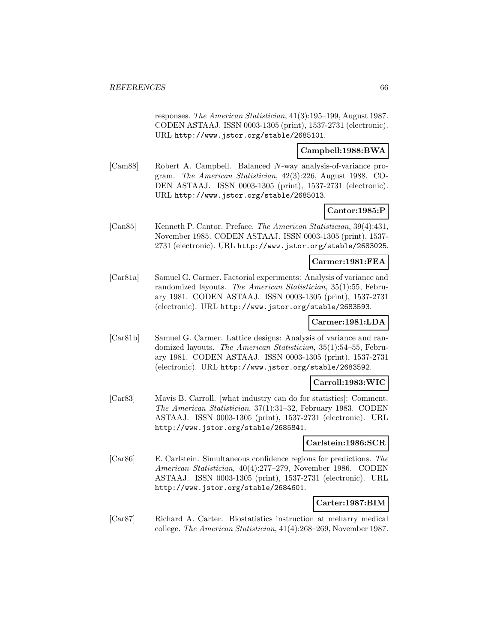responses. The American Statistician, 41(3):195–199, August 1987. CODEN ASTAAJ. ISSN 0003-1305 (print), 1537-2731 (electronic). URL http://www.jstor.org/stable/2685101.

### **Campbell:1988:BWA**

[Cam88] Robert A. Campbell. Balanced N-way analysis-of-variance program. The American Statistician, 42(3):226, August 1988. CO-DEN ASTAAJ. ISSN 0003-1305 (print), 1537-2731 (electronic). URL http://www.jstor.org/stable/2685013.

## **Cantor:1985:P**

[Can85] Kenneth P. Cantor. Preface. The American Statistician, 39(4):431, November 1985. CODEN ASTAAJ. ISSN 0003-1305 (print), 1537- 2731 (electronic). URL http://www.jstor.org/stable/2683025.

## **Carmer:1981:FEA**

[Car81a] Samuel G. Carmer. Factorial experiments: Analysis of variance and randomized layouts. The American Statistician, 35(1):55, February 1981. CODEN ASTAAJ. ISSN 0003-1305 (print), 1537-2731 (electronic). URL http://www.jstor.org/stable/2683593.

## **Carmer:1981:LDA**

[Car81b] Samuel G. Carmer. Lattice designs: Analysis of variance and randomized layouts. The American Statistician, 35(1):54–55, February 1981. CODEN ASTAAJ. ISSN 0003-1305 (print), 1537-2731 (electronic). URL http://www.jstor.org/stable/2683592.

## **Carroll:1983:WIC**

[Car83] Mavis B. Carroll. [what industry can do for statistics]: Comment. The American Statistician, 37(1):31–32, February 1983. CODEN ASTAAJ. ISSN 0003-1305 (print), 1537-2731 (electronic). URL http://www.jstor.org/stable/2685841.

### **Carlstein:1986:SCR**

[Car86] E. Carlstein. Simultaneous confidence regions for predictions. The American Statistician, 40(4):277–279, November 1986. CODEN ASTAAJ. ISSN 0003-1305 (print), 1537-2731 (electronic). URL http://www.jstor.org/stable/2684601.

## **Carter:1987:BIM**

[Car87] Richard A. Carter. Biostatistics instruction at meharry medical college. The American Statistician, 41(4):268–269, November 1987.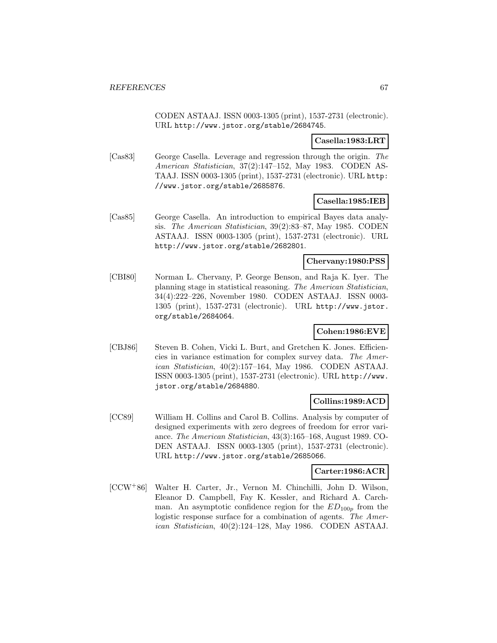CODEN ASTAAJ. ISSN 0003-1305 (print), 1537-2731 (electronic). URL http://www.jstor.org/stable/2684745.

### **Casella:1983:LRT**

[Cas83] George Casella. Leverage and regression through the origin. The American Statistician, 37(2):147–152, May 1983. CODEN AS-TAAJ. ISSN 0003-1305 (print), 1537-2731 (electronic). URL http: //www.jstor.org/stable/2685876.

## **Casella:1985:IEB**

[Cas85] George Casella. An introduction to empirical Bayes data analysis. The American Statistician, 39(2):83–87, May 1985. CODEN ASTAAJ. ISSN 0003-1305 (print), 1537-2731 (electronic). URL http://www.jstor.org/stable/2682801.

### **Chervany:1980:PSS**

[CBI80] Norman L. Chervany, P. George Benson, and Raja K. Iyer. The planning stage in statistical reasoning. The American Statistician, 34(4):222–226, November 1980. CODEN ASTAAJ. ISSN 0003- 1305 (print), 1537-2731 (electronic). URL http://www.jstor. org/stable/2684064.

### **Cohen:1986:EVE**

[CBJ86] Steven B. Cohen, Vicki L. Burt, and Gretchen K. Jones. Efficiencies in variance estimation for complex survey data. The American Statistician, 40(2):157–164, May 1986. CODEN ASTAAJ. ISSN 0003-1305 (print), 1537-2731 (electronic). URL http://www. jstor.org/stable/2684880.

# **Collins:1989:ACD**

[CC89] William H. Collins and Carol B. Collins. Analysis by computer of designed experiments with zero degrees of freedom for error variance. The American Statistician, 43(3):165–168, August 1989. CO-DEN ASTAAJ. ISSN 0003-1305 (print), 1537-2731 (electronic). URL http://www.jstor.org/stable/2685066.

### **Carter:1986:ACR**

[CCW<sup>+</sup>86] Walter H. Carter, Jr., Vernon M. Chinchilli, John D. Wilson, Eleanor D. Campbell, Fay K. Kessler, and Richard A. Carchman. An asymptotic confidence region for the  $ED_{100p}$  from the logistic response surface for a combination of agents. The American Statistician, 40(2):124–128, May 1986. CODEN ASTAAJ.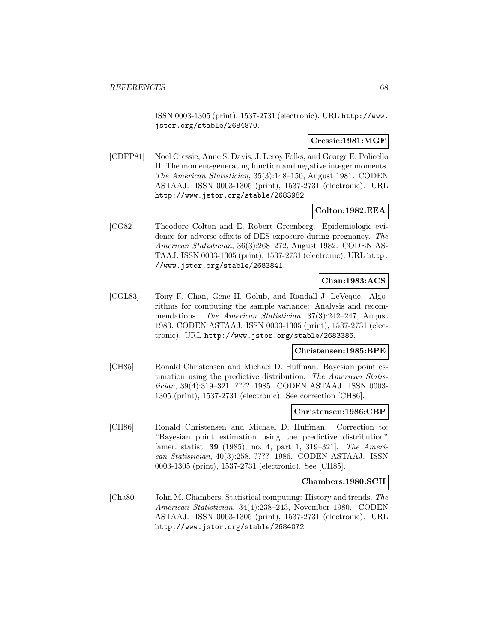ISSN 0003-1305 (print), 1537-2731 (electronic). URL http://www. jstor.org/stable/2684870.

### **Cressie:1981:MGF**

[CDFP81] Noel Cressie, Anne S. Davis, J. Leroy Folks, and George E. Policello II. The moment-generating function and negative integer moments. The American Statistician, 35(3):148–150, August 1981. CODEN ASTAAJ. ISSN 0003-1305 (print), 1537-2731 (electronic). URL http://www.jstor.org/stable/2683982.

### **Colton:1982:EEA**

[CG82] Theodore Colton and E. Robert Greenberg. Epidemiologic evidence for adverse effects of DES exposure during pregnancy. The American Statistician, 36(3):268–272, August 1982. CODEN AS-TAAJ. ISSN 0003-1305 (print), 1537-2731 (electronic). URL http: //www.jstor.org/stable/2683841.

# **Chan:1983:ACS**

[CGL83] Tony F. Chan, Gene H. Golub, and Randall J. LeVeque. Algorithms for computing the sample variance: Analysis and recommendations. The American Statistician, 37(3):242–247, August 1983. CODEN ASTAAJ. ISSN 0003-1305 (print), 1537-2731 (electronic). URL http://www.jstor.org/stable/2683386.

### **Christensen:1985:BPE**

[CH85] Ronald Christensen and Michael D. Huffman. Bayesian point estimation using the predictive distribution. The American Statistician, 39(4):319–321, ???? 1985. CODEN ASTAAJ. ISSN 0003- 1305 (print), 1537-2731 (electronic). See correction [CH86].

### **Christensen:1986:CBP**

[CH86] Ronald Christensen and Michael D. Huffman. Correction to: "Bayesian point estimation using the predictive distribution" [amer. statist. **39** (1985), no. 4, part 1, 319–321]. The American Statistician, 40(3):258, ???? 1986. CODEN ASTAAJ. ISSN 0003-1305 (print), 1537-2731 (electronic). See [CH85].

## **Chambers:1980:SCH**

[Cha80] John M. Chambers. Statistical computing: History and trends. The American Statistician, 34(4):238–243, November 1980. CODEN ASTAAJ. ISSN 0003-1305 (print), 1537-2731 (electronic). URL http://www.jstor.org/stable/2684072.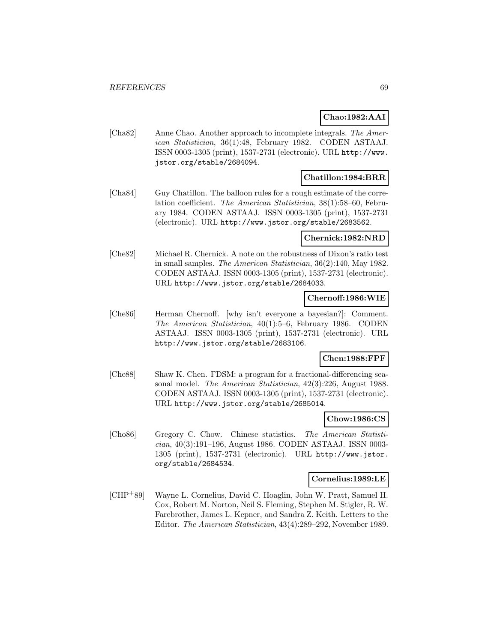## **Chao:1982:AAI**

[Cha82] Anne Chao. Another approach to incomplete integrals. The American Statistician, 36(1):48, February 1982. CODEN ASTAAJ. ISSN 0003-1305 (print), 1537-2731 (electronic). URL http://www. jstor.org/stable/2684094.

### **Chatillon:1984:BRR**

[Cha84] Guy Chatillon. The balloon rules for a rough estimate of the correlation coefficient. The American Statistician, 38(1):58–60, February 1984. CODEN ASTAAJ. ISSN 0003-1305 (print), 1537-2731 (electronic). URL http://www.jstor.org/stable/2683562.

#### **Chernick:1982:NRD**

[Che82] Michael R. Chernick. A note on the robustness of Dixon's ratio test in small samples. The American Statistician, 36(2):140, May 1982. CODEN ASTAAJ. ISSN 0003-1305 (print), 1537-2731 (electronic). URL http://www.jstor.org/stable/2684033.

### **Chernoff:1986:WIE**

[Che86] Herman Chernoff. [why isn't everyone a bayesian?]: Comment. The American Statistician, 40(1):5–6, February 1986. CODEN ASTAAJ. ISSN 0003-1305 (print), 1537-2731 (electronic). URL http://www.jstor.org/stable/2683106.

### **Chen:1988:FPF**

[Che88] Shaw K. Chen. FDSM: a program for a fractional-differencing seasonal model. The American Statistician, 42(3):226, August 1988. CODEN ASTAAJ. ISSN 0003-1305 (print), 1537-2731 (electronic). URL http://www.jstor.org/stable/2685014.

### **Chow:1986:CS**

[Cho86] Gregory C. Chow. Chinese statistics. The American Statistician, 40(3):191–196, August 1986. CODEN ASTAAJ. ISSN 0003- 1305 (print), 1537-2731 (electronic). URL http://www.jstor. org/stable/2684534.

#### **Cornelius:1989:LE**

[CHP<sup>+</sup>89] Wayne L. Cornelius, David C. Hoaglin, John W. Pratt, Samuel H. Cox, Robert M. Norton, Neil S. Fleming, Stephen M. Stigler, R. W. Farebrother, James L. Kepner, and Sandra Z. Keith. Letters to the Editor. The American Statistician, 43(4):289–292, November 1989.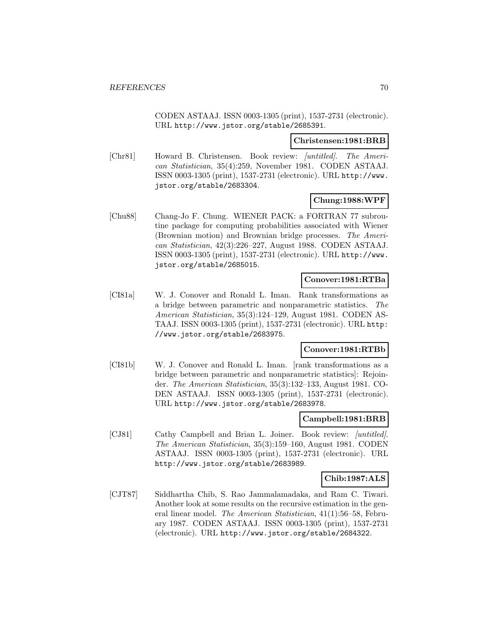CODEN ASTAAJ. ISSN 0003-1305 (print), 1537-2731 (electronic). URL http://www.jstor.org/stable/2685391.

#### **Christensen:1981:BRB**

[Chr81] Howard B. Christensen. Book review: [untitled]. The American Statistician, 35(4):259, November 1981. CODEN ASTAAJ. ISSN 0003-1305 (print), 1537-2731 (electronic). URL http://www. jstor.org/stable/2683304.

## **Chung:1988:WPF**

[Chu88] Chang-Jo F. Chung. WIENER PACK: a FORTRAN 77 subroutine package for computing probabilities associated with Wiener (Brownian motion) and Brownian bridge processes. The American Statistician, 42(3):226–227, August 1988. CODEN ASTAAJ. ISSN 0003-1305 (print), 1537-2731 (electronic). URL http://www. jstor.org/stable/2685015.

### **Conover:1981:RTBa**

[CI81a] W. J. Conover and Ronald L. Iman. Rank transformations as a bridge between parametric and nonparametric statistics. The American Statistician, 35(3):124–129, August 1981. CODEN AS-TAAJ. ISSN 0003-1305 (print), 1537-2731 (electronic). URL http: //www.jstor.org/stable/2683975.

### **Conover:1981:RTBb**

[CI81b] W. J. Conover and Ronald L. Iman. [rank transformations as a bridge between parametric and nonparametric statistics]: Rejoinder. The American Statistician, 35(3):132–133, August 1981. CO-DEN ASTAAJ. ISSN 0003-1305 (print), 1537-2731 (electronic). URL http://www.jstor.org/stable/2683978.

## **Campbell:1981:BRB**

[CJ81] Cathy Campbell and Brian L. Joiner. Book review: *[untitled]*. The American Statistician, 35(3):159–160, August 1981. CODEN ASTAAJ. ISSN 0003-1305 (print), 1537-2731 (electronic). URL http://www.jstor.org/stable/2683989.

### **Chib:1987:ALS**

[CJT87] Siddhartha Chib, S. Rao Jammalamadaka, and Ram C. Tiwari. Another look at some results on the recursive estimation in the general linear model. The American Statistician, 41(1):56–58, February 1987. CODEN ASTAAJ. ISSN 0003-1305 (print), 1537-2731 (electronic). URL http://www.jstor.org/stable/2684322.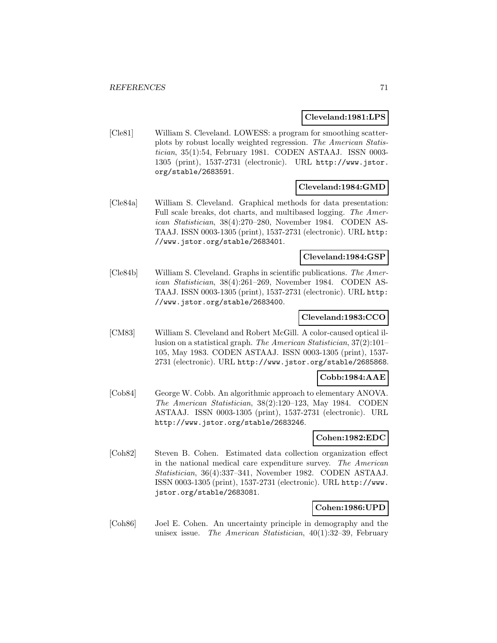#### **Cleveland:1981:LPS**

[Cle81] William S. Cleveland. LOWESS: a program for smoothing scatterplots by robust locally weighted regression. The American Statistician, 35(1):54, February 1981. CODEN ASTAAJ. ISSN 0003- 1305 (print), 1537-2731 (electronic). URL http://www.jstor. org/stable/2683591.

## **Cleveland:1984:GMD**

[Cle84a] William S. Cleveland. Graphical methods for data presentation: Full scale breaks, dot charts, and multibased logging. The American Statistician, 38(4):270–280, November 1984. CODEN AS-TAAJ. ISSN 0003-1305 (print), 1537-2731 (electronic). URL http: //www.jstor.org/stable/2683401.

#### **Cleveland:1984:GSP**

[Cle84b] William S. Cleveland. Graphs in scientific publications. The American Statistician, 38(4):261–269, November 1984. CODEN AS-TAAJ. ISSN 0003-1305 (print), 1537-2731 (electronic). URL http: //www.jstor.org/stable/2683400.

### **Cleveland:1983:CCO**

[CM83] William S. Cleveland and Robert McGill. A color-caused optical illusion on a statistical graph. The American Statistician, 37(2):101– 105, May 1983. CODEN ASTAAJ. ISSN 0003-1305 (print), 1537- 2731 (electronic). URL http://www.jstor.org/stable/2685868.

### **Cobb:1984:AAE**

[Cob84] George W. Cobb. An algorithmic approach to elementary ANOVA. The American Statistician, 38(2):120–123, May 1984. CODEN ASTAAJ. ISSN 0003-1305 (print), 1537-2731 (electronic). URL http://www.jstor.org/stable/2683246.

## **Cohen:1982:EDC**

[Coh82] Steven B. Cohen. Estimated data collection organization effect in the national medical care expenditure survey. The American Statistician, 36(4):337–341, November 1982. CODEN ASTAAJ. ISSN 0003-1305 (print), 1537-2731 (electronic). URL http://www. jstor.org/stable/2683081.

### **Cohen:1986:UPD**

[Coh86] Joel E. Cohen. An uncertainty principle in demography and the unisex issue. The American Statistician, 40(1):32–39, February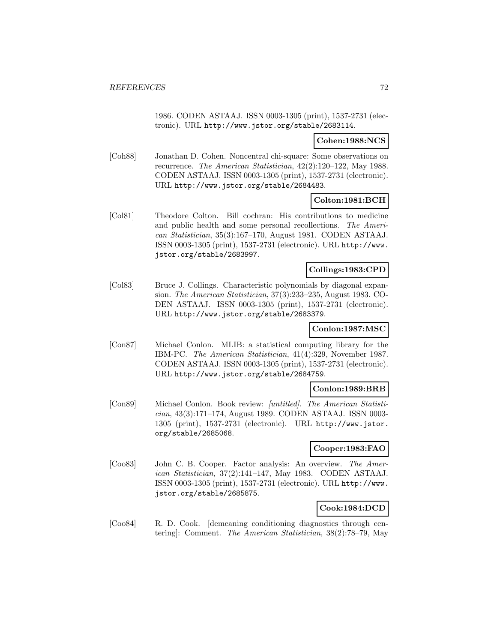1986. CODEN ASTAAJ. ISSN 0003-1305 (print), 1537-2731 (electronic). URL http://www.jstor.org/stable/2683114.

### **Cohen:1988:NCS**

[Coh88] Jonathan D. Cohen. Noncentral chi-square: Some observations on recurrence. The American Statistician, 42(2):120–122, May 1988. CODEN ASTAAJ. ISSN 0003-1305 (print), 1537-2731 (electronic). URL http://www.jstor.org/stable/2684483.

## **Colton:1981:BCH**

[Col81] Theodore Colton. Bill cochran: His contributions to medicine and public health and some personal recollections. The American Statistician, 35(3):167–170, August 1981. CODEN ASTAAJ. ISSN 0003-1305 (print), 1537-2731 (electronic). URL http://www. jstor.org/stable/2683997.

### **Collings:1983:CPD**

[Col83] Bruce J. Collings. Characteristic polynomials by diagonal expansion. The American Statistician, 37(3):233–235, August 1983. CO-DEN ASTAAJ. ISSN 0003-1305 (print), 1537-2731 (electronic). URL http://www.jstor.org/stable/2683379.

### **Conlon:1987:MSC**

[Con87] Michael Conlon. MLIB: a statistical computing library for the IBM-PC. The American Statistician, 41(4):329, November 1987. CODEN ASTAAJ. ISSN 0003-1305 (print), 1537-2731 (electronic). URL http://www.jstor.org/stable/2684759.

### **Conlon:1989:BRB**

[Con89] Michael Conlon. Book review: [untitled]. The American Statistician, 43(3):171–174, August 1989. CODEN ASTAAJ. ISSN 0003- 1305 (print), 1537-2731 (electronic). URL http://www.jstor. org/stable/2685068.

## **Cooper:1983:FAO**

[Coo83] John C. B. Cooper. Factor analysis: An overview. The American Statistician, 37(2):141–147, May 1983. CODEN ASTAAJ. ISSN 0003-1305 (print), 1537-2731 (electronic). URL http://www. jstor.org/stable/2685875.

# **Cook:1984:DCD**

[Coo84] R. D. Cook. [demeaning conditioning diagnostics through centering]: Comment. The American Statistician, 38(2):78–79, May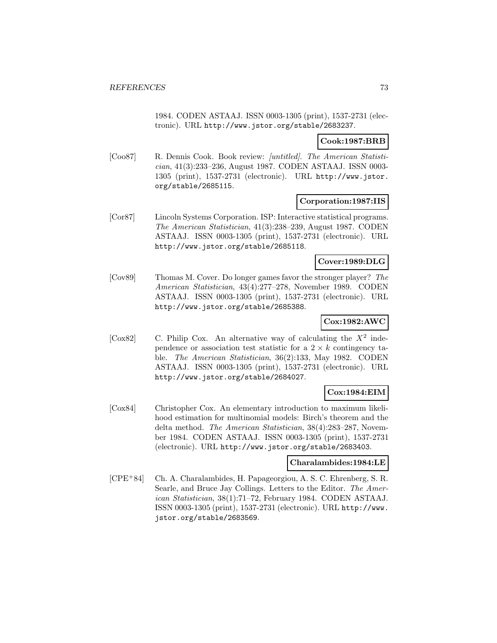1984. CODEN ASTAAJ. ISSN 0003-1305 (print), 1537-2731 (electronic). URL http://www.jstor.org/stable/2683237.

# **Cook:1987:BRB**

[Coo87] R. Dennis Cook. Book review: [untitled]. The American Statistician, 41(3):233–236, August 1987. CODEN ASTAAJ. ISSN 0003- 1305 (print), 1537-2731 (electronic). URL http://www.jstor. org/stable/2685115.

## **Corporation:1987:IIS**

[Cor87] Lincoln Systems Corporation. ISP: Interactive statistical programs. The American Statistician, 41(3):238–239, August 1987. CODEN ASTAAJ. ISSN 0003-1305 (print), 1537-2731 (electronic). URL http://www.jstor.org/stable/2685118.

## **Cover:1989:DLG**

[Cov89] Thomas M. Cover. Do longer games favor the stronger player? The American Statistician, 43(4):277–278, November 1989. CODEN ASTAAJ. ISSN 0003-1305 (print), 1537-2731 (electronic). URL http://www.jstor.org/stable/2685388.

# **Cox:1982:AWC**

[Cox82] C. Philip Cox. An alternative way of calculating the  $X^2$  independence or association test statistic for a  $2 \times k$  contingency table. The American Statistician, 36(2):133, May 1982. CODEN ASTAAJ. ISSN 0003-1305 (print), 1537-2731 (electronic). URL http://www.jstor.org/stable/2684027.

# **Cox:1984:EIM**

[Cox84] Christopher Cox. An elementary introduction to maximum likelihood estimation for multinomial models: Birch's theorem and the delta method. The American Statistician, 38(4):283–287, November 1984. CODEN ASTAAJ. ISSN 0003-1305 (print), 1537-2731 (electronic). URL http://www.jstor.org/stable/2683403.

### **Charalambides:1984:LE**

[CPE<sup>+</sup>84] Ch. A. Charalambides, H. Papageorgiou, A. S. C. Ehrenberg, S. R. Searle, and Bruce Jay Collings. Letters to the Editor. The American Statistician, 38(1):71–72, February 1984. CODEN ASTAAJ. ISSN 0003-1305 (print), 1537-2731 (electronic). URL http://www. jstor.org/stable/2683569.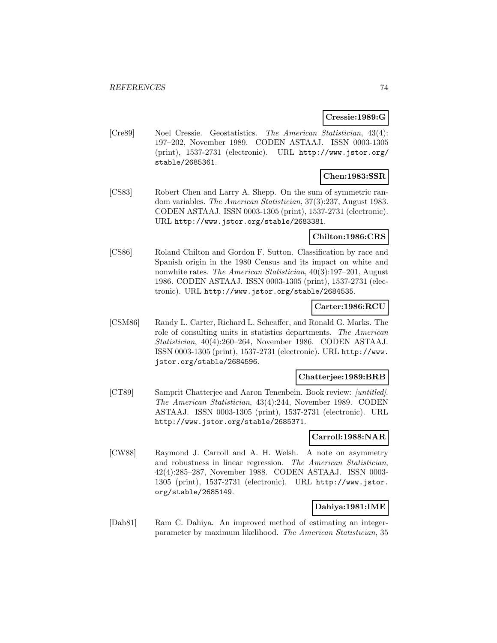### **Cressie:1989:G**

[Cre89] Noel Cressie. Geostatistics. The American Statistician, 43(4): 197–202, November 1989. CODEN ASTAAJ. ISSN 0003-1305 (print), 1537-2731 (electronic). URL http://www.jstor.org/ stable/2685361.

# **Chen:1983:SSR**

[CS83] Robert Chen and Larry A. Shepp. On the sum of symmetric random variables. The American Statistician, 37(3):237, August 1983. CODEN ASTAAJ. ISSN 0003-1305 (print), 1537-2731 (electronic). URL http://www.jstor.org/stable/2683381.

# **Chilton:1986:CRS**

[CS86] Roland Chilton and Gordon F. Sutton. Classification by race and Spanish origin in the 1980 Census and its impact on white and nonwhite rates. The American Statistician, 40(3):197–201, August 1986. CODEN ASTAAJ. ISSN 0003-1305 (print), 1537-2731 (electronic). URL http://www.jstor.org/stable/2684535.

# **Carter:1986:RCU**

[CSM86] Randy L. Carter, Richard L. Scheaffer, and Ronald G. Marks. The role of consulting units in statistics departments. The American Statistician, 40(4):260–264, November 1986. CODEN ASTAAJ. ISSN 0003-1305 (print), 1537-2731 (electronic). URL http://www. jstor.org/stable/2684596.

### **Chatterjee:1989:BRB**

[CT89] Samprit Chatterjee and Aaron Tenenbein. Book review: [untitled]. The American Statistician, 43(4):244, November 1989. CODEN ASTAAJ. ISSN 0003-1305 (print), 1537-2731 (electronic). URL http://www.jstor.org/stable/2685371.

### **Carroll:1988:NAR**

[CW88] Raymond J. Carroll and A. H. Welsh. A note on asymmetry and robustness in linear regression. The American Statistician, 42(4):285–287, November 1988. CODEN ASTAAJ. ISSN 0003- 1305 (print), 1537-2731 (electronic). URL http://www.jstor. org/stable/2685149.

# **Dahiya:1981:IME**

[Dah81] Ram C. Dahiya. An improved method of estimating an integerparameter by maximum likelihood. The American Statistician, 35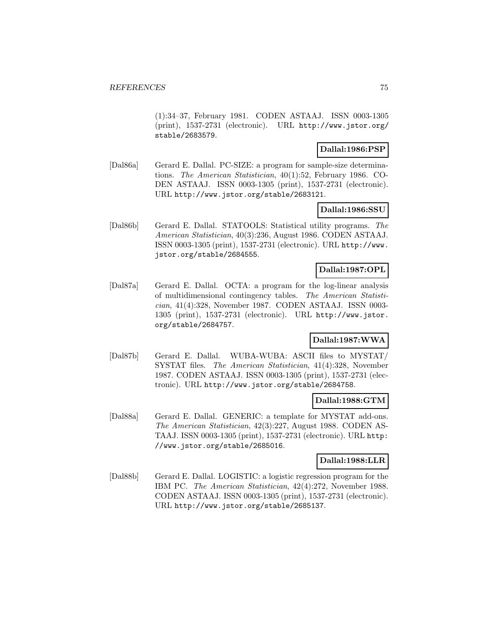(1):34–37, February 1981. CODEN ASTAAJ. ISSN 0003-1305 (print), 1537-2731 (electronic). URL http://www.jstor.org/ stable/2683579.

# **Dallal:1986:PSP**

[Dal86a] Gerard E. Dallal. PC-SIZE: a program for sample-size determinations. The American Statistician, 40(1):52, February 1986. CO-DEN ASTAAJ. ISSN 0003-1305 (print), 1537-2731 (electronic). URL http://www.jstor.org/stable/2683121.

## **Dallal:1986:SSU**

[Dal86b] Gerard E. Dallal. STATOOLS: Statistical utility programs. The American Statistician, 40(3):236, August 1986. CODEN ASTAAJ. ISSN 0003-1305 (print), 1537-2731 (electronic). URL http://www. jstor.org/stable/2684555.

# **Dallal:1987:OPL**

[Dal87a] Gerard E. Dallal. OCTA: a program for the log-linear analysis of multidimensional contingency tables. The American Statistician, 41(4):328, November 1987. CODEN ASTAAJ. ISSN 0003- 1305 (print), 1537-2731 (electronic). URL http://www.jstor. org/stable/2684757.

# **Dallal:1987:WWA**

[Dal87b] Gerard E. Dallal. WUBA-WUBA: ASCII files to MYSTAT/ SYSTAT files. The American Statistician, 41(4):328, November 1987. CODEN ASTAAJ. ISSN 0003-1305 (print), 1537-2731 (electronic). URL http://www.jstor.org/stable/2684758.

# **Dallal:1988:GTM**

[Dal88a] Gerard E. Dallal. GENERIC: a template for MYSTAT add-ons. The American Statistician, 42(3):227, August 1988. CODEN AS-TAAJ. ISSN 0003-1305 (print), 1537-2731 (electronic). URL http: //www.jstor.org/stable/2685016.

### **Dallal:1988:LLR**

[Dal88b] Gerard E. Dallal. LOGISTIC: a logistic regression program for the IBM PC. The American Statistician, 42(4):272, November 1988. CODEN ASTAAJ. ISSN 0003-1305 (print), 1537-2731 (electronic). URL http://www.jstor.org/stable/2685137.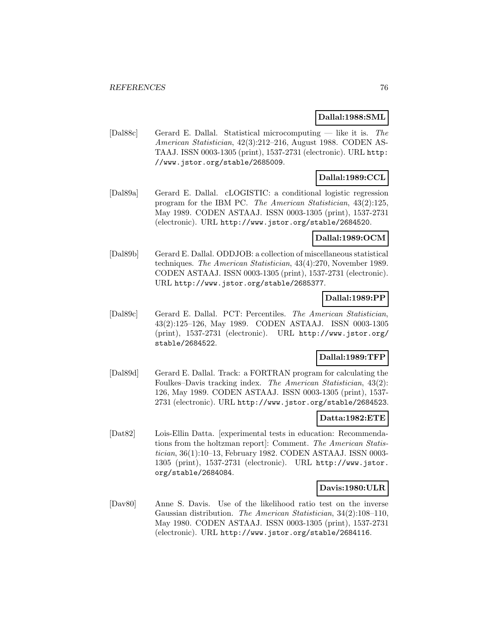## **Dallal:1988:SML**

[Dal88c] Gerard E. Dallal. Statistical microcomputing — like it is. The American Statistician, 42(3):212–216, August 1988. CODEN AS-TAAJ. ISSN 0003-1305 (print), 1537-2731 (electronic). URL http: //www.jstor.org/stable/2685009.

# **Dallal:1989:CCL**

[Dal89a] Gerard E. Dallal. cLOGISTIC: a conditional logistic regression program for the IBM PC. The American Statistician, 43(2):125, May 1989. CODEN ASTAAJ. ISSN 0003-1305 (print), 1537-2731 (electronic). URL http://www.jstor.org/stable/2684520.

### **Dallal:1989:OCM**

[Dal89b] Gerard E. Dallal. ODDJOB: a collection of miscellaneous statistical techniques. The American Statistician, 43(4):270, November 1989. CODEN ASTAAJ. ISSN 0003-1305 (print), 1537-2731 (electronic). URL http://www.jstor.org/stable/2685377.

## **Dallal:1989:PP**

[Dal89c] Gerard E. Dallal. PCT: Percentiles. The American Statistician, 43(2):125–126, May 1989. CODEN ASTAAJ. ISSN 0003-1305 (print), 1537-2731 (electronic). URL http://www.jstor.org/ stable/2684522.

# **Dallal:1989:TFP**

[Dal89d] Gerard E. Dallal. Track: a FORTRAN program for calculating the Foulkes–Davis tracking index. The American Statistician, 43(2): 126, May 1989. CODEN ASTAAJ. ISSN 0003-1305 (print), 1537- 2731 (electronic). URL http://www.jstor.org/stable/2684523.

# **Datta:1982:ETE**

[Dat82] Lois-Ellin Datta. [experimental tests in education: Recommendations from the holtzman report]: Comment. The American Statistician, 36(1):10–13, February 1982. CODEN ASTAAJ. ISSN 0003- 1305 (print), 1537-2731 (electronic). URL http://www.jstor. org/stable/2684084.

# **Davis:1980:ULR**

[Dav80] Anne S. Davis. Use of the likelihood ratio test on the inverse Gaussian distribution. The American Statistician, 34(2):108–110, May 1980. CODEN ASTAAJ. ISSN 0003-1305 (print), 1537-2731 (electronic). URL http://www.jstor.org/stable/2684116.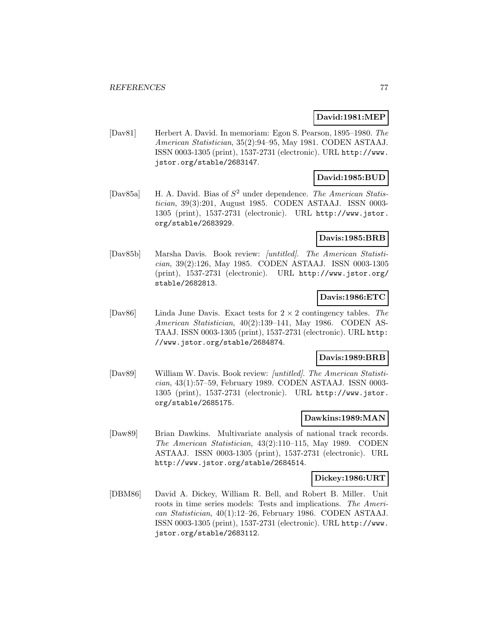### **David:1981:MEP**

[Dav81] Herbert A. David. In memoriam: Egon S. Pearson, 1895–1980. The American Statistician, 35(2):94–95, May 1981. CODEN ASTAAJ. ISSN 0003-1305 (print), 1537-2731 (electronic). URL http://www. jstor.org/stable/2683147.

# **David:1985:BUD**

[Dav85a] H. A. David. Bias of  $S^2$  under dependence. The American Statistician, 39(3):201, August 1985. CODEN ASTAAJ. ISSN 0003- 1305 (print), 1537-2731 (electronic). URL http://www.jstor. org/stable/2683929.

# **Davis:1985:BRB**

[Dav85b] Marsha Davis. Book review: [untitled]. The American Statistician, 39(2):126, May 1985. CODEN ASTAAJ. ISSN 0003-1305 (print), 1537-2731 (electronic). URL http://www.jstor.org/ stable/2682813.

## **Davis:1986:ETC**

[Dav86] Linda June Davis. Exact tests for  $2 \times 2$  contingency tables. The American Statistician, 40(2):139–141, May 1986. CODEN AS-TAAJ. ISSN 0003-1305 (print), 1537-2731 (electronic). URL http: //www.jstor.org/stable/2684874.

# **Davis:1989:BRB**

[Dav89] William W. Davis. Book review: [untitled]. The American Statistician, 43(1):57–59, February 1989. CODEN ASTAAJ. ISSN 0003- 1305 (print), 1537-2731 (electronic). URL http://www.jstor. org/stable/2685175.

### **Dawkins:1989:MAN**

[Daw89] Brian Dawkins. Multivariate analysis of national track records. The American Statistician, 43(2):110–115, May 1989. CODEN ASTAAJ. ISSN 0003-1305 (print), 1537-2731 (electronic). URL http://www.jstor.org/stable/2684514.

#### **Dickey:1986:URT**

[DBM86] David A. Dickey, William R. Bell, and Robert B. Miller. Unit roots in time series models: Tests and implications. The American Statistician, 40(1):12–26, February 1986. CODEN ASTAAJ. ISSN 0003-1305 (print), 1537-2731 (electronic). URL http://www. jstor.org/stable/2683112.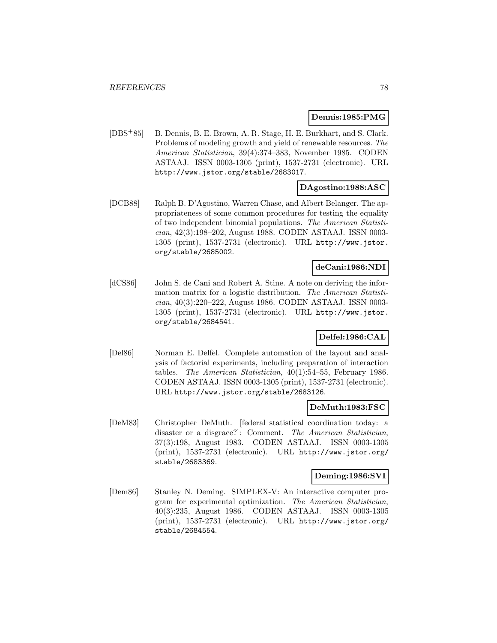### **Dennis:1985:PMG**

[DBS<sup>+</sup>85] B. Dennis, B. E. Brown, A. R. Stage, H. E. Burkhart, and S. Clark. Problems of modeling growth and yield of renewable resources. The American Statistician, 39(4):374–383, November 1985. CODEN ASTAAJ. ISSN 0003-1305 (print), 1537-2731 (electronic). URL http://www.jstor.org/stable/2683017.

# **DAgostino:1988:ASC**

[DCB88] Ralph B. D'Agostino, Warren Chase, and Albert Belanger. The appropriateness of some common procedures for testing the equality of two independent binomial populations. The American Statistician, 42(3):198–202, August 1988. CODEN ASTAAJ. ISSN 0003- 1305 (print), 1537-2731 (electronic). URL http://www.jstor. org/stable/2685002.

# **deCani:1986:NDI**

[dCS86] John S. de Cani and Robert A. Stine. A note on deriving the information matrix for a logistic distribution. The American Statistician, 40(3):220–222, August 1986. CODEN ASTAAJ. ISSN 0003- 1305 (print), 1537-2731 (electronic). URL http://www.jstor. org/stable/2684541.

# **Delfel:1986:CAL**

[Del86] Norman E. Delfel. Complete automation of the layout and analysis of factorial experiments, including preparation of interaction tables. The American Statistician, 40(1):54–55, February 1986. CODEN ASTAAJ. ISSN 0003-1305 (print), 1537-2731 (electronic). URL http://www.jstor.org/stable/2683126.

### **DeMuth:1983:FSC**

[DeM83] Christopher DeMuth. [federal statistical coordination today: a disaster or a disgrace?]: Comment. The American Statistician, 37(3):198, August 1983. CODEN ASTAAJ. ISSN 0003-1305 (print), 1537-2731 (electronic). URL http://www.jstor.org/ stable/2683369.

### **Deming:1986:SVI**

[Dem86] Stanley N. Deming. SIMPLEX-V: An interactive computer program for experimental optimization. The American Statistician, 40(3):235, August 1986. CODEN ASTAAJ. ISSN 0003-1305 (print), 1537-2731 (electronic). URL http://www.jstor.org/ stable/2684554.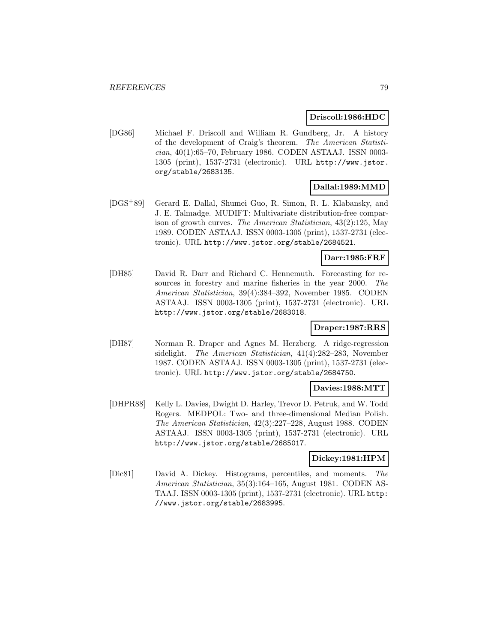### **Driscoll:1986:HDC**

[DG86] Michael F. Driscoll and William R. Gundberg, Jr. A history of the development of Craig's theorem. The American Statistician, 40(1):65–70, February 1986. CODEN ASTAAJ. ISSN 0003- 1305 (print), 1537-2731 (electronic). URL http://www.jstor. org/stable/2683135.

# **Dallal:1989:MMD**

[DGS<sup>+</sup>89] Gerard E. Dallal, Shumei Guo, R. Simon, R. L. Klabansky, and J. E. Talmadge. MUDIFT: Multivariate distribution-free comparison of growth curves. The American Statistician, 43(2):125, May 1989. CODEN ASTAAJ. ISSN 0003-1305 (print), 1537-2731 (electronic). URL http://www.jstor.org/stable/2684521.

### **Darr:1985:FRF**

[DH85] David R. Darr and Richard C. Hennemuth. Forecasting for resources in forestry and marine fisheries in the year 2000. The American Statistician, 39(4):384–392, November 1985. CODEN ASTAAJ. ISSN 0003-1305 (print), 1537-2731 (electronic). URL http://www.jstor.org/stable/2683018.

# **Draper:1987:RRS**

[DH87] Norman R. Draper and Agnes M. Herzberg. A ridge-regression sidelight. The American Statistician, 41(4):282–283, November 1987. CODEN ASTAAJ. ISSN 0003-1305 (print), 1537-2731 (electronic). URL http://www.jstor.org/stable/2684750.

# **Davies:1988:MTT**

[DHPR88] Kelly L. Davies, Dwight D. Harley, Trevor D. Petruk, and W. Todd Rogers. MEDPOL: Two- and three-dimensional Median Polish. The American Statistician, 42(3):227–228, August 1988. CODEN ASTAAJ. ISSN 0003-1305 (print), 1537-2731 (electronic). URL http://www.jstor.org/stable/2685017.

### **Dickey:1981:HPM**

[Dic81] David A. Dickey. Histograms, percentiles, and moments. The American Statistician, 35(3):164–165, August 1981. CODEN AS-TAAJ. ISSN 0003-1305 (print), 1537-2731 (electronic). URL http: //www.jstor.org/stable/2683995.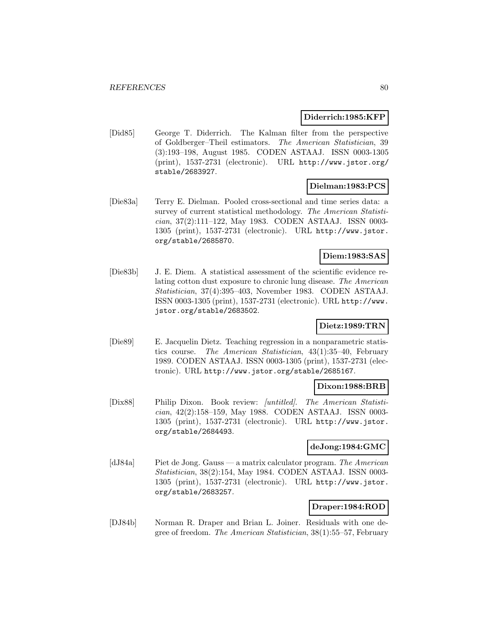## **Diderrich:1985:KFP**

[Did85] George T. Diderrich. The Kalman filter from the perspective of Goldberger–Theil estimators. The American Statistician, 39 (3):193–198, August 1985. CODEN ASTAAJ. ISSN 0003-1305 (print), 1537-2731 (electronic). URL http://www.jstor.org/ stable/2683927.

## **Dielman:1983:PCS**

[Die83a] Terry E. Dielman. Pooled cross-sectional and time series data: a survey of current statistical methodology. The American Statistician, 37(2):111–122, May 1983. CODEN ASTAAJ. ISSN 0003- 1305 (print), 1537-2731 (electronic). URL http://www.jstor. org/stable/2685870.

# **Diem:1983:SAS**

[Die83b] J. E. Diem. A statistical assessment of the scientific evidence relating cotton dust exposure to chronic lung disease. The American Statistician, 37(4):395–403, November 1983. CODEN ASTAAJ. ISSN 0003-1305 (print), 1537-2731 (electronic). URL http://www. jstor.org/stable/2683502.

# **Dietz:1989:TRN**

[Die89] E. Jacquelin Dietz. Teaching regression in a nonparametric statistics course. The American Statistician, 43(1):35–40, February 1989. CODEN ASTAAJ. ISSN 0003-1305 (print), 1537-2731 (electronic). URL http://www.jstor.org/stable/2685167.

### **Dixon:1988:BRB**

[Dix88] Philip Dixon. Book review: [untitled]. The American Statistician, 42(2):158–159, May 1988. CODEN ASTAAJ. ISSN 0003- 1305 (print), 1537-2731 (electronic). URL http://www.jstor. org/stable/2684493.

## **deJong:1984:GMC**

[dJ84a] Piet de Jong. Gauss — a matrix calculator program. The American Statistician, 38(2):154, May 1984. CODEN ASTAAJ. ISSN 0003- 1305 (print), 1537-2731 (electronic). URL http://www.jstor. org/stable/2683257.

### **Draper:1984:ROD**

[DJ84b] Norman R. Draper and Brian L. Joiner. Residuals with one degree of freedom. The American Statistician, 38(1):55–57, February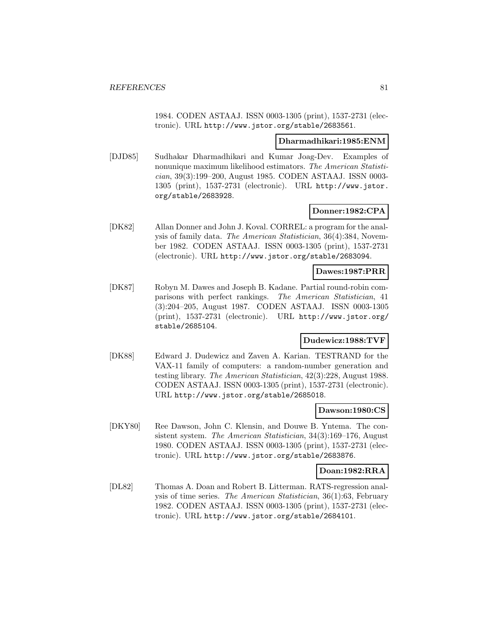1984. CODEN ASTAAJ. ISSN 0003-1305 (print), 1537-2731 (electronic). URL http://www.jstor.org/stable/2683561.

### **Dharmadhikari:1985:ENM**

[DJD85] Sudhakar Dharmadhikari and Kumar Joag-Dev. Examples of nonunique maximum likelihood estimators. The American Statistician, 39(3):199–200, August 1985. CODEN ASTAAJ. ISSN 0003- 1305 (print), 1537-2731 (electronic). URL http://www.jstor. org/stable/2683928.

## **Donner:1982:CPA**

[DK82] Allan Donner and John J. Koval. CORREL: a program for the analysis of family data. The American Statistician, 36(4):384, November 1982. CODEN ASTAAJ. ISSN 0003-1305 (print), 1537-2731 (electronic). URL http://www.jstor.org/stable/2683094.

### **Dawes:1987:PRR**

[DK87] Robyn M. Dawes and Joseph B. Kadane. Partial round-robin comparisons with perfect rankings. The American Statistician, 41 (3):204–205, August 1987. CODEN ASTAAJ. ISSN 0003-1305 (print), 1537-2731 (electronic). URL http://www.jstor.org/ stable/2685104.

# **Dudewicz:1988:TVF**

[DK88] Edward J. Dudewicz and Zaven A. Karian. TESTRAND for the VAX-11 family of computers: a random-number generation and testing library. The American Statistician, 42(3):228, August 1988. CODEN ASTAAJ. ISSN 0003-1305 (print), 1537-2731 (electronic). URL http://www.jstor.org/stable/2685018.

#### **Dawson:1980:CS**

[DKY80] Ree Dawson, John C. Klensin, and Douwe B. Yntema. The consistent system. The American Statistician, 34(3):169–176, August 1980. CODEN ASTAAJ. ISSN 0003-1305 (print), 1537-2731 (electronic). URL http://www.jstor.org/stable/2683876.

### **Doan:1982:RRA**

[DL82] Thomas A. Doan and Robert B. Litterman. RATS-regression analysis of time series. The American Statistician, 36(1):63, February 1982. CODEN ASTAAJ. ISSN 0003-1305 (print), 1537-2731 (electronic). URL http://www.jstor.org/stable/2684101.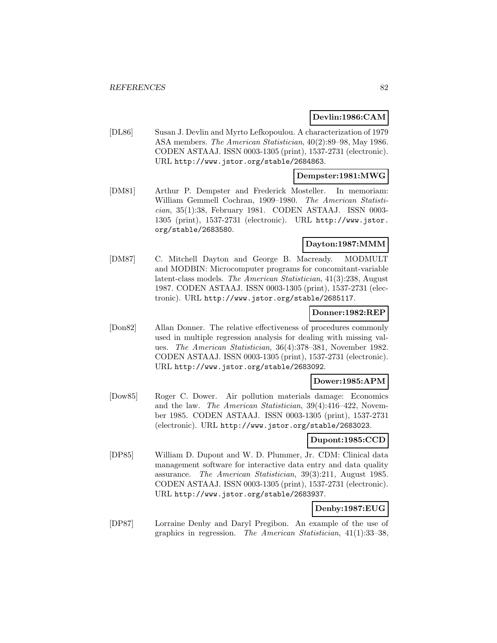## **Devlin:1986:CAM**

[DL86] Susan J. Devlin and Myrto Lefkopoulou. A characterization of 1979 ASA members. The American Statistician, 40(2):89–98, May 1986. CODEN ASTAAJ. ISSN 0003-1305 (print), 1537-2731 (electronic). URL http://www.jstor.org/stable/2684863.

# **Dempster:1981:MWG**

[DM81] Arthur P. Dempster and Frederick Mosteller. In memoriam: William Gemmell Cochran, 1909–1980. The American Statistician, 35(1):38, February 1981. CODEN ASTAAJ. ISSN 0003- 1305 (print), 1537-2731 (electronic). URL http://www.jstor. org/stable/2683580.

# **Dayton:1987:MMM**

[DM87] C. Mitchell Dayton and George B. Macready. MODMULT and MODBIN: Microcomputer programs for concomitant-variable latent-class models. The American Statistician, 41(3):238, August 1987. CODEN ASTAAJ. ISSN 0003-1305 (print), 1537-2731 (electronic). URL http://www.jstor.org/stable/2685117.

### **Donner:1982:REP**

[Don82] Allan Donner. The relative effectiveness of procedures commonly used in multiple regression analysis for dealing with missing values. The American Statistician, 36(4):378–381, November 1982. CODEN ASTAAJ. ISSN 0003-1305 (print), 1537-2731 (electronic). URL http://www.jstor.org/stable/2683092.

### **Dower:1985:APM**

[Dow85] Roger C. Dower. Air pollution materials damage: Economics and the law. The American Statistician, 39(4):416–422, November 1985. CODEN ASTAAJ. ISSN 0003-1305 (print), 1537-2731 (electronic). URL http://www.jstor.org/stable/2683023.

# **Dupont:1985:CCD**

[DP85] William D. Dupont and W. D. Plummer, Jr. CDM: Clinical data management software for interactive data entry and data quality assurance. The American Statistician, 39(3):211, August 1985. CODEN ASTAAJ. ISSN 0003-1305 (print), 1537-2731 (electronic). URL http://www.jstor.org/stable/2683937.

# **Denby:1987:EUG**

[DP87] Lorraine Denby and Daryl Pregibon. An example of the use of graphics in regression. The American Statistician, 41(1):33–38,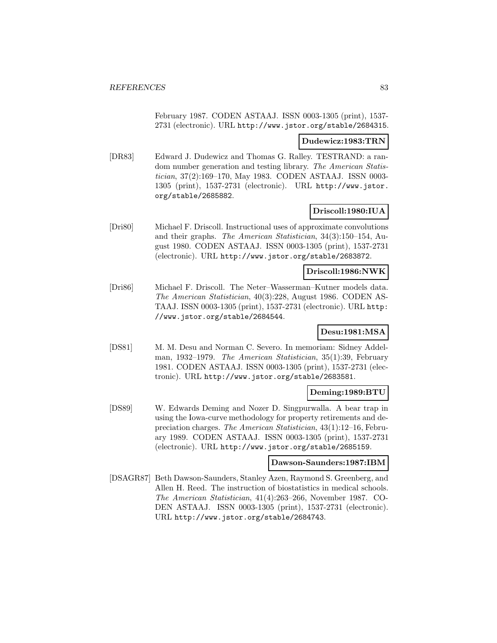February 1987. CODEN ASTAAJ. ISSN 0003-1305 (print), 1537- 2731 (electronic). URL http://www.jstor.org/stable/2684315.

### **Dudewicz:1983:TRN**

[DR83] Edward J. Dudewicz and Thomas G. Ralley. TESTRAND: a random number generation and testing library. The American Statistician, 37(2):169–170, May 1983. CODEN ASTAAJ. ISSN 0003- 1305 (print), 1537-2731 (electronic). URL http://www.jstor. org/stable/2685882.

# **Driscoll:1980:IUA**

[Dri80] Michael F. Driscoll. Instructional uses of approximate convolutions and their graphs. The American Statistician, 34(3):150–154, August 1980. CODEN ASTAAJ. ISSN 0003-1305 (print), 1537-2731 (electronic). URL http://www.jstor.org/stable/2683872.

## **Driscoll:1986:NWK**

[Dri86] Michael F. Driscoll. The Neter–Wasserman–Kutner models data. The American Statistician, 40(3):228, August 1986. CODEN AS-TAAJ. ISSN 0003-1305 (print), 1537-2731 (electronic). URL http: //www.jstor.org/stable/2684544.

# **Desu:1981:MSA**

[DS81] M. M. Desu and Norman C. Severo. In memoriam: Sidney Addelman, 1932–1979. The American Statistician, 35(1):39, February 1981. CODEN ASTAAJ. ISSN 0003-1305 (print), 1537-2731 (electronic). URL http://www.jstor.org/stable/2683581.

# **Deming:1989:BTU**

[DS89] W. Edwards Deming and Nozer D. Singpurwalla. A bear trap in using the Iowa-curve methodology for property retirements and depreciation charges. The American Statistician, 43(1):12–16, February 1989. CODEN ASTAAJ. ISSN 0003-1305 (print), 1537-2731 (electronic). URL http://www.jstor.org/stable/2685159.

#### **Dawson-Saunders:1987:IBM**

[DSAGR87] Beth Dawson-Saunders, Stanley Azen, Raymond S. Greenberg, and Allen H. Reed. The instruction of biostatistics in medical schools. The American Statistician, 41(4):263–266, November 1987. CO-DEN ASTAAJ. ISSN 0003-1305 (print), 1537-2731 (electronic). URL http://www.jstor.org/stable/2684743.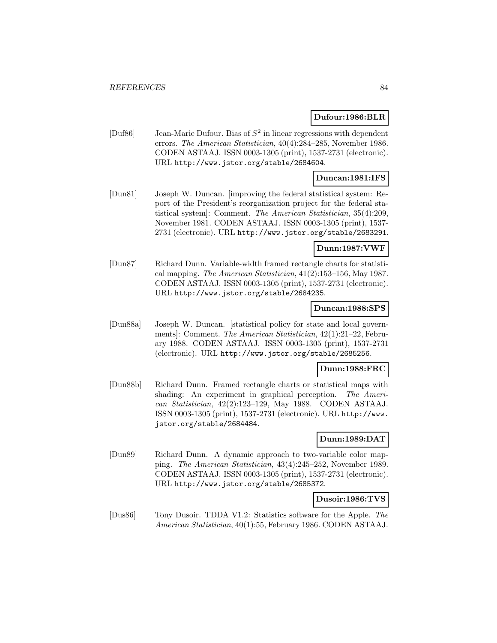### **Dufour:1986:BLR**

[Duf86] Jean-Marie Dufour. Bias of  $S^2$  in linear regressions with dependent errors. The American Statistician, 40(4):284–285, November 1986. CODEN ASTAAJ. ISSN 0003-1305 (print), 1537-2731 (electronic). URL http://www.jstor.org/stable/2684604.

# **Duncan:1981:IFS**

[Dun81] Joseph W. Duncan. [improving the federal statistical system: Report of the President's reorganization project for the federal statistical system]: Comment. The American Statistician, 35(4):209, November 1981. CODEN ASTAAJ. ISSN 0003-1305 (print), 1537- 2731 (electronic). URL http://www.jstor.org/stable/2683291.

# **Dunn:1987:VWF**

[Dun87] Richard Dunn. Variable-width framed rectangle charts for statistical mapping. The American Statistician, 41(2):153–156, May 1987. CODEN ASTAAJ. ISSN 0003-1305 (print), 1537-2731 (electronic). URL http://www.jstor.org/stable/2684235.

### **Duncan:1988:SPS**

[Dun88a] Joseph W. Duncan. [statistical policy for state and local governments]: Comment. The American Statistician, 42(1):21–22, February 1988. CODEN ASTAAJ. ISSN 0003-1305 (print), 1537-2731 (electronic). URL http://www.jstor.org/stable/2685256.

### **Dunn:1988:FRC**

[Dun88b] Richard Dunn. Framed rectangle charts or statistical maps with shading: An experiment in graphical perception. The American Statistician, 42(2):123–129, May 1988. CODEN ASTAAJ. ISSN 0003-1305 (print), 1537-2731 (electronic). URL http://www. jstor.org/stable/2684484.

# **Dunn:1989:DAT**

[Dun89] Richard Dunn. A dynamic approach to two-variable color mapping. The American Statistician, 43(4):245–252, November 1989. CODEN ASTAAJ. ISSN 0003-1305 (print), 1537-2731 (electronic). URL http://www.jstor.org/stable/2685372.

# **Dusoir:1986:TVS**

[Dus86] Tony Dusoir. TDDA V1.2: Statistics software for the Apple. The American Statistician, 40(1):55, February 1986. CODEN ASTAAJ.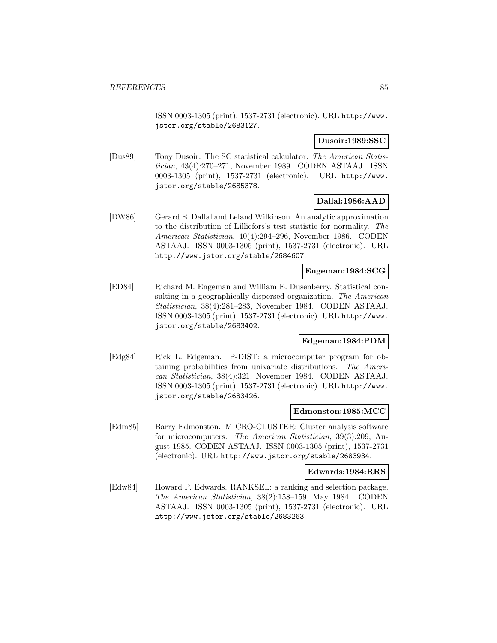ISSN 0003-1305 (print), 1537-2731 (electronic). URL http://www. jstor.org/stable/2683127.

# **Dusoir:1989:SSC**

[Dus89] Tony Dusoir. The SC statistical calculator. The American Statistician, 43(4):270–271, November 1989. CODEN ASTAAJ. ISSN 0003-1305 (print), 1537-2731 (electronic). URL http://www. jstor.org/stable/2685378.

# **Dallal:1986:AAD**

[DW86] Gerard E. Dallal and Leland Wilkinson. An analytic approximation to the distribution of Lilliefors's test statistic for normality. The American Statistician, 40(4):294–296, November 1986. CODEN ASTAAJ. ISSN 0003-1305 (print), 1537-2731 (electronic). URL http://www.jstor.org/stable/2684607.

## **Engeman:1984:SCG**

[ED84] Richard M. Engeman and William E. Dusenberry. Statistical consulting in a geographically dispersed organization. The American Statistician, 38(4):281–283, November 1984. CODEN ASTAAJ. ISSN 0003-1305 (print), 1537-2731 (electronic). URL http://www. jstor.org/stable/2683402.

### **Edgeman:1984:PDM**

[Edg84] Rick L. Edgeman. P-DIST: a microcomputer program for obtaining probabilities from univariate distributions. The American Statistician, 38(4):321, November 1984. CODEN ASTAAJ. ISSN 0003-1305 (print), 1537-2731 (electronic). URL http://www. jstor.org/stable/2683426.

### **Edmonston:1985:MCC**

[Edm85] Barry Edmonston. MICRO-CLUSTER: Cluster analysis software for microcomputers. The American Statistician, 39(3):209, August 1985. CODEN ASTAAJ. ISSN 0003-1305 (print), 1537-2731 (electronic). URL http://www.jstor.org/stable/2683934.

#### **Edwards:1984:RRS**

[Edw84] Howard P. Edwards. RANKSEL: a ranking and selection package. The American Statistician, 38(2):158–159, May 1984. CODEN ASTAAJ. ISSN 0003-1305 (print), 1537-2731 (electronic). URL http://www.jstor.org/stable/2683263.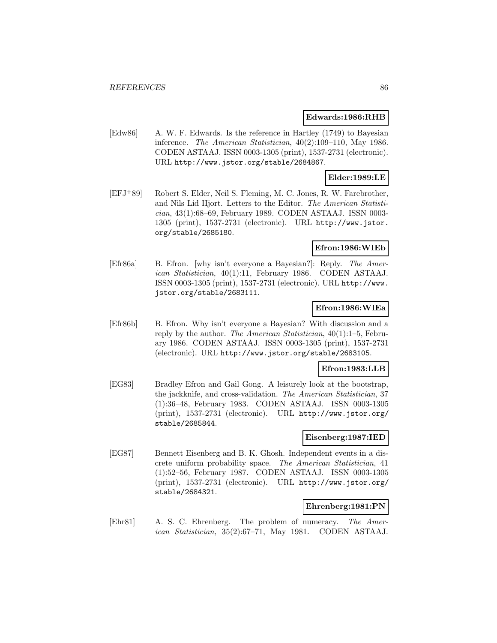#### **Edwards:1986:RHB**

[Edw86] A. W. F. Edwards. Is the reference in Hartley (1749) to Bayesian inference. The American Statistician, 40(2):109–110, May 1986. CODEN ASTAAJ. ISSN 0003-1305 (print), 1537-2731 (electronic). URL http://www.jstor.org/stable/2684867.

# **Elder:1989:LE**

[EFJ<sup>+</sup>89] Robert S. Elder, Neil S. Fleming, M. C. Jones, R. W. Farebrother, and Nils Lid Hjort. Letters to the Editor. The American Statistician, 43(1):68–69, February 1989. CODEN ASTAAJ. ISSN 0003- 1305 (print), 1537-2731 (electronic). URL http://www.jstor. org/stable/2685180.

# **Efron:1986:WIEb**

[Efr86a] B. Efron. [why isn't everyone a Bayesian?]: Reply. The American Statistician, 40(1):11, February 1986. CODEN ASTAAJ. ISSN 0003-1305 (print), 1537-2731 (electronic). URL http://www. jstor.org/stable/2683111.

# **Efron:1986:WIEa**

[Efr86b] B. Efron. Why isn't everyone a Bayesian? With discussion and a reply by the author. The American Statistician, 40(1):1–5, February 1986. CODEN ASTAAJ. ISSN 0003-1305 (print), 1537-2731 (electronic). URL http://www.jstor.org/stable/2683105.

### **Efron:1983:LLB**

[EG83] Bradley Efron and Gail Gong. A leisurely look at the bootstrap, the jackknife, and cross-validation. The American Statistician, 37 (1):36–48, February 1983. CODEN ASTAAJ. ISSN 0003-1305 (print), 1537-2731 (electronic). URL http://www.jstor.org/ stable/2685844.

### **Eisenberg:1987:IED**

[EG87] Bennett Eisenberg and B. K. Ghosh. Independent events in a discrete uniform probability space. The American Statistician, 41 (1):52–56, February 1987. CODEN ASTAAJ. ISSN 0003-1305 (print), 1537-2731 (electronic). URL http://www.jstor.org/ stable/2684321.

## **Ehrenberg:1981:PN**

[Ehr81] A. S. C. Ehrenberg. The problem of numeracy. The American Statistician, 35(2):67–71, May 1981. CODEN ASTAAJ.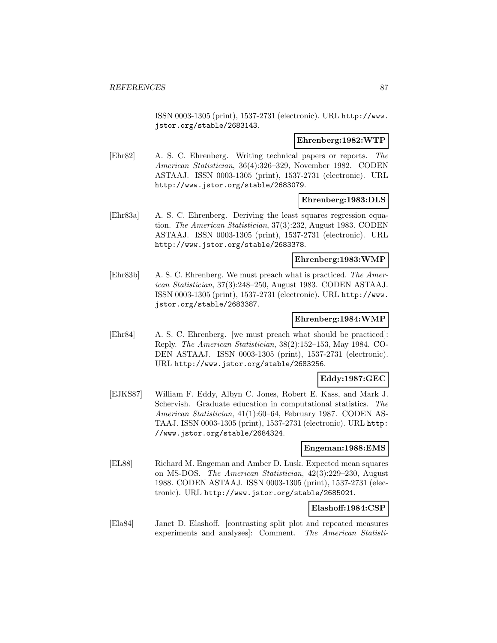ISSN 0003-1305 (print), 1537-2731 (electronic). URL http://www. jstor.org/stable/2683143.

#### **Ehrenberg:1982:WTP**

[Ehr82] A. S. C. Ehrenberg. Writing technical papers or reports. The American Statistician, 36(4):326–329, November 1982. CODEN ASTAAJ. ISSN 0003-1305 (print), 1537-2731 (electronic). URL http://www.jstor.org/stable/2683079.

# **Ehrenberg:1983:DLS**

[Ehr83a] A. S. C. Ehrenberg. Deriving the least squares regression equation. The American Statistician, 37(3):232, August 1983. CODEN ASTAAJ. ISSN 0003-1305 (print), 1537-2731 (electronic). URL http://www.jstor.org/stable/2683378.

### **Ehrenberg:1983:WMP**

[Ehr83b] A. S. C. Ehrenberg. We must preach what is practiced. The American Statistician, 37(3):248–250, August 1983. CODEN ASTAAJ. ISSN 0003-1305 (print), 1537-2731 (electronic). URL http://www. jstor.org/stable/2683387.

#### **Ehrenberg:1984:WMP**

[Ehr84] A. S. C. Ehrenberg. [we must preach what should be practiced]: Reply. The American Statistician, 38(2):152–153, May 1984. CO-DEN ASTAAJ. ISSN 0003-1305 (print), 1537-2731 (electronic). URL http://www.jstor.org/stable/2683256.

### **Eddy:1987:GEC**

[EJKS87] William F. Eddy, Albyn C. Jones, Robert E. Kass, and Mark J. Schervish. Graduate education in computational statistics. The American Statistician, 41(1):60–64, February 1987. CODEN AS-TAAJ. ISSN 0003-1305 (print), 1537-2731 (electronic). URL http: //www.jstor.org/stable/2684324.

#### **Engeman:1988:EMS**

[EL88] Richard M. Engeman and Amber D. Lusk. Expected mean squares on MS-DOS. The American Statistician, 42(3):229–230, August 1988. CODEN ASTAAJ. ISSN 0003-1305 (print), 1537-2731 (electronic). URL http://www.jstor.org/stable/2685021.

# **Elashoff:1984:CSP**

[Ela84] Janet D. Elashoff. [contrasting split plot and repeated measures experiments and analyses]: Comment. The American Statisti-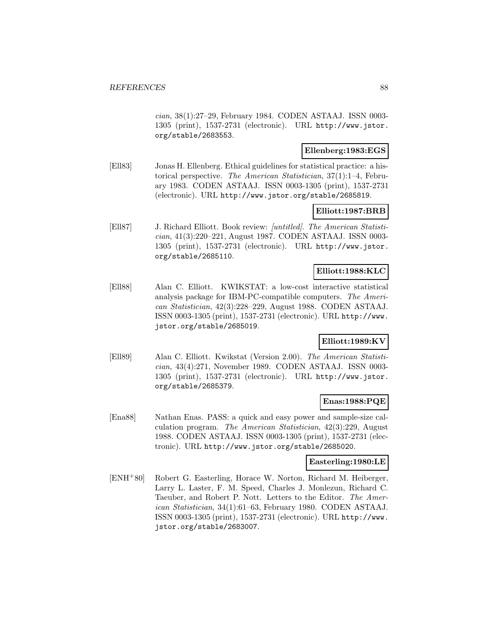cian, 38(1):27–29, February 1984. CODEN ASTAAJ. ISSN 0003- 1305 (print), 1537-2731 (electronic). URL http://www.jstor. org/stable/2683553.

## **Ellenberg:1983:EGS**

[Ell83] Jonas H. Ellenberg. Ethical guidelines for statistical practice: a historical perspective. The American Statistician, 37(1):1–4, February 1983. CODEN ASTAAJ. ISSN 0003-1305 (print), 1537-2731 (electronic). URL http://www.jstor.org/stable/2685819.

### **Elliott:1987:BRB**

[Ell87] J. Richard Elliott. Book review: [untitled]. The American Statistician, 41(3):220–221, August 1987. CODEN ASTAAJ. ISSN 0003- 1305 (print), 1537-2731 (electronic). URL http://www.jstor. org/stable/2685110.

# **Elliott:1988:KLC**

[Ell88] Alan C. Elliott. KWIKSTAT: a low-cost interactive statistical analysis package for IBM-PC-compatible computers. The American Statistician, 42(3):228–229, August 1988. CODEN ASTAAJ. ISSN 0003-1305 (print), 1537-2731 (electronic). URL http://www. jstor.org/stable/2685019.

# **Elliott:1989:KV**

[Ell89] Alan C. Elliott. Kwikstat (Version 2.00). The American Statistician, 43(4):271, November 1989. CODEN ASTAAJ. ISSN 0003- 1305 (print), 1537-2731 (electronic). URL http://www.jstor. org/stable/2685379.

# **Enas:1988:PQE**

[Ena88] Nathan Enas. PASS: a quick and easy power and sample-size calculation program. The American Statistician, 42(3):229, August 1988. CODEN ASTAAJ. ISSN 0003-1305 (print), 1537-2731 (electronic). URL http://www.jstor.org/stable/2685020.

### **Easterling:1980:LE**

[ENH<sup>+</sup>80] Robert G. Easterling, Horace W. Norton, Richard M. Heiberger, Larry L. Laster, F. M. Speed, Charles J. Monlezun, Richard C. Taeuber, and Robert P. Nott. Letters to the Editor. The American Statistician, 34(1):61–63, February 1980. CODEN ASTAAJ. ISSN 0003-1305 (print), 1537-2731 (electronic). URL http://www. jstor.org/stable/2683007.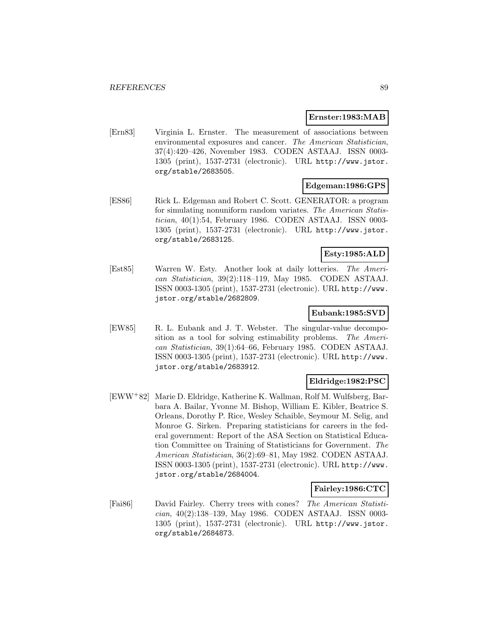## **Ernster:1983:MAB**

[Ern83] Virginia L. Ernster. The measurement of associations between environmental exposures and cancer. The American Statistician, 37(4):420–426, November 1983. CODEN ASTAAJ. ISSN 0003- 1305 (print), 1537-2731 (electronic). URL http://www.jstor. org/stable/2683505.

# **Edgeman:1986:GPS**

[ES86] Rick L. Edgeman and Robert C. Scott. GENERATOR: a program for simulating nonuniform random variates. The American Statistician, 40(1):54, February 1986. CODEN ASTAAJ. ISSN 0003- 1305 (print), 1537-2731 (electronic). URL http://www.jstor. org/stable/2683125.

# **Esty:1985:ALD**

[Est85] Warren W. Esty. Another look at daily lotteries. The American Statistician, 39(2):118–119, May 1985. CODEN ASTAAJ. ISSN 0003-1305 (print), 1537-2731 (electronic). URL http://www. jstor.org/stable/2682809.

### **Eubank:1985:SVD**

[EW85] R. L. Eubank and J. T. Webster. The singular-value decomposition as a tool for solving estimability problems. The American Statistician, 39(1):64–66, February 1985. CODEN ASTAAJ. ISSN 0003-1305 (print), 1537-2731 (electronic). URL http://www. jstor.org/stable/2683912.

# **Eldridge:1982:PSC**

[EWW<sup>+</sup>82] Marie D. Eldridge, Katherine K. Wallman, Rolf M. Wulfsberg, Barbara A. Bailar, Yvonne M. Bishop, William E. Kibler, Beatrice S. Orleans, Dorothy P. Rice, Wesley Schaible, Seymour M. Selig, and Monroe G. Sirken. Preparing statisticians for careers in the federal government: Report of the ASA Section on Statistical Education Committee on Training of Statisticians for Government. The American Statistician, 36(2):69–81, May 1982. CODEN ASTAAJ. ISSN 0003-1305 (print), 1537-2731 (electronic). URL http://www. jstor.org/stable/2684004.

### **Fairley:1986:CTC**

[Fai86] David Fairley. Cherry trees with cones? The American Statistician, 40(2):138–139, May 1986. CODEN ASTAAJ. ISSN 0003- 1305 (print), 1537-2731 (electronic). URL http://www.jstor. org/stable/2684873.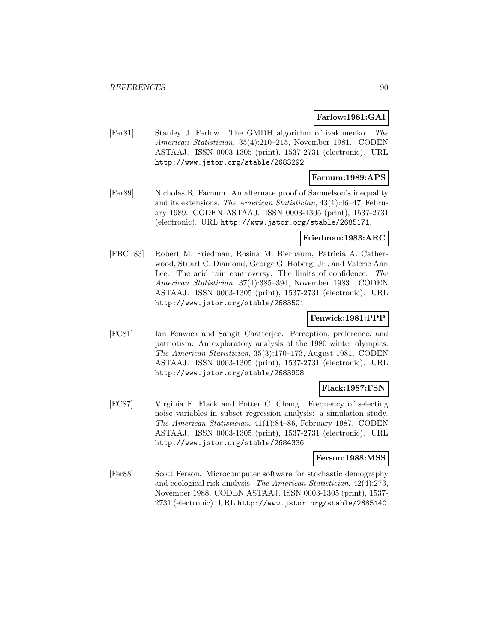### **Farlow:1981:GAI**

[Far81] Stanley J. Farlow. The GMDH algorithm of ivakhnenko. The American Statistician, 35(4):210–215, November 1981. CODEN ASTAAJ. ISSN 0003-1305 (print), 1537-2731 (electronic). URL http://www.jstor.org/stable/2683292.

## **Farnum:1989:APS**

[Far89] Nicholas R. Farnum. An alternate proof of Samuelson's inequality and its extensions. The American Statistician, 43(1):46–47, February 1989. CODEN ASTAAJ. ISSN 0003-1305 (print), 1537-2731 (electronic). URL http://www.jstor.org/stable/2685171.

## **Friedman:1983:ARC**

[FBC<sup>+</sup>83] Robert M. Friedman, Rosina M. Bierbaum, Patricia A. Catherwood, Stuart C. Diamond, George G. Hoberg, Jr., and Valerie Ann Lee. The acid rain controversy: The limits of confidence. The American Statistician, 37(4):385–394, November 1983. CODEN ASTAAJ. ISSN 0003-1305 (print), 1537-2731 (electronic). URL http://www.jstor.org/stable/2683501.

### **Fenwick:1981:PPP**

[FC81] Ian Fenwick and Sangit Chatterjee. Perception, preference, and patriotism: An exploratory analysis of the 1980 winter olympics. The American Statistician, 35(3):170–173, August 1981. CODEN ASTAAJ. ISSN 0003-1305 (print), 1537-2731 (electronic). URL http://www.jstor.org/stable/2683998.

# **Flack:1987:FSN**

[FC87] Virginia F. Flack and Potter C. Chang. Frequency of selecting noise variables in subset regression analysis: a simulation study. The American Statistician, 41(1):84–86, February 1987. CODEN ASTAAJ. ISSN 0003-1305 (print), 1537-2731 (electronic). URL http://www.jstor.org/stable/2684336.

### **Ferson:1988:MSS**

[Fer88] Scott Ferson. Microcomputer software for stochastic demography and ecological risk analysis. The American Statistician, 42(4):273, November 1988. CODEN ASTAAJ. ISSN 0003-1305 (print), 1537- 2731 (electronic). URL http://www.jstor.org/stable/2685140.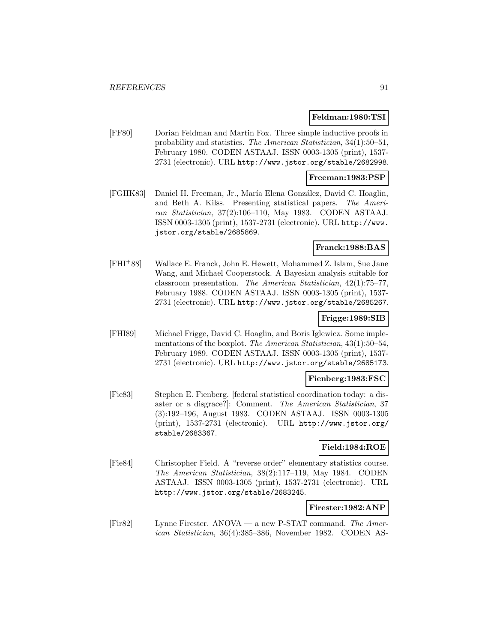### **Feldman:1980:TSI**

[FF80] Dorian Feldman and Martin Fox. Three simple inductive proofs in probability and statistics. The American Statistician, 34(1):50–51, February 1980. CODEN ASTAAJ. ISSN 0003-1305 (print), 1537- 2731 (electronic). URL http://www.jstor.org/stable/2682998.

### **Freeman:1983:PSP**

[FGHK83] Daniel H. Freeman, Jr., María Elena González, David C. Hoaglin, and Beth A. Kilss. Presenting statistical papers. The American Statistician, 37(2):106–110, May 1983. CODEN ASTAAJ. ISSN 0003-1305 (print), 1537-2731 (electronic). URL http://www. jstor.org/stable/2685869.

### **Franck:1988:BAS**

[FHI<sup>+</sup>88] Wallace E. Franck, John E. Hewett, Mohammed Z. Islam, Sue Jane Wang, and Michael Cooperstock. A Bayesian analysis suitable for classroom presentation. The American Statistician, 42(1):75–77, February 1988. CODEN ASTAAJ. ISSN 0003-1305 (print), 1537- 2731 (electronic). URL http://www.jstor.org/stable/2685267.

### **Frigge:1989:SIB**

[FHI89] Michael Frigge, David C. Hoaglin, and Boris Iglewicz. Some implementations of the boxplot. The American Statistician, 43(1):50–54, February 1989. CODEN ASTAAJ. ISSN 0003-1305 (print), 1537- 2731 (electronic). URL http://www.jstor.org/stable/2685173.

### **Fienberg:1983:FSC**

[Fie83] Stephen E. Fienberg. [federal statistical coordination today: a disaster or a disgrace?]: Comment. The American Statistician, 37 (3):192–196, August 1983. CODEN ASTAAJ. ISSN 0003-1305 (print), 1537-2731 (electronic). URL http://www.jstor.org/ stable/2683367.

### **Field:1984:ROE**

[Fie84] Christopher Field. A "reverse order" elementary statistics course. The American Statistician, 38(2):117–119, May 1984. CODEN ASTAAJ. ISSN 0003-1305 (print), 1537-2731 (electronic). URL http://www.jstor.org/stable/2683245.

### **Firester:1982:ANP**

[Fir82] Lynne Firester. ANOVA — a new P-STAT command. The American Statistician, 36(4):385–386, November 1982. CODEN AS-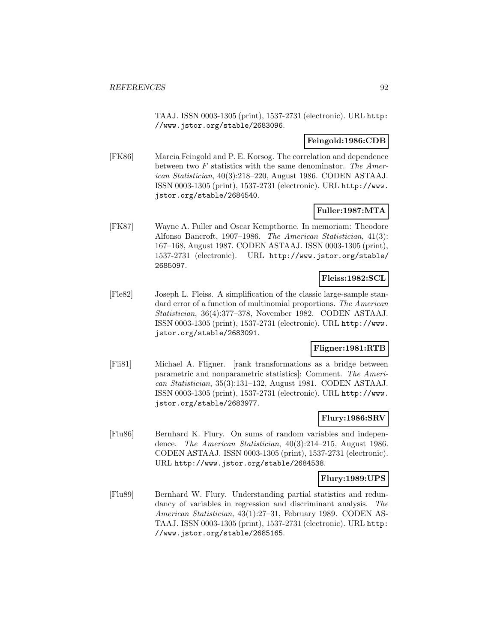TAAJ. ISSN 0003-1305 (print), 1537-2731 (electronic). URL http: //www.jstor.org/stable/2683096.

### **Feingold:1986:CDB**

[FK86] Marcia Feingold and P. E. Korsog. The correlation and dependence between two  $F$  statistics with the same denominator. The American Statistician, 40(3):218–220, August 1986. CODEN ASTAAJ. ISSN 0003-1305 (print), 1537-2731 (electronic). URL http://www. jstor.org/stable/2684540.

# **Fuller:1987:MTA**

[FK87] Wayne A. Fuller and Oscar Kempthorne. In memoriam: Theodore Alfonso Bancroft, 1907–1986. The American Statistician, 41(3): 167–168, August 1987. CODEN ASTAAJ. ISSN 0003-1305 (print), 1537-2731 (electronic). URL http://www.jstor.org/stable/ 2685097.

### **Fleiss:1982:SCL**

[Fle82] Joseph L. Fleiss. A simplification of the classic large-sample standard error of a function of multinomial proportions. The American Statistician, 36(4):377–378, November 1982. CODEN ASTAAJ. ISSN 0003-1305 (print), 1537-2731 (electronic). URL http://www. jstor.org/stable/2683091.

# **Fligner:1981:RTB**

[Fli81] Michael A. Fligner. [rank transformations as a bridge between parametric and nonparametric statistics]: Comment. The American Statistician, 35(3):131–132, August 1981. CODEN ASTAAJ. ISSN 0003-1305 (print), 1537-2731 (electronic). URL http://www. jstor.org/stable/2683977.

# **Flury:1986:SRV**

[Flu86] Bernhard K. Flury. On sums of random variables and independence. The American Statistician, 40(3):214–215, August 1986. CODEN ASTAAJ. ISSN 0003-1305 (print), 1537-2731 (electronic). URL http://www.jstor.org/stable/2684538.

### **Flury:1989:UPS**

[Flu89] Bernhard W. Flury. Understanding partial statistics and redundancy of variables in regression and discriminant analysis. The American Statistician, 43(1):27–31, February 1989. CODEN AS-TAAJ. ISSN 0003-1305 (print), 1537-2731 (electronic). URL http: //www.jstor.org/stable/2685165.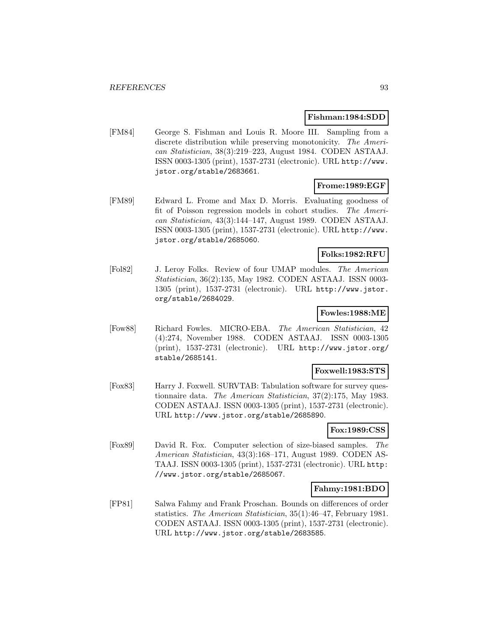### **Fishman:1984:SDD**

[FM84] George S. Fishman and Louis R. Moore III. Sampling from a discrete distribution while preserving monotonicity. The American Statistician, 38(3):219–223, August 1984. CODEN ASTAAJ. ISSN 0003-1305 (print), 1537-2731 (electronic). URL http://www. jstor.org/stable/2683661.

# **Frome:1989:EGF**

[FM89] Edward L. Frome and Max D. Morris. Evaluating goodness of fit of Poisson regression models in cohort studies. The American Statistician, 43(3):144–147, August 1989. CODEN ASTAAJ. ISSN 0003-1305 (print), 1537-2731 (electronic). URL http://www. jstor.org/stable/2685060.

# **Folks:1982:RFU**

[Fol82] J. Leroy Folks. Review of four UMAP modules. The American Statistician, 36(2):135, May 1982. CODEN ASTAAJ. ISSN 0003- 1305 (print), 1537-2731 (electronic). URL http://www.jstor. org/stable/2684029.

### **Fowles:1988:ME**

[Fow88] Richard Fowles. MICRO-EBA. The American Statistician, 42 (4):274, November 1988. CODEN ASTAAJ. ISSN 0003-1305 (print), 1537-2731 (electronic). URL http://www.jstor.org/ stable/2685141.

#### **Foxwell:1983:STS**

[Fox83] Harry J. Foxwell. SURVTAB: Tabulation software for survey questionnaire data. The American Statistician, 37(2):175, May 1983. CODEN ASTAAJ. ISSN 0003-1305 (print), 1537-2731 (electronic). URL http://www.jstor.org/stable/2685890.

# **Fox:1989:CSS**

[Fox89] David R. Fox. Computer selection of size-biased samples. The American Statistician, 43(3):168–171, August 1989. CODEN AS-TAAJ. ISSN 0003-1305 (print), 1537-2731 (electronic). URL http: //www.jstor.org/stable/2685067.

### **Fahmy:1981:BDO**

[FP81] Salwa Fahmy and Frank Proschan. Bounds on differences of order statistics. The American Statistician, 35(1):46–47, February 1981. CODEN ASTAAJ. ISSN 0003-1305 (print), 1537-2731 (electronic). URL http://www.jstor.org/stable/2683585.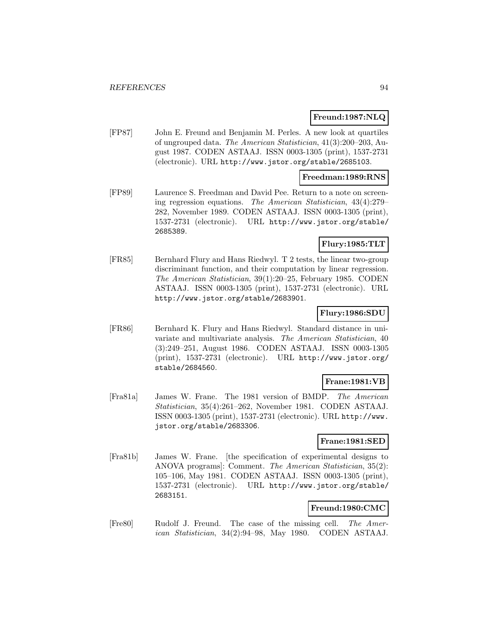# **Freund:1987:NLQ**

[FP87] John E. Freund and Benjamin M. Perles. A new look at quartiles of ungrouped data. The American Statistician, 41(3):200–203, August 1987. CODEN ASTAAJ. ISSN 0003-1305 (print), 1537-2731 (electronic). URL http://www.jstor.org/stable/2685103.

### **Freedman:1989:RNS**

[FP89] Laurence S. Freedman and David Pee. Return to a note on screening regression equations. The American Statistician, 43(4):279– 282, November 1989. CODEN ASTAAJ. ISSN 0003-1305 (print), 1537-2731 (electronic). URL http://www.jstor.org/stable/ 2685389.

# **Flury:1985:TLT**

[FR85] Bernhard Flury and Hans Riedwyl. T 2 tests, the linear two-group discriminant function, and their computation by linear regression. The American Statistician, 39(1):20–25, February 1985. CODEN ASTAAJ. ISSN 0003-1305 (print), 1537-2731 (electronic). URL http://www.jstor.org/stable/2683901.

# **Flury:1986:SDU**

[FR86] Bernhard K. Flury and Hans Riedwyl. Standard distance in univariate and multivariate analysis. The American Statistician, 40 (3):249–251, August 1986. CODEN ASTAAJ. ISSN 0003-1305 (print), 1537-2731 (electronic). URL http://www.jstor.org/ stable/2684560.

### **Frane:1981:VB**

[Fra81a] James W. Frane. The 1981 version of BMDP. The American Statistician, 35(4):261–262, November 1981. CODEN ASTAAJ. ISSN 0003-1305 (print), 1537-2731 (electronic). URL http://www. jstor.org/stable/2683306.

# **Frane:1981:SED**

[Fra81b] James W. Frane. [the specification of experimental designs to ANOVA programs]: Comment. The American Statistician, 35(2): 105–106, May 1981. CODEN ASTAAJ. ISSN 0003-1305 (print), 1537-2731 (electronic). URL http://www.jstor.org/stable/ 2683151.

#### **Freund:1980:CMC**

[Fre80] Rudolf J. Freund. The case of the missing cell. The American Statistician, 34(2):94–98, May 1980. CODEN ASTAAJ.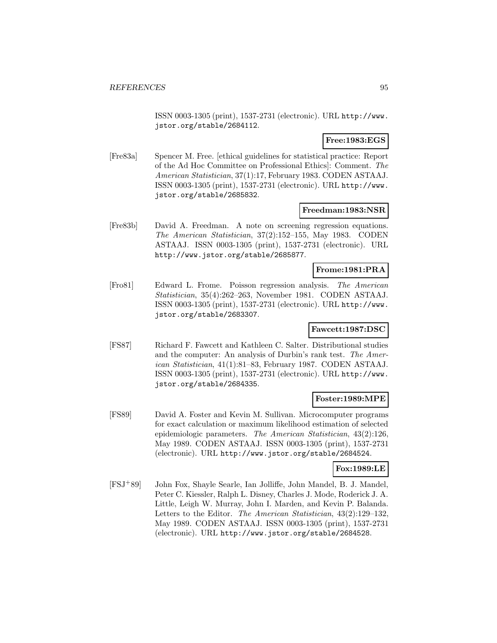ISSN 0003-1305 (print), 1537-2731 (electronic). URL http://www. jstor.org/stable/2684112.

# **Free:1983:EGS**

[Fre83a] Spencer M. Free. [ethical guidelines for statistical practice: Report of the Ad Hoc Committee on Professional Ethics]: Comment. The American Statistician, 37(1):17, February 1983. CODEN ASTAAJ. ISSN 0003-1305 (print), 1537-2731 (electronic). URL http://www. jstor.org/stable/2685832.

### **Freedman:1983:NSR**

[Fre83b] David A. Freedman. A note on screening regression equations. The American Statistician, 37(2):152–155, May 1983. CODEN ASTAAJ. ISSN 0003-1305 (print), 1537-2731 (electronic). URL http://www.jstor.org/stable/2685877.

# **Frome:1981:PRA**

[Fro81] Edward L. Frome. Poisson regression analysis. The American Statistician, 35(4):262–263, November 1981. CODEN ASTAAJ. ISSN 0003-1305 (print), 1537-2731 (electronic). URL http://www. jstor.org/stable/2683307.

#### **Fawcett:1987:DSC**

[FS87] Richard F. Fawcett and Kathleen C. Salter. Distributional studies and the computer: An analysis of Durbin's rank test. The American Statistician, 41(1):81–83, February 1987. CODEN ASTAAJ. ISSN 0003-1305 (print), 1537-2731 (electronic). URL http://www. jstor.org/stable/2684335.

### **Foster:1989:MPE**

[FS89] David A. Foster and Kevin M. Sullivan. Microcomputer programs for exact calculation or maximum likelihood estimation of selected epidemiologic parameters. The American Statistician, 43(2):126, May 1989. CODEN ASTAAJ. ISSN 0003-1305 (print), 1537-2731 (electronic). URL http://www.jstor.org/stable/2684524.

#### **Fox:1989:LE**

[FSJ<sup>+</sup>89] John Fox, Shayle Searle, Ian Jolliffe, John Mandel, B. J. Mandel, Peter C. Kiessler, Ralph L. Disney, Charles J. Mode, Roderick J. A. Little, Leigh W. Murray, John I. Marden, and Kevin P. Balanda. Letters to the Editor. The American Statistician, 43(2):129–132, May 1989. CODEN ASTAAJ. ISSN 0003-1305 (print), 1537-2731 (electronic). URL http://www.jstor.org/stable/2684528.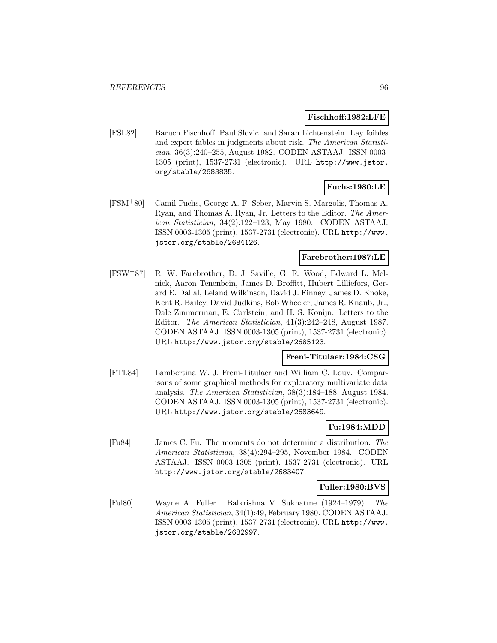### **Fischhoff:1982:LFE**

[FSL82] Baruch Fischhoff, Paul Slovic, and Sarah Lichtenstein. Lay foibles and expert fables in judgments about risk. The American Statistician, 36(3):240–255, August 1982. CODEN ASTAAJ. ISSN 0003- 1305 (print), 1537-2731 (electronic). URL http://www.jstor. org/stable/2683835.

# **Fuchs:1980:LE**

[FSM<sup>+</sup>80] Camil Fuchs, George A. F. Seber, Marvin S. Margolis, Thomas A. Ryan, and Thomas A. Ryan, Jr. Letters to the Editor. The American Statistician, 34(2):122–123, May 1980. CODEN ASTAAJ. ISSN 0003-1305 (print), 1537-2731 (electronic). URL http://www. jstor.org/stable/2684126.

# **Farebrother:1987:LE**

[FSW<sup>+</sup>87] R. W. Farebrother, D. J. Saville, G. R. Wood, Edward L. Melnick, Aaron Tenenbein, James D. Broffitt, Hubert Lilliefors, Gerard E. Dallal, Leland Wilkinson, David J. Finney, James D. Knoke, Kent R. Bailey, David Judkins, Bob Wheeler, James R. Knaub, Jr., Dale Zimmerman, E. Carlstein, and H. S. Konijn. Letters to the Editor. The American Statistician, 41(3):242–248, August 1987. CODEN ASTAAJ. ISSN 0003-1305 (print), 1537-2731 (electronic). URL http://www.jstor.org/stable/2685123.

### **Freni-Titulaer:1984:CSG**

[FTL84] Lambertina W. J. Freni-Titulaer and William C. Louv. Comparisons of some graphical methods for exploratory multivariate data analysis. The American Statistician, 38(3):184–188, August 1984. CODEN ASTAAJ. ISSN 0003-1305 (print), 1537-2731 (electronic). URL http://www.jstor.org/stable/2683649.

# **Fu:1984:MDD**

[Fu84] James C. Fu. The moments do not determine a distribution. The American Statistician, 38(4):294–295, November 1984. CODEN ASTAAJ. ISSN 0003-1305 (print), 1537-2731 (electronic). URL http://www.jstor.org/stable/2683407.

### **Fuller:1980:BVS**

[Ful80] Wayne A. Fuller. Balkrishna V. Sukhatme (1924–1979). The American Statistician, 34(1):49, February 1980. CODEN ASTAAJ. ISSN 0003-1305 (print), 1537-2731 (electronic). URL http://www. jstor.org/stable/2682997.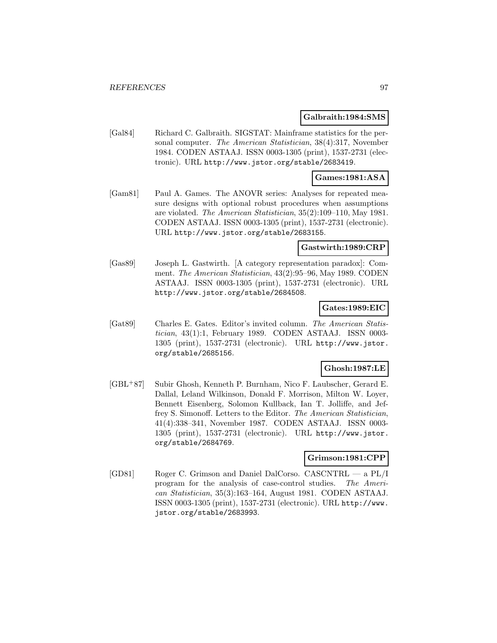### **Galbraith:1984:SMS**

[Gal84] Richard C. Galbraith. SIGSTAT: Mainframe statistics for the personal computer. The American Statistician, 38(4):317, November 1984. CODEN ASTAAJ. ISSN 0003-1305 (print), 1537-2731 (electronic). URL http://www.jstor.org/stable/2683419.

## **Games:1981:ASA**

[Gam81] Paul A. Games. The ANOVR series: Analyses for repeated measure designs with optional robust procedures when assumptions are violated. The American Statistician, 35(2):109–110, May 1981. CODEN ASTAAJ. ISSN 0003-1305 (print), 1537-2731 (electronic). URL http://www.jstor.org/stable/2683155.

### **Gastwirth:1989:CRP**

[Gas89] Joseph L. Gastwirth. [A category representation paradox]: Comment. The American Statistician, 43(2):95–96, May 1989. CODEN ASTAAJ. ISSN 0003-1305 (print), 1537-2731 (electronic). URL http://www.jstor.org/stable/2684508.

# **Gates:1989:EIC**

[Gat89] Charles E. Gates. Editor's invited column. The American Statistician, 43(1):1, February 1989. CODEN ASTAAJ. ISSN 0003- 1305 (print), 1537-2731 (electronic). URL http://www.jstor. org/stable/2685156.

# **Ghosh:1987:LE**

[GBL<sup>+</sup>87] Subir Ghosh, Kenneth P. Burnham, Nico F. Laubscher, Gerard E. Dallal, Leland Wilkinson, Donald F. Morrison, Milton W. Loyer, Bennett Eisenberg, Solomon Kullback, Ian T. Jolliffe, and Jeffrey S. Simonoff. Letters to the Editor. The American Statistician, 41(4):338–341, November 1987. CODEN ASTAAJ. ISSN 0003- 1305 (print), 1537-2731 (electronic). URL http://www.jstor. org/stable/2684769.

# **Grimson:1981:CPP**

[GD81] Roger C. Grimson and Daniel DalCorso. CASCNTRL — a PL/I program for the analysis of case-control studies. The American Statistician, 35(3):163–164, August 1981. CODEN ASTAAJ. ISSN 0003-1305 (print), 1537-2731 (electronic). URL http://www. jstor.org/stable/2683993.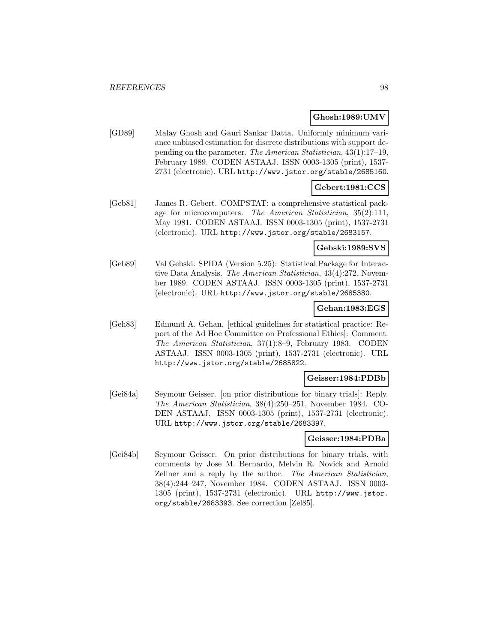# **Ghosh:1989:UMV**

[GD89] Malay Ghosh and Gauri Sankar Datta. Uniformly minimum variance unbiased estimation for discrete distributions with support depending on the parameter. The American Statistician, 43(1):17–19, February 1989. CODEN ASTAAJ. ISSN 0003-1305 (print), 1537- 2731 (electronic). URL http://www.jstor.org/stable/2685160.

# **Gebert:1981:CCS**

[Geb81] James R. Gebert. COMPSTAT: a comprehensive statistical package for microcomputers. The American Statistician, 35(2):111, May 1981. CODEN ASTAAJ. ISSN 0003-1305 (print), 1537-2731 (electronic). URL http://www.jstor.org/stable/2683157.

# **Gebski:1989:SVS**

[Geb89] Val Gebski. SPIDA (Version 5.25): Statistical Package for Interactive Data Analysis. The American Statistician, 43(4):272, November 1989. CODEN ASTAAJ. ISSN 0003-1305 (print), 1537-2731 (electronic). URL http://www.jstor.org/stable/2685380.

## **Gehan:1983:EGS**

[Geh83] Edmund A. Gehan. [ethical guidelines for statistical practice: Report of the Ad Hoc Committee on Professional Ethics]: Comment. The American Statistician, 37(1):8–9, February 1983. CODEN ASTAAJ. ISSN 0003-1305 (print), 1537-2731 (electronic). URL http://www.jstor.org/stable/2685822.

#### **Geisser:1984:PDBb**

[Gei84a] Seymour Geisser. [on prior distributions for binary trials]: Reply. The American Statistician, 38(4):250–251, November 1984. CO-DEN ASTAAJ. ISSN 0003-1305 (print), 1537-2731 (electronic). URL http://www.jstor.org/stable/2683397.

#### **Geisser:1984:PDBa**

[Gei84b] Seymour Geisser. On prior distributions for binary trials. with comments by Jose M. Bernardo, Melvin R. Novick and Arnold Zellner and a reply by the author. The American Statistician, 38(4):244–247, November 1984. CODEN ASTAAJ. ISSN 0003- 1305 (print), 1537-2731 (electronic). URL http://www.jstor. org/stable/2683393. See correction [Zel85].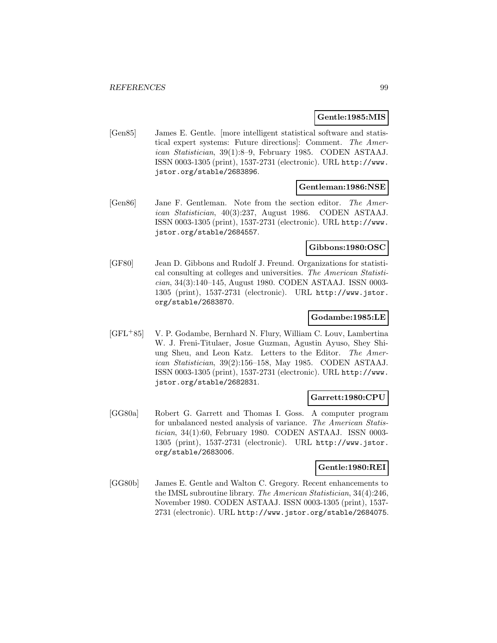### **Gentle:1985:MIS**

[Gen85] James E. Gentle. [more intelligent statistical software and statistical expert systems: Future directions]: Comment. The American Statistician, 39(1):8–9, February 1985. CODEN ASTAAJ. ISSN 0003-1305 (print), 1537-2731 (electronic). URL http://www. jstor.org/stable/2683896.

### **Gentleman:1986:NSE**

[Gen86] Jane F. Gentleman. Note from the section editor. The American Statistician, 40(3):237, August 1986. CODEN ASTAAJ. ISSN 0003-1305 (print), 1537-2731 (electronic). URL http://www. jstor.org/stable/2684557.

### **Gibbons:1980:OSC**

[GF80] Jean D. Gibbons and Rudolf J. Freund. Organizations for statistical consulting at colleges and universities. The American Statistician, 34(3):140–145, August 1980. CODEN ASTAAJ. ISSN 0003- 1305 (print), 1537-2731 (electronic). URL http://www.jstor. org/stable/2683870.

### **Godambe:1985:LE**

[GFL<sup>+</sup>85] V. P. Godambe, Bernhard N. Flury, William C. Louv, Lambertina W. J. Freni-Titulaer, Josue Guzman, Agustin Ayuso, Shey Shiung Sheu, and Leon Katz. Letters to the Editor. The American Statistician, 39(2):156–158, May 1985. CODEN ASTAAJ. ISSN 0003-1305 (print), 1537-2731 (electronic). URL http://www. jstor.org/stable/2682831.

## **Garrett:1980:CPU**

[GG80a] Robert G. Garrett and Thomas I. Goss. A computer program for unbalanced nested analysis of variance. The American Statistician, 34(1):60, February 1980. CODEN ASTAAJ. ISSN 0003- 1305 (print), 1537-2731 (electronic). URL http://www.jstor. org/stable/2683006.

### **Gentle:1980:REI**

[GG80b] James E. Gentle and Walton C. Gregory. Recent enhancements to the IMSL subroutine library. The American Statistician, 34(4):246, November 1980. CODEN ASTAAJ. ISSN 0003-1305 (print), 1537- 2731 (electronic). URL http://www.jstor.org/stable/2684075.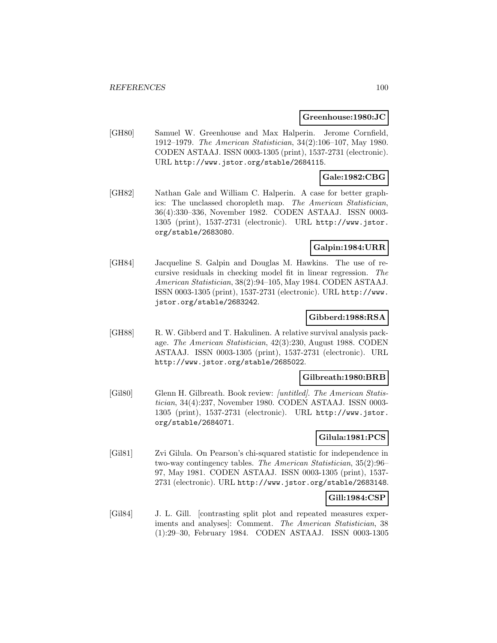### **Greenhouse:1980:JC**

[GH80] Samuel W. Greenhouse and Max Halperin. Jerome Cornfield, 1912–1979. The American Statistician, 34(2):106–107, May 1980. CODEN ASTAAJ. ISSN 0003-1305 (print), 1537-2731 (electronic). URL http://www.jstor.org/stable/2684115.

## **Gale:1982:CBG**

[GH82] Nathan Gale and William C. Halperin. A case for better graphics: The unclassed choropleth map. The American Statistician, 36(4):330–336, November 1982. CODEN ASTAAJ. ISSN 0003- 1305 (print), 1537-2731 (electronic). URL http://www.jstor. org/stable/2683080.

# **Galpin:1984:URR**

[GH84] Jacqueline S. Galpin and Douglas M. Hawkins. The use of recursive residuals in checking model fit in linear regression. The American Statistician, 38(2):94–105, May 1984. CODEN ASTAAJ. ISSN 0003-1305 (print), 1537-2731 (electronic). URL http://www. jstor.org/stable/2683242.

### **Gibberd:1988:RSA**

[GH88] R. W. Gibberd and T. Hakulinen. A relative survival analysis package. The American Statistician, 42(3):230, August 1988. CODEN ASTAAJ. ISSN 0003-1305 (print), 1537-2731 (electronic). URL http://www.jstor.org/stable/2685022.

### **Gilbreath:1980:BRB**

[Gil80] Glenn H. Gilbreath. Book review: [untitled]. The American Statistician, 34(4):237, November 1980. CODEN ASTAAJ. ISSN 0003- 1305 (print), 1537-2731 (electronic). URL http://www.jstor. org/stable/2684071.

### **Gilula:1981:PCS**

[Gil81] Zvi Gilula. On Pearson's chi-squared statistic for independence in two-way contingency tables. The American Statistician, 35(2):96– 97, May 1981. CODEN ASTAAJ. ISSN 0003-1305 (print), 1537- 2731 (electronic). URL http://www.jstor.org/stable/2683148.

### **Gill:1984:CSP**

[Gil84] J. L. Gill. [contrasting split plot and repeated measures experiments and analyses]: Comment. The American Statistician, 38 (1):29–30, February 1984. CODEN ASTAAJ. ISSN 0003-1305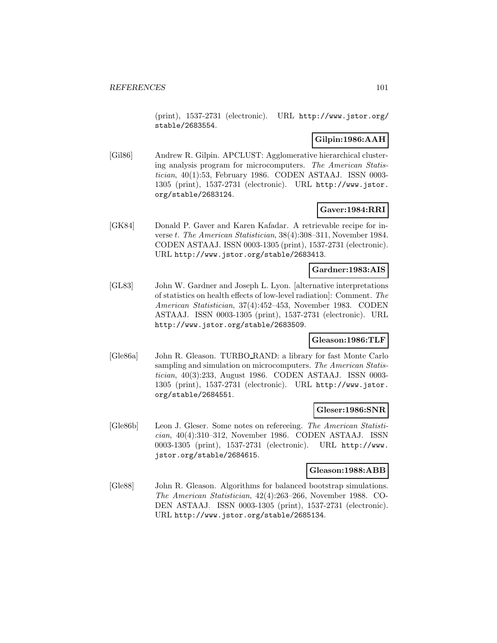(print), 1537-2731 (electronic). URL http://www.jstor.org/ stable/2683554.

# **Gilpin:1986:AAH**

[Gil86] Andrew R. Gilpin. APCLUST: Agglomerative hierarchical clustering analysis program for microcomputers. The American Statistician, 40(1):53, February 1986. CODEN ASTAAJ. ISSN 0003- 1305 (print), 1537-2731 (electronic). URL http://www.jstor. org/stable/2683124.

## **Gaver:1984:RRI**

[GK84] Donald P. Gaver and Karen Kafadar. A retrievable recipe for inverse t. The American Statistician, 38(4):308–311, November 1984. CODEN ASTAAJ. ISSN 0003-1305 (print), 1537-2731 (electronic). URL http://www.jstor.org/stable/2683413.

## **Gardner:1983:AIS**

[GL83] John W. Gardner and Joseph L. Lyon. [alternative interpretations of statistics on health effects of low-level radiation]: Comment. The American Statistician, 37(4):452–453, November 1983. CODEN ASTAAJ. ISSN 0003-1305 (print), 1537-2731 (electronic). URL http://www.jstor.org/stable/2683509.

# **Gleason:1986:TLF**

[Gle86a] John R. Gleason. TURBO RAND: a library for fast Monte Carlo sampling and simulation on microcomputers. The American Statistician, 40(3):233, August 1986. CODEN ASTAAJ. ISSN 0003- 1305 (print), 1537-2731 (electronic). URL http://www.jstor. org/stable/2684551.

#### **Gleser:1986:SNR**

[Gle86b] Leon J. Gleser. Some notes on refereeing. The American Statistician, 40(4):310–312, November 1986. CODEN ASTAAJ. ISSN 0003-1305 (print), 1537-2731 (electronic). URL http://www. jstor.org/stable/2684615.

### **Gleason:1988:ABB**

[Gle88] John R. Gleason. Algorithms for balanced bootstrap simulations. The American Statistician, 42(4):263–266, November 1988. CO-DEN ASTAAJ. ISSN 0003-1305 (print), 1537-2731 (electronic). URL http://www.jstor.org/stable/2685134.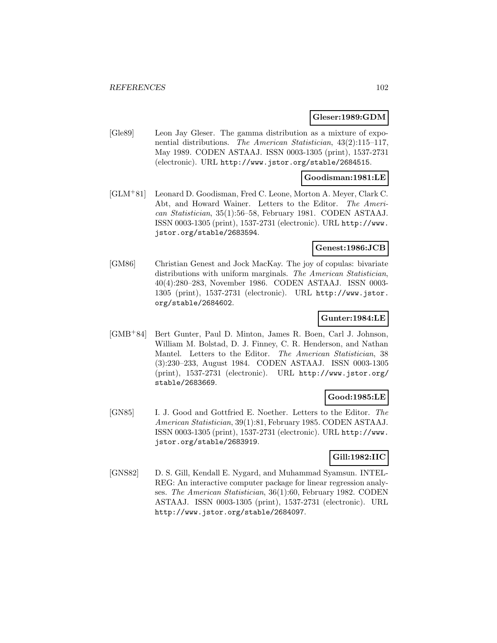### **Gleser:1989:GDM**

[Gle89] Leon Jay Gleser. The gamma distribution as a mixture of exponential distributions. The American Statistician, 43(2):115–117, May 1989. CODEN ASTAAJ. ISSN 0003-1305 (print), 1537-2731 (electronic). URL http://www.jstor.org/stable/2684515.

### **Goodisman:1981:LE**

[GLM<sup>+</sup>81] Leonard D. Goodisman, Fred C. Leone, Morton A. Meyer, Clark C. Abt, and Howard Wainer. Letters to the Editor. The American Statistician, 35(1):56–58, February 1981. CODEN ASTAAJ. ISSN 0003-1305 (print), 1537-2731 (electronic). URL http://www. jstor.org/stable/2683594.

### **Genest:1986:JCB**

[GM86] Christian Genest and Jock MacKay. The joy of copulas: bivariate distributions with uniform marginals. The American Statistician, 40(4):280–283, November 1986. CODEN ASTAAJ. ISSN 0003- 1305 (print), 1537-2731 (electronic). URL http://www.jstor. org/stable/2684602.

### **Gunter:1984:LE**

[GMB<sup>+</sup>84] Bert Gunter, Paul D. Minton, James R. Boen, Carl J. Johnson, William M. Bolstad, D. J. Finney, C. R. Henderson, and Nathan Mantel. Letters to the Editor. The American Statistician, 38 (3):230–233, August 1984. CODEN ASTAAJ. ISSN 0003-1305 (print), 1537-2731 (electronic). URL http://www.jstor.org/ stable/2683669.

# **Good:1985:LE**

[GN85] I. J. Good and Gottfried E. Noether. Letters to the Editor. The American Statistician, 39(1):81, February 1985. CODEN ASTAAJ. ISSN 0003-1305 (print), 1537-2731 (electronic). URL http://www. jstor.org/stable/2683919.

# **Gill:1982:IIC**

[GNS82] D. S. Gill, Kendall E. Nygard, and Muhammad Syamsun. INTEL-REG: An interactive computer package for linear regression analyses. The American Statistician, 36(1):60, February 1982. CODEN ASTAAJ. ISSN 0003-1305 (print), 1537-2731 (electronic). URL http://www.jstor.org/stable/2684097.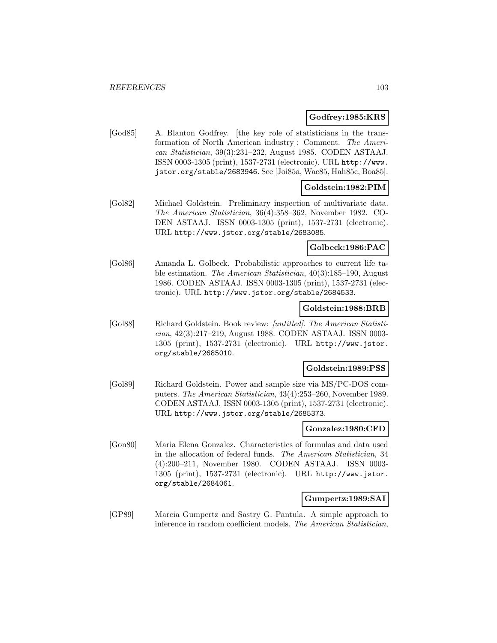### **Godfrey:1985:KRS**

[God85] A. Blanton Godfrey. [the key role of statisticians in the transformation of North American industry]: Comment. The American Statistician, 39(3):231–232, August 1985. CODEN ASTAAJ. ISSN 0003-1305 (print), 1537-2731 (electronic). URL http://www. jstor.org/stable/2683946. See [Joi85a, Wac85, Hah85c, Boa85].

## **Goldstein:1982:PIM**

[Gol82] Michael Goldstein. Preliminary inspection of multivariate data. The American Statistician, 36(4):358–362, November 1982. CO-DEN ASTAAJ. ISSN 0003-1305 (print), 1537-2731 (electronic). URL http://www.jstor.org/stable/2683085.

### **Golbeck:1986:PAC**

[Gol86] Amanda L. Golbeck. Probabilistic approaches to current life table estimation. The American Statistician, 40(3):185–190, August 1986. CODEN ASTAAJ. ISSN 0003-1305 (print), 1537-2731 (electronic). URL http://www.jstor.org/stable/2684533.

### **Goldstein:1988:BRB**

[Gol88] Richard Goldstein. Book review: [untitled]. The American Statistician, 42(3):217–219, August 1988. CODEN ASTAAJ. ISSN 0003- 1305 (print), 1537-2731 (electronic). URL http://www.jstor. org/stable/2685010.

#### **Goldstein:1989:PSS**

[Gol89] Richard Goldstein. Power and sample size via MS/PC-DOS computers. The American Statistician, 43(4):253–260, November 1989. CODEN ASTAAJ. ISSN 0003-1305 (print), 1537-2731 (electronic). URL http://www.jstor.org/stable/2685373.

# **Gonzalez:1980:CFD**

[Gon80] Maria Elena Gonzalez. Characteristics of formulas and data used in the allocation of federal funds. The American Statistician, 34 (4):200–211, November 1980. CODEN ASTAAJ. ISSN 0003- 1305 (print), 1537-2731 (electronic). URL http://www.jstor. org/stable/2684061.

### **Gumpertz:1989:SAI**

[GP89] Marcia Gumpertz and Sastry G. Pantula. A simple approach to inference in random coefficient models. The American Statistician,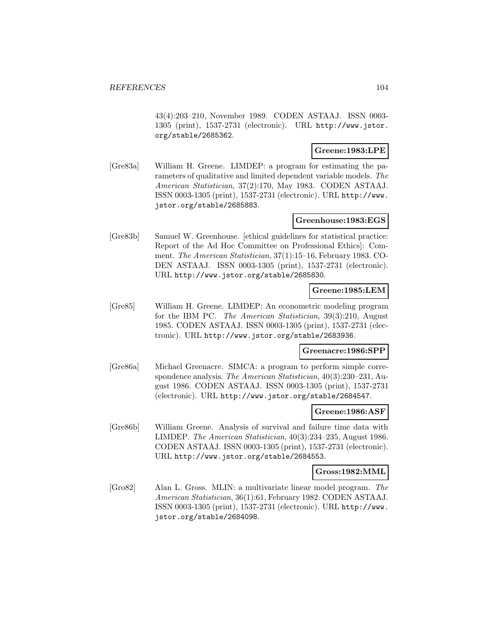43(4):203–210, November 1989. CODEN ASTAAJ. ISSN 0003- 1305 (print), 1537-2731 (electronic). URL http://www.jstor. org/stable/2685362.

## **Greene:1983:LPE**

[Gre83a] William H. Greene. LIMDEP: a program for estimating the parameters of qualitative and limited dependent variable models. The American Statistician, 37(2):170, May 1983. CODEN ASTAAJ. ISSN 0003-1305 (print), 1537-2731 (electronic). URL http://www. jstor.org/stable/2685883.

## **Greenhouse:1983:EGS**

[Gre83b] Samuel W. Greenhouse. [ethical guidelines for statistical practice: Report of the Ad Hoc Committee on Professional Ethics]: Comment. The American Statistician, 37(1):15–16, February 1983. CO-DEN ASTAAJ. ISSN 0003-1305 (print), 1537-2731 (electronic). URL http://www.jstor.org/stable/2685830.

### **Greene:1985:LEM**

[Gre85] William H. Greene. LIMDEP: An econometric modeling program for the IBM PC. The American Statistician, 39(3):210, August 1985. CODEN ASTAAJ. ISSN 0003-1305 (print), 1537-2731 (electronic). URL http://www.jstor.org/stable/2683936.

### **Greenacre:1986:SPP**

[Gre86a] Michael Greenacre. SIMCA: a program to perform simple correspondence analysis. The American Statistician, 40(3):230–231, August 1986. CODEN ASTAAJ. ISSN 0003-1305 (print), 1537-2731 (electronic). URL http://www.jstor.org/stable/2684547.

### **Greene:1986:ASF**

[Gre86b] William Greene. Analysis of survival and failure time data with LIMDEP. The American Statistician, 40(3):234–235, August 1986. CODEN ASTAAJ. ISSN 0003-1305 (print), 1537-2731 (electronic). URL http://www.jstor.org/stable/2684553.

### **Gross:1982:MML**

[Gro82] Alan L. Gross. MLIN: a multivariate linear model program. The American Statistician, 36(1):61, February 1982. CODEN ASTAAJ. ISSN 0003-1305 (print), 1537-2731 (electronic). URL http://www. jstor.org/stable/2684098.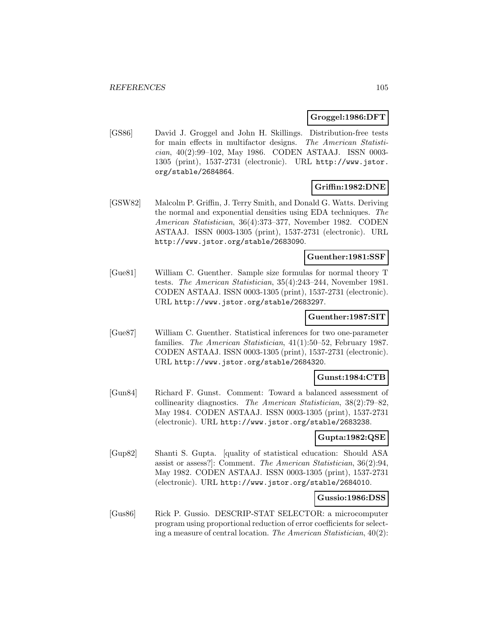### **Groggel:1986:DFT**

[GS86] David J. Groggel and John H. Skillings. Distribution-free tests for main effects in multifactor designs. The American Statistician, 40(2):99–102, May 1986. CODEN ASTAAJ. ISSN 0003- 1305 (print), 1537-2731 (electronic). URL http://www.jstor. org/stable/2684864.

# **Griffin:1982:DNE**

[GSW82] Malcolm P. Griffin, J. Terry Smith, and Donald G. Watts. Deriving the normal and exponential densities using EDA techniques. The American Statistician, 36(4):373–377, November 1982. CODEN ASTAAJ. ISSN 0003-1305 (print), 1537-2731 (electronic). URL http://www.jstor.org/stable/2683090.

## **Guenther:1981:SSF**

[Gue81] William C. Guenther. Sample size formulas for normal theory T tests. The American Statistician, 35(4):243–244, November 1981. CODEN ASTAAJ. ISSN 0003-1305 (print), 1537-2731 (electronic). URL http://www.jstor.org/stable/2683297.

### **Guenther:1987:SIT**

[Gue87] William C. Guenther. Statistical inferences for two one-parameter families. The American Statistician, 41(1):50–52, February 1987. CODEN ASTAAJ. ISSN 0003-1305 (print), 1537-2731 (electronic). URL http://www.jstor.org/stable/2684320.

## **Gunst:1984:CTB**

[Gun84] Richard F. Gunst. Comment: Toward a balanced assessment of collinearity diagnostics. The American Statistician, 38(2):79–82, May 1984. CODEN ASTAAJ. ISSN 0003-1305 (print), 1537-2731 (electronic). URL http://www.jstor.org/stable/2683238.

### **Gupta:1982:QSE**

[Gup82] Shanti S. Gupta. [quality of statistical education: Should ASA assist or assess?]: Comment. The American Statistician, 36(2):94, May 1982. CODEN ASTAAJ. ISSN 0003-1305 (print), 1537-2731 (electronic). URL http://www.jstor.org/stable/2684010.

## **Gussio:1986:DSS**

[Gus86] Rick P. Gussio. DESCRIP-STAT SELECTOR: a microcomputer program using proportional reduction of error coefficients for selecting a measure of central location. The American Statistician, 40(2):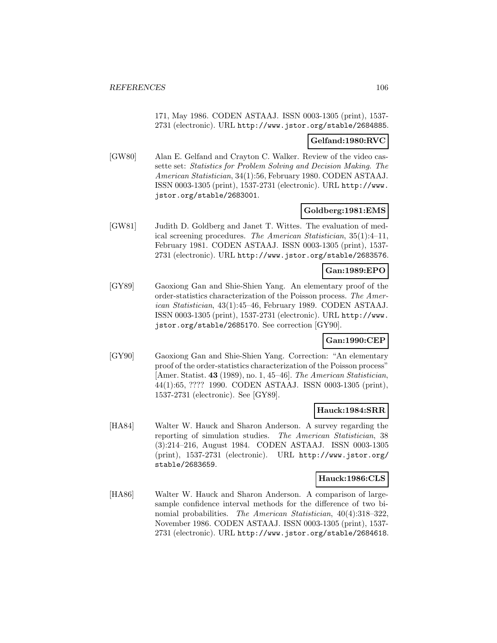171, May 1986. CODEN ASTAAJ. ISSN 0003-1305 (print), 1537- 2731 (electronic). URL http://www.jstor.org/stable/2684885.

### **Gelfand:1980:RVC**

[GW80] Alan E. Gelfand and Crayton C. Walker. Review of the video cassette set: Statistics for Problem Solving and Decision Making. The American Statistician, 34(1):56, February 1980. CODEN ASTAAJ. ISSN 0003-1305 (print), 1537-2731 (electronic). URL http://www. jstor.org/stable/2683001.

## **Goldberg:1981:EMS**

[GW81] Judith D. Goldberg and Janet T. Wittes. The evaluation of medical screening procedures. The American Statistician, 35(1):4–11, February 1981. CODEN ASTAAJ. ISSN 0003-1305 (print), 1537- 2731 (electronic). URL http://www.jstor.org/stable/2683576.

## **Gan:1989:EPO**

[GY89] Gaoxiong Gan and Shie-Shien Yang. An elementary proof of the order-statistics characterization of the Poisson process. The American Statistician, 43(1):45–46, February 1989. CODEN ASTAAJ. ISSN 0003-1305 (print), 1537-2731 (electronic). URL http://www. jstor.org/stable/2685170. See correction [GY90].

### **Gan:1990:CEP**

[GY90] Gaoxiong Gan and Shie-Shien Yang. Correction: "An elementary proof of the order-statistics characterization of the Poisson process" [Amer. Statist. **43** (1989), no. 1, 45–46]. The American Statistician, 44(1):65, ???? 1990. CODEN ASTAAJ. ISSN 0003-1305 (print), 1537-2731 (electronic). See [GY89].

### **Hauck:1984:SRR**

[HA84] Walter W. Hauck and Sharon Anderson. A survey regarding the reporting of simulation studies. The American Statistician, 38 (3):214–216, August 1984. CODEN ASTAAJ. ISSN 0003-1305 (print), 1537-2731 (electronic). URL http://www.jstor.org/ stable/2683659.

### **Hauck:1986:CLS**

[HA86] Walter W. Hauck and Sharon Anderson. A comparison of largesample confidence interval methods for the difference of two binomial probabilities. The American Statistician, 40(4):318–322, November 1986. CODEN ASTAAJ. ISSN 0003-1305 (print), 1537- 2731 (electronic). URL http://www.jstor.org/stable/2684618.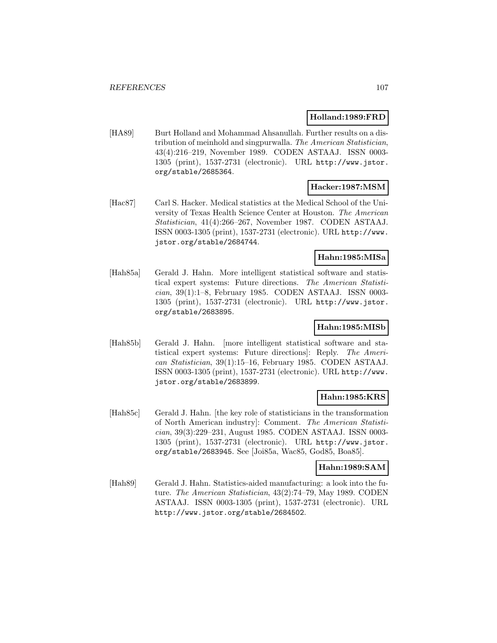### **Holland:1989:FRD**

[HA89] Burt Holland and Mohammad Ahsanullah. Further results on a distribution of meinhold and singpurwalla. The American Statistician, 43(4):216–219, November 1989. CODEN ASTAAJ. ISSN 0003- 1305 (print), 1537-2731 (electronic). URL http://www.jstor. org/stable/2685364.

# **Hacker:1987:MSM**

[Hac87] Carl S. Hacker. Medical statistics at the Medical School of the University of Texas Health Science Center at Houston. The American Statistician, 41(4):266–267, November 1987. CODEN ASTAAJ. ISSN 0003-1305 (print), 1537-2731 (electronic). URL http://www. jstor.org/stable/2684744.

# **Hahn:1985:MISa**

[Hah85a] Gerald J. Hahn. More intelligent statistical software and statistical expert systems: Future directions. The American Statistician, 39(1):1–8, February 1985. CODEN ASTAAJ. ISSN 0003- 1305 (print), 1537-2731 (electronic). URL http://www.jstor. org/stable/2683895.

# **Hahn:1985:MISb**

[Hah85b] Gerald J. Hahn. [more intelligent statistical software and statistical expert systems: Future directions]: Reply. The American Statistician, 39(1):15–16, February 1985. CODEN ASTAAJ. ISSN 0003-1305 (print), 1537-2731 (electronic). URL http://www. jstor.org/stable/2683899.

# **Hahn:1985:KRS**

[Hah85c] Gerald J. Hahn. [the key role of statisticians in the transformation of North American industry]: Comment. The American Statistician, 39(3):229–231, August 1985. CODEN ASTAAJ. ISSN 0003- 1305 (print), 1537-2731 (electronic). URL http://www.jstor. org/stable/2683945. See [Joi85a, Wac85, God85, Boa85].

# **Hahn:1989:SAM**

[Hah89] Gerald J. Hahn. Statistics-aided manufacturing: a look into the future. The American Statistician, 43(2):74–79, May 1989. CODEN ASTAAJ. ISSN 0003-1305 (print), 1537-2731 (electronic). URL http://www.jstor.org/stable/2684502.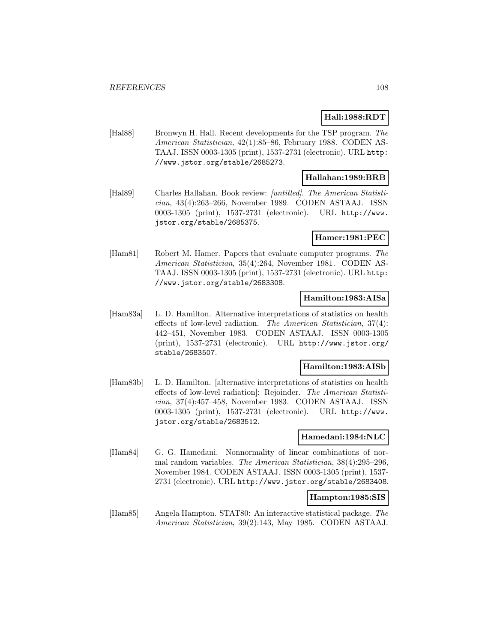# **Hall:1988:RDT**

[Hal88] Bronwyn H. Hall. Recent developments for the TSP program. The American Statistician, 42(1):85–86, February 1988. CODEN AS-TAAJ. ISSN 0003-1305 (print), 1537-2731 (electronic). URL http: //www.jstor.org/stable/2685273.

# **Hallahan:1989:BRB**

[Hal89] Charles Hallahan. Book review: [untitled]. The American Statistician, 43(4):263–266, November 1989. CODEN ASTAAJ. ISSN 0003-1305 (print), 1537-2731 (electronic). URL http://www. jstor.org/stable/2685375.

#### **Hamer:1981:PEC**

[Ham81] Robert M. Hamer. Papers that evaluate computer programs. The American Statistician, 35(4):264, November 1981. CODEN AS-TAAJ. ISSN 0003-1305 (print), 1537-2731 (electronic). URL http: //www.jstor.org/stable/2683308.

# **Hamilton:1983:AISa**

[Ham83a] L. D. Hamilton. Alternative interpretations of statistics on health effects of low-level radiation. The American Statistician, 37(4): 442–451, November 1983. CODEN ASTAAJ. ISSN 0003-1305 (print), 1537-2731 (electronic). URL http://www.jstor.org/ stable/2683507.

### **Hamilton:1983:AISb**

[Ham83b] L. D. Hamilton. [alternative interpretations of statistics on health effects of low-level radiation]: Rejoinder. The American Statistician, 37(4):457–458, November 1983. CODEN ASTAAJ. ISSN 0003-1305 (print), 1537-2731 (electronic). URL http://www. jstor.org/stable/2683512.

### **Hamedani:1984:NLC**

[Ham84] G. G. Hamedani. Nonnormality of linear combinations of normal random variables. The American Statistician, 38(4):295–296, November 1984. CODEN ASTAAJ. ISSN 0003-1305 (print), 1537- 2731 (electronic). URL http://www.jstor.org/stable/2683408.

### **Hampton:1985:SIS**

[Ham85] Angela Hampton. STAT80: An interactive statistical package. The American Statistician, 39(2):143, May 1985. CODEN ASTAAJ.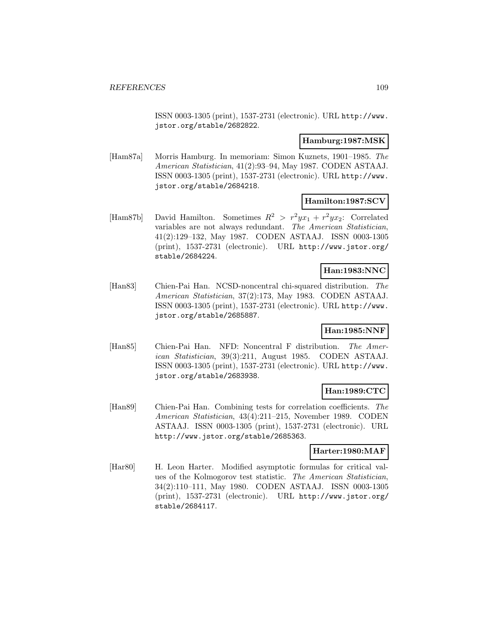ISSN 0003-1305 (print), 1537-2731 (electronic). URL http://www. jstor.org/stable/2682822.

#### **Hamburg:1987:MSK**

[Ham87a] Morris Hamburg. In memoriam: Simon Kuznets, 1901–1985. The American Statistician, 41(2):93–94, May 1987. CODEN ASTAAJ. ISSN 0003-1305 (print), 1537-2731 (electronic). URL http://www. jstor.org/stable/2684218.

## **Hamilton:1987:SCV**

[Ham87b] David Hamilton. Sometimes  $R^2 > r^2 y x_1 + r^2 y x_2$ : Correlated variables are not always redundant. The American Statistician, 41(2):129–132, May 1987. CODEN ASTAAJ. ISSN 0003-1305 (print), 1537-2731 (electronic). URL http://www.jstor.org/ stable/2684224.

## **Han:1983:NNC**

[Han83] Chien-Pai Han. NCSD-noncentral chi-squared distribution. The American Statistician, 37(2):173, May 1983. CODEN ASTAAJ. ISSN 0003-1305 (print), 1537-2731 (electronic). URL http://www. jstor.org/stable/2685887.

# **Han:1985:NNF**

[Han85] Chien-Pai Han. NFD: Noncentral F distribution. The American Statistician, 39(3):211, August 1985. CODEN ASTAAJ. ISSN 0003-1305 (print), 1537-2731 (electronic). URL http://www. jstor.org/stable/2683938.

#### **Han:1989:CTC**

[Han89] Chien-Pai Han. Combining tests for correlation coefficients. The American Statistician, 43(4):211–215, November 1989. CODEN ASTAAJ. ISSN 0003-1305 (print), 1537-2731 (electronic). URL http://www.jstor.org/stable/2685363.

#### **Harter:1980:MAF**

[Har80] H. Leon Harter. Modified asymptotic formulas for critical values of the Kolmogorov test statistic. The American Statistician, 34(2):110–111, May 1980. CODEN ASTAAJ. ISSN 0003-1305 (print), 1537-2731 (electronic). URL http://www.jstor.org/ stable/2684117.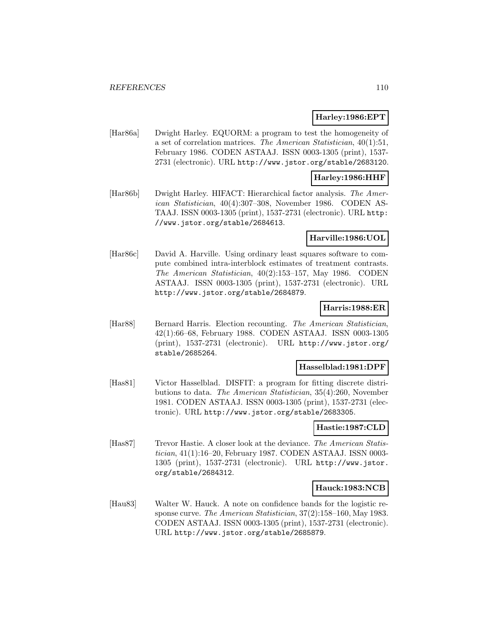### **Harley:1986:EPT**

[Har86a] Dwight Harley. EQUORM: a program to test the homogeneity of a set of correlation matrices. The American Statistician, 40(1):51, February 1986. CODEN ASTAAJ. ISSN 0003-1305 (print), 1537- 2731 (electronic). URL http://www.jstor.org/stable/2683120.

#### **Harley:1986:HHF**

[Har86b] Dwight Harley. HIFACT: Hierarchical factor analysis. The American Statistician, 40(4):307–308, November 1986. CODEN AS-TAAJ. ISSN 0003-1305 (print), 1537-2731 (electronic). URL http: //www.jstor.org/stable/2684613.

#### **Harville:1986:UOL**

[Har86c] David A. Harville. Using ordinary least squares software to compute combined intra-interblock estimates of treatment contrasts. The American Statistician, 40(2):153–157, May 1986. CODEN ASTAAJ. ISSN 0003-1305 (print), 1537-2731 (electronic). URL http://www.jstor.org/stable/2684879.

### **Harris:1988:ER**

[Har88] Bernard Harris. Election recounting. The American Statistician, 42(1):66–68, February 1988. CODEN ASTAAJ. ISSN 0003-1305 (print), 1537-2731 (electronic). URL http://www.jstor.org/ stable/2685264.

#### **Hasselblad:1981:DPF**

[Has81] Victor Hasselblad. DISFIT: a program for fitting discrete distributions to data. The American Statistician, 35(4):260, November 1981. CODEN ASTAAJ. ISSN 0003-1305 (print), 1537-2731 (electronic). URL http://www.jstor.org/stable/2683305.

# **Hastie:1987:CLD**

[Has87] Trevor Hastie. A closer look at the deviance. The American Statistician, 41(1):16–20, February 1987. CODEN ASTAAJ. ISSN 0003- 1305 (print), 1537-2731 (electronic). URL http://www.jstor. org/stable/2684312.

#### **Hauck:1983:NCB**

[Hau83] Walter W. Hauck. A note on confidence bands for the logistic response curve. The American Statistician, 37(2):158–160, May 1983. CODEN ASTAAJ. ISSN 0003-1305 (print), 1537-2731 (electronic). URL http://www.jstor.org/stable/2685879.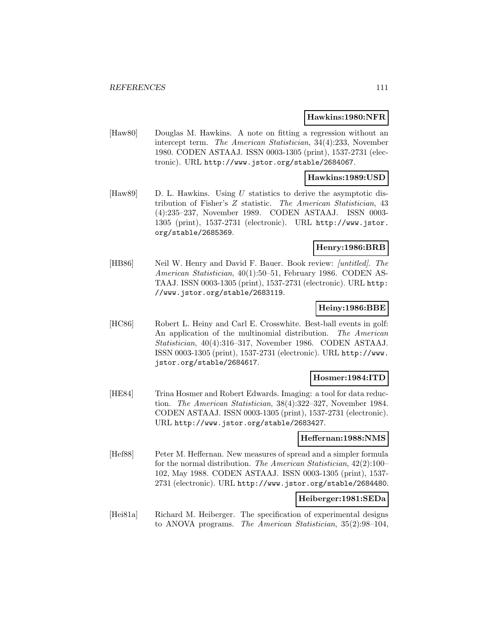#### **Hawkins:1980:NFR**

[Haw80] Douglas M. Hawkins. A note on fitting a regression without an intercept term. The American Statistician, 34(4):233, November 1980. CODEN ASTAAJ. ISSN 0003-1305 (print), 1537-2731 (electronic). URL http://www.jstor.org/stable/2684067.

#### **Hawkins:1989:USD**

[Haw89] D. L. Hawkins. Using U statistics to derive the asymptotic distribution of Fisher's Z statistic. The American Statistician, 43 (4):235–237, November 1989. CODEN ASTAAJ. ISSN 0003- 1305 (print), 1537-2731 (electronic). URL http://www.jstor. org/stable/2685369.

## **Henry:1986:BRB**

[HB86] Neil W. Henry and David F. Bauer. Book review: [untitled]. The American Statistician, 40(1):50–51, February 1986. CODEN AS-TAAJ. ISSN 0003-1305 (print), 1537-2731 (electronic). URL http: //www.jstor.org/stable/2683119.

# **Heiny:1986:BBE**

[HC86] Robert L. Heiny and Carl E. Crosswhite. Best-ball events in golf: An application of the multinomial distribution. The American Statistician, 40(4):316–317, November 1986. CODEN ASTAAJ. ISSN 0003-1305 (print), 1537-2731 (electronic). URL http://www. jstor.org/stable/2684617.

#### **Hosmer:1984:ITD**

[HE84] Trina Hosmer and Robert Edwards. Imaging: a tool for data reduction. The American Statistician, 38(4):322–327, November 1984. CODEN ASTAAJ. ISSN 0003-1305 (print), 1537-2731 (electronic). URL http://www.jstor.org/stable/2683427.

#### **Heffernan:1988:NMS**

[Hef88] Peter M. Heffernan. New measures of spread and a simpler formula for the normal distribution. The American Statistician, 42(2):100– 102, May 1988. CODEN ASTAAJ. ISSN 0003-1305 (print), 1537- 2731 (electronic). URL http://www.jstor.org/stable/2684480.

#### **Heiberger:1981:SEDa**

[Hei81a] Richard M. Heiberger. The specification of experimental designs to ANOVA programs. The American Statistician, 35(2):98–104,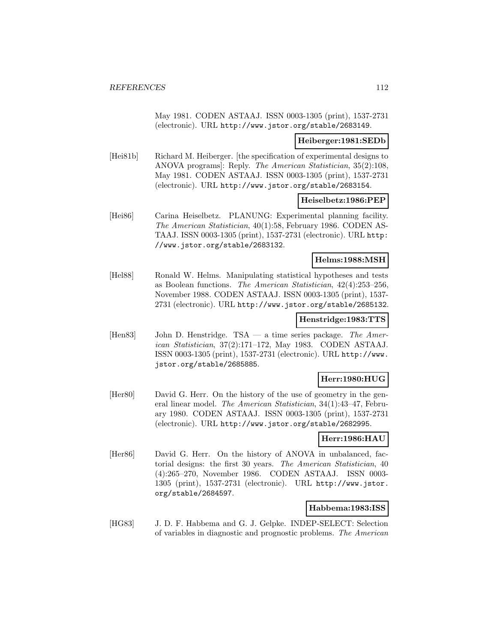May 1981. CODEN ASTAAJ. ISSN 0003-1305 (print), 1537-2731 (electronic). URL http://www.jstor.org/stable/2683149.

#### **Heiberger:1981:SEDb**

[Hei81b] Richard M. Heiberger. [the specification of experimental designs to ANOVA programs]: Reply. The American Statistician, 35(2):108, May 1981. CODEN ASTAAJ. ISSN 0003-1305 (print), 1537-2731 (electronic). URL http://www.jstor.org/stable/2683154.

#### **Heiselbetz:1986:PEP**

[Hei86] Carina Heiselbetz. PLANUNG: Experimental planning facility. The American Statistician, 40(1):58, February 1986. CODEN AS-TAAJ. ISSN 0003-1305 (print), 1537-2731 (electronic). URL http: //www.jstor.org/stable/2683132.

## **Helms:1988:MSH**

[Hel88] Ronald W. Helms. Manipulating statistical hypotheses and tests as Boolean functions. The American Statistician, 42(4):253–256, November 1988. CODEN ASTAAJ. ISSN 0003-1305 (print), 1537- 2731 (electronic). URL http://www.jstor.org/stable/2685132.

### **Henstridge:1983:TTS**

[Hen83] John D. Henstridge. TSA — a time series package. The American Statistician, 37(2):171–172, May 1983. CODEN ASTAAJ. ISSN 0003-1305 (print), 1537-2731 (electronic). URL http://www. jstor.org/stable/2685885.

### **Herr:1980:HUG**

[Her80] David G. Herr. On the history of the use of geometry in the general linear model. The American Statistician, 34(1):43–47, February 1980. CODEN ASTAAJ. ISSN 0003-1305 (print), 1537-2731 (electronic). URL http://www.jstor.org/stable/2682995.

#### **Herr:1986:HAU**

[Her86] David G. Herr. On the history of ANOVA in unbalanced, factorial designs: the first 30 years. The American Statistician, 40 (4):265–270, November 1986. CODEN ASTAAJ. ISSN 0003- 1305 (print), 1537-2731 (electronic). URL http://www.jstor. org/stable/2684597.

## **Habbema:1983:ISS**

[HG83] J. D. F. Habbema and G. J. Gelpke. INDEP-SELECT: Selection of variables in diagnostic and prognostic problems. The American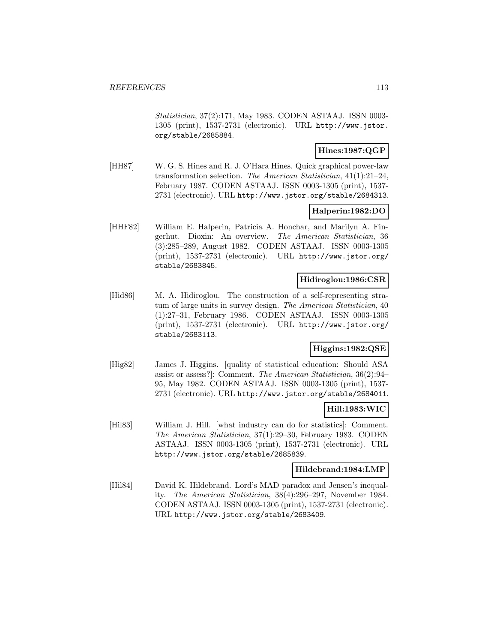Statistician, 37(2):171, May 1983. CODEN ASTAAJ. ISSN 0003- 1305 (print), 1537-2731 (electronic). URL http://www.jstor. org/stable/2685884.

## **Hines:1987:QGP**

[HH87] W. G. S. Hines and R. J. O'Hara Hines. Quick graphical power-law transformation selection. The American Statistician, 41(1):21–24, February 1987. CODEN ASTAAJ. ISSN 0003-1305 (print), 1537- 2731 (electronic). URL http://www.jstor.org/stable/2684313.

# **Halperin:1982:DO**

[HHF82] William E. Halperin, Patricia A. Honchar, and Marilyn A. Fingerhut. Dioxin: An overview. The American Statistician, 36 (3):285–289, August 1982. CODEN ASTAAJ. ISSN 0003-1305 (print), 1537-2731 (electronic). URL http://www.jstor.org/ stable/2683845.

## **Hidiroglou:1986:CSR**

[Hid86] M. A. Hidiroglou. The construction of a self-representing stratum of large units in survey design. The American Statistician, 40 (1):27–31, February 1986. CODEN ASTAAJ. ISSN 0003-1305 (print), 1537-2731 (electronic). URL http://www.jstor.org/ stable/2683113.

# **Higgins:1982:QSE**

[Hig82] James J. Higgins. [quality of statistical education: Should ASA assist or assess?]: Comment. The American Statistician, 36(2):94– 95, May 1982. CODEN ASTAAJ. ISSN 0003-1305 (print), 1537- 2731 (electronic). URL http://www.jstor.org/stable/2684011.

## **Hill:1983:WIC**

[Hil83] William J. Hill. [what industry can do for statistics]: Comment. The American Statistician, 37(1):29–30, February 1983. CODEN ASTAAJ. ISSN 0003-1305 (print), 1537-2731 (electronic). URL http://www.jstor.org/stable/2685839.

### **Hildebrand:1984:LMP**

[Hil84] David K. Hildebrand. Lord's MAD paradox and Jensen's inequality. The American Statistician, 38(4):296–297, November 1984. CODEN ASTAAJ. ISSN 0003-1305 (print), 1537-2731 (electronic). URL http://www.jstor.org/stable/2683409.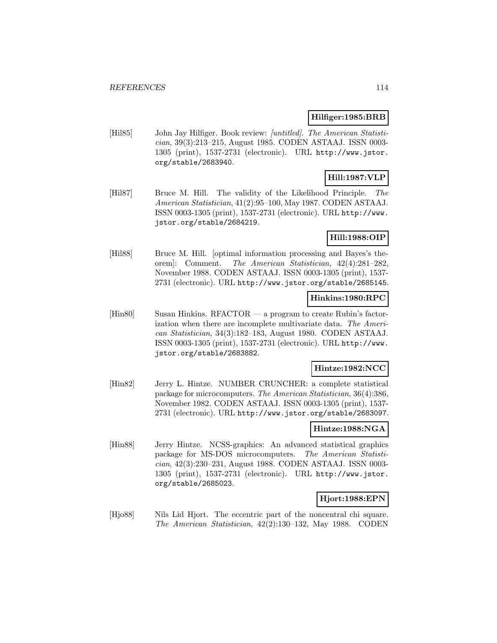### **Hilfiger:1985:BRB**

[Hil85] John Jay Hilfiger. Book review: [untitled]. The American Statistician, 39(3):213–215, August 1985. CODEN ASTAAJ. ISSN 0003- 1305 (print), 1537-2731 (electronic). URL http://www.jstor. org/stable/2683940.

# **Hill:1987:VLP**

[Hil87] Bruce M. Hill. The validity of the Likelihood Principle. The American Statistician, 41(2):95–100, May 1987. CODEN ASTAAJ. ISSN 0003-1305 (print), 1537-2731 (electronic). URL http://www. jstor.org/stable/2684219.

# **Hill:1988:OIP**

[Hil88] Bruce M. Hill. [optimal information processing and Bayes's theorem]: Comment. The American Statistician, 42(4):281–282, November 1988. CODEN ASTAAJ. ISSN 0003-1305 (print), 1537- 2731 (electronic). URL http://www.jstor.org/stable/2685145.

## **Hinkins:1980:RPC**

[Hin80] Susan Hinkins. RFACTOR — a program to create Rubin's factorization when there are incomplete multivariate data. The American Statistician, 34(3):182–183, August 1980. CODEN ASTAAJ. ISSN 0003-1305 (print), 1537-2731 (electronic). URL http://www. jstor.org/stable/2683882.

# **Hintze:1982:NCC**

[Hin82] Jerry L. Hintze. NUMBER CRUNCHER: a complete statistical package for microcomputers. The American Statistician, 36(4):386, November 1982. CODEN ASTAAJ. ISSN 0003-1305 (print), 1537- 2731 (electronic). URL http://www.jstor.org/stable/2683097.

# **Hintze:1988:NGA**

[Hin88] Jerry Hintze. NCSS-graphics: An advanced statistical graphics package for MS-DOS microcomputers. The American Statistician, 42(3):230–231, August 1988. CODEN ASTAAJ. ISSN 0003- 1305 (print), 1537-2731 (electronic). URL http://www.jstor. org/stable/2685023.

## **Hjort:1988:EPN**

[Hjo88] Nils Lid Hjort. The eccentric part of the noncentral chi square. The American Statistician, 42(2):130–132, May 1988. CODEN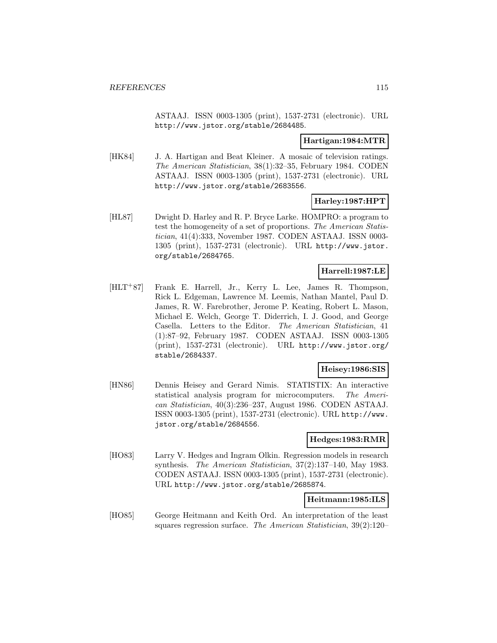ASTAAJ. ISSN 0003-1305 (print), 1537-2731 (electronic). URL http://www.jstor.org/stable/2684485.

#### **Hartigan:1984:MTR**

[HK84] J. A. Hartigan and Beat Kleiner. A mosaic of television ratings. The American Statistician, 38(1):32–35, February 1984. CODEN ASTAAJ. ISSN 0003-1305 (print), 1537-2731 (electronic). URL http://www.jstor.org/stable/2683556.

# **Harley:1987:HPT**

[HL87] Dwight D. Harley and R. P. Bryce Larke. HOMPRO: a program to test the homogeneity of a set of proportions. The American Statistician, 41(4):333, November 1987. CODEN ASTAAJ. ISSN 0003- 1305 (print), 1537-2731 (electronic). URL http://www.jstor. org/stable/2684765.

## **Harrell:1987:LE**

[HLT<sup>+</sup>87] Frank E. Harrell, Jr., Kerry L. Lee, James R. Thompson, Rick L. Edgeman, Lawrence M. Leemis, Nathan Mantel, Paul D. James, R. W. Farebrother, Jerome P. Keating, Robert L. Mason, Michael E. Welch, George T. Diderrich, I. J. Good, and George Casella. Letters to the Editor. The American Statistician, 41 (1):87–92, February 1987. CODEN ASTAAJ. ISSN 0003-1305 (print), 1537-2731 (electronic). URL http://www.jstor.org/ stable/2684337.

## **Heisey:1986:SIS**

[HN86] Dennis Heisey and Gerard Nimis. STATISTIX: An interactive statistical analysis program for microcomputers. The American Statistician, 40(3):236–237, August 1986. CODEN ASTAAJ. ISSN 0003-1305 (print), 1537-2731 (electronic). URL http://www. jstor.org/stable/2684556.

### **Hedges:1983:RMR**

[HO83] Larry V. Hedges and Ingram Olkin. Regression models in research synthesis. The American Statistician, 37(2):137–140, May 1983. CODEN ASTAAJ. ISSN 0003-1305 (print), 1537-2731 (electronic). URL http://www.jstor.org/stable/2685874.

## **Heitmann:1985:ILS**

[HO85] George Heitmann and Keith Ord. An interpretation of the least squares regression surface. The American Statistician, 39(2):120–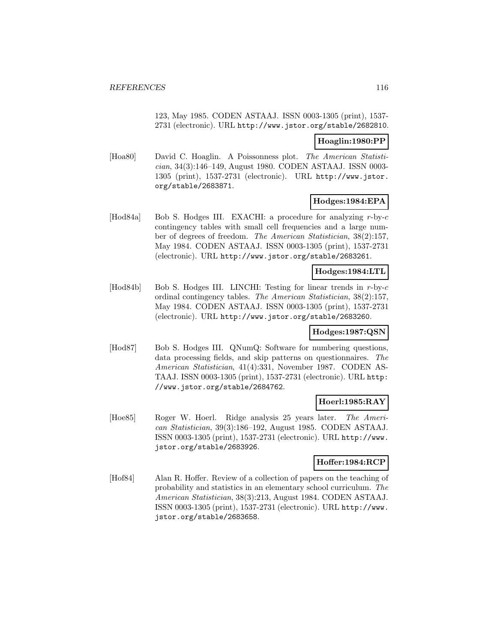123, May 1985. CODEN ASTAAJ. ISSN 0003-1305 (print), 1537- 2731 (electronic). URL http://www.jstor.org/stable/2682810.

## **Hoaglin:1980:PP**

[Hoa80] David C. Hoaglin. A Poissonness plot. The American Statistician, 34(3):146–149, August 1980. CODEN ASTAAJ. ISSN 0003- 1305 (print), 1537-2731 (electronic). URL http://www.jstor. org/stable/2683871.

# **Hodges:1984:EPA**

[Hod84a] Bob S. Hodges III. EXACHI: a procedure for analyzing r-by-c contingency tables with small cell frequencies and a large number of degrees of freedom. The American Statistician, 38(2):157, May 1984. CODEN ASTAAJ. ISSN 0003-1305 (print), 1537-2731 (electronic). URL http://www.jstor.org/stable/2683261.

# **Hodges:1984:LTL**

[Hod84b] Bob S. Hodges III. LINCHI: Testing for linear trends in r-by-c ordinal contingency tables. The American Statistician, 38(2):157, May 1984. CODEN ASTAAJ. ISSN 0003-1305 (print), 1537-2731 (electronic). URL http://www.jstor.org/stable/2683260.

## **Hodges:1987:QSN**

[Hod87] Bob S. Hodges III. QNumQ: Software for numbering questions, data processing fields, and skip patterns on questionnaires. The American Statistician, 41(4):331, November 1987. CODEN AS-TAAJ. ISSN 0003-1305 (print), 1537-2731 (electronic). URL http: //www.jstor.org/stable/2684762.

# **Hoerl:1985:RAY**

[Hoe85] Roger W. Hoerl. Ridge analysis 25 years later. The American Statistician, 39(3):186–192, August 1985. CODEN ASTAAJ. ISSN 0003-1305 (print), 1537-2731 (electronic). URL http://www. jstor.org/stable/2683926.

#### **Hoffer:1984:RCP**

[Hof84] Alan R. Hoffer. Review of a collection of papers on the teaching of probability and statistics in an elementary school curriculum. The American Statistician, 38(3):213, August 1984. CODEN ASTAAJ. ISSN 0003-1305 (print), 1537-2731 (electronic). URL http://www. jstor.org/stable/2683658.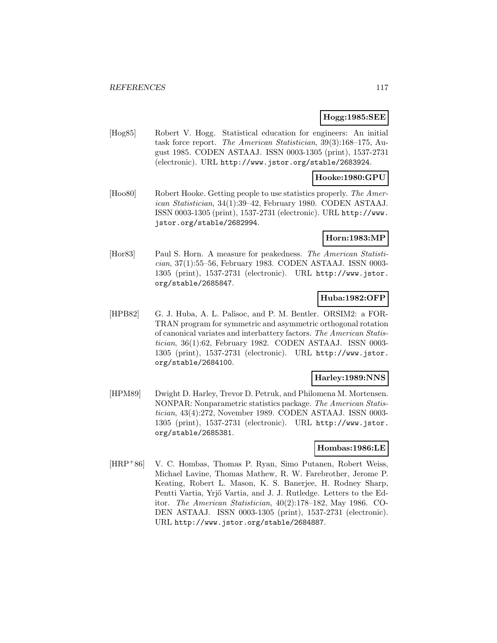## **Hogg:1985:SEE**

[Hog85] Robert V. Hogg. Statistical education for engineers: An initial task force report. The American Statistician, 39(3):168–175, August 1985. CODEN ASTAAJ. ISSN 0003-1305 (print), 1537-2731 (electronic). URL http://www.jstor.org/stable/2683924.

#### **Hooke:1980:GPU**

[Hoo80] Robert Hooke. Getting people to use statistics properly. The American Statistician, 34(1):39–42, February 1980. CODEN ASTAAJ. ISSN 0003-1305 (print), 1537-2731 (electronic). URL http://www. jstor.org/stable/2682994.

#### **Horn:1983:MP**

[Hor83] Paul S. Horn. A measure for peakedness. The American Statistician, 37(1):55–56, February 1983. CODEN ASTAAJ. ISSN 0003- 1305 (print), 1537-2731 (electronic). URL http://www.jstor. org/stable/2685847.

## **Huba:1982:OFP**

[HPB82] G. J. Huba, A. L. Palisoc, and P. M. Bentler. ORSIM2: a FOR-TRAN program for symmetric and asymmetric orthogonal rotation of canonical variates and interbattery factors. The American Statistician, 36(1):62, February 1982. CODEN ASTAAJ. ISSN 0003- 1305 (print), 1537-2731 (electronic). URL http://www.jstor. org/stable/2684100.

#### **Harley:1989:NNS**

[HPM89] Dwight D. Harley, Trevor D. Petruk, and Philomena M. Mortensen. NONPAR: Nonparametric statistics package. The American Statistician, 43(4):272, November 1989. CODEN ASTAAJ. ISSN 0003- 1305 (print), 1537-2731 (electronic). URL http://www.jstor. org/stable/2685381.

#### **Hombas:1986:LE**

[HRP<sup>+</sup>86] V. C. Hombas, Thomas P. Ryan, Simo Putanen, Robert Weiss, Michael Lavine, Thomas Mathew, R. W. Farebrother, Jerome P. Keating, Robert L. Mason, K. S. Banerjee, H. Rodney Sharp, Pentti Vartia, Yrjő Vartia, and J. J. Rutledge. Letters to the Editor. The American Statistician, 40(2):178–182, May 1986. CO-DEN ASTAAJ. ISSN 0003-1305 (print), 1537-2731 (electronic). URL http://www.jstor.org/stable/2684887.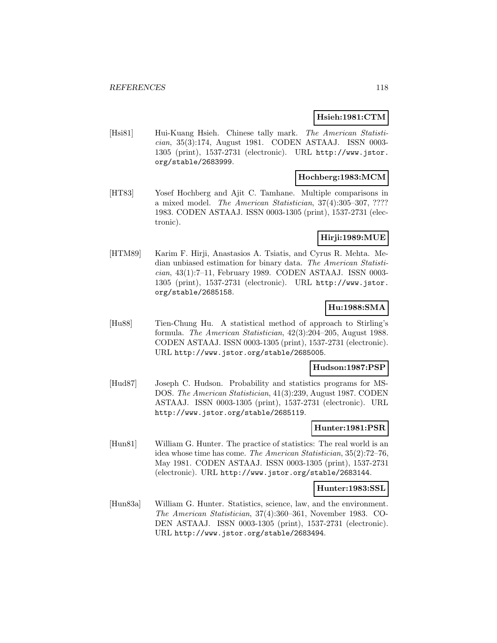## **Hsieh:1981:CTM**

[Hsi81] Hui-Kuang Hsieh. Chinese tally mark. The American Statistician, 35(3):174, August 1981. CODEN ASTAAJ. ISSN 0003- 1305 (print), 1537-2731 (electronic). URL http://www.jstor. org/stable/2683999.

## **Hochberg:1983:MCM**

[HT83] Yosef Hochberg and Ajit C. Tamhane. Multiple comparisons in a mixed model. The American Statistician, 37(4):305–307, ???? 1983. CODEN ASTAAJ. ISSN 0003-1305 (print), 1537-2731 (electronic).

### **Hirji:1989:MUE**

[HTM89] Karim F. Hirji, Anastasios A. Tsiatis, and Cyrus R. Mehta. Median unbiased estimation for binary data. The American Statistician, 43(1):7–11, February 1989. CODEN ASTAAJ. ISSN 0003- 1305 (print), 1537-2731 (electronic). URL http://www.jstor. org/stable/2685158.

# **Hu:1988:SMA**

[Hu88] Tien-Chung Hu. A statistical method of approach to Stirling's formula. The American Statistician, 42(3):204–205, August 1988. CODEN ASTAAJ. ISSN 0003-1305 (print), 1537-2731 (electronic). URL http://www.jstor.org/stable/2685005.

#### **Hudson:1987:PSP**

[Hud87] Joseph C. Hudson. Probability and statistics programs for MS-DOS. The American Statistician, 41(3):239, August 1987. CODEN ASTAAJ. ISSN 0003-1305 (print), 1537-2731 (electronic). URL http://www.jstor.org/stable/2685119.

## **Hunter:1981:PSR**

[Hun81] William G. Hunter. The practice of statistics: The real world is an idea whose time has come. The American Statistician, 35(2):72–76, May 1981. CODEN ASTAAJ. ISSN 0003-1305 (print), 1537-2731 (electronic). URL http://www.jstor.org/stable/2683144.

#### **Hunter:1983:SSL**

[Hun83a] William G. Hunter. Statistics, science, law, and the environment. The American Statistician, 37(4):360–361, November 1983. CO-DEN ASTAAJ. ISSN 0003-1305 (print), 1537-2731 (electronic). URL http://www.jstor.org/stable/2683494.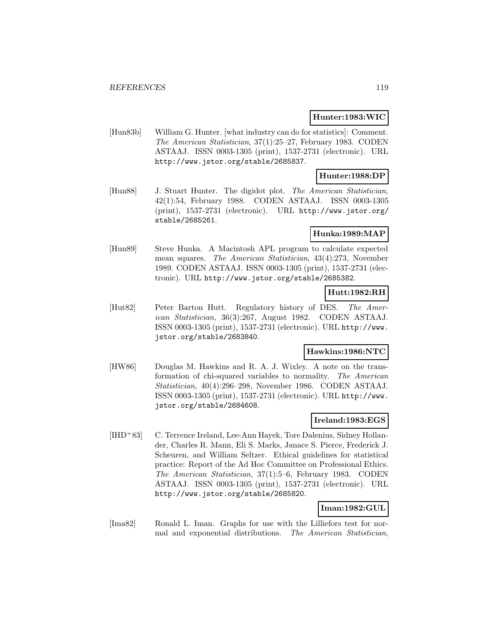### **Hunter:1983:WIC**

[Hun83b] William G. Hunter. [what industry can do for statistics]: Comment. The American Statistician, 37(1):25–27, February 1983. CODEN ASTAAJ. ISSN 0003-1305 (print), 1537-2731 (electronic). URL http://www.jstor.org/stable/2685837.

## **Hunter:1988:DP**

[Hun88] J. Stuart Hunter. The digidot plot. The American Statistician, 42(1):54, February 1988. CODEN ASTAAJ. ISSN 0003-1305 (print), 1537-2731 (electronic). URL http://www.jstor.org/ stable/2685261.

## **Hunka:1989:MAP**

[Hun89] Steve Hunka. A Macintosh APL program to calculate expected mean squares. The American Statistician, 43(4):273, November 1989. CODEN ASTAAJ. ISSN 0003-1305 (print), 1537-2731 (electronic). URL http://www.jstor.org/stable/2685382.

## **Hutt:1982:RH**

[Hut82] Peter Barton Hutt. Regulatory history of DES. The American Statistician, 36(3):267, August 1982. CODEN ASTAAJ. ISSN 0003-1305 (print), 1537-2731 (electronic). URL http://www. jstor.org/stable/2683840.

## **Hawkins:1986:NTC**

[HW86] Douglas M. Hawkins and R. A. J. Wixley. A note on the transformation of chi-squared variables to normality. The American Statistician, 40(4):296–298, November 1986. CODEN ASTAAJ. ISSN 0003-1305 (print), 1537-2731 (electronic). URL http://www. jstor.org/stable/2684608.

### **Ireland:1983:EGS**

[IHD<sup>+</sup>83] C. Terrence Ireland, Lee-Ann Hayek, Tore Dalenius, Sidney Hollander, Charles R. Mann, Eli S. Marks, Janace S. Pierce, Frederick J. Scheuren, and William Seltzer. Ethical guidelines for statistical practice: Report of the Ad Hoc Committee on Professional Ethics. The American Statistician, 37(1):5–6, February 1983. CODEN ASTAAJ. ISSN 0003-1305 (print), 1537-2731 (electronic). URL http://www.jstor.org/stable/2685820.

## **Iman:1982:GUL**

[Ima82] Ronald L. Iman. Graphs for use with the Lilliefors test for normal and exponential distributions. The American Statistician,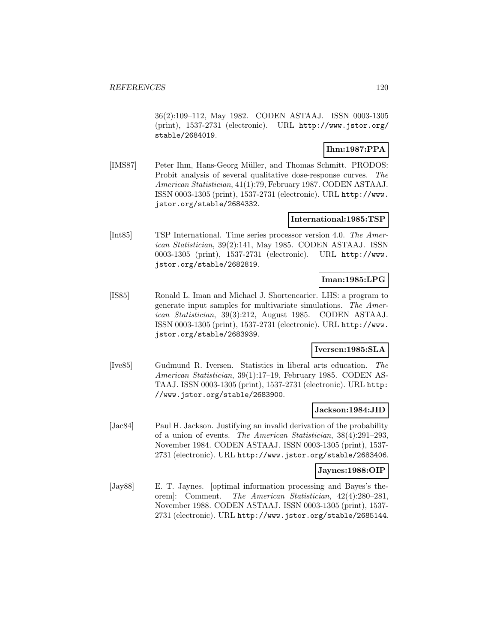36(2):109–112, May 1982. CODEN ASTAAJ. ISSN 0003-1305 (print), 1537-2731 (electronic). URL http://www.jstor.org/ stable/2684019.

# **Ihm:1987:PPA**

[IMS87] Peter Ihm, Hans-Georg Müller, and Thomas Schmitt. PRODOS: Probit analysis of several qualitative dose-response curves. The American Statistician, 41(1):79, February 1987. CODEN ASTAAJ. ISSN 0003-1305 (print), 1537-2731 (electronic). URL http://www. jstor.org/stable/2684332.

## **International:1985:TSP**

[Int85] TSP International. Time series processor version 4.0. The American Statistician, 39(2):141, May 1985. CODEN ASTAAJ. ISSN 0003-1305 (print), 1537-2731 (electronic). URL http://www. jstor.org/stable/2682819.

## **Iman:1985:LPG**

[IS85] Ronald L. Iman and Michael J. Shortencarier. LHS: a program to generate input samples for multivariate simulations. The American Statistician, 39(3):212, August 1985. CODEN ASTAAJ. ISSN 0003-1305 (print), 1537-2731 (electronic). URL http://www. jstor.org/stable/2683939.

## **Iversen:1985:SLA**

[Ive85] Gudmund R. Iversen. Statistics in liberal arts education. The American Statistician, 39(1):17–19, February 1985. CODEN AS-TAAJ. ISSN 0003-1305 (print), 1537-2731 (electronic). URL http: //www.jstor.org/stable/2683900.

#### **Jackson:1984:JID**

[Jac84] Paul H. Jackson. Justifying an invalid derivation of the probability of a union of events. The American Statistician, 38(4):291–293, November 1984. CODEN ASTAAJ. ISSN 0003-1305 (print), 1537- 2731 (electronic). URL http://www.jstor.org/stable/2683406.

## **Jaynes:1988:OIP**

[Jay88] E. T. Jaynes. [optimal information processing and Bayes's theorem]: Comment. The American Statistician, 42(4):280–281, November 1988. CODEN ASTAAJ. ISSN 0003-1305 (print), 1537- 2731 (electronic). URL http://www.jstor.org/stable/2685144.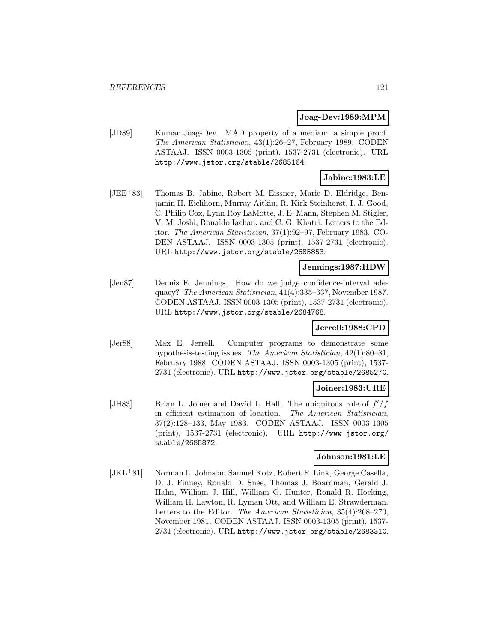#### **Joag-Dev:1989:MPM**

[JD89] Kumar Joag-Dev. MAD property of a median: a simple proof. The American Statistician, 43(1):26–27, February 1989. CODEN ASTAAJ. ISSN 0003-1305 (print), 1537-2731 (electronic). URL http://www.jstor.org/stable/2685164.

## **Jabine:1983:LE**

[JEE<sup>+</sup>83] Thomas B. Jabine, Robert M. Eissner, Marie D. Eldridge, Benjamin H. Eichhorn, Murray Aitkin, R. Kirk Steinhorst, I. J. Good, C. Philip Cox, Lynn Roy LaMotte, J. E. Mann, Stephen M. Stigler, V. M. Joshi, Ronaldo Iachan, and C. G. Khatri. Letters to the Editor. The American Statistician, 37(1):92–97, February 1983. CO-DEN ASTAAJ. ISSN 0003-1305 (print), 1537-2731 (electronic). URL http://www.jstor.org/stable/2685853.

## **Jennings:1987:HDW**

[Jen87] Dennis E. Jennings. How do we judge confidence-interval adequacy? The American Statistician, 41(4):335–337, November 1987. CODEN ASTAAJ. ISSN 0003-1305 (print), 1537-2731 (electronic). URL http://www.jstor.org/stable/2684768.

## **Jerrell:1988:CPD**

[Jer88] Max E. Jerrell. Computer programs to demonstrate some hypothesis-testing issues. The American Statistician, 42(1):80–81, February 1988. CODEN ASTAAJ. ISSN 0003-1305 (print), 1537- 2731 (electronic). URL http://www.jstor.org/stable/2685270.

## **Joiner:1983:URE**

[JH83] Brian L. Joiner and David L. Hall. The ubiquitous role of  $f'/f$ in efficient estimation of location. The American Statistician, 37(2):128–133, May 1983. CODEN ASTAAJ. ISSN 0003-1305 (print), 1537-2731 (electronic). URL http://www.jstor.org/ stable/2685872.

#### **Johnson:1981:LE**

[JKL<sup>+</sup>81] Norman L. Johnson, Samuel Kotz, Robert F. Link, George Casella, D. J. Finney, Ronald D. Snee, Thomas J. Boardman, Gerald J. Hahn, William J. Hill, William G. Hunter, Ronald R. Hocking, William H. Lawton, R. Lyman Ott, and William E. Strawderman. Letters to the Editor. The American Statistician, 35(4):268–270, November 1981. CODEN ASTAAJ. ISSN 0003-1305 (print), 1537- 2731 (electronic). URL http://www.jstor.org/stable/2683310.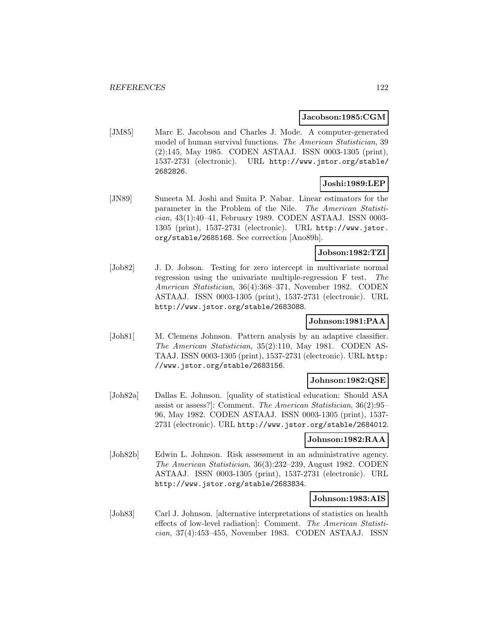#### **Jacobson:1985:CGM**

[JM85] Marc E. Jacobson and Charles J. Mode. A computer-generated model of human survival functions. The American Statistician, 39 (2):145, May 1985. CODEN ASTAAJ. ISSN 0003-1305 (print), 1537-2731 (electronic). URL http://www.jstor.org/stable/ 2682826.

#### **Joshi:1989:LEP**

[JN89] Suneeta M. Joshi and Smita P. Nabar. Linear estimators for the parameter in the Problem of the Nile. The American Statistician, 43(1):40–41, February 1989. CODEN ASTAAJ. ISSN 0003- 1305 (print), 1537-2731 (electronic). URL http://www.jstor. org/stable/2685168. See correction [Ano89h].

## **Jobson:1982:TZI**

[Job82] J. D. Jobson. Testing for zero intercept in multivariate normal regression using the univariate multiple-regression F test. The American Statistician, 36(4):368–371, November 1982. CODEN ASTAAJ. ISSN 0003-1305 (print), 1537-2731 (electronic). URL http://www.jstor.org/stable/2683088.

## **Johnson:1981:PAA**

[Joh81] M. Clemens Johnson. Pattern analysis by an adaptive classifier. The American Statistician, 35(2):110, May 1981. CODEN AS-TAAJ. ISSN 0003-1305 (print), 1537-2731 (electronic). URL http: //www.jstor.org/stable/2683156.

#### **Johnson:1982:QSE**

[Joh82a] Dallas E. Johnson. [quality of statistical education: Should ASA assist or assess?]: Comment. The American Statistician, 36(2):95– 96, May 1982. CODEN ASTAAJ. ISSN 0003-1305 (print), 1537- 2731 (electronic). URL http://www.jstor.org/stable/2684012.

#### **Johnson:1982:RAA**

[Joh82b] Edwin L. Johnson. Risk assessment in an administrative agency. The American Statistician, 36(3):232–239, August 1982. CODEN ASTAAJ. ISSN 0003-1305 (print), 1537-2731 (electronic). URL http://www.jstor.org/stable/2683834.

#### **Johnson:1983:AIS**

[Joh83] Carl J. Johnson. [alternative interpretations of statistics on health effects of low-level radiation]: Comment. The American Statistician, 37(4):453–455, November 1983. CODEN ASTAAJ. ISSN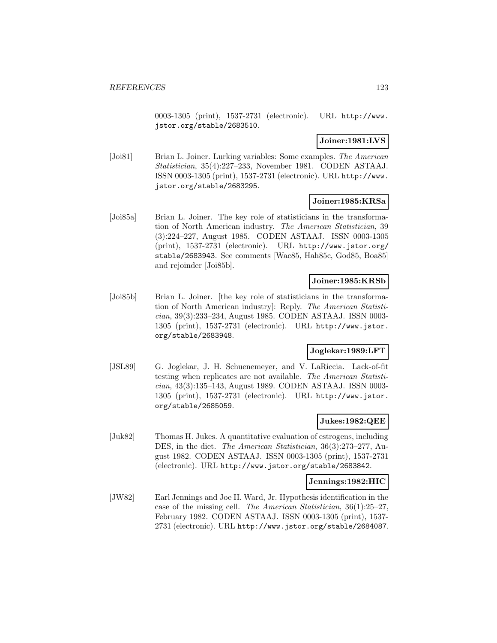0003-1305 (print), 1537-2731 (electronic). URL http://www. jstor.org/stable/2683510.

## **Joiner:1981:LVS**

[Joi81] Brian L. Joiner. Lurking variables: Some examples. The American Statistician, 35(4):227–233, November 1981. CODEN ASTAAJ. ISSN 0003-1305 (print), 1537-2731 (electronic). URL http://www. jstor.org/stable/2683295.

## **Joiner:1985:KRSa**

[Joi85a] Brian L. Joiner. The key role of statisticians in the transformation of North American industry. The American Statistician, 39 (3):224–227, August 1985. CODEN ASTAAJ. ISSN 0003-1305 (print), 1537-2731 (electronic). URL http://www.jstor.org/ stable/2683943. See comments [Wac85, Hah85c, God85, Boa85] and rejoinder [Joi85b].

## **Joiner:1985:KRSb**

[Joi85b] Brian L. Joiner. [the key role of statisticians in the transformation of North American industry]: Reply. The American Statistician, 39(3):233–234, August 1985. CODEN ASTAAJ. ISSN 0003- 1305 (print), 1537-2731 (electronic). URL http://www.jstor. org/stable/2683948.

#### **Joglekar:1989:LFT**

[JSL89] G. Joglekar, J. H. Schuenemeyer, and V. LaRiccia. Lack-of-fit testing when replicates are not available. The American Statistician, 43(3):135–143, August 1989. CODEN ASTAAJ. ISSN 0003- 1305 (print), 1537-2731 (electronic). URL http://www.jstor. org/stable/2685059.

#### **Jukes:1982:QEE**

[Juk82] Thomas H. Jukes. A quantitative evaluation of estrogens, including DES, in the diet. The American Statistician, 36(3):273–277, August 1982. CODEN ASTAAJ. ISSN 0003-1305 (print), 1537-2731 (electronic). URL http://www.jstor.org/stable/2683842.

### **Jennings:1982:HIC**

[JW82] Earl Jennings and Joe H. Ward, Jr. Hypothesis identification in the case of the missing cell. The American Statistician, 36(1):25–27, February 1982. CODEN ASTAAJ. ISSN 0003-1305 (print), 1537- 2731 (electronic). URL http://www.jstor.org/stable/2684087.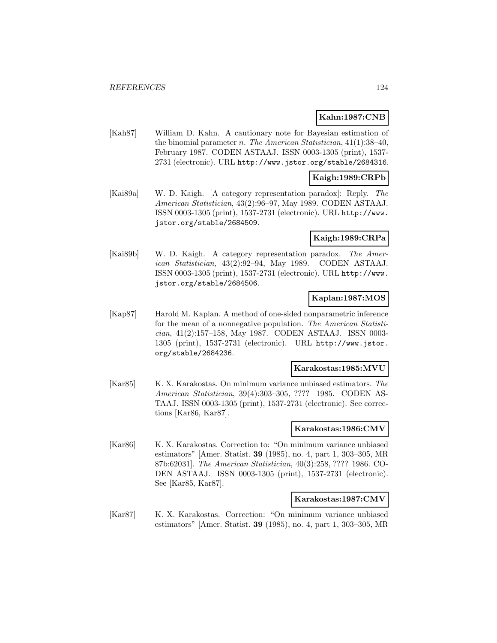# **Kahn:1987:CNB**

[Kah87] William D. Kahn. A cautionary note for Bayesian estimation of the binomial parameter n. The American Statistician,  $41(1):38-40$ , February 1987. CODEN ASTAAJ. ISSN 0003-1305 (print), 1537- 2731 (electronic). URL http://www.jstor.org/stable/2684316.

### **Kaigh:1989:CRPb**

[Kai89a] W. D. Kaigh. [A category representation paradox]: Reply. The American Statistician, 43(2):96–97, May 1989. CODEN ASTAAJ. ISSN 0003-1305 (print), 1537-2731 (electronic). URL http://www. jstor.org/stable/2684509.

#### **Kaigh:1989:CRPa**

[Kai89b] W. D. Kaigh. A category representation paradox. The American Statistician, 43(2):92–94, May 1989. CODEN ASTAAJ. ISSN 0003-1305 (print), 1537-2731 (electronic). URL http://www. jstor.org/stable/2684506.

### **Kaplan:1987:MOS**

[Kap87] Harold M. Kaplan. A method of one-sided nonparametric inference for the mean of a nonnegative population. The American Statistician, 41(2):157–158, May 1987. CODEN ASTAAJ. ISSN 0003- 1305 (print), 1537-2731 (electronic). URL http://www.jstor. org/stable/2684236.

#### **Karakostas:1985:MVU**

[Kar85] K. X. Karakostas. On minimum variance unbiased estimators. The American Statistician, 39(4):303–305, ???? 1985. CODEN AS-TAAJ. ISSN 0003-1305 (print), 1537-2731 (electronic). See corrections [Kar86, Kar87].

### **Karakostas:1986:CMV**

[Kar86] K. X. Karakostas. Correction to: "On minimum variance unbiased estimators" [Amer. Statist. **39** (1985), no. 4, part 1, 303–305, MR 87b:62031]. The American Statistician, 40(3):258, ???? 1986. CO-DEN ASTAAJ. ISSN 0003-1305 (print), 1537-2731 (electronic). See [Kar85, Kar87].

#### **Karakostas:1987:CMV**

[Kar87] K. X. Karakostas. Correction: "On minimum variance unbiased estimators" [Amer. Statist. **39** (1985), no. 4, part 1, 303–305, MR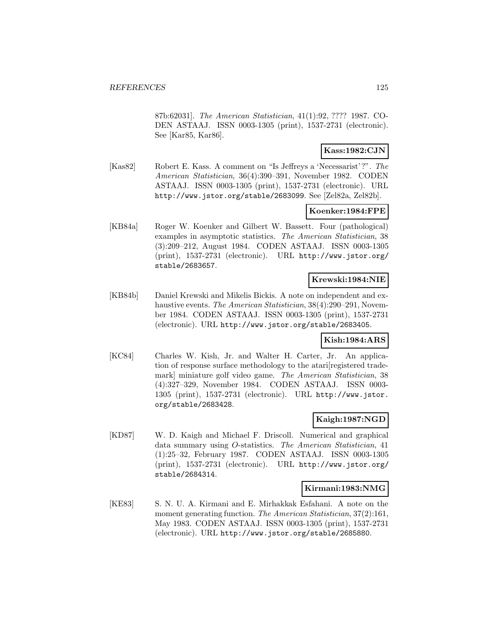87b:62031]. The American Statistician, 41(1):92, ???? 1987. CO-DEN ASTAAJ. ISSN 0003-1305 (print), 1537-2731 (electronic). See [Kar85, Kar86].

## **Kass:1982:CJN**

[Kas82] Robert E. Kass. A comment on "Is Jeffreys a 'Necessarist'?". The American Statistician, 36(4):390–391, November 1982. CODEN ASTAAJ. ISSN 0003-1305 (print), 1537-2731 (electronic). URL http://www.jstor.org/stable/2683099. See [Zel82a, Zel82b].

## **Koenker:1984:FPE**

[KB84a] Roger W. Koenker and Gilbert W. Bassett. Four (pathological) examples in asymptotic statistics. The American Statistician, 38 (3):209–212, August 1984. CODEN ASTAAJ. ISSN 0003-1305 (print), 1537-2731 (electronic). URL http://www.jstor.org/ stable/2683657.

#### **Krewski:1984:NIE**

[KB84b] Daniel Krewski and Mikelis Bickis. A note on independent and exhaustive events. The American Statistician, 38(4):290–291, November 1984. CODEN ASTAAJ. ISSN 0003-1305 (print), 1537-2731 (electronic). URL http://www.jstor.org/stable/2683405.

#### **Kish:1984:ARS**

[KC84] Charles W. Kish, Jr. and Walter H. Carter, Jr. An application of response surface methodology to the atari[registered trademark] miniature golf video game. The American Statistician, 38 (4):327–329, November 1984. CODEN ASTAAJ. ISSN 0003- 1305 (print), 1537-2731 (electronic). URL http://www.jstor. org/stable/2683428.

#### **Kaigh:1987:NGD**

[KD87] W. D. Kaigh and Michael F. Driscoll. Numerical and graphical data summary using O-statistics. The American Statistician, 41 (1):25–32, February 1987. CODEN ASTAAJ. ISSN 0003-1305 (print), 1537-2731 (electronic). URL http://www.jstor.org/ stable/2684314.

#### **Kirmani:1983:NMG**

[KE83] S. N. U. A. Kirmani and E. Mirhakkak Esfahani. A note on the moment generating function. The American Statistician, 37(2):161, May 1983. CODEN ASTAAJ. ISSN 0003-1305 (print), 1537-2731 (electronic). URL http://www.jstor.org/stable/2685880.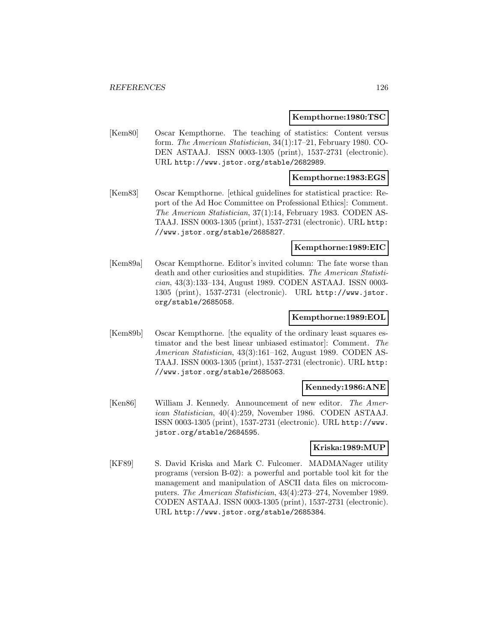#### **Kempthorne:1980:TSC**

[Kem80] Oscar Kempthorne. The teaching of statistics: Content versus form. The American Statistician, 34(1):17–21, February 1980. CO-DEN ASTAAJ. ISSN 0003-1305 (print), 1537-2731 (electronic). URL http://www.jstor.org/stable/2682989.

#### **Kempthorne:1983:EGS**

[Kem83] Oscar Kempthorne. [ethical guidelines for statistical practice: Report of the Ad Hoc Committee on Professional Ethics]: Comment. The American Statistician, 37(1):14, February 1983. CODEN AS-TAAJ. ISSN 0003-1305 (print), 1537-2731 (electronic). URL http: //www.jstor.org/stable/2685827.

#### **Kempthorne:1989:EIC**

[Kem89a] Oscar Kempthorne. Editor's invited column: The fate worse than death and other curiosities and stupidities. The American Statistician, 43(3):133–134, August 1989. CODEN ASTAAJ. ISSN 0003- 1305 (print), 1537-2731 (electronic). URL http://www.jstor. org/stable/2685058.

#### **Kempthorne:1989:EOL**

[Kem89b] Oscar Kempthorne. [the equality of the ordinary least squares estimator and the best linear unbiased estimator]: Comment. The American Statistician, 43(3):161–162, August 1989. CODEN AS-TAAJ. ISSN 0003-1305 (print), 1537-2731 (electronic). URL http: //www.jstor.org/stable/2685063.

#### **Kennedy:1986:ANE**

[Ken86] William J. Kennedy. Announcement of new editor. The American Statistician, 40(4):259, November 1986. CODEN ASTAAJ. ISSN 0003-1305 (print), 1537-2731 (electronic). URL http://www. jstor.org/stable/2684595.

#### **Kriska:1989:MUP**

[KF89] S. David Kriska and Mark C. Fulcomer. MADMANager utility programs (version B-02): a powerful and portable tool kit for the management and manipulation of ASCII data files on microcomputers. The American Statistician, 43(4):273–274, November 1989. CODEN ASTAAJ. ISSN 0003-1305 (print), 1537-2731 (electronic). URL http://www.jstor.org/stable/2685384.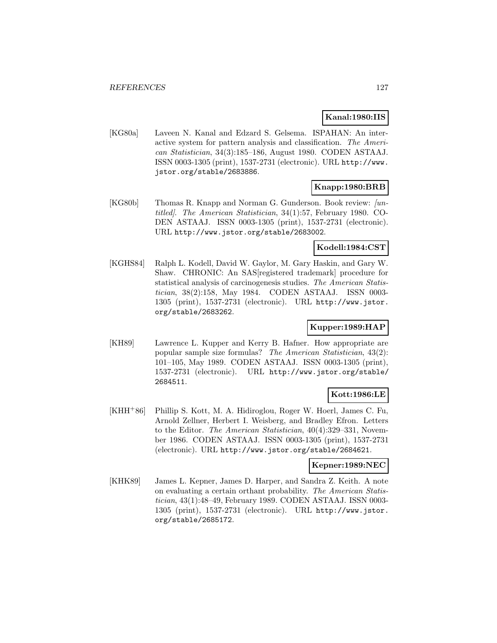## **Kanal:1980:IIS**

[KG80a] Laveen N. Kanal and Edzard S. Gelsema. ISPAHAN: An interactive system for pattern analysis and classification. The American Statistician, 34(3):185–186, August 1980. CODEN ASTAAJ. ISSN 0003-1305 (print), 1537-2731 (electronic). URL http://www. jstor.org/stable/2683886.

# **Knapp:1980:BRB**

[KG80b] Thomas R. Knapp and Norman G. Gunderson. Book review: [untitled]. The American Statistician, 34(1):57, February 1980. CO-DEN ASTAAJ. ISSN 0003-1305 (print), 1537-2731 (electronic). URL http://www.jstor.org/stable/2683002.

## **Kodell:1984:CST**

[KGHS84] Ralph L. Kodell, David W. Gaylor, M. Gary Haskin, and Gary W. Shaw. CHRONIC: An SAS[registered trademark] procedure for statistical analysis of carcinogenesis studies. The American Statistician, 38(2):158, May 1984. CODEN ASTAAJ. ISSN 0003- 1305 (print), 1537-2731 (electronic). URL http://www.jstor. org/stable/2683262.

# **Kupper:1989:HAP**

[KH89] Lawrence L. Kupper and Kerry B. Hafner. How appropriate are popular sample size formulas? The American Statistician, 43(2): 101–105, May 1989. CODEN ASTAAJ. ISSN 0003-1305 (print), 1537-2731 (electronic). URL http://www.jstor.org/stable/ 2684511.

## **Kott:1986:LE**

[KHH<sup>+</sup>86] Phillip S. Kott, M. A. Hidiroglou, Roger W. Hoerl, James C. Fu, Arnold Zellner, Herbert I. Weisberg, and Bradley Efron. Letters to the Editor. The American Statistician, 40(4):329–331, November 1986. CODEN ASTAAJ. ISSN 0003-1305 (print), 1537-2731 (electronic). URL http://www.jstor.org/stable/2684621.

## **Kepner:1989:NEC**

[KHK89] James L. Kepner, James D. Harper, and Sandra Z. Keith. A note on evaluating a certain orthant probability. The American Statistician, 43(1):48–49, February 1989. CODEN ASTAAJ. ISSN 0003- 1305 (print), 1537-2731 (electronic). URL http://www.jstor. org/stable/2685172.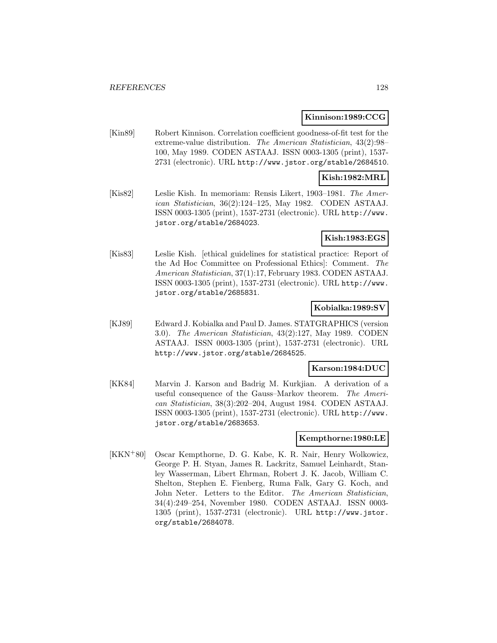#### **Kinnison:1989:CCG**

[Kin89] Robert Kinnison. Correlation coefficient goodness-of-fit test for the extreme-value distribution. The American Statistician, 43(2):98– 100, May 1989. CODEN ASTAAJ. ISSN 0003-1305 (print), 1537- 2731 (electronic). URL http://www.jstor.org/stable/2684510.

## **Kish:1982:MRL**

[Kis82] Leslie Kish. In memoriam: Rensis Likert, 1903–1981. The American Statistician, 36(2):124–125, May 1982. CODEN ASTAAJ. ISSN 0003-1305 (print), 1537-2731 (electronic). URL http://www. jstor.org/stable/2684023.

## **Kish:1983:EGS**

[Kis83] Leslie Kish. [ethical guidelines for statistical practice: Report of the Ad Hoc Committee on Professional Ethics]: Comment. The American Statistician, 37(1):17, February 1983. CODEN ASTAAJ. ISSN 0003-1305 (print), 1537-2731 (electronic). URL http://www. jstor.org/stable/2685831.

## **Kobialka:1989:SV**

[KJ89] Edward J. Kobialka and Paul D. James. STATGRAPHICS (version 3.0). The American Statistician, 43(2):127, May 1989. CODEN ASTAAJ. ISSN 0003-1305 (print), 1537-2731 (electronic). URL http://www.jstor.org/stable/2684525.

#### **Karson:1984:DUC**

[KK84] Marvin J. Karson and Badrig M. Kurkjian. A derivation of a useful consequence of the Gauss–Markov theorem. The American Statistician, 38(3):202–204, August 1984. CODEN ASTAAJ. ISSN 0003-1305 (print), 1537-2731 (electronic). URL http://www. jstor.org/stable/2683653.

## **Kempthorne:1980:LE**

[KKN<sup>+</sup>80] Oscar Kempthorne, D. G. Kabe, K. R. Nair, Henry Wolkowicz, George P. H. Styan, James R. Lackritz, Samuel Leinhardt, Stanley Wasserman, Libert Ehrman, Robert J. K. Jacob, William C. Shelton, Stephen E. Fienberg, Ruma Falk, Gary G. Koch, and John Neter. Letters to the Editor. The American Statistician, 34(4):249–254, November 1980. CODEN ASTAAJ. ISSN 0003- 1305 (print), 1537-2731 (electronic). URL http://www.jstor. org/stable/2684078.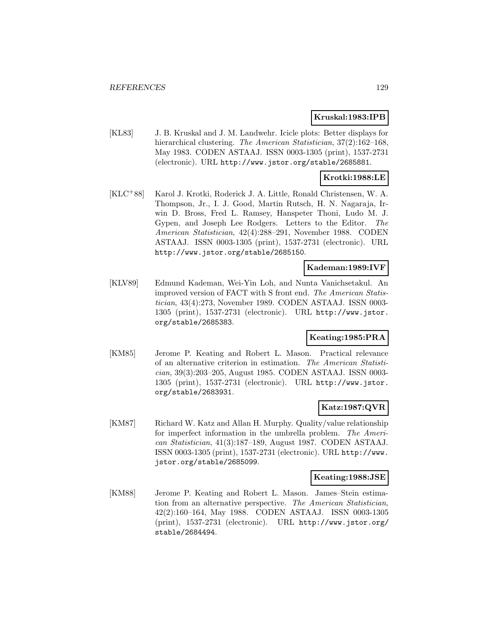## **Kruskal:1983:IPB**

[KL83] J. B. Kruskal and J. M. Landwehr. Icicle plots: Better displays for hierarchical clustering. The American Statistician, 37(2):162-168, May 1983. CODEN ASTAAJ. ISSN 0003-1305 (print), 1537-2731 (electronic). URL http://www.jstor.org/stable/2685881.

### **Krotki:1988:LE**

[KLC<sup>+</sup>88] Karol J. Krotki, Roderick J. A. Little, Ronald Christensen, W. A. Thompson, Jr., I. J. Good, Martin Rutsch, H. N. Nagaraja, Irwin D. Bross, Fred L. Ramsey, Hanspeter Thoni, Ludo M. J. Gypen, and Joseph Lee Rodgers. Letters to the Editor. The American Statistician, 42(4):288–291, November 1988. CODEN ASTAAJ. ISSN 0003-1305 (print), 1537-2731 (electronic). URL http://www.jstor.org/stable/2685150.

## **Kademan:1989:IVF**

[KLV89] Edmund Kademan, Wei-Yin Loh, and Nunta Vanichsetakul. An improved version of FACT with S front end. The American Statistician, 43(4):273, November 1989. CODEN ASTAAJ. ISSN 0003- 1305 (print), 1537-2731 (electronic). URL http://www.jstor. org/stable/2685383.

# **Keating:1985:PRA**

[KM85] Jerome P. Keating and Robert L. Mason. Practical relevance of an alternative criterion in estimation. The American Statistician, 39(3):203–205, August 1985. CODEN ASTAAJ. ISSN 0003- 1305 (print), 1537-2731 (electronic). URL http://www.jstor. org/stable/2683931.

#### **Katz:1987:QVR**

[KM87] Richard W. Katz and Allan H. Murphy. Quality/value relationship for imperfect information in the umbrella problem. The American Statistician, 41(3):187–189, August 1987. CODEN ASTAAJ. ISSN 0003-1305 (print), 1537-2731 (electronic). URL http://www. jstor.org/stable/2685099.

#### **Keating:1988:JSE**

[KM88] Jerome P. Keating and Robert L. Mason. James–Stein estimation from an alternative perspective. The American Statistician, 42(2):160–164, May 1988. CODEN ASTAAJ. ISSN 0003-1305 (print), 1537-2731 (electronic). URL http://www.jstor.org/ stable/2684494.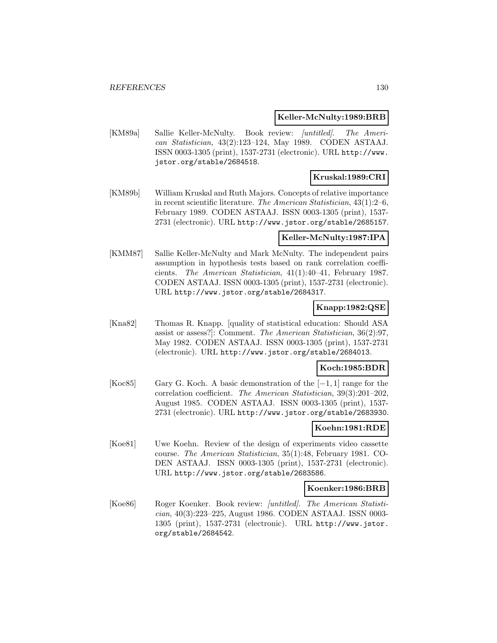#### **Keller-McNulty:1989:BRB**

[KM89a] Sallie Keller-McNulty. Book review: [untitled]. The American Statistician, 43(2):123–124, May 1989. CODEN ASTAAJ. ISSN 0003-1305 (print), 1537-2731 (electronic). URL http://www. jstor.org/stable/2684518.

## **Kruskal:1989:CRI**

[KM89b] William Kruskal and Ruth Majors. Concepts of relative importance in recent scientific literature. The American Statistician, 43(1):2–6, February 1989. CODEN ASTAAJ. ISSN 0003-1305 (print), 1537- 2731 (electronic). URL http://www.jstor.org/stable/2685157.

#### **Keller-McNulty:1987:IPA**

[KMM87] Sallie Keller-McNulty and Mark McNulty. The independent pairs assumption in hypothesis tests based on rank correlation coefficients. The American Statistician, 41(1):40–41, February 1987. CODEN ASTAAJ. ISSN 0003-1305 (print), 1537-2731 (electronic). URL http://www.jstor.org/stable/2684317.

## **Knapp:1982:QSE**

[Kna82] Thomas R. Knapp. [quality of statistical education: Should ASA assist or assess?]: Comment. The American Statistician, 36(2):97, May 1982. CODEN ASTAAJ. ISSN 0003-1305 (print), 1537-2731 (electronic). URL http://www.jstor.org/stable/2684013.

#### **Koch:1985:BDR**

[Koc85] Gary G. Koch. A basic demonstration of the [−1, 1] range for the correlation coefficient. The American Statistician, 39(3):201–202, August 1985. CODEN ASTAAJ. ISSN 0003-1305 (print), 1537- 2731 (electronic). URL http://www.jstor.org/stable/2683930.

#### **Koehn:1981:RDE**

[Koe81] Uwe Koehn. Review of the design of experiments video cassette course. The American Statistician, 35(1):48, February 1981. CO-DEN ASTAAJ. ISSN 0003-1305 (print), 1537-2731 (electronic). URL http://www.jstor.org/stable/2683586.

#### **Koenker:1986:BRB**

[Koe86] Roger Koenker. Book review: [untitled]. The American Statistician, 40(3):223–225, August 1986. CODEN ASTAAJ. ISSN 0003- 1305 (print), 1537-2731 (electronic). URL http://www.jstor. org/stable/2684542.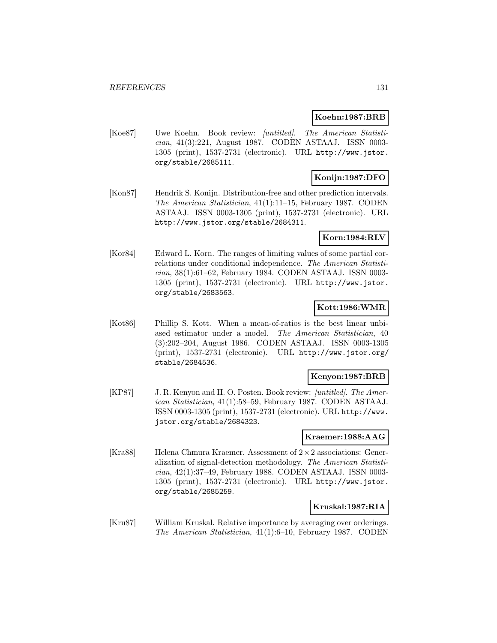### **Koehn:1987:BRB**

[Koe87] Uwe Koehn. Book review: [untitled]. The American Statistician, 41(3):221, August 1987. CODEN ASTAAJ. ISSN 0003- 1305 (print), 1537-2731 (electronic). URL http://www.jstor. org/stable/2685111.

# **Konijn:1987:DFO**

[Kon87] Hendrik S. Konijn. Distribution-free and other prediction intervals. The American Statistician, 41(1):11–15, February 1987. CODEN ASTAAJ. ISSN 0003-1305 (print), 1537-2731 (electronic). URL http://www.jstor.org/stable/2684311.

## **Korn:1984:RLV**

[Kor84] Edward L. Korn. The ranges of limiting values of some partial correlations under conditional independence. The American Statistician, 38(1):61–62, February 1984. CODEN ASTAAJ. ISSN 0003- 1305 (print), 1537-2731 (electronic). URL http://www.jstor. org/stable/2683563.

## **Kott:1986:WMR**

[Kot86] Phillip S. Kott. When a mean-of-ratios is the best linear unbiased estimator under a model. The American Statistician, 40 (3):202–204, August 1986. CODEN ASTAAJ. ISSN 0003-1305 (print), 1537-2731 (electronic). URL http://www.jstor.org/ stable/2684536.

#### **Kenyon:1987:BRB**

[KP87] J. R. Kenyon and H. O. Posten. Book review: [untitled]. The American Statistician, 41(1):58–59, February 1987. CODEN ASTAAJ. ISSN 0003-1305 (print), 1537-2731 (electronic). URL http://www. jstor.org/stable/2684323.

#### **Kraemer:1988:AAG**

[Kra88] Helena Chmura Kraemer. Assessment of  $2 \times 2$  associations: Generalization of signal-detection methodology. The American Statistician, 42(1):37–49, February 1988. CODEN ASTAAJ. ISSN 0003- 1305 (print), 1537-2731 (electronic). URL http://www.jstor. org/stable/2685259.

#### **Kruskal:1987:RIA**

[Kru87] William Kruskal. Relative importance by averaging over orderings. The American Statistician, 41(1):6–10, February 1987. CODEN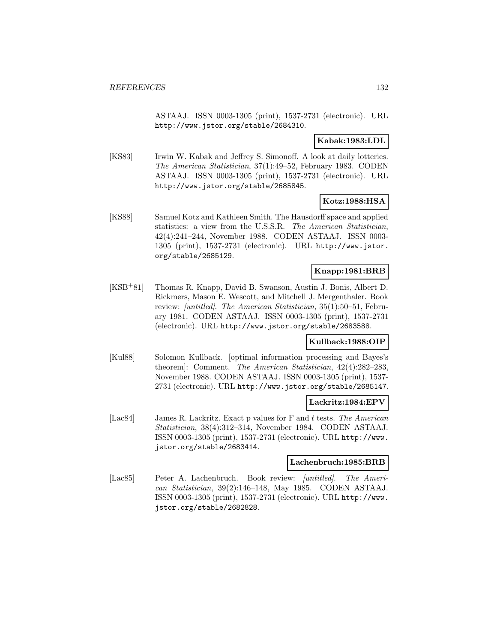ASTAAJ. ISSN 0003-1305 (print), 1537-2731 (electronic). URL http://www.jstor.org/stable/2684310.

## **Kabak:1983:LDL**

[KS83] Irwin W. Kabak and Jeffrey S. Simonoff. A look at daily lotteries. The American Statistician, 37(1):49–52, February 1983. CODEN ASTAAJ. ISSN 0003-1305 (print), 1537-2731 (electronic). URL http://www.jstor.org/stable/2685845.

## **Kotz:1988:HSA**

[KS88] Samuel Kotz and Kathleen Smith. The Hausdorff space and applied statistics: a view from the U.S.S.R. The American Statistician, 42(4):241–244, November 1988. CODEN ASTAAJ. ISSN 0003- 1305 (print), 1537-2731 (electronic). URL http://www.jstor. org/stable/2685129.

## **Knapp:1981:BRB**

[KSB<sup>+</sup>81] Thomas R. Knapp, David B. Swanson, Austin J. Bonis, Albert D. Rickmers, Mason E. Wescott, and Mitchell J. Mergenthaler. Book review: [untitled]. The American Statistician, 35(1):50–51, February 1981. CODEN ASTAAJ. ISSN 0003-1305 (print), 1537-2731 (electronic). URL http://www.jstor.org/stable/2683588.

## **Kullback:1988:OIP**

[Kul88] Solomon Kullback. [optimal information processing and Bayes's theorem]: Comment. The American Statistician, 42(4):282–283, November 1988. CODEN ASTAAJ. ISSN 0003-1305 (print), 1537- 2731 (electronic). URL http://www.jstor.org/stable/2685147.

## **Lackritz:1984:EPV**

[Lac84] James R. Lackritz. Exact p values for F and t tests. The American Statistician, 38(4):312–314, November 1984. CODEN ASTAAJ. ISSN 0003-1305 (print), 1537-2731 (electronic). URL http://www. jstor.org/stable/2683414.

#### **Lachenbruch:1985:BRB**

[Lac85] Peter A. Lachenbruch. Book review: *[untitled]*. The American Statistician, 39(2):146–148, May 1985. CODEN ASTAAJ. ISSN 0003-1305 (print), 1537-2731 (electronic). URL http://www. jstor.org/stable/2682828.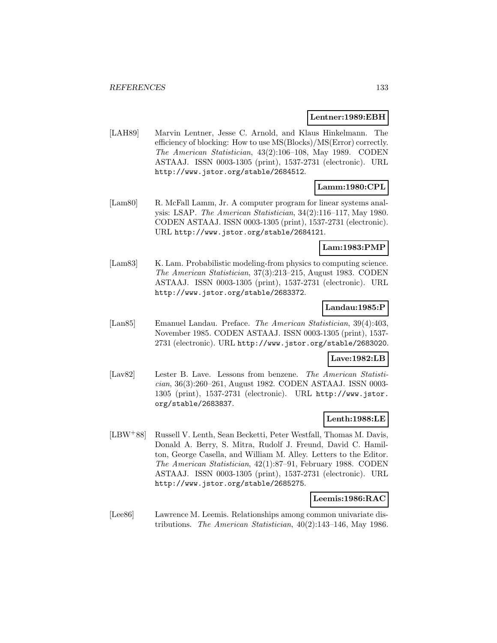#### **Lentner:1989:EBH**

[LAH89] Marvin Lentner, Jesse C. Arnold, and Klaus Hinkelmann. The efficiency of blocking: How to use MS(Blocks)/MS(Error) correctly. The American Statistician, 43(2):106–108, May 1989. CODEN ASTAAJ. ISSN 0003-1305 (print), 1537-2731 (electronic). URL http://www.jstor.org/stable/2684512.

# **Lamm:1980:CPL**

[Lam80] R. McFall Lamm, Jr. A computer program for linear systems analysis: LSAP. The American Statistician, 34(2):116–117, May 1980. CODEN ASTAAJ. ISSN 0003-1305 (print), 1537-2731 (electronic). URL http://www.jstor.org/stable/2684121.

## **Lam:1983:PMP**

[Lam83] K. Lam. Probabilistic modeling-from physics to computing science. The American Statistician, 37(3):213–215, August 1983. CODEN ASTAAJ. ISSN 0003-1305 (print), 1537-2731 (electronic). URL http://www.jstor.org/stable/2683372.

## **Landau:1985:P**

[Lan85] Emanuel Landau. Preface. The American Statistician, 39(4):403, November 1985. CODEN ASTAAJ. ISSN 0003-1305 (print), 1537- 2731 (electronic). URL http://www.jstor.org/stable/2683020.

### **Lave:1982:LB**

[Lav82] Lester B. Lave. Lessons from benzene. The American Statistician, 36(3):260–261, August 1982. CODEN ASTAAJ. ISSN 0003- 1305 (print), 1537-2731 (electronic). URL http://www.jstor. org/stable/2683837.

## **Lenth:1988:LE**

[LBW<sup>+</sup>88] Russell V. Lenth, Sean Becketti, Peter Westfall, Thomas M. Davis, Donald A. Berry, S. Mitra, Rudolf J. Freund, David C. Hamilton, George Casella, and William M. Alley. Letters to the Editor. The American Statistician, 42(1):87–91, February 1988. CODEN ASTAAJ. ISSN 0003-1305 (print), 1537-2731 (electronic). URL http://www.jstor.org/stable/2685275.

#### **Leemis:1986:RAC**

[Lee86] Lawrence M. Leemis. Relationships among common univariate distributions. The American Statistician, 40(2):143–146, May 1986.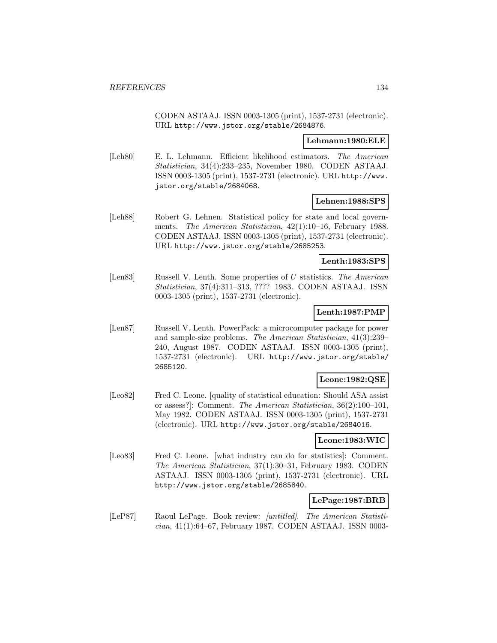CODEN ASTAAJ. ISSN 0003-1305 (print), 1537-2731 (electronic). URL http://www.jstor.org/stable/2684876.

#### **Lehmann:1980:ELE**

[Leh80] E. L. Lehmann. Efficient likelihood estimators. The American Statistician, 34(4):233–235, November 1980. CODEN ASTAAJ. ISSN 0003-1305 (print), 1537-2731 (electronic). URL http://www. jstor.org/stable/2684068.

#### **Lehnen:1988:SPS**

[Leh88] Robert G. Lehnen. Statistical policy for state and local governments. The American Statistician, 42(1):10–16, February 1988. CODEN ASTAAJ. ISSN 0003-1305 (print), 1537-2731 (electronic). URL http://www.jstor.org/stable/2685253.

#### **Lenth:1983:SPS**

[Len83] Russell V. Lenth. Some properties of U statistics. The American Statistician, 37(4):311–313, ???? 1983. CODEN ASTAAJ. ISSN 0003-1305 (print), 1537-2731 (electronic).

### **Lenth:1987:PMP**

[Len87] Russell V. Lenth. PowerPack: a microcomputer package for power and sample-size problems. The American Statistician, 41(3):239– 240, August 1987. CODEN ASTAAJ. ISSN 0003-1305 (print), 1537-2731 (electronic). URL http://www.jstor.org/stable/ 2685120.

### **Leone:1982:QSE**

[Leo82] Fred C. Leone. [quality of statistical education: Should ASA assist or assess?]: Comment. The American Statistician, 36(2):100–101, May 1982. CODEN ASTAAJ. ISSN 0003-1305 (print), 1537-2731 (electronic). URL http://www.jstor.org/stable/2684016.

## **Leone:1983:WIC**

[Leo83] Fred C. Leone. [what industry can do for statistics]: Comment. The American Statistician, 37(1):30–31, February 1983. CODEN ASTAAJ. ISSN 0003-1305 (print), 1537-2731 (electronic). URL http://www.jstor.org/stable/2685840.

## **LePage:1987:BRB**

[LeP87] Raoul LePage. Book review: [untitled]. The American Statistician, 41(1):64–67, February 1987. CODEN ASTAAJ. ISSN 0003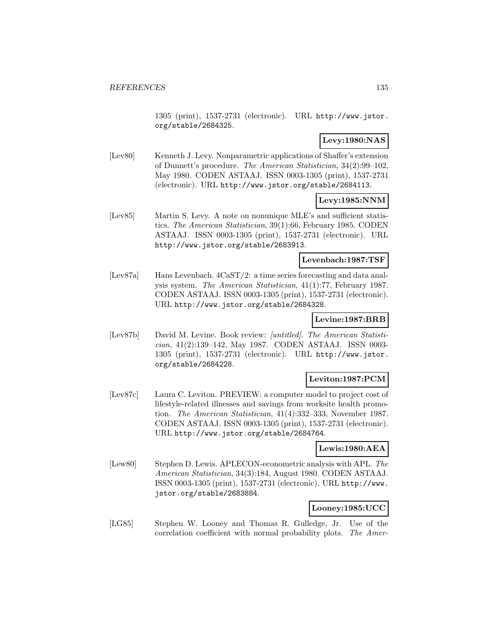1305 (print), 1537-2731 (electronic). URL http://www.jstor. org/stable/2684325.

# **Levy:1980:NAS**

[Lev80] Kenneth J. Levy. Nonparametric applications of Shaffer's extension of Dunnett's procedure. The American Statistician, 34(2):99–102, May 1980. CODEN ASTAAJ. ISSN 0003-1305 (print), 1537-2731 (electronic). URL http://www.jstor.org/stable/2684113.

# **Levy:1985:NNM**

[Lev85] Martin S. Levy. A note on nonunique MLE's and sufficient statistics. The American Statistician, 39(1):66, February 1985. CODEN ASTAAJ. ISSN 0003-1305 (print), 1537-2731 (electronic). URL http://www.jstor.org/stable/2683913.

#### **Levenbach:1987:TSF**

[Lev87a] Hans Levenbach. 4CaST/2: a time series forecasting and data analysis system. The American Statistician, 41(1):77, February 1987. CODEN ASTAAJ. ISSN 0003-1305 (print), 1537-2731 (electronic). URL http://www.jstor.org/stable/2684328.

## **Levine:1987:BRB**

[Lev87b] David M. Levine. Book review: [untitled]. The American Statistician, 41(2):139–142, May 1987. CODEN ASTAAJ. ISSN 0003- 1305 (print), 1537-2731 (electronic). URL http://www.jstor. org/stable/2684228.

#### **Leviton:1987:PCM**

[Lev87c] Laura C. Leviton. PREVIEW: a computer model to project cost of lifestyle-related illnesses and savings from worksite health promotion. The American Statistician, 41(4):332–333, November 1987. CODEN ASTAAJ. ISSN 0003-1305 (print), 1537-2731 (electronic). URL http://www.jstor.org/stable/2684764.

# **Lewis:1980:AEA**

[Lew80] Stephen D. Lewis. APLECON-econometric analysis with APL. The American Statistician, 34(3):184, August 1980. CODEN ASTAAJ. ISSN 0003-1305 (print), 1537-2731 (electronic). URL http://www. jstor.org/stable/2683884.

## **Looney:1985:UCC**

[LG85] Stephen W. Looney and Thomas R. Gulledge, Jr. Use of the correlation coefficient with normal probability plots. The Amer-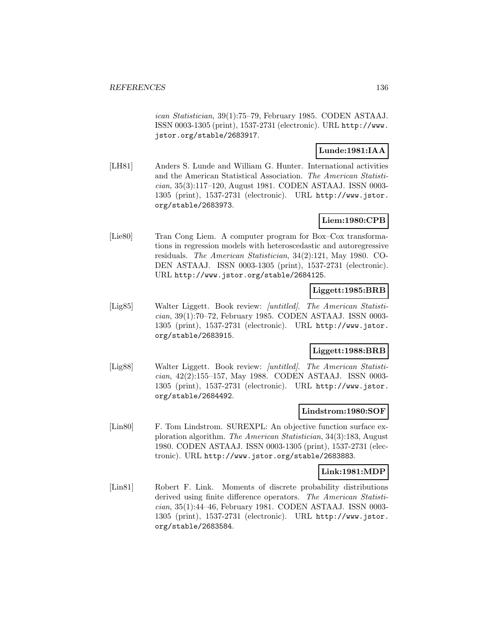ican Statistician, 39(1):75–79, February 1985. CODEN ASTAAJ. ISSN 0003-1305 (print), 1537-2731 (electronic). URL http://www. jstor.org/stable/2683917.

## **Lunde:1981:IAA**

[LH81] Anders S. Lunde and William G. Hunter. International activities and the American Statistical Association. The American Statistician, 35(3):117–120, August 1981. CODEN ASTAAJ. ISSN 0003- 1305 (print), 1537-2731 (electronic). URL http://www.jstor. org/stable/2683973.

# **Liem:1980:CPB**

[Lie80] Tran Cong Liem. A computer program for Box–Cox transformations in regression models with heteroscedastic and autoregressive residuals. The American Statistician, 34(2):121, May 1980. CO-DEN ASTAAJ. ISSN 0003-1305 (print), 1537-2731 (electronic). URL http://www.jstor.org/stable/2684125.

## **Liggett:1985:BRB**

[Lig85] Walter Liggett. Book review: [untitled]. The American Statistician, 39(1):70–72, February 1985. CODEN ASTAAJ. ISSN 0003- 1305 (print), 1537-2731 (electronic). URL http://www.jstor. org/stable/2683915.

# **Liggett:1988:BRB**

[Lig88] Walter Liggett. Book review: [untitled]. The American Statistician, 42(2):155–157, May 1988. CODEN ASTAAJ. ISSN 0003- 1305 (print), 1537-2731 (electronic). URL http://www.jstor. org/stable/2684492.

#### **Lindstrom:1980:SOF**

[Lin80] F. Tom Lindstrom. SUREXPL: An objective function surface exploration algorithm. The American Statistician, 34(3):183, August 1980. CODEN ASTAAJ. ISSN 0003-1305 (print), 1537-2731 (electronic). URL http://www.jstor.org/stable/2683883.

#### **Link:1981:MDP**

[Lin81] Robert F. Link. Moments of discrete probability distributions derived using finite difference operators. The American Statistician, 35(1):44–46, February 1981. CODEN ASTAAJ. ISSN 0003- 1305 (print), 1537-2731 (electronic). URL http://www.jstor. org/stable/2683584.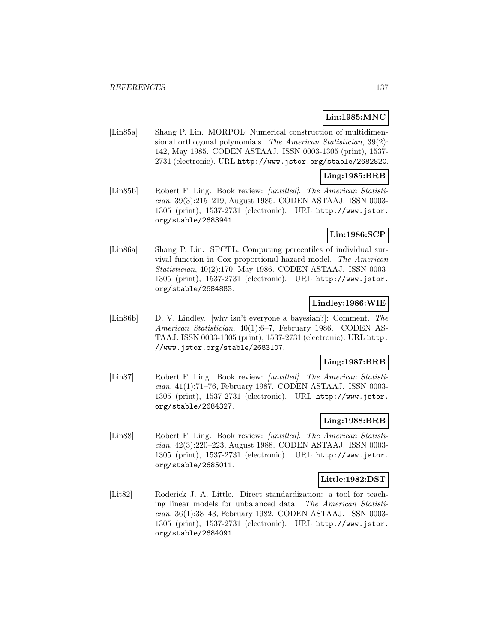# **Lin:1985:MNC**

[Lin85a] Shang P. Lin. MORPOL: Numerical construction of multidimensional orthogonal polynomials. The American Statistician, 39(2): 142, May 1985. CODEN ASTAAJ. ISSN 0003-1305 (print), 1537- 2731 (electronic). URL http://www.jstor.org/stable/2682820.

## **Ling:1985:BRB**

[Lin85b] Robert F. Ling. Book review: [untitled]. The American Statistician, 39(3):215–219, August 1985. CODEN ASTAAJ. ISSN 0003- 1305 (print), 1537-2731 (electronic). URL http://www.jstor. org/stable/2683941.

# **Lin:1986:SCP**

[Lin86a] Shang P. Lin. SPCTL: Computing percentiles of individual survival function in Cox proportional hazard model. The American Statistician, 40(2):170, May 1986. CODEN ASTAAJ. ISSN 0003- 1305 (print), 1537-2731 (electronic). URL http://www.jstor. org/stable/2684883.

## **Lindley:1986:WIE**

[Lin86b] D. V. Lindley. [why isn't everyone a bayesian?]: Comment. The American Statistician, 40(1):6–7, February 1986. CODEN AS-TAAJ. ISSN 0003-1305 (print), 1537-2731 (electronic). URL http: //www.jstor.org/stable/2683107.

## **Ling:1987:BRB**

[Lin87] Robert F. Ling. Book review: [untitled]. The American Statistician, 41(1):71–76, February 1987. CODEN ASTAAJ. ISSN 0003- 1305 (print), 1537-2731 (electronic). URL http://www.jstor. org/stable/2684327.

## **Ling:1988:BRB**

[Lin88] Robert F. Ling. Book review: [untitled]. The American Statistician, 42(3):220–223, August 1988. CODEN ASTAAJ. ISSN 0003- 1305 (print), 1537-2731 (electronic). URL http://www.jstor. org/stable/2685011.

### **Little:1982:DST**

[Lit82] Roderick J. A. Little. Direct standardization: a tool for teaching linear models for unbalanced data. The American Statistician, 36(1):38–43, February 1982. CODEN ASTAAJ. ISSN 0003- 1305 (print), 1537-2731 (electronic). URL http://www.jstor. org/stable/2684091.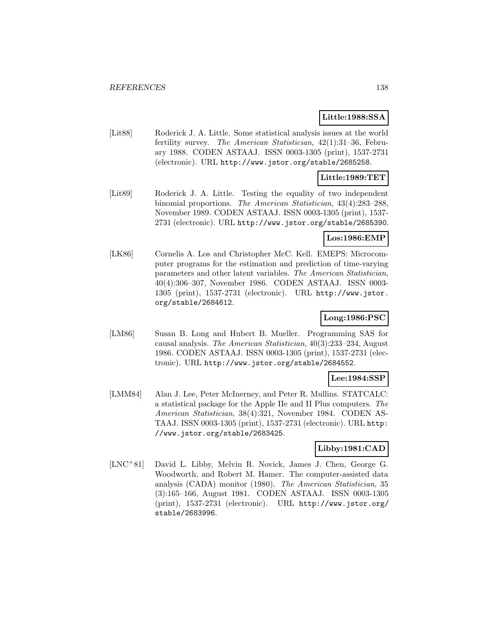## **Little:1988:SSA**

[Lit88] Roderick J. A. Little. Some statistical analysis issues at the world fertility survey. The American Statistician, 42(1):31–36, February 1988. CODEN ASTAAJ. ISSN 0003-1305 (print), 1537-2731 (electronic). URL http://www.jstor.org/stable/2685258.

## **Little:1989:TET**

[Lit89] Roderick J. A. Little. Testing the equality of two independent binomial proportions. The American Statistician, 43(4):283–288, November 1989. CODEN ASTAAJ. ISSN 0003-1305 (print), 1537- 2731 (electronic). URL http://www.jstor.org/stable/2685390.

## **Los:1986:EMP**

[LK86] Cornelis A. Los and Christopher McC. Kell. EMEPS: Microcomputer programs for the estimation and prediction of time-varying parameters and other latent variables. The American Statistician, 40(4):306–307, November 1986. CODEN ASTAAJ. ISSN 0003- 1305 (print), 1537-2731 (electronic). URL http://www.jstor. org/stable/2684612.

# **Long:1986:PSC**

[LM86] Susan B. Long and Hubert B. Mueller. Programming SAS for causal analysis. The American Statistician, 40(3):233–234, August 1986. CODEN ASTAAJ. ISSN 0003-1305 (print), 1537-2731 (electronic). URL http://www.jstor.org/stable/2684552.

#### **Lee:1984:SSP**

[LMM84] Alan J. Lee, Peter McInerney, and Peter R. Mullins. STATCALC: a statistical package for the Apple IIe and II Plus computers. The American Statistician, 38(4):321, November 1984. CODEN AS-TAAJ. ISSN 0003-1305 (print), 1537-2731 (electronic). URL http: //www.jstor.org/stable/2683425.

## **Libby:1981:CAD**

[LNC<sup>+</sup>81] David L. Libby, Melvin R. Novick, James J. Chen, George G. Woodworth, and Robert M. Hamer. The computer-assisted data analysis (CADA) monitor (1980). The American Statistician, 35 (3):165–166, August 1981. CODEN ASTAAJ. ISSN 0003-1305 (print), 1537-2731 (electronic). URL http://www.jstor.org/ stable/2683996.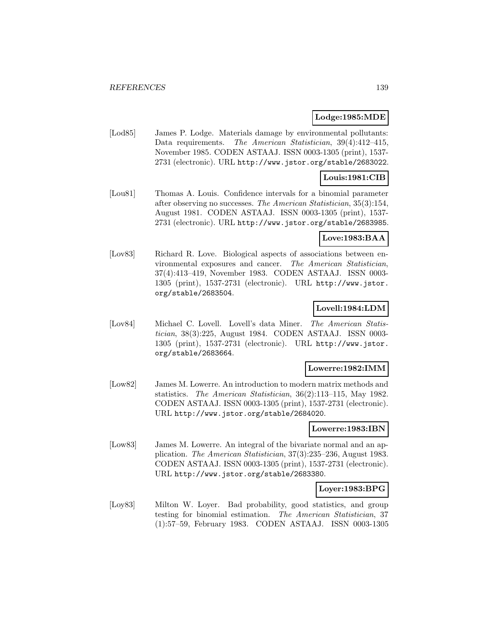## **Lodge:1985:MDE**

[Lod85] James P. Lodge. Materials damage by environmental pollutants: Data requirements. The American Statistician, 39(4):412-415, November 1985. CODEN ASTAAJ. ISSN 0003-1305 (print), 1537- 2731 (electronic). URL http://www.jstor.org/stable/2683022.

### **Louis:1981:CIB**

[Lou81] Thomas A. Louis. Confidence intervals for a binomial parameter after observing no successes. The American Statistician, 35(3):154, August 1981. CODEN ASTAAJ. ISSN 0003-1305 (print), 1537- 2731 (electronic). URL http://www.jstor.org/stable/2683985.

### **Love:1983:BAA**

[Lov83] Richard R. Love. Biological aspects of associations between environmental exposures and cancer. The American Statistician, 37(4):413–419, November 1983. CODEN ASTAAJ. ISSN 0003- 1305 (print), 1537-2731 (electronic). URL http://www.jstor. org/stable/2683504.

## **Lovell:1984:LDM**

[Lov84] Michael C. Lovell. Lovell's data Miner. The American Statistician, 38(3):225, August 1984. CODEN ASTAAJ. ISSN 0003- 1305 (print), 1537-2731 (electronic). URL http://www.jstor. org/stable/2683664.

#### **Lowerre:1982:IMM**

[Low82] James M. Lowerre. An introduction to modern matrix methods and statistics. The American Statistician, 36(2):113–115, May 1982. CODEN ASTAAJ. ISSN 0003-1305 (print), 1537-2731 (electronic). URL http://www.jstor.org/stable/2684020.

## **Lowerre:1983:IBN**

[Low83] James M. Lowerre. An integral of the bivariate normal and an application. The American Statistician, 37(3):235–236, August 1983. CODEN ASTAAJ. ISSN 0003-1305 (print), 1537-2731 (electronic). URL http://www.jstor.org/stable/2683380.

## **Loyer:1983:BPG**

[Loy83] Milton W. Loyer. Bad probability, good statistics, and group testing for binomial estimation. The American Statistician, 37 (1):57–59, February 1983. CODEN ASTAAJ. ISSN 0003-1305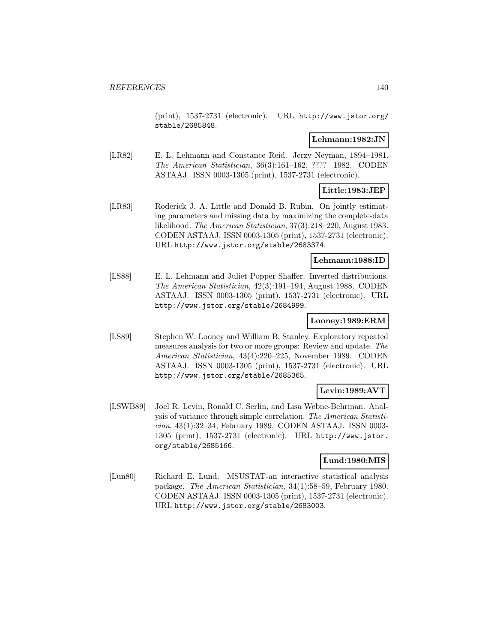(print), 1537-2731 (electronic). URL http://www.jstor.org/ stable/2685848.

## **Lehmann:1982:JN**

[LR82] E. L. Lehmann and Constance Reid. Jerzy Neyman, 1894–1981. The American Statistician, 36(3):161–162, ???? 1982. CODEN ASTAAJ. ISSN 0003-1305 (print), 1537-2731 (electronic).

# **Little:1983:JEP**

[LR83] Roderick J. A. Little and Donald B. Rubin. On jointly estimating parameters and missing data by maximizing the complete-data likelihood. The American Statistician, 37(3):218–220, August 1983. CODEN ASTAAJ. ISSN 0003-1305 (print), 1537-2731 (electronic). URL http://www.jstor.org/stable/2683374.

## **Lehmann:1988:ID**

[LS88] E. L. Lehmann and Juliet Popper Shaffer. Inverted distributions. The American Statistician, 42(3):191–194, August 1988. CODEN ASTAAJ. ISSN 0003-1305 (print), 1537-2731 (electronic). URL http://www.jstor.org/stable/2684999.

# **Looney:1989:ERM**

[LS89] Stephen W. Looney and William B. Stanley. Exploratory repeated measures analysis for two or more groups: Review and update. The American Statistician, 43(4):220–225, November 1989. CODEN ASTAAJ. ISSN 0003-1305 (print), 1537-2731 (electronic). URL http://www.jstor.org/stable/2685365.

# **Levin:1989:AVT**

[LSWB89] Joel R. Levin, Ronald C. Serlin, and Lisa Webne-Behrman. Analysis of variance through simple correlation. The American Statistician, 43(1):32–34, February 1989. CODEN ASTAAJ. ISSN 0003- 1305 (print), 1537-2731 (electronic). URL http://www.jstor. org/stable/2685166.

## **Lund:1980:MIS**

[Lun80] Richard E. Lund. MSUSTAT-an interactive statistical analysis package. The American Statistician, 34(1):58–59, February 1980. CODEN ASTAAJ. ISSN 0003-1305 (print), 1537-2731 (electronic). URL http://www.jstor.org/stable/2683003.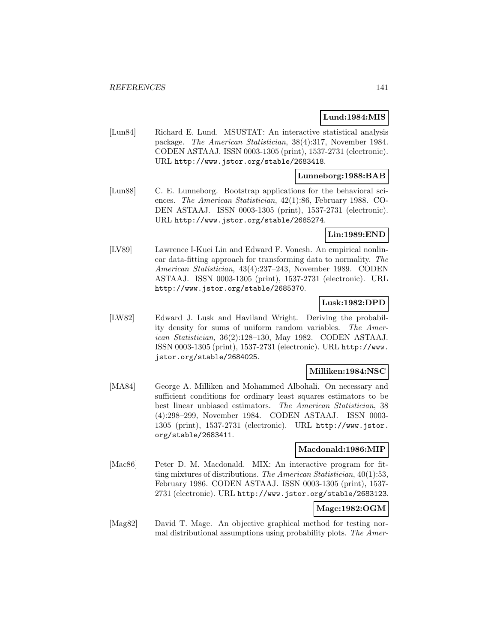## **Lund:1984:MIS**

[Lun84] Richard E. Lund. MSUSTAT: An interactive statistical analysis package. The American Statistician, 38(4):317, November 1984. CODEN ASTAAJ. ISSN 0003-1305 (print), 1537-2731 (electronic). URL http://www.jstor.org/stable/2683418.

#### **Lunneborg:1988:BAB**

[Lun88] C. E. Lunneborg. Bootstrap applications for the behavioral sciences. The American Statistician, 42(1):86, February 1988. CO-DEN ASTAAJ. ISSN 0003-1305 (print), 1537-2731 (electronic). URL http://www.jstor.org/stable/2685274.

## **Lin:1989:END**

[LV89] Lawrence I-Kuei Lin and Edward F. Vonesh. An empirical nonlinear data-fitting approach for transforming data to normality. The American Statistician, 43(4):237–243, November 1989. CODEN ASTAAJ. ISSN 0003-1305 (print), 1537-2731 (electronic). URL http://www.jstor.org/stable/2685370.

## **Lusk:1982:DPD**

[LW82] Edward J. Lusk and Haviland Wright. Deriving the probability density for sums of uniform random variables. The American Statistician, 36(2):128–130, May 1982. CODEN ASTAAJ. ISSN 0003-1305 (print), 1537-2731 (electronic). URL http://www. jstor.org/stable/2684025.

## **Milliken:1984:NSC**

[MA84] George A. Milliken and Mohammed Albohali. On necessary and sufficient conditions for ordinary least squares estimators to be best linear unbiased estimators. The American Statistician, 38 (4):298–299, November 1984. CODEN ASTAAJ. ISSN 0003- 1305 (print), 1537-2731 (electronic). URL http://www.jstor. org/stable/2683411.

#### **Macdonald:1986:MIP**

[Mac86] Peter D. M. Macdonald. MIX: An interactive program for fitting mixtures of distributions. The American Statistician, 40(1):53, February 1986. CODEN ASTAAJ. ISSN 0003-1305 (print), 1537- 2731 (electronic). URL http://www.jstor.org/stable/2683123.

# **Mage:1982:OGM**

[Mag82] David T. Mage. An objective graphical method for testing normal distributional assumptions using probability plots. The Amer-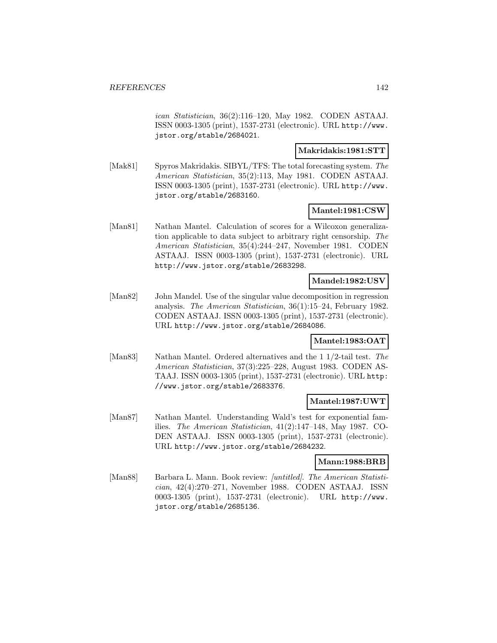ican Statistician, 36(2):116–120, May 1982. CODEN ASTAAJ. ISSN 0003-1305 (print), 1537-2731 (electronic). URL http://www. jstor.org/stable/2684021.

### **Makridakis:1981:STT**

[Mak81] Spyros Makridakis. SIBYL/TFS: The total forecasting system. The American Statistician, 35(2):113, May 1981. CODEN ASTAAJ. ISSN 0003-1305 (print), 1537-2731 (electronic). URL http://www. jstor.org/stable/2683160.

#### **Mantel:1981:CSW**

[Man81] Nathan Mantel. Calculation of scores for a Wilcoxon generalization applicable to data subject to arbitrary right censorship. The American Statistician, 35(4):244–247, November 1981. CODEN ASTAAJ. ISSN 0003-1305 (print), 1537-2731 (electronic). URL http://www.jstor.org/stable/2683298.

## **Mandel:1982:USV**

[Man82] John Mandel. Use of the singular value decomposition in regression analysis. The American Statistician, 36(1):15–24, February 1982. CODEN ASTAAJ. ISSN 0003-1305 (print), 1537-2731 (electronic). URL http://www.jstor.org/stable/2684086.

## **Mantel:1983:OAT**

[Man83] Nathan Mantel. Ordered alternatives and the 1 1/2-tail test. The American Statistician, 37(3):225–228, August 1983. CODEN AS-TAAJ. ISSN 0003-1305 (print), 1537-2731 (electronic). URL http: //www.jstor.org/stable/2683376.

### **Mantel:1987:UWT**

[Man87] Nathan Mantel. Understanding Wald's test for exponential families. The American Statistician, 41(2):147–148, May 1987. CO-DEN ASTAAJ. ISSN 0003-1305 (print), 1537-2731 (electronic). URL http://www.jstor.org/stable/2684232.

#### **Mann:1988:BRB**

[Man88] Barbara L. Mann. Book review: [untitled]. The American Statistician, 42(4):270–271, November 1988. CODEN ASTAAJ. ISSN 0003-1305 (print), 1537-2731 (electronic). URL http://www. jstor.org/stable/2685136.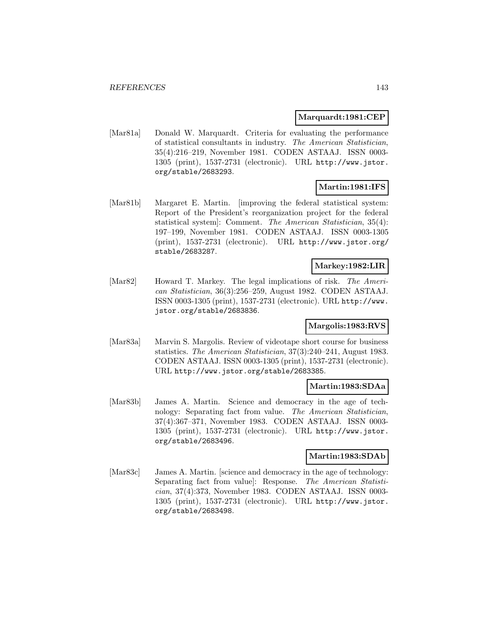#### **Marquardt:1981:CEP**

[Mar81a] Donald W. Marquardt. Criteria for evaluating the performance of statistical consultants in industry. The American Statistician, 35(4):216–219, November 1981. CODEN ASTAAJ. ISSN 0003- 1305 (print), 1537-2731 (electronic). URL http://www.jstor. org/stable/2683293.

# **Martin:1981:IFS**

[Mar81b] Margaret E. Martin. [improving the federal statistical system: Report of the President's reorganization project for the federal statistical system]: Comment. The American Statistician, 35(4): 197–199, November 1981. CODEN ASTAAJ. ISSN 0003-1305 (print), 1537-2731 (electronic). URL http://www.jstor.org/ stable/2683287.

## **Markey:1982:LIR**

[Mar82] Howard T. Markey. The legal implications of risk. The American Statistician, 36(3):256–259, August 1982. CODEN ASTAAJ. ISSN 0003-1305 (print), 1537-2731 (electronic). URL http://www. jstor.org/stable/2683836.

## **Margolis:1983:RVS**

[Mar83a] Marvin S. Margolis. Review of videotape short course for business statistics. The American Statistician, 37(3):240–241, August 1983. CODEN ASTAAJ. ISSN 0003-1305 (print), 1537-2731 (electronic). URL http://www.jstor.org/stable/2683385.

## **Martin:1983:SDAa**

[Mar83b] James A. Martin. Science and democracy in the age of technology: Separating fact from value. The American Statistician, 37(4):367–371, November 1983. CODEN ASTAAJ. ISSN 0003- 1305 (print), 1537-2731 (electronic). URL http://www.jstor. org/stable/2683496.

## **Martin:1983:SDAb**

[Mar83c] James A. Martin. [science and democracy in the age of technology: Separating fact from value]: Response. The American Statistician, 37(4):373, November 1983. CODEN ASTAAJ. ISSN 0003- 1305 (print), 1537-2731 (electronic). URL http://www.jstor. org/stable/2683498.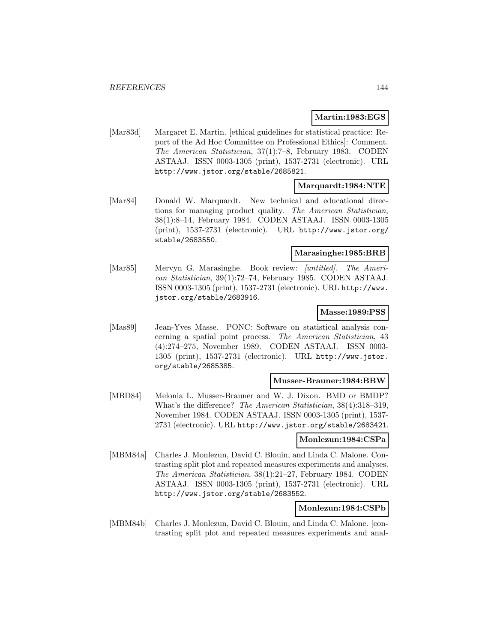## **Martin:1983:EGS**

[Mar83d] Margaret E. Martin. [ethical guidelines for statistical practice: Report of the Ad Hoc Committee on Professional Ethics]: Comment. The American Statistician, 37(1):7–8, February 1983. CODEN ASTAAJ. ISSN 0003-1305 (print), 1537-2731 (electronic). URL http://www.jstor.org/stable/2685821.

#### **Marquardt:1984:NTE**

[Mar84] Donald W. Marquardt. New technical and educational directions for managing product quality. The American Statistician, 38(1):8–14, February 1984. CODEN ASTAAJ. ISSN 0003-1305 (print), 1537-2731 (electronic). URL http://www.jstor.org/ stable/2683550.

#### **Marasinghe:1985:BRB**

[Mar85] Mervyn G. Marasinghe. Book review: *[untitled]*. The American Statistician, 39(1):72–74, February 1985. CODEN ASTAAJ. ISSN 0003-1305 (print), 1537-2731 (electronic). URL http://www. jstor.org/stable/2683916.

#### **Masse:1989:PSS**

[Mas89] Jean-Yves Masse. PONC: Software on statistical analysis concerning a spatial point process. The American Statistician, 43 (4):274–275, November 1989. CODEN ASTAAJ. ISSN 0003- 1305 (print), 1537-2731 (electronic). URL http://www.jstor. org/stable/2685385.

#### **Musser-Brauner:1984:BBW**

[MBD84] Melonia L. Musser-Brauner and W. J. Dixon. BMD or BMDP? What's the difference? The American Statistician, 38(4):318–319, November 1984. CODEN ASTAAJ. ISSN 0003-1305 (print), 1537- 2731 (electronic). URL http://www.jstor.org/stable/2683421.

#### **Monlezun:1984:CSPa**

[MBM84a] Charles J. Monlezun, David C. Blouin, and Linda C. Malone. Contrasting split plot and repeated measures experiments and analyses. The American Statistician, 38(1):21–27, February 1984. CODEN ASTAAJ. ISSN 0003-1305 (print), 1537-2731 (electronic). URL http://www.jstor.org/stable/2683552.

## **Monlezun:1984:CSPb**

[MBM84b] Charles J. Monlezun, David C. Blouin, and Linda C. Malone. [contrasting split plot and repeated measures experiments and anal-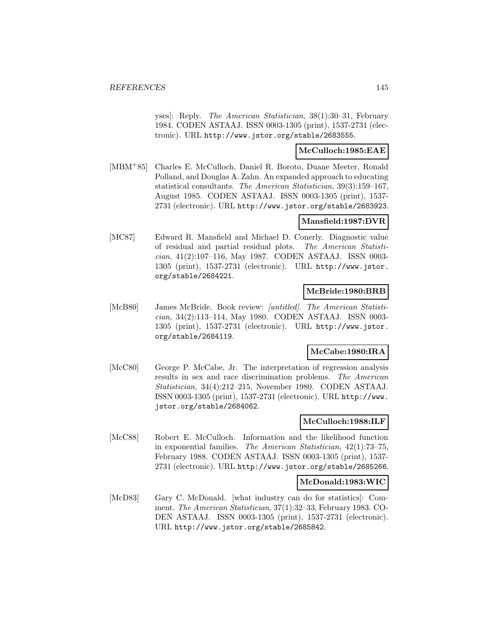yses]: Reply. The American Statistician, 38(1):30–31, February 1984. CODEN ASTAAJ. ISSN 0003-1305 (print), 1537-2731 (electronic). URL http://www.jstor.org/stable/2683555.

### **McCulloch:1985:EAE**

[MBM<sup>+</sup>85] Charles E. McCulloch, Daniel R. Boroto, Duane Meeter, Ronald Polland, and Douglas A. Zahn. An expanded approach to educating statistical consultants. The American Statistician, 39(3):159–167, August 1985. CODEN ASTAAJ. ISSN 0003-1305 (print), 1537- 2731 (electronic). URL http://www.jstor.org/stable/2683923.

### **Mansfield:1987:DVR**

[MC87] Edward R. Mansfield and Michael D. Conerly. Diagnostic value of residual and partial residual plots. The American Statistician, 41(2):107–116, May 1987. CODEN ASTAAJ. ISSN 0003- 1305 (print), 1537-2731 (electronic). URL http://www.jstor. org/stable/2684221.

## **McBride:1980:BRB**

[McB80] James McBride. Book review: *[untitled]*. The American Statistician, 34(2):113–114, May 1980. CODEN ASTAAJ. ISSN 0003- 1305 (print), 1537-2731 (electronic). URL http://www.jstor. org/stable/2684119.

## **McCabe:1980:IRA**

[McC80] George P. McCabe, Jr. The interpretation of regression analysis results in sex and race discrimination problems. The American Statistician, 34(4):212–215, November 1980. CODEN ASTAAJ. ISSN 0003-1305 (print), 1537-2731 (electronic). URL http://www. jstor.org/stable/2684062.

## **McCulloch:1988:ILF**

[McC88] Robert E. McCulloch. Information and the likelihood function in exponential families. The American Statistician, 42(1):73–75, February 1988. CODEN ASTAAJ. ISSN 0003-1305 (print), 1537- 2731 (electronic). URL http://www.jstor.org/stable/2685266.

## **McDonald:1983:WIC**

[McD83] Gary C. McDonald. [what industry can do for statistics]: Comment. The American Statistician, 37(1):32–33, February 1983. CO-DEN ASTAAJ. ISSN 0003-1305 (print), 1537-2731 (electronic). URL http://www.jstor.org/stable/2685842.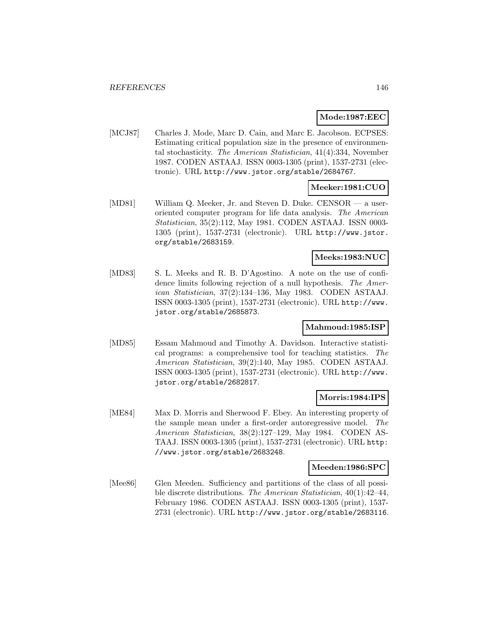## **Mode:1987:EEC**

[MCJ87] Charles J. Mode, Marc D. Cain, and Marc E. Jacobson. ECPSES: Estimating critical population size in the presence of environmental stochasticity. The American Statistician, 41(4):334, November 1987. CODEN ASTAAJ. ISSN 0003-1305 (print), 1537-2731 (electronic). URL http://www.jstor.org/stable/2684767.

## **Meeker:1981:CUO**

[MD81] William Q. Meeker, Jr. and Steven D. Duke. CENSOR — a useroriented computer program for life data analysis. The American Statistician, 35(2):112, May 1981. CODEN ASTAAJ. ISSN 0003- 1305 (print), 1537-2731 (electronic). URL http://www.jstor. org/stable/2683159.

## **Meeks:1983:NUC**

[MD83] S. L. Meeks and R. B. D'Agostino. A note on the use of confidence limits following rejection of a null hypothesis. The American Statistician, 37(2):134–136, May 1983. CODEN ASTAAJ. ISSN 0003-1305 (print), 1537-2731 (electronic). URL http://www. jstor.org/stable/2685873.

## **Mahmoud:1985:ISP**

[MD85] Essam Mahmoud and Timothy A. Davidson. Interactive statistical programs: a comprehensive tool for teaching statistics. The American Statistician, 39(2):140, May 1985. CODEN ASTAAJ. ISSN 0003-1305 (print), 1537-2731 (electronic). URL http://www. jstor.org/stable/2682817.

## **Morris:1984:IPS**

[ME84] Max D. Morris and Sherwood F. Ebey. An interesting property of the sample mean under a first-order autoregressive model. The American Statistician, 38(2):127–129, May 1984. CODEN AS-TAAJ. ISSN 0003-1305 (print), 1537-2731 (electronic). URL http: //www.jstor.org/stable/2683248.

### **Meeden:1986:SPC**

[Mee86] Glen Meeden. Sufficiency and partitions of the class of all possible discrete distributions. The American Statistician, 40(1):42–44, February 1986. CODEN ASTAAJ. ISSN 0003-1305 (print), 1537- 2731 (electronic). URL http://www.jstor.org/stable/2683116.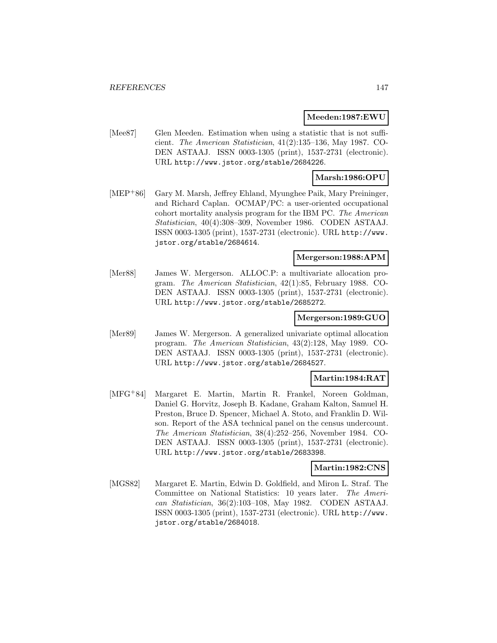#### **Meeden:1987:EWU**

[Mee87] Glen Meeden. Estimation when using a statistic that is not sufficient. The American Statistician, 41(2):135–136, May 1987. CO-DEN ASTAAJ. ISSN 0003-1305 (print), 1537-2731 (electronic). URL http://www.jstor.org/stable/2684226.

### **Marsh:1986:OPU**

[MEP<sup>+</sup>86] Gary M. Marsh, Jeffrey Ehland, Myunghee Paik, Mary Preininger, and Richard Caplan. OCMAP/PC: a user-oriented occupational cohort mortality analysis program for the IBM PC. The American Statistician, 40(4):308–309, November 1986. CODEN ASTAAJ. ISSN 0003-1305 (print), 1537-2731 (electronic). URL http://www. jstor.org/stable/2684614.

## **Mergerson:1988:APM**

[Mer88] James W. Mergerson. ALLOC.P: a multivariate allocation program. The American Statistician, 42(1):85, February 1988. CO-DEN ASTAAJ. ISSN 0003-1305 (print), 1537-2731 (electronic). URL http://www.jstor.org/stable/2685272.

### **Mergerson:1989:GUO**

[Mer89] James W. Mergerson. A generalized univariate optimal allocation program. The American Statistician, 43(2):128, May 1989. CO-DEN ASTAAJ. ISSN 0003-1305 (print), 1537-2731 (electronic). URL http://www.jstor.org/stable/2684527.

### **Martin:1984:RAT**

[MFG<sup>+</sup>84] Margaret E. Martin, Martin R. Frankel, Noreen Goldman, Daniel G. Horvitz, Joseph B. Kadane, Graham Kalton, Samuel H. Preston, Bruce D. Spencer, Michael A. Stoto, and Franklin D. Wilson. Report of the ASA technical panel on the census undercount. The American Statistician, 38(4):252–256, November 1984. CO-DEN ASTAAJ. ISSN 0003-1305 (print), 1537-2731 (electronic). URL http://www.jstor.org/stable/2683398.

## **Martin:1982:CNS**

[MGS82] Margaret E. Martin, Edwin D. Goldfield, and Miron L. Straf. The Committee on National Statistics: 10 years later. The American Statistician, 36(2):103–108, May 1982. CODEN ASTAAJ. ISSN 0003-1305 (print), 1537-2731 (electronic). URL http://www. jstor.org/stable/2684018.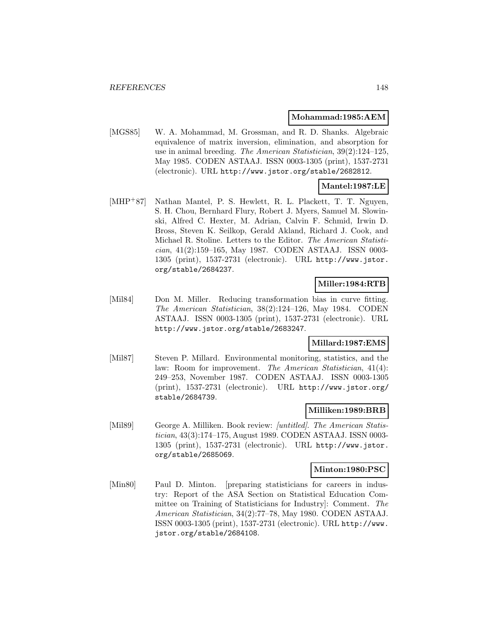#### **Mohammad:1985:AEM**

[MGS85] W. A. Mohammad, M. Grossman, and R. D. Shanks. Algebraic equivalence of matrix inversion, elimination, and absorption for use in animal breeding. The American Statistician, 39(2):124–125, May 1985. CODEN ASTAAJ. ISSN 0003-1305 (print), 1537-2731 (electronic). URL http://www.jstor.org/stable/2682812.

## **Mantel:1987:LE**

[MHP<sup>+</sup>87] Nathan Mantel, P. S. Hewlett, R. L. Plackett, T. T. Nguyen, S. H. Chou, Bernhard Flury, Robert J. Myers, Samuel M. Slowinski, Alfred C. Hexter, M. Adrian, Calvin F. Schmid, Irwin D. Bross, Steven K. Seilkop, Gerald Akland, Richard J. Cook, and Michael R. Stoline. Letters to the Editor. The American Statistician, 41(2):159–165, May 1987. CODEN ASTAAJ. ISSN 0003- 1305 (print), 1537-2731 (electronic). URL http://www.jstor. org/stable/2684237.

## **Miller:1984:RTB**

[Mil84] Don M. Miller. Reducing transformation bias in curve fitting. The American Statistician, 38(2):124–126, May 1984. CODEN ASTAAJ. ISSN 0003-1305 (print), 1537-2731 (electronic). URL http://www.jstor.org/stable/2683247.

### **Millard:1987:EMS**

[Mil87] Steven P. Millard. Environmental monitoring, statistics, and the law: Room for improvement. The American Statistician, 41(4): 249–253, November 1987. CODEN ASTAAJ. ISSN 0003-1305 (print), 1537-2731 (electronic). URL http://www.jstor.org/ stable/2684739.

#### **Milliken:1989:BRB**

[Mil89] George A. Milliken. Book review: [untitled]. The American Statistician, 43(3):174–175, August 1989. CODEN ASTAAJ. ISSN 0003- 1305 (print), 1537-2731 (electronic). URL http://www.jstor. org/stable/2685069.

### **Minton:1980:PSC**

[Min80] Paul D. Minton. [preparing statisticians for careers in industry: Report of the ASA Section on Statistical Education Committee on Training of Statisticians for Industry]: Comment. The American Statistician, 34(2):77–78, May 1980. CODEN ASTAAJ. ISSN 0003-1305 (print), 1537-2731 (electronic). URL http://www. jstor.org/stable/2684108.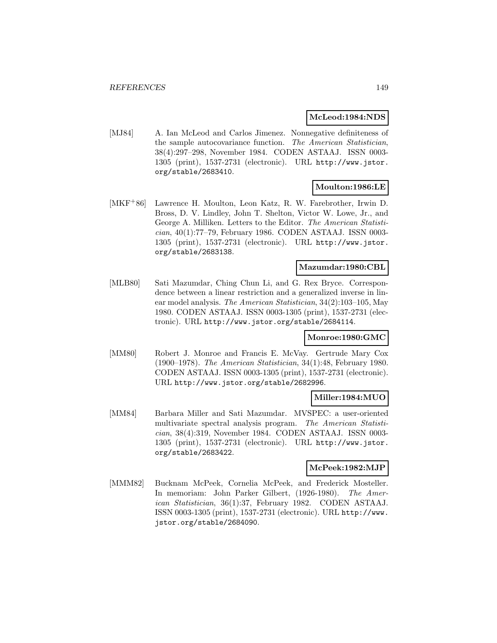### **McLeod:1984:NDS**

[MJ84] A. Ian McLeod and Carlos Jimenez. Nonnegative definiteness of the sample autocovariance function. The American Statistician, 38(4):297–298, November 1984. CODEN ASTAAJ. ISSN 0003- 1305 (print), 1537-2731 (electronic). URL http://www.jstor. org/stable/2683410.

## **Moulton:1986:LE**

[MKF<sup>+</sup>86] Lawrence H. Moulton, Leon Katz, R. W. Farebrother, Irwin D. Bross, D. V. Lindley, John T. Shelton, Victor W. Lowe, Jr., and George A. Milliken. Letters to the Editor. The American Statistician, 40(1):77–79, February 1986. CODEN ASTAAJ. ISSN 0003- 1305 (print), 1537-2731 (electronic). URL http://www.jstor. org/stable/2683138.

## **Mazumdar:1980:CBL**

[MLB80] Sati Mazumdar, Ching Chun Li, and G. Rex Bryce. Correspondence between a linear restriction and a generalized inverse in linear model analysis. The American Statistician, 34(2):103–105, May 1980. CODEN ASTAAJ. ISSN 0003-1305 (print), 1537-2731 (electronic). URL http://www.jstor.org/stable/2684114.

### **Monroe:1980:GMC**

[MM80] Robert J. Monroe and Francis E. McVay. Gertrude Mary Cox (1900–1978). The American Statistician, 34(1):48, February 1980. CODEN ASTAAJ. ISSN 0003-1305 (print), 1537-2731 (electronic). URL http://www.jstor.org/stable/2682996.

## **Miller:1984:MUO**

[MM84] Barbara Miller and Sati Mazumdar. MVSPEC: a user-oriented multivariate spectral analysis program. The American Statistician, 38(4):319, November 1984. CODEN ASTAAJ. ISSN 0003- 1305 (print), 1537-2731 (electronic). URL http://www.jstor. org/stable/2683422.

### **McPeek:1982:MJP**

[MMM82] Bucknam McPeek, Cornelia McPeek, and Frederick Mosteller. In memoriam: John Parker Gilbert, (1926-1980). The American Statistician, 36(1):37, February 1982. CODEN ASTAAJ. ISSN 0003-1305 (print), 1537-2731 (electronic). URL http://www. jstor.org/stable/2684090.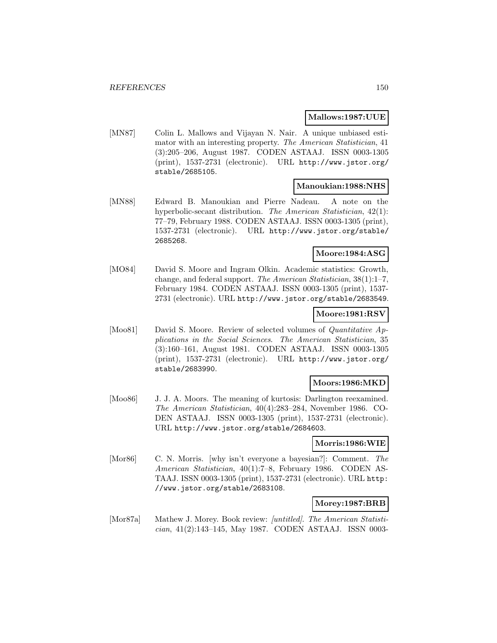### **Mallows:1987:UUE**

[MN87] Colin L. Mallows and Vijayan N. Nair. A unique unbiased estimator with an interesting property. The American Statistician, 41 (3):205–206, August 1987. CODEN ASTAAJ. ISSN 0003-1305 (print), 1537-2731 (electronic). URL http://www.jstor.org/ stable/2685105.

#### **Manoukian:1988:NHS**

[MN88] Edward B. Manoukian and Pierre Nadeau. A note on the hyperbolic-secant distribution. The American Statistician, 42(1): 77–79, February 1988. CODEN ASTAAJ. ISSN 0003-1305 (print), 1537-2731 (electronic). URL http://www.jstor.org/stable/ 2685268.

## **Moore:1984:ASG**

[MO84] David S. Moore and Ingram Olkin. Academic statistics: Growth, change, and federal support. The American Statistician, 38(1):1–7, February 1984. CODEN ASTAAJ. ISSN 0003-1305 (print), 1537- 2731 (electronic). URL http://www.jstor.org/stable/2683549.

### **Moore:1981:RSV**

[Moo81] David S. Moore. Review of selected volumes of *Quantitative Ap*plications in the Social Sciences. The American Statistician, 35 (3):160–161, August 1981. CODEN ASTAAJ. ISSN 0003-1305 (print), 1537-2731 (electronic). URL http://www.jstor.org/ stable/2683990.

#### **Moors:1986:MKD**

[Moo86] J. J. A. Moors. The meaning of kurtosis: Darlington reexamined. The American Statistician, 40(4):283–284, November 1986. CO-DEN ASTAAJ. ISSN 0003-1305 (print), 1537-2731 (electronic). URL http://www.jstor.org/stable/2684603.

#### **Morris:1986:WIE**

[Mor86] C. N. Morris. [why isn't everyone a bayesian?]: Comment. The American Statistician, 40(1):7–8, February 1986. CODEN AS-TAAJ. ISSN 0003-1305 (print), 1537-2731 (electronic). URL http: //www.jstor.org/stable/2683108.

#### **Morey:1987:BRB**

[Mor87a] Mathew J. Morey. Book review: [untitled]. The American Statistician, 41(2):143–145, May 1987. CODEN ASTAAJ. ISSN 0003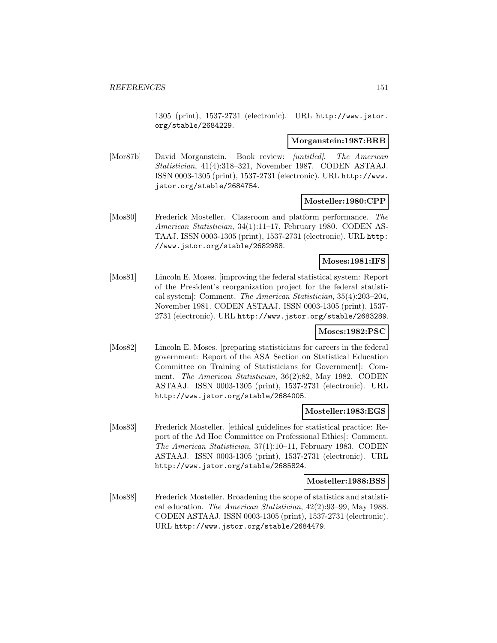1305 (print), 1537-2731 (electronic). URL http://www.jstor. org/stable/2684229.

#### **Morganstein:1987:BRB**

[Mor87b] David Morganstein. Book review: *[untitled]*. The American Statistician, 41(4):318–321, November 1987. CODEN ASTAAJ. ISSN 0003-1305 (print), 1537-2731 (electronic). URL http://www. jstor.org/stable/2684754.

### **Mosteller:1980:CPP**

[Mos80] Frederick Mosteller. Classroom and platform performance. The American Statistician, 34(1):11–17, February 1980. CODEN AS-TAAJ. ISSN 0003-1305 (print), 1537-2731 (electronic). URL http: //www.jstor.org/stable/2682988.

### **Moses:1981:IFS**

[Mos81] Lincoln E. Moses. [improving the federal statistical system: Report of the President's reorganization project for the federal statistical system]: Comment. The American Statistician, 35(4):203–204, November 1981. CODEN ASTAAJ. ISSN 0003-1305 (print), 1537- 2731 (electronic). URL http://www.jstor.org/stable/2683289.

#### **Moses:1982:PSC**

[Mos82] Lincoln E. Moses. [preparing statisticians for careers in the federal government: Report of the ASA Section on Statistical Education Committee on Training of Statisticians for Government]: Comment. The American Statistician, 36(2):82, May 1982. CODEN ASTAAJ. ISSN 0003-1305 (print), 1537-2731 (electronic). URL http://www.jstor.org/stable/2684005.

#### **Mosteller:1983:EGS**

[Mos83] Frederick Mosteller. [ethical guidelines for statistical practice: Report of the Ad Hoc Committee on Professional Ethics]: Comment. The American Statistician, 37(1):10–11, February 1983. CODEN ASTAAJ. ISSN 0003-1305 (print), 1537-2731 (electronic). URL http://www.jstor.org/stable/2685824.

#### **Mosteller:1988:BSS**

[Mos88] Frederick Mosteller. Broadening the scope of statistics and statistical education. The American Statistician, 42(2):93–99, May 1988. CODEN ASTAAJ. ISSN 0003-1305 (print), 1537-2731 (electronic). URL http://www.jstor.org/stable/2684479.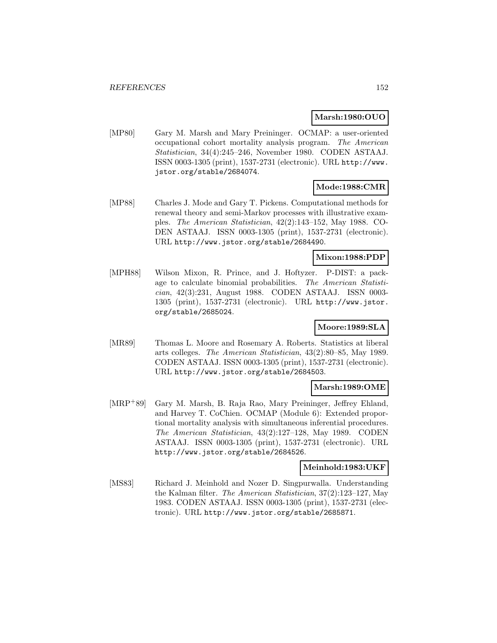### **Marsh:1980:OUO**

[MP80] Gary M. Marsh and Mary Preininger. OCMAP: a user-oriented occupational cohort mortality analysis program. The American Statistician, 34(4):245–246, November 1980. CODEN ASTAAJ. ISSN 0003-1305 (print), 1537-2731 (electronic). URL http://www. jstor.org/stable/2684074.

## **Mode:1988:CMR**

[MP88] Charles J. Mode and Gary T. Pickens. Computational methods for renewal theory and semi-Markov processes with illustrative examples. The American Statistician, 42(2):143–152, May 1988. CO-DEN ASTAAJ. ISSN 0003-1305 (print), 1537-2731 (electronic). URL http://www.jstor.org/stable/2684490.

## **Mixon:1988:PDP**

[MPH88] Wilson Mixon, R. Prince, and J. Hoftyzer. P-DIST: a package to calculate binomial probabilities. The American Statistician, 42(3):231, August 1988. CODEN ASTAAJ. ISSN 0003- 1305 (print), 1537-2731 (electronic). URL http://www.jstor. org/stable/2685024.

## **Moore:1989:SLA**

[MR89] Thomas L. Moore and Rosemary A. Roberts. Statistics at liberal arts colleges. The American Statistician, 43(2):80–85, May 1989. CODEN ASTAAJ. ISSN 0003-1305 (print), 1537-2731 (electronic). URL http://www.jstor.org/stable/2684503.

### **Marsh:1989:OME**

[MRP<sup>+</sup>89] Gary M. Marsh, B. Raja Rao, Mary Preininger, Jeffrey Ehland, and Harvey T. CoChien. OCMAP (Module 6): Extended proportional mortality analysis with simultaneous inferential procedures. The American Statistician, 43(2):127–128, May 1989. CODEN ASTAAJ. ISSN 0003-1305 (print), 1537-2731 (electronic). URL http://www.jstor.org/stable/2684526.

### **Meinhold:1983:UKF**

[MS83] Richard J. Meinhold and Nozer D. Singpurwalla. Understanding the Kalman filter. The American Statistician, 37(2):123–127, May 1983. CODEN ASTAAJ. ISSN 0003-1305 (print), 1537-2731 (electronic). URL http://www.jstor.org/stable/2685871.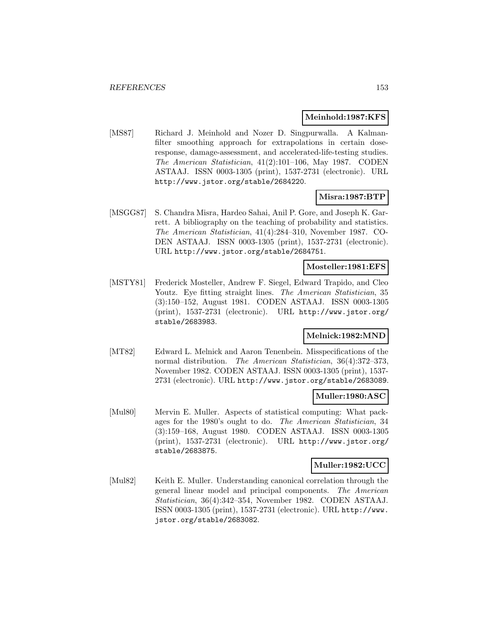### **Meinhold:1987:KFS**

[MS87] Richard J. Meinhold and Nozer D. Singpurwalla. A Kalmanfilter smoothing approach for extrapolations in certain doseresponse, damage-assessment, and accelerated-life-testing studies. The American Statistician, 41(2):101–106, May 1987. CODEN ASTAAJ. ISSN 0003-1305 (print), 1537-2731 (electronic). URL http://www.jstor.org/stable/2684220.

## **Misra:1987:BTP**

[MSGG87] S. Chandra Misra, Hardeo Sahai, Anil P. Gore, and Joseph K. Garrett. A bibliography on the teaching of probability and statistics. The American Statistician, 41(4):284–310, November 1987. CO-DEN ASTAAJ. ISSN 0003-1305 (print), 1537-2731 (electronic). URL http://www.jstor.org/stable/2684751.

### **Mosteller:1981:EFS**

[MSTY81] Frederick Mosteller, Andrew F. Siegel, Edward Trapido, and Cleo Youtz. Eye fitting straight lines. The American Statistician, 35 (3):150–152, August 1981. CODEN ASTAAJ. ISSN 0003-1305 (print), 1537-2731 (electronic). URL http://www.jstor.org/ stable/2683983.

## **Melnick:1982:MND**

[MT82] Edward L. Melnick and Aaron Tenenbein. Misspecifications of the normal distribution. The American Statistician, 36(4):372–373, November 1982. CODEN ASTAAJ. ISSN 0003-1305 (print), 1537- 2731 (electronic). URL http://www.jstor.org/stable/2683089.

## **Muller:1980:ASC**

[Mul80] Mervin E. Muller. Aspects of statistical computing: What packages for the 1980's ought to do. The American Statistician, 34 (3):159–168, August 1980. CODEN ASTAAJ. ISSN 0003-1305 (print), 1537-2731 (electronic). URL http://www.jstor.org/ stable/2683875.

### **Muller:1982:UCC**

[Mul82] Keith E. Muller. Understanding canonical correlation through the general linear model and principal components. The American Statistician, 36(4):342–354, November 1982. CODEN ASTAAJ. ISSN 0003-1305 (print), 1537-2731 (electronic). URL http://www. jstor.org/stable/2683082.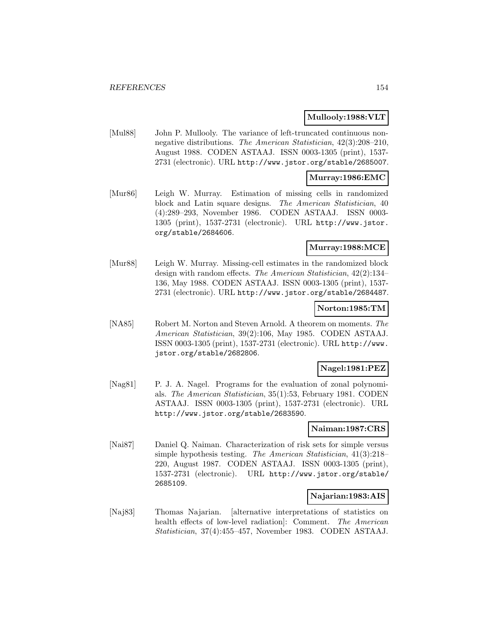### **Mullooly:1988:VLT**

[Mul88] John P. Mullooly. The variance of left-truncated continuous nonnegative distributions. The American Statistician, 42(3):208–210, August 1988. CODEN ASTAAJ. ISSN 0003-1305 (print), 1537- 2731 (electronic). URL http://www.jstor.org/stable/2685007.

### **Murray:1986:EMC**

[Mur86] Leigh W. Murray. Estimation of missing cells in randomized block and Latin square designs. The American Statistician, 40 (4):289–293, November 1986. CODEN ASTAAJ. ISSN 0003- 1305 (print), 1537-2731 (electronic). URL http://www.jstor. org/stable/2684606.

## **Murray:1988:MCE**

[Mur88] Leigh W. Murray. Missing-cell estimates in the randomized block design with random effects. The American Statistician, 42(2):134– 136, May 1988. CODEN ASTAAJ. ISSN 0003-1305 (print), 1537- 2731 (electronic). URL http://www.jstor.org/stable/2684487.

### **Norton:1985:TM**

[NA85] Robert M. Norton and Steven Arnold. A theorem on moments. The American Statistician, 39(2):106, May 1985. CODEN ASTAAJ. ISSN 0003-1305 (print), 1537-2731 (electronic). URL http://www. jstor.org/stable/2682806.

#### **Nagel:1981:PEZ**

[Nag81] P. J. A. Nagel. Programs for the evaluation of zonal polynomials. The American Statistician, 35(1):53, February 1981. CODEN ASTAAJ. ISSN 0003-1305 (print), 1537-2731 (electronic). URL http://www.jstor.org/stable/2683590.

### **Naiman:1987:CRS**

[Nai87] Daniel Q. Naiman. Characterization of risk sets for simple versus simple hypothesis testing. The American Statistician, 41(3):218– 220, August 1987. CODEN ASTAAJ. ISSN 0003-1305 (print), 1537-2731 (electronic). URL http://www.jstor.org/stable/ 2685109.

### **Najarian:1983:AIS**

[Naj83] Thomas Najarian. [alternative interpretations of statistics on health effects of low-level radiation]: Comment. The American Statistician, 37(4):455–457, November 1983. CODEN ASTAAJ.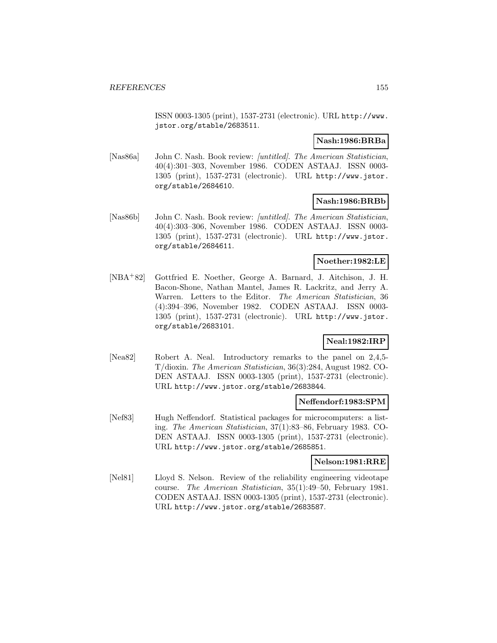ISSN 0003-1305 (print), 1537-2731 (electronic). URL http://www. jstor.org/stable/2683511.

### **Nash:1986:BRBa**

[Nas86a] John C. Nash. Book review: [untitled]. The American Statistician, 40(4):301–303, November 1986. CODEN ASTAAJ. ISSN 0003- 1305 (print), 1537-2731 (electronic). URL http://www.jstor. org/stable/2684610.

### **Nash:1986:BRBb**

[Nas86b] John C. Nash. Book review: [untitled]. The American Statistician, 40(4):303–306, November 1986. CODEN ASTAAJ. ISSN 0003- 1305 (print), 1537-2731 (electronic). URL http://www.jstor. org/stable/2684611.

### **Noether:1982:LE**

[NBA<sup>+</sup>82] Gottfried E. Noether, George A. Barnard, J. Aitchison, J. H. Bacon-Shone, Nathan Mantel, James R. Lackritz, and Jerry A. Warren. Letters to the Editor. The American Statistician, 36 (4):394–396, November 1982. CODEN ASTAAJ. ISSN 0003- 1305 (print), 1537-2731 (electronic). URL http://www.jstor. org/stable/2683101.

## **Neal:1982:IRP**

[Nea82] Robert A. Neal. Introductory remarks to the panel on 2,4,5- T/dioxin. The American Statistician, 36(3):284, August 1982. CO-DEN ASTAAJ. ISSN 0003-1305 (print), 1537-2731 (electronic). URL http://www.jstor.org/stable/2683844.

### **Neffendorf:1983:SPM**

[Nef83] Hugh Neffendorf. Statistical packages for microcomputers: a listing. The American Statistician, 37(1):83–86, February 1983. CO-DEN ASTAAJ. ISSN 0003-1305 (print), 1537-2731 (electronic). URL http://www.jstor.org/stable/2685851.

#### **Nelson:1981:RRE**

[Nel81] Lloyd S. Nelson. Review of the reliability engineering videotape course. The American Statistician, 35(1):49–50, February 1981. CODEN ASTAAJ. ISSN 0003-1305 (print), 1537-2731 (electronic). URL http://www.jstor.org/stable/2683587.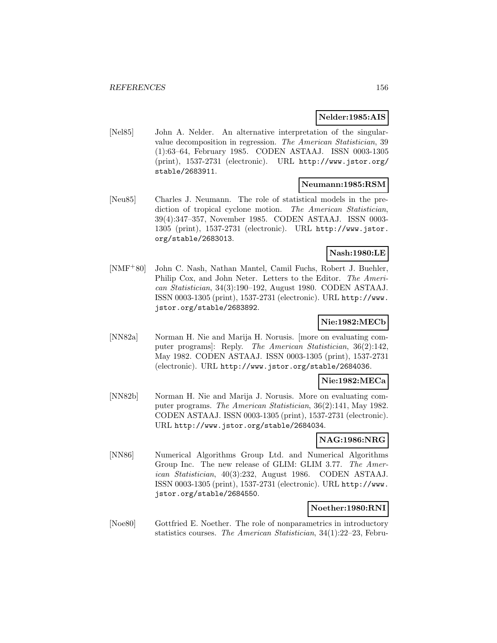### **Nelder:1985:AIS**

[Nel85] John A. Nelder. An alternative interpretation of the singularvalue decomposition in regression. The American Statistician, 39 (1):63–64, February 1985. CODEN ASTAAJ. ISSN 0003-1305 (print), 1537-2731 (electronic). URL http://www.jstor.org/ stable/2683911.

#### **Neumann:1985:RSM**

[Neu85] Charles J. Neumann. The role of statistical models in the prediction of tropical cyclone motion. The American Statistician, 39(4):347–357, November 1985. CODEN ASTAAJ. ISSN 0003- 1305 (print), 1537-2731 (electronic). URL http://www.jstor. org/stable/2683013.

## **Nash:1980:LE**

[NMF<sup>+</sup>80] John C. Nash, Nathan Mantel, Camil Fuchs, Robert J. Buehler, Philip Cox, and John Neter. Letters to the Editor. The American Statistician, 34(3):190–192, August 1980. CODEN ASTAAJ. ISSN 0003-1305 (print), 1537-2731 (electronic). URL http://www. jstor.org/stable/2683892.

# **Nie:1982:MECb**

[NN82a] Norman H. Nie and Marija H. Norusis. [more on evaluating computer programs]: Reply. The American Statistician, 36(2):142, May 1982. CODEN ASTAAJ. ISSN 0003-1305 (print), 1537-2731 (electronic). URL http://www.jstor.org/stable/2684036.

#### **Nie:1982:MECa**

[NN82b] Norman H. Nie and Marija J. Norusis. More on evaluating computer programs. The American Statistician, 36(2):141, May 1982. CODEN ASTAAJ. ISSN 0003-1305 (print), 1537-2731 (electronic). URL http://www.jstor.org/stable/2684034.

## **NAG:1986:NRG**

[NN86] Numerical Algorithms Group Ltd. and Numerical Algorithms Group Inc. The new release of GLIM: GLIM 3.77. The American Statistician, 40(3):232, August 1986. CODEN ASTAAJ. ISSN 0003-1305 (print), 1537-2731 (electronic). URL http://www. jstor.org/stable/2684550.

## **Noether:1980:RNI**

[Noe80] Gottfried E. Noether. The role of nonparametrics in introductory statistics courses. The American Statistician, 34(1):22–23, Febru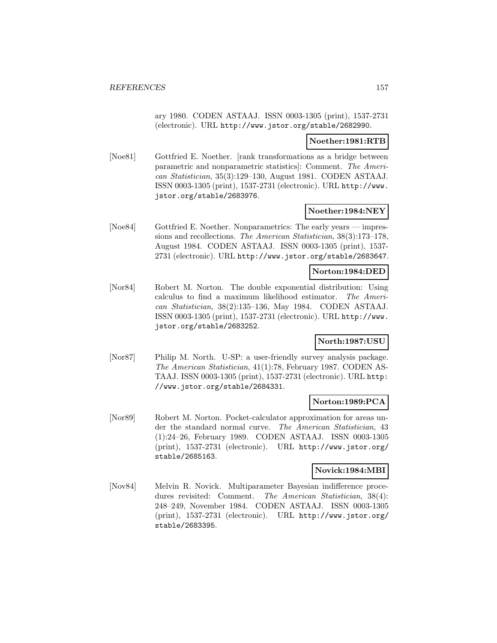ary 1980. CODEN ASTAAJ. ISSN 0003-1305 (print), 1537-2731 (electronic). URL http://www.jstor.org/stable/2682990.

### **Noether:1981:RTB**

[Noe81] Gottfried E. Noether. [rank transformations as a bridge between parametric and nonparametric statistics]: Comment. The American Statistician, 35(3):129–130, August 1981. CODEN ASTAAJ. ISSN 0003-1305 (print), 1537-2731 (electronic). URL http://www. jstor.org/stable/2683976.

## **Noether:1984:NEY**

[Noe84] Gottfried E. Noether. Nonparametrics: The early years — impressions and recollections. The American Statistician, 38(3):173–178, August 1984. CODEN ASTAAJ. ISSN 0003-1305 (print), 1537- 2731 (electronic). URL http://www.jstor.org/stable/2683647.

### **Norton:1984:DED**

[Nor84] Robert M. Norton. The double exponential distribution: Using calculus to find a maximum likelihood estimator. The American Statistician, 38(2):135–136, May 1984. CODEN ASTAAJ. ISSN 0003-1305 (print), 1537-2731 (electronic). URL http://www. jstor.org/stable/2683252.

## **North:1987:USU**

[Nor87] Philip M. North. U-SP: a user-friendly survey analysis package. The American Statistician, 41(1):78, February 1987. CODEN AS-TAAJ. ISSN 0003-1305 (print), 1537-2731 (electronic). URL http: //www.jstor.org/stable/2684331.

## **Norton:1989:PCA**

[Nor89] Robert M. Norton. Pocket-calculator approximation for areas under the standard normal curve. The American Statistician, 43 (1):24–26, February 1989. CODEN ASTAAJ. ISSN 0003-1305 (print), 1537-2731 (electronic). URL http://www.jstor.org/ stable/2685163.

### **Novick:1984:MBI**

[Nov84] Melvin R. Novick. Multiparameter Bayesian indifference procedures revisited: Comment. The American Statistician, 38(4): 248–249, November 1984. CODEN ASTAAJ. ISSN 0003-1305 (print), 1537-2731 (electronic). URL http://www.jstor.org/ stable/2683395.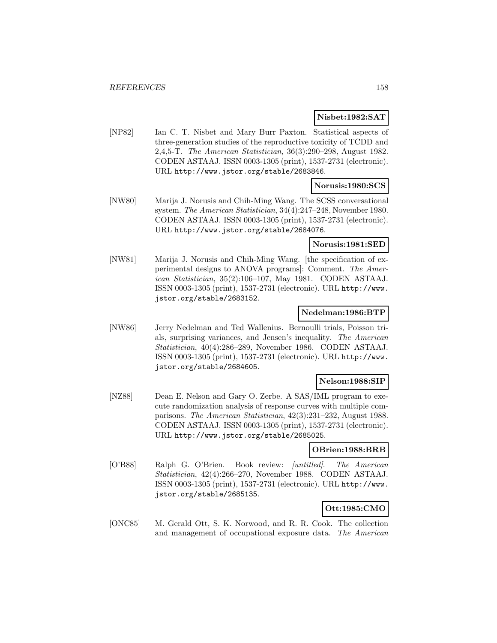#### **Nisbet:1982:SAT**

[NP82] Ian C. T. Nisbet and Mary Burr Paxton. Statistical aspects of three-generation studies of the reproductive toxicity of TCDD and 2,4,5-T. The American Statistician, 36(3):290–298, August 1982. CODEN ASTAAJ. ISSN 0003-1305 (print), 1537-2731 (electronic). URL http://www.jstor.org/stable/2683846.

#### **Norusis:1980:SCS**

[NW80] Marija J. Norusis and Chih-Ming Wang. The SCSS conversational system. The American Statistician, 34(4):247–248, November 1980. CODEN ASTAAJ. ISSN 0003-1305 (print), 1537-2731 (electronic). URL http://www.jstor.org/stable/2684076.

### **Norusis:1981:SED**

[NW81] Marija J. Norusis and Chih-Ming Wang. [the specification of experimental designs to ANOVA programs]: Comment. The American Statistician, 35(2):106–107, May 1981. CODEN ASTAAJ. ISSN 0003-1305 (print), 1537-2731 (electronic). URL http://www. jstor.org/stable/2683152.

### **Nedelman:1986:BTP**

[NW86] Jerry Nedelman and Ted Wallenius. Bernoulli trials, Poisson trials, surprising variances, and Jensen's inequality. The American Statistician, 40(4):286–289, November 1986. CODEN ASTAAJ. ISSN 0003-1305 (print), 1537-2731 (electronic). URL http://www. jstor.org/stable/2684605.

## **Nelson:1988:SIP**

[NZ88] Dean E. Nelson and Gary O. Zerbe. A SAS/IML program to execute randomization analysis of response curves with multiple comparisons. The American Statistician, 42(3):231–232, August 1988. CODEN ASTAAJ. ISSN 0003-1305 (print), 1537-2731 (electronic). URL http://www.jstor.org/stable/2685025.

## **OBrien:1988:BRB**

[O'B88] Ralph G. O'Brien. Book review: [untitled]. The American Statistician, 42(4):266–270, November 1988. CODEN ASTAAJ. ISSN 0003-1305 (print), 1537-2731 (electronic). URL http://www. jstor.org/stable/2685135.

## **Ott:1985:CMO**

[ONC85] M. Gerald Ott, S. K. Norwood, and R. R. Cook. The collection and management of occupational exposure data. The American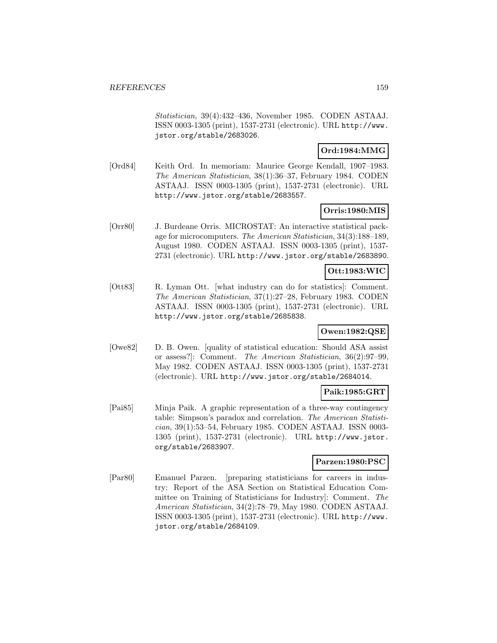Statistician, 39(4):432–436, November 1985. CODEN ASTAAJ. ISSN 0003-1305 (print), 1537-2731 (electronic). URL http://www. jstor.org/stable/2683026.

## **Ord:1984:MMG**

[Ord84] Keith Ord. In memoriam: Maurice George Kendall, 1907–1983. The American Statistician, 38(1):36–37, February 1984. CODEN ASTAAJ. ISSN 0003-1305 (print), 1537-2731 (electronic). URL http://www.jstor.org/stable/2683557.

## **Orris:1980:MIS**

[Orr80] J. Burdeane Orris. MICROSTAT: An interactive statistical package for microcomputers. The American Statistician, 34(3):188–189, August 1980. CODEN ASTAAJ. ISSN 0003-1305 (print), 1537- 2731 (electronic). URL http://www.jstor.org/stable/2683890.

# **Ott:1983:WIC**

[Ott83] R. Lyman Ott. [what industry can do for statistics]: Comment. The American Statistician, 37(1):27–28, February 1983. CODEN ASTAAJ. ISSN 0003-1305 (print), 1537-2731 (electronic). URL http://www.jstor.org/stable/2685838.

## **Owen:1982:QSE**

[Owe82] D. B. Owen. [quality of statistical education: Should ASA assist or assess?]: Comment. The American Statistician, 36(2):97–99, May 1982. CODEN ASTAAJ. ISSN 0003-1305 (print), 1537-2731 (electronic). URL http://www.jstor.org/stable/2684014.

#### **Paik:1985:GRT**

[Pai85] Minja Paik. A graphic representation of a three-way contingency table: Simpson's paradox and correlation. The American Statistician, 39(1):53–54, February 1985. CODEN ASTAAJ. ISSN 0003- 1305 (print), 1537-2731 (electronic). URL http://www.jstor. org/stable/2683907.

#### **Parzen:1980:PSC**

[Par80] Emanuel Parzen. [preparing statisticians for careers in industry: Report of the ASA Section on Statistical Education Committee on Training of Statisticians for Industry]: Comment. The American Statistician, 34(2):78–79, May 1980. CODEN ASTAAJ. ISSN 0003-1305 (print), 1537-2731 (electronic). URL http://www. jstor.org/stable/2684109.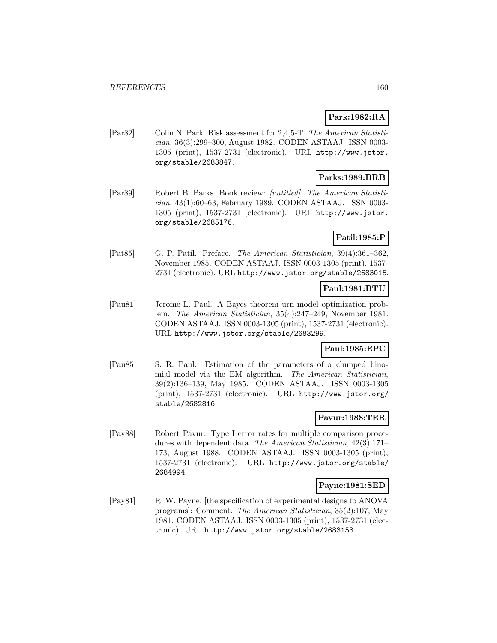## **Park:1982:RA**

[Par82] Colin N. Park. Risk assessment for 2,4,5-T. The American Statistician, 36(3):299–300, August 1982. CODEN ASTAAJ. ISSN 0003- 1305 (print), 1537-2731 (electronic). URL http://www.jstor. org/stable/2683847.

## **Parks:1989:BRB**

[Par89] Robert B. Parks. Book review: [untitled]. The American Statistician, 43(1):60–63, February 1989. CODEN ASTAAJ. ISSN 0003- 1305 (print), 1537-2731 (electronic). URL http://www.jstor. org/stable/2685176.

## **Patil:1985:P**

[Pat85] G. P. Patil. Preface. The American Statistician, 39(4):361–362, November 1985. CODEN ASTAAJ. ISSN 0003-1305 (print), 1537- 2731 (electronic). URL http://www.jstor.org/stable/2683015.

## **Paul:1981:BTU**

[Pau81] Jerome L. Paul. A Bayes theorem urn model optimization problem. The American Statistician, 35(4):247–249, November 1981. CODEN ASTAAJ. ISSN 0003-1305 (print), 1537-2731 (electronic). URL http://www.jstor.org/stable/2683299.

## **Paul:1985:EPC**

[Pau85] S. R. Paul. Estimation of the parameters of a clumped binomial model via the EM algorithm. The American Statistician, 39(2):136–139, May 1985. CODEN ASTAAJ. ISSN 0003-1305 (print), 1537-2731 (electronic). URL http://www.jstor.org/ stable/2682816.

#### **Pavur:1988:TER**

[Pav88] Robert Pavur. Type I error rates for multiple comparison procedures with dependent data. The American Statistician, 42(3):171– 173, August 1988. CODEN ASTAAJ. ISSN 0003-1305 (print), 1537-2731 (electronic). URL http://www.jstor.org/stable/ 2684994.

#### **Payne:1981:SED**

[Pay81] R. W. Payne. [the specification of experimental designs to ANOVA programs]: Comment. The American Statistician, 35(2):107, May 1981. CODEN ASTAAJ. ISSN 0003-1305 (print), 1537-2731 (electronic). URL http://www.jstor.org/stable/2683153.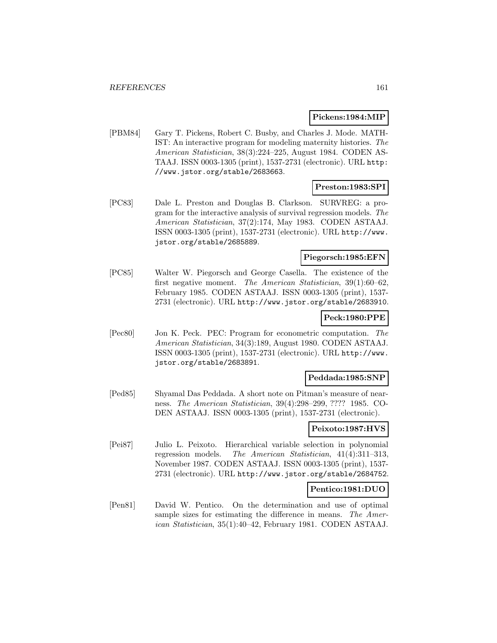#### **Pickens:1984:MIP**

[PBM84] Gary T. Pickens, Robert C. Busby, and Charles J. Mode. MATH-IST: An interactive program for modeling maternity histories. The American Statistician, 38(3):224–225, August 1984. CODEN AS-TAAJ. ISSN 0003-1305 (print), 1537-2731 (electronic). URL http: //www.jstor.org/stable/2683663.

## **Preston:1983:SPI**

[PC83] Dale L. Preston and Douglas B. Clarkson. SURVREG: a program for the interactive analysis of survival regression models. The American Statistician, 37(2):174, May 1983. CODEN ASTAAJ. ISSN 0003-1305 (print), 1537-2731 (electronic). URL http://www. jstor.org/stable/2685889.

## **Piegorsch:1985:EFN**

[PC85] Walter W. Piegorsch and George Casella. The existence of the first negative moment. The American Statistician, 39(1):60–62, February 1985. CODEN ASTAAJ. ISSN 0003-1305 (print), 1537- 2731 (electronic). URL http://www.jstor.org/stable/2683910.

## **Peck:1980:PPE**

[Pec80] Jon K. Peck. PEC: Program for econometric computation. The American Statistician, 34(3):189, August 1980. CODEN ASTAAJ. ISSN 0003-1305 (print), 1537-2731 (electronic). URL http://www. jstor.org/stable/2683891.

### **Peddada:1985:SNP**

[Ped85] Shyamal Das Peddada. A short note on Pitman's measure of nearness. The American Statistician, 39(4):298–299, ???? 1985. CO-DEN ASTAAJ. ISSN 0003-1305 (print), 1537-2731 (electronic).

## **Peixoto:1987:HVS**

[Pei87] Julio L. Peixoto. Hierarchical variable selection in polynomial regression models. The American Statistician, 41(4):311–313, November 1987. CODEN ASTAAJ. ISSN 0003-1305 (print), 1537- 2731 (electronic). URL http://www.jstor.org/stable/2684752.

### **Pentico:1981:DUO**

[Pen81] David W. Pentico. On the determination and use of optimal sample sizes for estimating the difference in means. The American Statistician, 35(1):40–42, February 1981. CODEN ASTAAJ.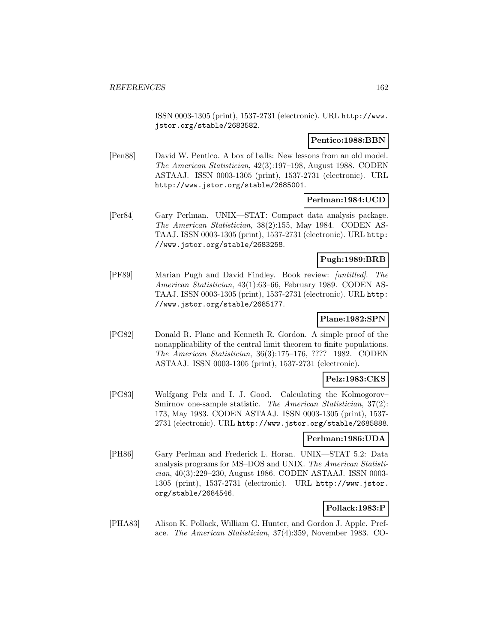ISSN 0003-1305 (print), 1537-2731 (electronic). URL http://www. jstor.org/stable/2683582.

### **Pentico:1988:BBN**

[Pen88] David W. Pentico. A box of balls: New lessons from an old model. The American Statistician, 42(3):197–198, August 1988. CODEN ASTAAJ. ISSN 0003-1305 (print), 1537-2731 (electronic). URL http://www.jstor.org/stable/2685001.

### **Perlman:1984:UCD**

[Per84] Gary Perlman. UNIX—STAT: Compact data analysis package. The American Statistician, 38(2):155, May 1984. CODEN AS-TAAJ. ISSN 0003-1305 (print), 1537-2731 (electronic). URL http: //www.jstor.org/stable/2683258.

# **Pugh:1989:BRB**

[PF89] Marian Pugh and David Findley. Book review: [untitled]. The American Statistician, 43(1):63–66, February 1989. CODEN AS-TAAJ. ISSN 0003-1305 (print), 1537-2731 (electronic). URL http: //www.jstor.org/stable/2685177.

## **Plane:1982:SPN**

[PG82] Donald R. Plane and Kenneth R. Gordon. A simple proof of the nonapplicability of the central limit theorem to finite populations. The American Statistician, 36(3):175–176, ???? 1982. CODEN ASTAAJ. ISSN 0003-1305 (print), 1537-2731 (electronic).

## **Pelz:1983:CKS**

[PG83] Wolfgang Pelz and I. J. Good. Calculating the Kolmogorov– Smirnov one-sample statistic. The American Statistician, 37(2): 173, May 1983. CODEN ASTAAJ. ISSN 0003-1305 (print), 1537- 2731 (electronic). URL http://www.jstor.org/stable/2685888.

#### **Perlman:1986:UDA**

[PH86] Gary Perlman and Frederick L. Horan. UNIX—STAT 5.2: Data analysis programs for MS–DOS and UNIX. The American Statistician, 40(3):229–230, August 1986. CODEN ASTAAJ. ISSN 0003- 1305 (print), 1537-2731 (electronic). URL http://www.jstor. org/stable/2684546.

## **Pollack:1983:P**

[PHA83] Alison K. Pollack, William G. Hunter, and Gordon J. Apple. Preface. The American Statistician, 37(4):359, November 1983. CO-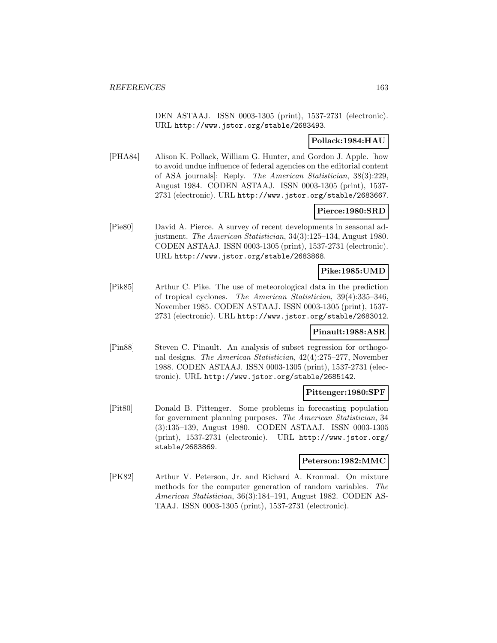DEN ASTAAJ. ISSN 0003-1305 (print), 1537-2731 (electronic). URL http://www.jstor.org/stable/2683493.

## **Pollack:1984:HAU**

[PHA84] Alison K. Pollack, William G. Hunter, and Gordon J. Apple. [how to avoid undue influence of federal agencies on the editorial content of ASA journals]: Reply. The American Statistician, 38(3):229, August 1984. CODEN ASTAAJ. ISSN 0003-1305 (print), 1537- 2731 (electronic). URL http://www.jstor.org/stable/2683667.

### **Pierce:1980:SRD**

[Pie80] David A. Pierce. A survey of recent developments in seasonal adjustment. The American Statistician, 34(3):125–134, August 1980. CODEN ASTAAJ. ISSN 0003-1305 (print), 1537-2731 (electronic). URL http://www.jstor.org/stable/2683868.

### **Pike:1985:UMD**

[Pik85] Arthur C. Pike. The use of meteorological data in the prediction of tropical cyclones. The American Statistician, 39(4):335–346, November 1985. CODEN ASTAAJ. ISSN 0003-1305 (print), 1537- 2731 (electronic). URL http://www.jstor.org/stable/2683012.

#### **Pinault:1988:ASR**

[Pin88] Steven C. Pinault. An analysis of subset regression for orthogonal designs. The American Statistician, 42(4):275–277, November 1988. CODEN ASTAAJ. ISSN 0003-1305 (print), 1537-2731 (electronic). URL http://www.jstor.org/stable/2685142.

#### **Pittenger:1980:SPF**

[Pit80] Donald B. Pittenger. Some problems in forecasting population for government planning purposes. The American Statistician, 34 (3):135–139, August 1980. CODEN ASTAAJ. ISSN 0003-1305 (print), 1537-2731 (electronic). URL http://www.jstor.org/ stable/2683869.

#### **Peterson:1982:MMC**

[PK82] Arthur V. Peterson, Jr. and Richard A. Kronmal. On mixture methods for the computer generation of random variables. The American Statistician, 36(3):184–191, August 1982. CODEN AS-TAAJ. ISSN 0003-1305 (print), 1537-2731 (electronic).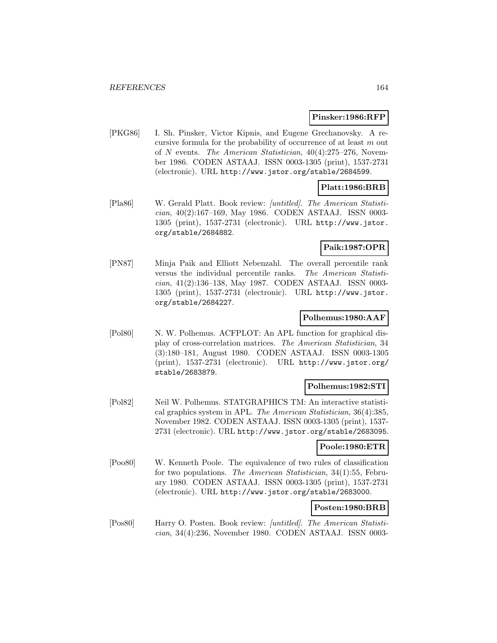#### **Pinsker:1986:RFP**

[PKG86] I. Sh. Pinsker, Victor Kipnis, and Eugene Grechanovsky. A recursive formula for the probability of occurrence of at least  $m$  out of N events. The American Statistician, 40(4):275–276, November 1986. CODEN ASTAAJ. ISSN 0003-1305 (print), 1537-2731 (electronic). URL http://www.jstor.org/stable/2684599.

## **Platt:1986:BRB**

[Pla86] W. Gerald Platt. Book review: [untitled]. The American Statistician, 40(2):167–169, May 1986. CODEN ASTAAJ. ISSN 0003- 1305 (print), 1537-2731 (electronic). URL http://www.jstor. org/stable/2684882.

## **Paik:1987:OPR**

[PN87] Minja Paik and Elliott Nebenzahl. The overall percentile rank versus the individual percentile ranks. The American Statistician, 41(2):136–138, May 1987. CODEN ASTAAJ. ISSN 0003- 1305 (print), 1537-2731 (electronic). URL http://www.jstor. org/stable/2684227.

### **Polhemus:1980:AAF**

[Pol80] N. W. Polhemus. ACFPLOT: An APL function for graphical display of cross-correlation matrices. The American Statistician, 34 (3):180–181, August 1980. CODEN ASTAAJ. ISSN 0003-1305 (print), 1537-2731 (electronic). URL http://www.jstor.org/ stable/2683879.

#### **Polhemus:1982:STI**

[Pol82] Neil W. Polhemus. STATGRAPHICS TM: An interactive statistical graphics system in APL. The American Statistician, 36(4):385, November 1982. CODEN ASTAAJ. ISSN 0003-1305 (print), 1537- 2731 (electronic). URL http://www.jstor.org/stable/2683095.

#### **Poole:1980:ETR**

[Poo80] W. Kenneth Poole. The equivalence of two rules of classification for two populations. The American Statistician, 34(1):55, February 1980. CODEN ASTAAJ. ISSN 0003-1305 (print), 1537-2731 (electronic). URL http://www.jstor.org/stable/2683000.

## **Posten:1980:BRB**

[Pos80] Harry O. Posten. Book review: [untitled]. The American Statistician, 34(4):236, November 1980. CODEN ASTAAJ. ISSN 0003-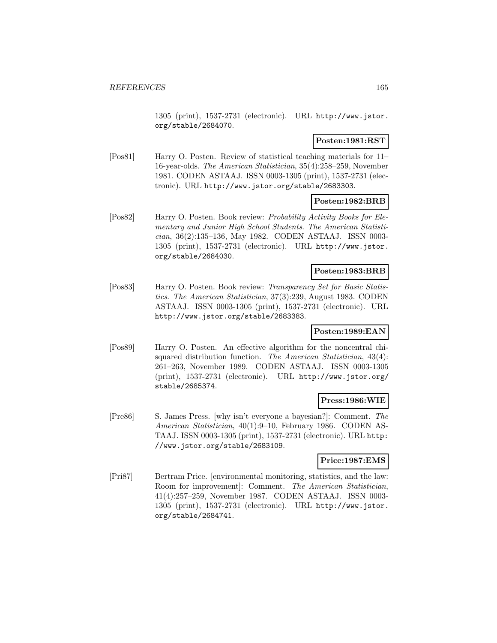1305 (print), 1537-2731 (electronic). URL http://www.jstor. org/stable/2684070.

### **Posten:1981:RST**

[Pos81] Harry O. Posten. Review of statistical teaching materials for 11– 16-year-olds. The American Statistician, 35(4):258–259, November 1981. CODEN ASTAAJ. ISSN 0003-1305 (print), 1537-2731 (electronic). URL http://www.jstor.org/stable/2683303.

### **Posten:1982:BRB**

[Pos82] Harry O. Posten. Book review: Probability Activity Books for Elementary and Junior High School Students. The American Statistician, 36(2):135–136, May 1982. CODEN ASTAAJ. ISSN 0003- 1305 (print), 1537-2731 (electronic). URL http://www.jstor. org/stable/2684030.

## **Posten:1983:BRB**

[Pos83] Harry O. Posten. Book review: Transparency Set for Basic Statistics. The American Statistician, 37(3):239, August 1983. CODEN ASTAAJ. ISSN 0003-1305 (print), 1537-2731 (electronic). URL http://www.jstor.org/stable/2683383.

### **Posten:1989:EAN**

[Pos89] Harry O. Posten. An effective algorithm for the noncentral chisquared distribution function. The American Statistician, 43(4): 261–263, November 1989. CODEN ASTAAJ. ISSN 0003-1305 (print), 1537-2731 (electronic). URL http://www.jstor.org/ stable/2685374.

## **Press:1986:WIE**

[Pre86] S. James Press. [why isn't everyone a bayesian?]: Comment. The American Statistician, 40(1):9–10, February 1986. CODEN AS-TAAJ. ISSN 0003-1305 (print), 1537-2731 (electronic). URL http: //www.jstor.org/stable/2683109.

#### **Price:1987:EMS**

[Pri87] Bertram Price. [environmental monitoring, statistics, and the law: Room for improvement]: Comment. The American Statistician, 41(4):257–259, November 1987. CODEN ASTAAJ. ISSN 0003- 1305 (print), 1537-2731 (electronic). URL http://www.jstor. org/stable/2684741.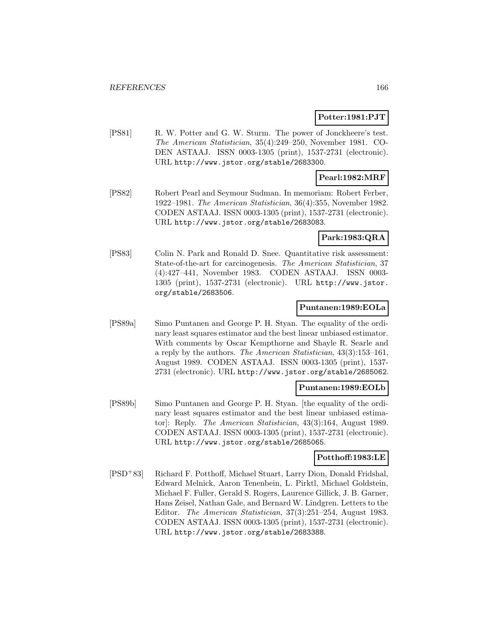#### **Potter:1981:PJT**

[PS81] R. W. Potter and G. W. Sturm. The power of Jonckheere's test. The American Statistician, 35(4):249–250, November 1981. CO-DEN ASTAAJ. ISSN 0003-1305 (print), 1537-2731 (electronic). URL http://www.jstor.org/stable/2683300.

## **Pearl:1982:MRF**

[PS82] Robert Pearl and Seymour Sudman. In memoriam: Robert Ferber, 1922–1981. The American Statistician, 36(4):355, November 1982. CODEN ASTAAJ. ISSN 0003-1305 (print), 1537-2731 (electronic). URL http://www.jstor.org/stable/2683083.

#### **Park:1983:QRA**

[PS83] Colin N. Park and Ronald D. Snee. Quantitative risk assessment: State-of-the-art for carcinogenesis. The American Statistician, 37 (4):427–441, November 1983. CODEN ASTAAJ. ISSN 0003- 1305 (print), 1537-2731 (electronic). URL http://www.jstor. org/stable/2683506.

### **Puntanen:1989:EOLa**

[PS89a] Simo Puntanen and George P. H. Styan. The equality of the ordinary least squares estimator and the best linear unbiased estimator. With comments by Oscar Kempthorne and Shayle R. Searle and a reply by the authors. The American Statistician, 43(3):153–161, August 1989. CODEN ASTAAJ. ISSN 0003-1305 (print), 1537- 2731 (electronic). URL http://www.jstor.org/stable/2685062.

#### **Puntanen:1989:EOLb**

[PS89b] Simo Puntanen and George P. H. Styan. [the equality of the ordinary least squares estimator and the best linear unbiased estimator]: Reply. The American Statistician, 43(3):164, August 1989. CODEN ASTAAJ. ISSN 0003-1305 (print), 1537-2731 (electronic). URL http://www.jstor.org/stable/2685065.

#### **Potthoff:1983:LE**

[PSD<sup>+</sup>83] Richard F. Potthoff, Michael Stuart, Larry Dion, Donald Fridshal, Edward Melnick, Aaron Tenenbein, L. Pirktl, Michael Goldstein, Michael F. Fuller, Gerald S. Rogers, Laurence Gillick, J. B. Garner, Hans Zeisel, Nathan Gale, and Bernard W. Lindgren. Letters to the Editor. The American Statistician, 37(3):251–254, August 1983. CODEN ASTAAJ. ISSN 0003-1305 (print), 1537-2731 (electronic). URL http://www.jstor.org/stable/2683388.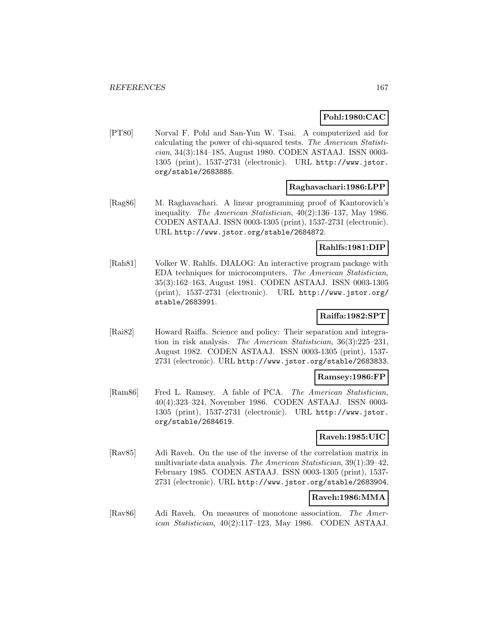## **Pohl:1980:CAC**

[PT80] Norval F. Pohl and San-Yun W. Tsai. A computerized aid for calculating the power of chi-squared tests. The American Statistician, 34(3):184–185, August 1980. CODEN ASTAAJ. ISSN 0003- 1305 (print), 1537-2731 (electronic). URL http://www.jstor. org/stable/2683885.

## **Raghavachari:1986:LPP**

[Rag86] M. Raghavachari. A linear programming proof of Kantorovich's inequality. The American Statistician, 40(2):136–137, May 1986. CODEN ASTAAJ. ISSN 0003-1305 (print), 1537-2731 (electronic). URL http://www.jstor.org/stable/2684872.

### **Rahlfs:1981:DIP**

[Rah81] Volker W. Rahlfs. DIALOG: An interactive program package with EDA techniques for microcomputers. The American Statistician, 35(3):162–163, August 1981. CODEN ASTAAJ. ISSN 0003-1305 (print), 1537-2731 (electronic). URL http://www.jstor.org/ stable/2683991.

## **Raiffa:1982:SPT**

[Rai82] Howard Raiffa. Science and policy: Their separation and integration in risk analysis. The American Statistician, 36(3):225–231, August 1982. CODEN ASTAAJ. ISSN 0003-1305 (print), 1537- 2731 (electronic). URL http://www.jstor.org/stable/2683833.

#### **Ramsey:1986:FP**

[Ram86] Fred L. Ramsey. A fable of PCA. The American Statistician, 40(4):323–324, November 1986. CODEN ASTAAJ. ISSN 0003- 1305 (print), 1537-2731 (electronic). URL http://www.jstor. org/stable/2684619.

## **Raveh:1985:UIC**

[Rav85] Adi Raveh. On the use of the inverse of the correlation matrix in multivariate data analysis. The American Statistician, 39(1):39–42, February 1985. CODEN ASTAAJ. ISSN 0003-1305 (print), 1537- 2731 (electronic). URL http://www.jstor.org/stable/2683904.

### **Raveh:1986:MMA**

[Rav86] Adi Raveh. On measures of monotone association. The American Statistician, 40(2):117–123, May 1986. CODEN ASTAAJ.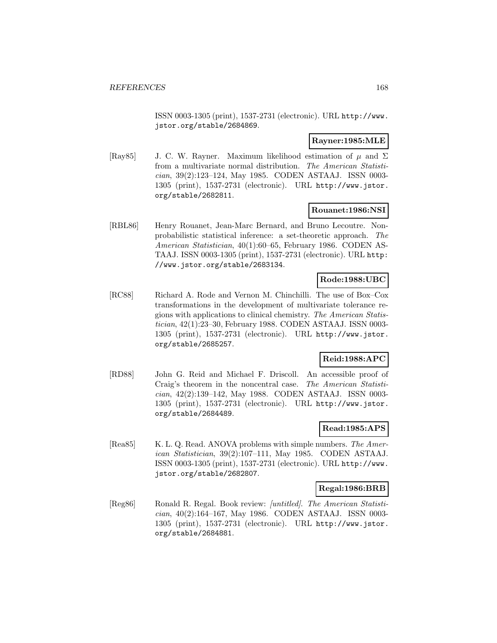ISSN 0003-1305 (print), 1537-2731 (electronic). URL http://www. jstor.org/stable/2684869.

### **Rayner:1985:MLE**

[Ray85] J. C. W. Rayner. Maximum likelihood estimation of  $\mu$  and  $\Sigma$ from a multivariate normal distribution. The American Statistician, 39(2):123–124, May 1985. CODEN ASTAAJ. ISSN 0003- 1305 (print), 1537-2731 (electronic). URL http://www.jstor. org/stable/2682811.

### **Rouanet:1986:NSI**

[RBL86] Henry Rouanet, Jean-Marc Bernard, and Bruno Lecoutre. Nonprobabilistic statistical inference: a set-theoretic approach. The American Statistician, 40(1):60–65, February 1986. CODEN AS-TAAJ. ISSN 0003-1305 (print), 1537-2731 (electronic). URL http: //www.jstor.org/stable/2683134.

## **Rode:1988:UBC**

[RC88] Richard A. Rode and Vernon M. Chinchilli. The use of Box–Cox transformations in the development of multivariate tolerance regions with applications to clinical chemistry. The American Statistician, 42(1):23–30, February 1988. CODEN ASTAAJ. ISSN 0003- 1305 (print), 1537-2731 (electronic). URL http://www.jstor. org/stable/2685257.

## **Reid:1988:APC**

[RD88] John G. Reid and Michael F. Driscoll. An accessible proof of Craig's theorem in the noncentral case. The American Statistician, 42(2):139–142, May 1988. CODEN ASTAAJ. ISSN 0003- 1305 (print), 1537-2731 (electronic). URL http://www.jstor. org/stable/2684489.

## **Read:1985:APS**

[Rea85] K. L. Q. Read. ANOVA problems with simple numbers. The American Statistician, 39(2):107–111, May 1985. CODEN ASTAAJ. ISSN 0003-1305 (print), 1537-2731 (electronic). URL http://www. jstor.org/stable/2682807.

#### **Regal:1986:BRB**

[Reg86] Ronald R. Regal. Book review: [untitled]. The American Statistician, 40(2):164–167, May 1986. CODEN ASTAAJ. ISSN 0003- 1305 (print), 1537-2731 (electronic). URL http://www.jstor. org/stable/2684881.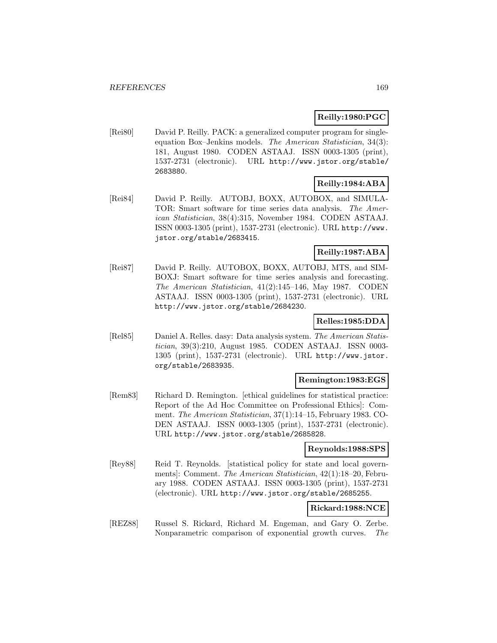## **Reilly:1980:PGC**

[Rei80] David P. Reilly. PACK: a generalized computer program for singleequation Box–Jenkins models. The American Statistician, 34(3): 181, August 1980. CODEN ASTAAJ. ISSN 0003-1305 (print), 1537-2731 (electronic). URL http://www.jstor.org/stable/ 2683880.

# **Reilly:1984:ABA**

[Rei84] David P. Reilly. AUTOBJ, BOXX, AUTOBOX, and SIMULA-TOR: Smart software for time series data analysis. The American Statistician, 38(4):315, November 1984. CODEN ASTAAJ. ISSN 0003-1305 (print), 1537-2731 (electronic). URL http://www. jstor.org/stable/2683415.

## **Reilly:1987:ABA**

[Rei87] David P. Reilly. AUTOBOX, BOXX, AUTOBJ, MTS, and SIM-BOXJ: Smart software for time series analysis and forecasting. The American Statistician, 41(2):145–146, May 1987. CODEN ASTAAJ. ISSN 0003-1305 (print), 1537-2731 (electronic). URL http://www.jstor.org/stable/2684230.

# **Relles:1985:DDA**

[Rel85] Daniel A. Relles. dasy: Data analysis system. The American Statistician, 39(3):210, August 1985. CODEN ASTAAJ. ISSN 0003- 1305 (print), 1537-2731 (electronic). URL http://www.jstor. org/stable/2683935.

#### **Remington:1983:EGS**

[Rem83] Richard D. Remington. [ethical guidelines for statistical practice: Report of the Ad Hoc Committee on Professional Ethics]: Comment. The American Statistician, 37(1):14–15, February 1983. CO-DEN ASTAAJ. ISSN 0003-1305 (print), 1537-2731 (electronic). URL http://www.jstor.org/stable/2685828.

### **Reynolds:1988:SPS**

[Rey88] Reid T. Reynolds. [statistical policy for state and local governments]: Comment. The American Statistician, 42(1):18–20, February 1988. CODEN ASTAAJ. ISSN 0003-1305 (print), 1537-2731 (electronic). URL http://www.jstor.org/stable/2685255.

## **Rickard:1988:NCE**

[REZ88] Russel S. Rickard, Richard M. Engeman, and Gary O. Zerbe. Nonparametric comparison of exponential growth curves. The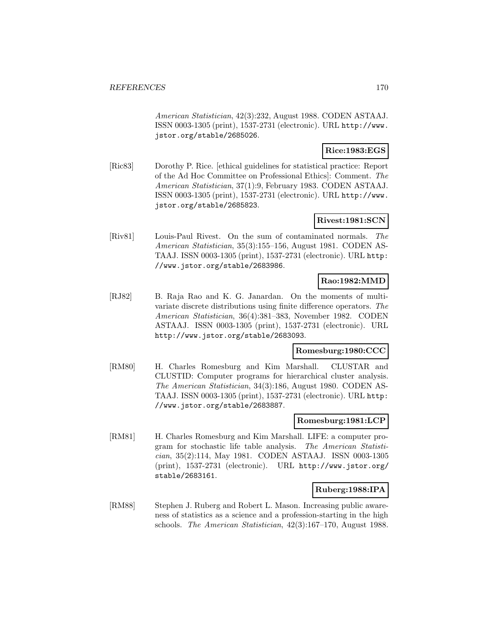American Statistician, 42(3):232, August 1988. CODEN ASTAAJ. ISSN 0003-1305 (print), 1537-2731 (electronic). URL http://www. jstor.org/stable/2685026.

### **Rice:1983:EGS**

[Ric83] Dorothy P. Rice. [ethical guidelines for statistical practice: Report of the Ad Hoc Committee on Professional Ethics]: Comment. The American Statistician, 37(1):9, February 1983. CODEN ASTAAJ. ISSN 0003-1305 (print), 1537-2731 (electronic). URL http://www. jstor.org/stable/2685823.

## **Rivest:1981:SCN**

[Riv81] Louis-Paul Rivest. On the sum of contaminated normals. The American Statistician, 35(3):155–156, August 1981. CODEN AS-TAAJ. ISSN 0003-1305 (print), 1537-2731 (electronic). URL http: //www.jstor.org/stable/2683986.

# **Rao:1982:MMD**

[RJ82] B. Raja Rao and K. G. Janardan. On the moments of multivariate discrete distributions using finite difference operators. The American Statistician, 36(4):381–383, November 1982. CODEN ASTAAJ. ISSN 0003-1305 (print), 1537-2731 (electronic). URL http://www.jstor.org/stable/2683093.

## **Romesburg:1980:CCC**

[RM80] H. Charles Romesburg and Kim Marshall. CLUSTAR and CLUSTID: Computer programs for hierarchical cluster analysis. The American Statistician, 34(3):186, August 1980. CODEN AS-TAAJ. ISSN 0003-1305 (print), 1537-2731 (electronic). URL http: //www.jstor.org/stable/2683887.

#### **Romesburg:1981:LCP**

[RM81] H. Charles Romesburg and Kim Marshall. LIFE: a computer program for stochastic life table analysis. The American Statistician, 35(2):114, May 1981. CODEN ASTAAJ. ISSN 0003-1305 (print), 1537-2731 (electronic). URL http://www.jstor.org/ stable/2683161.

## **Ruberg:1988:IPA**

[RM88] Stephen J. Ruberg and Robert L. Mason. Increasing public awareness of statistics as a science and a profession-starting in the high schools. The American Statistician, 42(3):167–170, August 1988.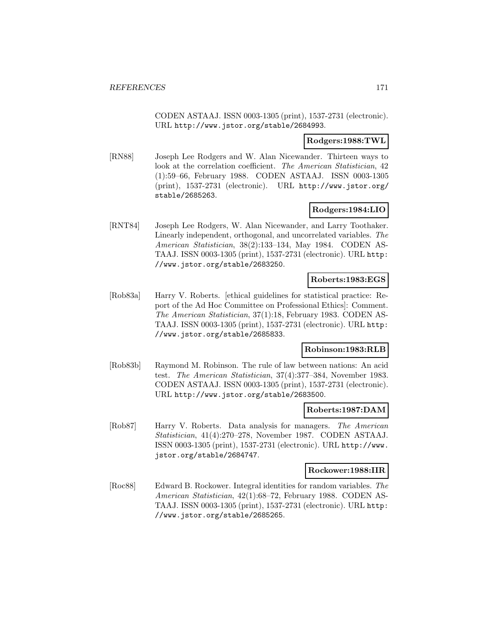CODEN ASTAAJ. ISSN 0003-1305 (print), 1537-2731 (electronic). URL http://www.jstor.org/stable/2684993.

**Rodgers:1988:TWL**

[RN88] Joseph Lee Rodgers and W. Alan Nicewander. Thirteen ways to look at the correlation coefficient. The American Statistician, 42 (1):59–66, February 1988. CODEN ASTAAJ. ISSN 0003-1305 (print), 1537-2731 (electronic). URL http://www.jstor.org/ stable/2685263.

## **Rodgers:1984:LIO**

[RNT84] Joseph Lee Rodgers, W. Alan Nicewander, and Larry Toothaker. Linearly independent, orthogonal, and uncorrelated variables. The American Statistician, 38(2):133–134, May 1984. CODEN AS-TAAJ. ISSN 0003-1305 (print), 1537-2731 (electronic). URL http: //www.jstor.org/stable/2683250.

### **Roberts:1983:EGS**

[Rob83a] Harry V. Roberts. [ethical guidelines for statistical practice: Report of the Ad Hoc Committee on Professional Ethics]: Comment. The American Statistician, 37(1):18, February 1983. CODEN AS-TAAJ. ISSN 0003-1305 (print), 1537-2731 (electronic). URL http: //www.jstor.org/stable/2685833.

### **Robinson:1983:RLB**

[Rob83b] Raymond M. Robinson. The rule of law between nations: An acid test. The American Statistician, 37(4):377–384, November 1983. CODEN ASTAAJ. ISSN 0003-1305 (print), 1537-2731 (electronic). URL http://www.jstor.org/stable/2683500.

## **Roberts:1987:DAM**

[Rob87] Harry V. Roberts. Data analysis for managers. The American Statistician, 41(4):270–278, November 1987. CODEN ASTAAJ. ISSN 0003-1305 (print), 1537-2731 (electronic). URL http://www. jstor.org/stable/2684747.

#### **Rockower:1988:IIR**

[Roc88] Edward B. Rockower. Integral identities for random variables. The American Statistician, 42(1):68–72, February 1988. CODEN AS-TAAJ. ISSN 0003-1305 (print), 1537-2731 (electronic). URL http: //www.jstor.org/stable/2685265.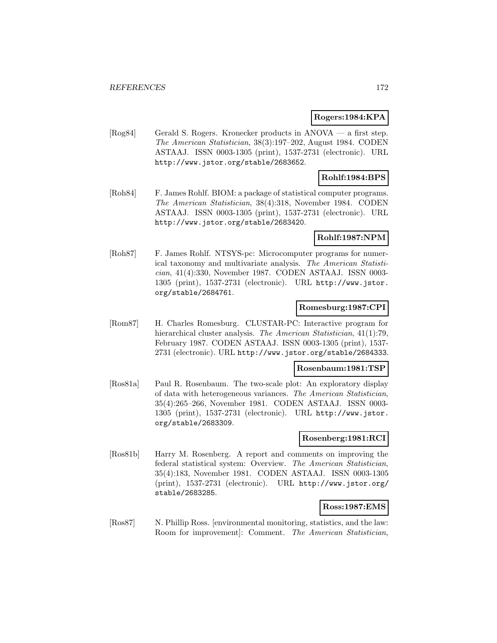#### **Rogers:1984:KPA**

[Rog84] Gerald S. Rogers. Kronecker products in ANOVA — a first step. The American Statistician, 38(3):197–202, August 1984. CODEN ASTAAJ. ISSN 0003-1305 (print), 1537-2731 (electronic). URL http://www.jstor.org/stable/2683652.

### **Rohlf:1984:BPS**

[Roh84] F. James Rohlf. BIOM: a package of statistical computer programs. The American Statistician, 38(4):318, November 1984. CODEN ASTAAJ. ISSN 0003-1305 (print), 1537-2731 (electronic). URL http://www.jstor.org/stable/2683420.

#### **Rohlf:1987:NPM**

[Roh87] F. James Rohlf. NTSYS-pc: Microcomputer programs for numerical taxonomy and multivariate analysis. The American Statistician, 41(4):330, November 1987. CODEN ASTAAJ. ISSN 0003- 1305 (print), 1537-2731 (electronic). URL http://www.jstor. org/stable/2684761.

## **Romesburg:1987:CPI**

[Rom87] H. Charles Romesburg. CLUSTAR-PC: Interactive program for hierarchical cluster analysis. The American Statistician,  $41(1)$ :79, February 1987. CODEN ASTAAJ. ISSN 0003-1305 (print), 1537- 2731 (electronic). URL http://www.jstor.org/stable/2684333.

#### **Rosenbaum:1981:TSP**

[Ros81a] Paul R. Rosenbaum. The two-scale plot: An exploratory display of data with heterogeneous variances. The American Statistician, 35(4):265–266, November 1981. CODEN ASTAAJ. ISSN 0003- 1305 (print), 1537-2731 (electronic). URL http://www.jstor. org/stable/2683309.

#### **Rosenberg:1981:RCI**

[Ros81b] Harry M. Rosenberg. A report and comments on improving the federal statistical system: Overview. The American Statistician, 35(4):183, November 1981. CODEN ASTAAJ. ISSN 0003-1305 (print), 1537-2731 (electronic). URL http://www.jstor.org/ stable/2683285.

## **Ross:1987:EMS**

[Ros87] N. Phillip Ross. [environmental monitoring, statistics, and the law: Room for improvement]: Comment. The American Statistician,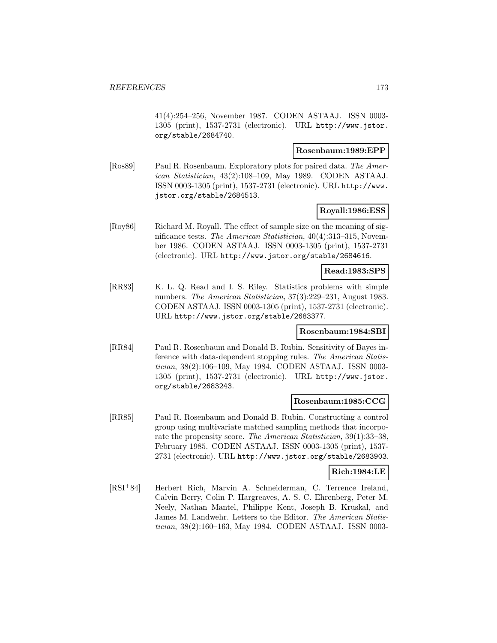41(4):254–256, November 1987. CODEN ASTAAJ. ISSN 0003- 1305 (print), 1537-2731 (electronic). URL http://www.jstor. org/stable/2684740.

### **Rosenbaum:1989:EPP**

[Ros89] Paul R. Rosenbaum. Exploratory plots for paired data. The American Statistician, 43(2):108–109, May 1989. CODEN ASTAAJ. ISSN 0003-1305 (print), 1537-2731 (electronic). URL http://www. jstor.org/stable/2684513.

## **Royall:1986:ESS**

[Roy86] Richard M. Royall. The effect of sample size on the meaning of significance tests. The American Statistician, 40(4):313–315, November 1986. CODEN ASTAAJ. ISSN 0003-1305 (print), 1537-2731 (electronic). URL http://www.jstor.org/stable/2684616.

#### **Read:1983:SPS**

[RR83] K. L. Q. Read and I. S. Riley. Statistics problems with simple numbers. The American Statistician, 37(3):229–231, August 1983. CODEN ASTAAJ. ISSN 0003-1305 (print), 1537-2731 (electronic). URL http://www.jstor.org/stable/2683377.

#### **Rosenbaum:1984:SBI**

[RR84] Paul R. Rosenbaum and Donald B. Rubin. Sensitivity of Bayes inference with data-dependent stopping rules. The American Statistician, 38(2):106–109, May 1984. CODEN ASTAAJ. ISSN 0003- 1305 (print), 1537-2731 (electronic). URL http://www.jstor. org/stable/2683243.

## **Rosenbaum:1985:CCG**

[RR85] Paul R. Rosenbaum and Donald B. Rubin. Constructing a control group using multivariate matched sampling methods that incorporate the propensity score. The American Statistician, 39(1):33–38, February 1985. CODEN ASTAAJ. ISSN 0003-1305 (print), 1537- 2731 (electronic). URL http://www.jstor.org/stable/2683903.

#### **Rich:1984:LE**

[RSI<sup>+</sup>84] Herbert Rich, Marvin A. Schneiderman, C. Terrence Ireland, Calvin Berry, Colin P. Hargreaves, A. S. C. Ehrenberg, Peter M. Neely, Nathan Mantel, Philippe Kent, Joseph B. Kruskal, and James M. Landwehr. Letters to the Editor. The American Statistician, 38(2):160–163, May 1984. CODEN ASTAAJ. ISSN 0003-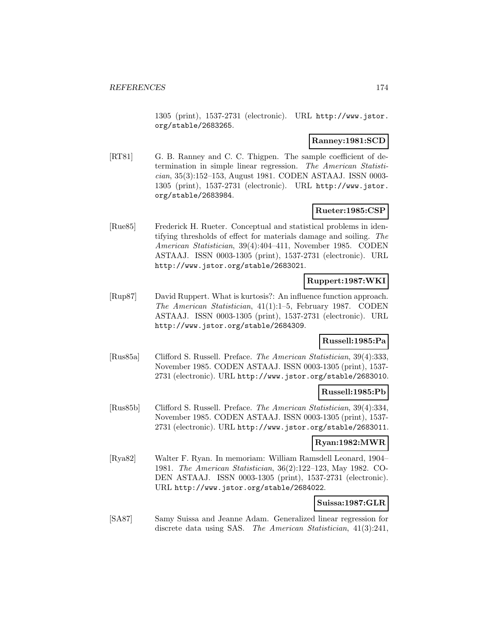1305 (print), 1537-2731 (electronic). URL http://www.jstor. org/stable/2683265.

## **Ranney:1981:SCD**

[RT81] G. B. Ranney and C. C. Thigpen. The sample coefficient of determination in simple linear regression. The American Statistician, 35(3):152–153, August 1981. CODEN ASTAAJ. ISSN 0003- 1305 (print), 1537-2731 (electronic). URL http://www.jstor. org/stable/2683984.

## **Rueter:1985:CSP**

[Rue85] Frederick H. Rueter. Conceptual and statistical problems in identifying thresholds of effect for materials damage and soiling. The American Statistician, 39(4):404–411, November 1985. CODEN ASTAAJ. ISSN 0003-1305 (print), 1537-2731 (electronic). URL http://www.jstor.org/stable/2683021.

# **Ruppert:1987:WKI**

[Rup87] David Ruppert. What is kurtosis?: An influence function approach. The American Statistician, 41(1):1–5, February 1987. CODEN ASTAAJ. ISSN 0003-1305 (print), 1537-2731 (electronic). URL http://www.jstor.org/stable/2684309.

## **Russell:1985:Pa**

[Rus85a] Clifford S. Russell. Preface. The American Statistician, 39(4):333, November 1985. CODEN ASTAAJ. ISSN 0003-1305 (print), 1537- 2731 (electronic). URL http://www.jstor.org/stable/2683010.

### **Russell:1985:Pb**

[Rus85b] Clifford S. Russell. Preface. The American Statistician, 39(4):334, November 1985. CODEN ASTAAJ. ISSN 0003-1305 (print), 1537- 2731 (electronic). URL http://www.jstor.org/stable/2683011.

## **Ryan:1982:MWR**

[Rya82] Walter F. Ryan. In memoriam: William Ramsdell Leonard, 1904– 1981. The American Statistician, 36(2):122–123, May 1982. CO-DEN ASTAAJ. ISSN 0003-1305 (print), 1537-2731 (electronic). URL http://www.jstor.org/stable/2684022.

### **Suissa:1987:GLR**

[SA87] Samy Suissa and Jeanne Adam. Generalized linear regression for discrete data using SAS. The American Statistician,  $41(3):241$ ,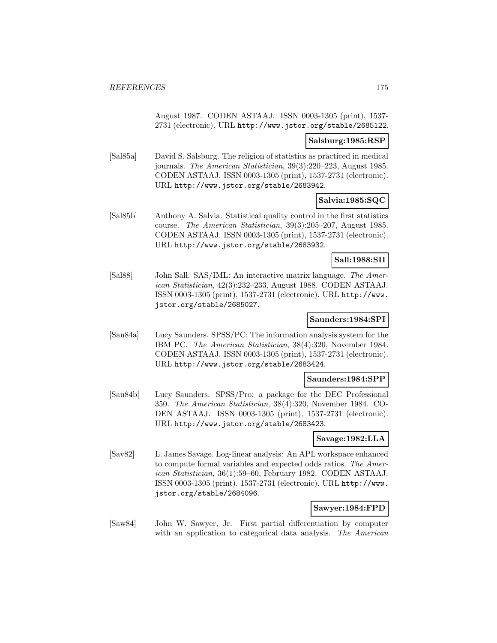August 1987. CODEN ASTAAJ. ISSN 0003-1305 (print), 1537- 2731 (electronic). URL http://www.jstor.org/stable/2685122.

## **Salsburg:1985:RSP**

[Sal85a] David S. Salsburg. The religion of statistics as practiced in medical journals. The American Statistician, 39(3):220–223, August 1985. CODEN ASTAAJ. ISSN 0003-1305 (print), 1537-2731 (electronic). URL http://www.jstor.org/stable/2683942.

## **Salvia:1985:SQC**

[Sal85b] Anthony A. Salvia. Statistical quality control in the first statistics course. The American Statistician, 39(3):205–207, August 1985. CODEN ASTAAJ. ISSN 0003-1305 (print), 1537-2731 (electronic). URL http://www.jstor.org/stable/2683932.

### **Sall:1988:SII**

[Sal88] John Sall. SAS/IML: An interactive matrix language. The American Statistician, 42(3):232–233, August 1988. CODEN ASTAAJ. ISSN 0003-1305 (print), 1537-2731 (electronic). URL http://www. jstor.org/stable/2685027.

### **Saunders:1984:SPI**

[Sau84a] Lucy Saunders. SPSS/PC: The information analysis system for the IBM PC. The American Statistician, 38(4):320, November 1984. CODEN ASTAAJ. ISSN 0003-1305 (print), 1537-2731 (electronic). URL http://www.jstor.org/stable/2683424.

#### **Saunders:1984:SPP**

[Sau84b] Lucy Saunders. SPSS/Pro: a package for the DEC Professional 350. The American Statistician, 38(4):320, November 1984. CO-DEN ASTAAJ. ISSN 0003-1305 (print), 1537-2731 (electronic). URL http://www.jstor.org/stable/2683423.

#### **Savage:1982:LLA**

[Sav82] L. James Savage. Log-linear analysis: An APL workspace enhanced to compute formal variables and expected odds ratios. The American Statistician, 36(1):59–60, February 1982. CODEN ASTAAJ. ISSN 0003-1305 (print), 1537-2731 (electronic). URL http://www. jstor.org/stable/2684096.

### **Sawyer:1984:FPD**

[Saw84] John W. Sawyer, Jr. First partial differentiation by computer with an application to categorical data analysis. The American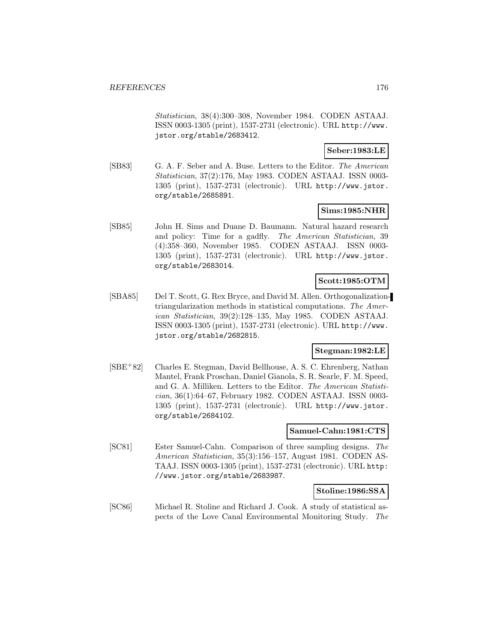Statistician, 38(4):300–308, November 1984. CODEN ASTAAJ. ISSN 0003-1305 (print), 1537-2731 (electronic). URL http://www. jstor.org/stable/2683412.

### **Seber:1983:LE**

[SB83] G. A. F. Seber and A. Buse. Letters to the Editor. The American Statistician, 37(2):176, May 1983. CODEN ASTAAJ. ISSN 0003- 1305 (print), 1537-2731 (electronic). URL http://www.jstor. org/stable/2685891.

### **Sims:1985:NHR**

[SB85] John H. Sims and Duane D. Baumann. Natural hazard research and policy: Time for a gadfly. The American Statistician, 39 (4):358–360, November 1985. CODEN ASTAAJ. ISSN 0003- 1305 (print), 1537-2731 (electronic). URL http://www.jstor. org/stable/2683014.

## **Scott:1985:OTM**

[SBA85] Del T. Scott, G. Rex Bryce, and David M. Allen. Orthogonalizationtriangularization methods in statistical computations. The American Statistician, 39(2):128–135, May 1985. CODEN ASTAAJ. ISSN 0003-1305 (print), 1537-2731 (electronic). URL http://www. jstor.org/stable/2682815.

## **Stegman:1982:LE**

[SBE<sup>+</sup>82] Charles E. Stegman, David Bellhouse, A. S. C. Ehrenberg, Nathan Mantel, Frank Proschan, Daniel Gianola, S. R. Searle, F. M. Speed, and G. A. Milliken. Letters to the Editor. The American Statistician, 36(1):64–67, February 1982. CODEN ASTAAJ. ISSN 0003- 1305 (print), 1537-2731 (electronic). URL http://www.jstor. org/stable/2684102.

### **Samuel-Cahn:1981:CTS**

[SC81] Ester Samuel-Cahn. Comparison of three sampling designs. The American Statistician, 35(3):156–157, August 1981. CODEN AS-TAAJ. ISSN 0003-1305 (print), 1537-2731 (electronic). URL http: //www.jstor.org/stable/2683987.

### **Stoline:1986:SSA**

[SC86] Michael R. Stoline and Richard J. Cook. A study of statistical aspects of the Love Canal Environmental Monitoring Study. The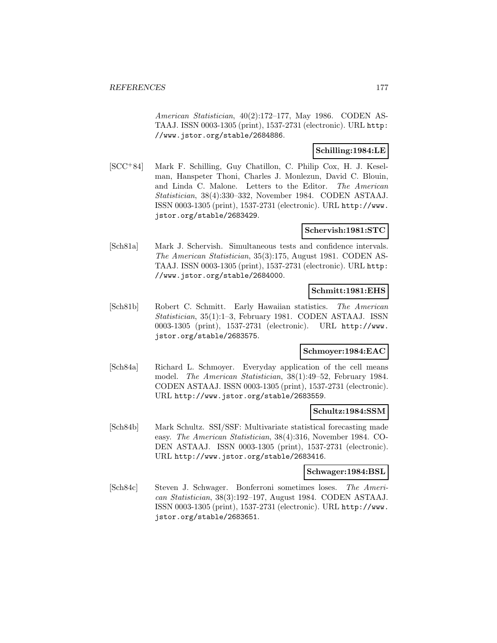American Statistician, 40(2):172–177, May 1986. CODEN AS-TAAJ. ISSN 0003-1305 (print), 1537-2731 (electronic). URL http: //www.jstor.org/stable/2684886.

## **Schilling:1984:LE**

[SCC<sup>+</sup>84] Mark F. Schilling, Guy Chatillon, C. Philip Cox, H. J. Keselman, Hanspeter Thoni, Charles J. Monlezun, David C. Blouin, and Linda C. Malone. Letters to the Editor. The American Statistician, 38(4):330–332, November 1984. CODEN ASTAAJ. ISSN 0003-1305 (print), 1537-2731 (electronic). URL http://www. jstor.org/stable/2683429.

#### **Schervish:1981:STC**

[Sch81a] Mark J. Schervish. Simultaneous tests and confidence intervals. The American Statistician, 35(3):175, August 1981. CODEN AS-TAAJ. ISSN 0003-1305 (print), 1537-2731 (electronic). URL http: //www.jstor.org/stable/2684000.

#### **Schmitt:1981:EHS**

[Sch81b] Robert C. Schmitt. Early Hawaiian statistics. The American Statistician, 35(1):1–3, February 1981. CODEN ASTAAJ. ISSN 0003-1305 (print), 1537-2731 (electronic). URL http://www. jstor.org/stable/2683575.

#### **Schmoyer:1984:EAC**

[Sch84a] Richard L. Schmoyer. Everyday application of the cell means model. The American Statistician, 38(1):49–52, February 1984. CODEN ASTAAJ. ISSN 0003-1305 (print), 1537-2731 (electronic). URL http://www.jstor.org/stable/2683559.

#### **Schultz:1984:SSM**

[Sch84b] Mark Schultz. SSI/SSF: Multivariate statistical forecasting made easy. The American Statistician, 38(4):316, November 1984. CO-DEN ASTAAJ. ISSN 0003-1305 (print), 1537-2731 (electronic). URL http://www.jstor.org/stable/2683416.

#### **Schwager:1984:BSL**

[Sch84c] Steven J. Schwager. Bonferroni sometimes loses. The American Statistician, 38(3):192–197, August 1984. CODEN ASTAAJ. ISSN 0003-1305 (print), 1537-2731 (electronic). URL http://www. jstor.org/stable/2683651.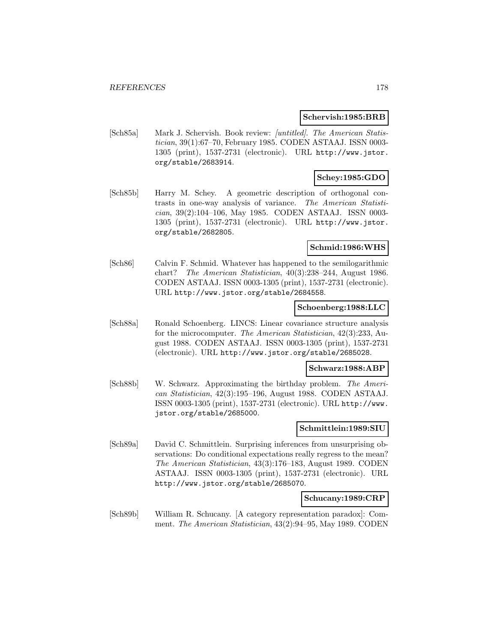#### **Schervish:1985:BRB**

[Sch85a] Mark J. Schervish. Book review: [untitled]. The American Statistician, 39(1):67–70, February 1985. CODEN ASTAAJ. ISSN 0003- 1305 (print), 1537-2731 (electronic). URL http://www.jstor. org/stable/2683914.

## **Schey:1985:GDO**

[Sch85b] Harry M. Schey. A geometric description of orthogonal contrasts in one-way analysis of variance. The American Statistician, 39(2):104–106, May 1985. CODEN ASTAAJ. ISSN 0003- 1305 (print), 1537-2731 (electronic). URL http://www.jstor. org/stable/2682805.

## **Schmid:1986:WHS**

[Sch86] Calvin F. Schmid. Whatever has happened to the semilogarithmic chart? The American Statistician, 40(3):238–244, August 1986. CODEN ASTAAJ. ISSN 0003-1305 (print), 1537-2731 (electronic). URL http://www.jstor.org/stable/2684558.

#### **Schoenberg:1988:LLC**

[Sch88a] Ronald Schoenberg. LINCS: Linear covariance structure analysis for the microcomputer. The American Statistician, 42(3):233, August 1988. CODEN ASTAAJ. ISSN 0003-1305 (print), 1537-2731 (electronic). URL http://www.jstor.org/stable/2685028.

#### **Schwarz:1988:ABP**

[Sch88b] W. Schwarz. Approximating the birthday problem. The American Statistician, 42(3):195–196, August 1988. CODEN ASTAAJ. ISSN 0003-1305 (print), 1537-2731 (electronic). URL http://www. jstor.org/stable/2685000.

### **Schmittlein:1989:SIU**

[Sch89a] David C. Schmittlein. Surprising inferences from unsurprising observations: Do conditional expectations really regress to the mean? The American Statistician, 43(3):176–183, August 1989. CODEN ASTAAJ. ISSN 0003-1305 (print), 1537-2731 (electronic). URL http://www.jstor.org/stable/2685070.

#### **Schucany:1989:CRP**

[Sch89b] William R. Schucany. [A category representation paradox]: Comment. The American Statistician, 43(2):94–95, May 1989. CODEN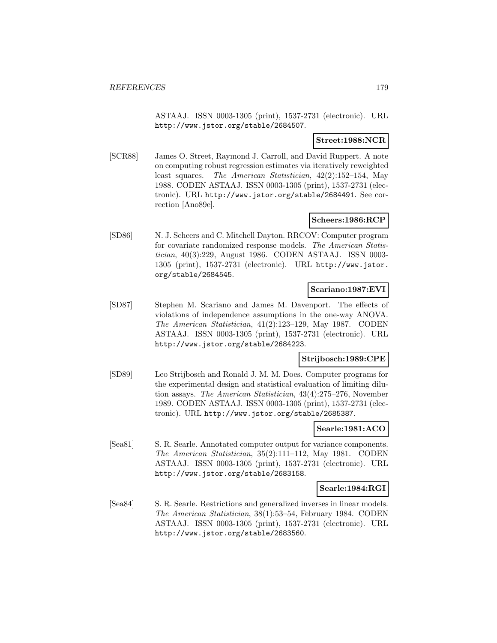ASTAAJ. ISSN 0003-1305 (print), 1537-2731 (electronic). URL http://www.jstor.org/stable/2684507.

## **Street:1988:NCR**

[SCR88] James O. Street, Raymond J. Carroll, and David Ruppert. A note on computing robust regression estimates via iteratively reweighted least squares. The American Statistician, 42(2):152–154, May 1988. CODEN ASTAAJ. ISSN 0003-1305 (print), 1537-2731 (electronic). URL http://www.jstor.org/stable/2684491. See correction [Ano89e].

## **Scheers:1986:RCP**

[SD86] N. J. Scheers and C. Mitchell Dayton. RRCOV: Computer program for covariate randomized response models. The American Statistician, 40(3):229, August 1986. CODEN ASTAAJ. ISSN 0003- 1305 (print), 1537-2731 (electronic). URL http://www.jstor. org/stable/2684545.

### **Scariano:1987:EVI**

[SD87] Stephen M. Scariano and James M. Davenport. The effects of violations of independence assumptions in the one-way ANOVA. The American Statistician, 41(2):123–129, May 1987. CODEN ASTAAJ. ISSN 0003-1305 (print), 1537-2731 (electronic). URL http://www.jstor.org/stable/2684223.

### **Strijbosch:1989:CPE**

[SD89] Leo Strijbosch and Ronald J. M. M. Does. Computer programs for the experimental design and statistical evaluation of limiting dilution assays. The American Statistician, 43(4):275–276, November 1989. CODEN ASTAAJ. ISSN 0003-1305 (print), 1537-2731 (electronic). URL http://www.jstor.org/stable/2685387.

## **Searle:1981:ACO**

[Sea81] S. R. Searle. Annotated computer output for variance components. The American Statistician, 35(2):111–112, May 1981. CODEN ASTAAJ. ISSN 0003-1305 (print), 1537-2731 (electronic). URL http://www.jstor.org/stable/2683158.

#### **Searle:1984:RGI**

[Sea84] S. R. Searle. Restrictions and generalized inverses in linear models. The American Statistician, 38(1):53–54, February 1984. CODEN ASTAAJ. ISSN 0003-1305 (print), 1537-2731 (electronic). URL http://www.jstor.org/stable/2683560.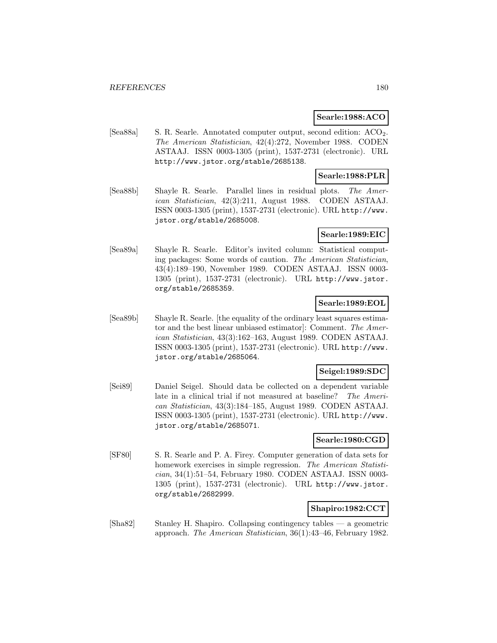### **Searle:1988:ACO**

[Sea88a] S. R. Searle. Annotated computer output, second edition: ACO<sub>2</sub>. The American Statistician, 42(4):272, November 1988. CODEN ASTAAJ. ISSN 0003-1305 (print), 1537-2731 (electronic). URL http://www.jstor.org/stable/2685138.

## **Searle:1988:PLR**

[Sea88b] Shayle R. Searle. Parallel lines in residual plots. The American Statistician, 42(3):211, August 1988. CODEN ASTAAJ. ISSN 0003-1305 (print), 1537-2731 (electronic). URL http://www. jstor.org/stable/2685008.

### **Searle:1989:EIC**

[Sea89a] Shayle R. Searle. Editor's invited column: Statistical computing packages: Some words of caution. The American Statistician, 43(4):189–190, November 1989. CODEN ASTAAJ. ISSN 0003- 1305 (print), 1537-2731 (electronic). URL http://www.jstor. org/stable/2685359.

## **Searle:1989:EOL**

[Sea89b] Shayle R. Searle. [the equality of the ordinary least squares estimator and the best linear unbiased estimator]: Comment. The American Statistician, 43(3):162–163, August 1989. CODEN ASTAAJ. ISSN 0003-1305 (print), 1537-2731 (electronic). URL http://www. jstor.org/stable/2685064.

## **Seigel:1989:SDC**

[Sei89] Daniel Seigel. Should data be collected on a dependent variable late in a clinical trial if not measured at baseline? The American Statistician, 43(3):184–185, August 1989. CODEN ASTAAJ. ISSN 0003-1305 (print), 1537-2731 (electronic). URL http://www. jstor.org/stable/2685071.

#### **Searle:1980:CGD**

[SF80] S. R. Searle and P. A. Firey. Computer generation of data sets for homework exercises in simple regression. The American Statistician, 34(1):51–54, February 1980. CODEN ASTAAJ. ISSN 0003- 1305 (print), 1537-2731 (electronic). URL http://www.jstor. org/stable/2682999.

## **Shapiro:1982:CCT**

[Sha82] Stanley H. Shapiro. Collapsing contingency tables — a geometric approach. The American Statistician, 36(1):43–46, February 1982.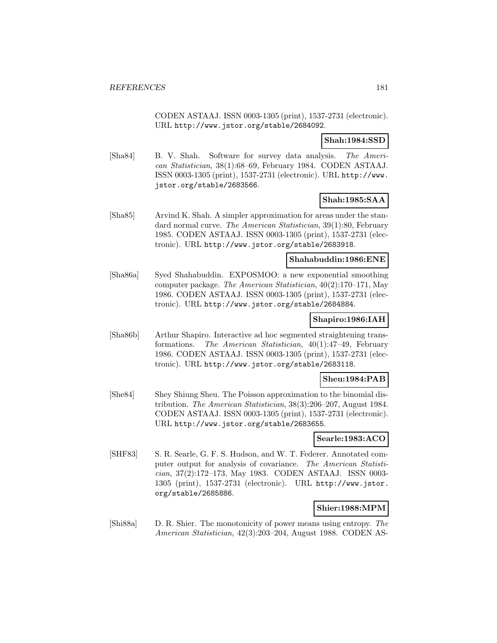CODEN ASTAAJ. ISSN 0003-1305 (print), 1537-2731 (electronic). URL http://www.jstor.org/stable/2684092.

### **Shah:1984:SSD**

[Sha84] B. V. Shah. Software for survey data analysis. The American Statistician, 38(1):68–69, February 1984. CODEN ASTAAJ. ISSN 0003-1305 (print), 1537-2731 (electronic). URL http://www. jstor.org/stable/2683566.

# **Shah:1985:SAA**

[Sha85] Arvind K. Shah. A simpler approximation for areas under the standard normal curve. The American Statistician, 39(1):80, February 1985. CODEN ASTAAJ. ISSN 0003-1305 (print), 1537-2731 (electronic). URL http://www.jstor.org/stable/2683918.

### **Shahabuddin:1986:ENE**

[Sha86a] Syed Shahabuddin. EXPOSMOO: a new exponential smoothing computer package. The American Statistician, 40(2):170–171, May 1986. CODEN ASTAAJ. ISSN 0003-1305 (print), 1537-2731 (electronic). URL http://www.jstor.org/stable/2684884.

### **Shapiro:1986:IAH**

[Sha86b] Arthur Shapiro. Interactive ad hoc segmented straightening transformations. The American Statistician, 40(1):47–49, February 1986. CODEN ASTAAJ. ISSN 0003-1305 (print), 1537-2731 (electronic). URL http://www.jstor.org/stable/2683118.

# **Sheu:1984:PAB**

[She84] Shey Shiung Sheu. The Poisson approximation to the binomial distribution. The American Statistician, 38(3):206–207, August 1984. CODEN ASTAAJ. ISSN 0003-1305 (print), 1537-2731 (electronic). URL http://www.jstor.org/stable/2683655.

### **Searle:1983:ACO**

[SHF83] S. R. Searle, G. F. S. Hudson, and W. T. Federer. Annotated computer output for analysis of covariance. The American Statistician, 37(2):172–173, May 1983. CODEN ASTAAJ. ISSN 0003- 1305 (print), 1537-2731 (electronic). URL http://www.jstor. org/stable/2685886.

# **Shier:1988:MPM**

[Shi88a] D. R. Shier. The monotonicity of power means using entropy. The American Statistician, 42(3):203–204, August 1988. CODEN AS-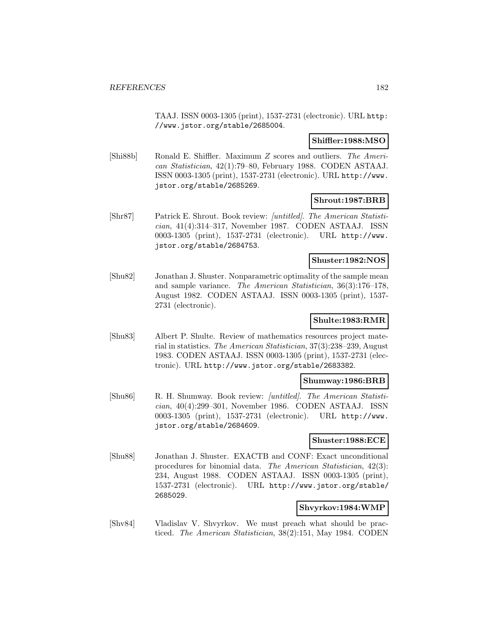TAAJ. ISSN 0003-1305 (print), 1537-2731 (electronic). URL http: //www.jstor.org/stable/2685004.

#### **Shiffler:1988:MSO**

[Shi88b] Ronald E. Shiffler. Maximum Z scores and outliers. The American Statistician, 42(1):79–80, February 1988. CODEN ASTAAJ. ISSN 0003-1305 (print), 1537-2731 (electronic). URL http://www. jstor.org/stable/2685269.

### **Shrout:1987:BRB**

[Shr87] Patrick E. Shrout. Book review: [untitled]. The American Statistician, 41(4):314–317, November 1987. CODEN ASTAAJ. ISSN 0003-1305 (print), 1537-2731 (electronic). URL http://www. jstor.org/stable/2684753.

#### **Shuster:1982:NOS**

[Shu82] Jonathan J. Shuster. Nonparametric optimality of the sample mean and sample variance. The American Statistician, 36(3):176–178, August 1982. CODEN ASTAAJ. ISSN 0003-1305 (print), 1537- 2731 (electronic).

# **Shulte:1983:RMR**

[Shu83] Albert P. Shulte. Review of mathematics resources project material in statistics. The American Statistician, 37(3):238–239, August 1983. CODEN ASTAAJ. ISSN 0003-1305 (print), 1537-2731 (electronic). URL http://www.jstor.org/stable/2683382.

### **Shumway:1986:BRB**

[Shu86] R. H. Shumway. Book review: [untitled]. The American Statistician, 40(4):299–301, November 1986. CODEN ASTAAJ. ISSN 0003-1305 (print), 1537-2731 (electronic). URL http://www. jstor.org/stable/2684609.

### **Shuster:1988:ECE**

[Shu88] Jonathan J. Shuster. EXACTB and CONF: Exact unconditional procedures for binomial data. The American Statistician, 42(3): 234, August 1988. CODEN ASTAAJ. ISSN 0003-1305 (print), 1537-2731 (electronic). URL http://www.jstor.org/stable/ 2685029.

### **Shvyrkov:1984:WMP**

[Shv84] Vladislav V. Shvyrkov. We must preach what should be practiced. The American Statistician, 38(2):151, May 1984. CODEN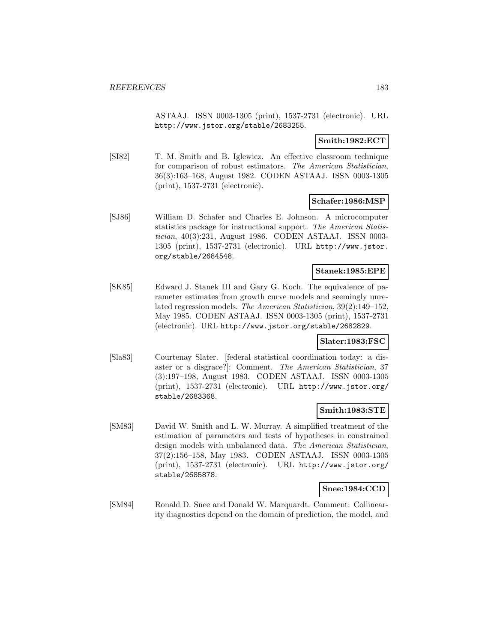ASTAAJ. ISSN 0003-1305 (print), 1537-2731 (electronic). URL http://www.jstor.org/stable/2683255.

## **Smith:1982:ECT**

[SI82] T. M. Smith and B. Iglewicz. An effective classroom technique for comparison of robust estimators. The American Statistician, 36(3):163–168, August 1982. CODEN ASTAAJ. ISSN 0003-1305 (print), 1537-2731 (electronic).

### **Schafer:1986:MSP**

[SJ86] William D. Schafer and Charles E. Johnson. A microcomputer statistics package for instructional support. The American Statistician, 40(3):231, August 1986. CODEN ASTAAJ. ISSN 0003- 1305 (print), 1537-2731 (electronic). URL http://www.jstor. org/stable/2684548.

### **Stanek:1985:EPE**

[SK85] Edward J. Stanek III and Gary G. Koch. The equivalence of parameter estimates from growth curve models and seemingly unrelated regression models. The American Statistician, 39(2):149–152, May 1985. CODEN ASTAAJ. ISSN 0003-1305 (print), 1537-2731 (electronic). URL http://www.jstor.org/stable/2682829.

### **Slater:1983:FSC**

[Sla83] Courtenay Slater. [federal statistical coordination today: a disaster or a disgrace?]: Comment. The American Statistician, 37 (3):197–198, August 1983. CODEN ASTAAJ. ISSN 0003-1305 (print), 1537-2731 (electronic). URL http://www.jstor.org/ stable/2683368.

### **Smith:1983:STE**

[SM83] David W. Smith and L. W. Murray. A simplified treatment of the estimation of parameters and tests of hypotheses in constrained design models with unbalanced data. The American Statistician, 37(2):156–158, May 1983. CODEN ASTAAJ. ISSN 0003-1305 (print), 1537-2731 (electronic). URL http://www.jstor.org/ stable/2685878.

### **Snee:1984:CCD**

[SM84] Ronald D. Snee and Donald W. Marquardt. Comment: Collinearity diagnostics depend on the domain of prediction, the model, and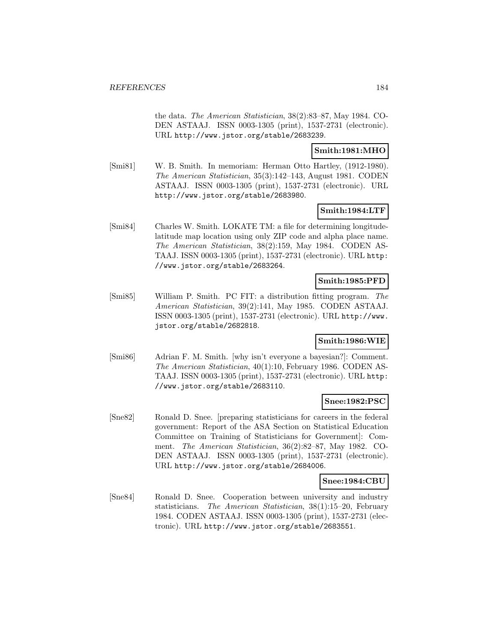the data. The American Statistician, 38(2):83–87, May 1984. CO-DEN ASTAAJ. ISSN 0003-1305 (print), 1537-2731 (electronic). URL http://www.jstor.org/stable/2683239.

### **Smith:1981:MHO**

[Smi81] W. B. Smith. In memoriam: Herman Otto Hartley, (1912-1980). The American Statistician, 35(3):142–143, August 1981. CODEN ASTAAJ. ISSN 0003-1305 (print), 1537-2731 (electronic). URL http://www.jstor.org/stable/2683980.

### **Smith:1984:LTF**

[Smi84] Charles W. Smith. LOKATE TM: a file for determining longitudelatitude map location using only ZIP code and alpha place name. The American Statistician, 38(2):159, May 1984. CODEN AS-TAAJ. ISSN 0003-1305 (print), 1537-2731 (electronic). URL http: //www.jstor.org/stable/2683264.

# **Smith:1985:PFD**

[Smi85] William P. Smith. PC FIT: a distribution fitting program. The American Statistician, 39(2):141, May 1985. CODEN ASTAAJ. ISSN 0003-1305 (print), 1537-2731 (electronic). URL http://www. jstor.org/stable/2682818.

## **Smith:1986:WIE**

[Smi86] Adrian F. M. Smith. [why isn't everyone a bayesian?]: Comment. The American Statistician, 40(1):10, February 1986. CODEN AS-TAAJ. ISSN 0003-1305 (print), 1537-2731 (electronic). URL http: //www.jstor.org/stable/2683110.

# **Snee:1982:PSC**

[Sne82] Ronald D. Snee. [preparing statisticians for careers in the federal government: Report of the ASA Section on Statistical Education Committee on Training of Statisticians for Government]: Comment. The American Statistician, 36(2):82–87, May 1982. CO-DEN ASTAAJ. ISSN 0003-1305 (print), 1537-2731 (electronic). URL http://www.jstor.org/stable/2684006.

### **Snee:1984:CBU**

[Sne84] Ronald D. Snee. Cooperation between university and industry statisticians. The American Statistician, 38(1):15–20, February 1984. CODEN ASTAAJ. ISSN 0003-1305 (print), 1537-2731 (electronic). URL http://www.jstor.org/stable/2683551.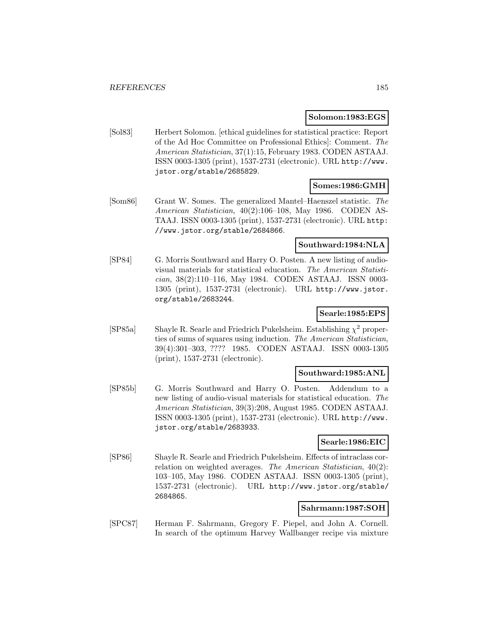### **Solomon:1983:EGS**

[Sol83] Herbert Solomon. [ethical guidelines for statistical practice: Report of the Ad Hoc Committee on Professional Ethics]: Comment. The American Statistician, 37(1):15, February 1983. CODEN ASTAAJ. ISSN 0003-1305 (print), 1537-2731 (electronic). URL http://www. jstor.org/stable/2685829.

# **Somes:1986:GMH**

[Som86] Grant W. Somes. The generalized Mantel–Haenszel statistic. The American Statistician, 40(2):106–108, May 1986. CODEN AS-TAAJ. ISSN 0003-1305 (print), 1537-2731 (electronic). URL http: //www.jstor.org/stable/2684866.

### **Southward:1984:NLA**

[SP84] G. Morris Southward and Harry O. Posten. A new listing of audiovisual materials for statistical education. The American Statistician, 38(2):110–116, May 1984. CODEN ASTAAJ. ISSN 0003- 1305 (print), 1537-2731 (electronic). URL http://www.jstor. org/stable/2683244.

# **Searle:1985:EPS**

[SP85a] Shayle R. Searle and Friedrich Pukelsheim. Establishing  $\chi^2$  properties of sums of squares using induction. The American Statistician, 39(4):301–303, ???? 1985. CODEN ASTAAJ. ISSN 0003-1305 (print), 1537-2731 (electronic).

### **Southward:1985:ANL**

[SP85b] G. Morris Southward and Harry O. Posten. Addendum to a new listing of audio-visual materials for statistical education. The American Statistician, 39(3):208, August 1985. CODEN ASTAAJ. ISSN 0003-1305 (print), 1537-2731 (electronic). URL http://www. jstor.org/stable/2683933.

### **Searle:1986:EIC**

[SP86] Shayle R. Searle and Friedrich Pukelsheim. Effects of intraclass correlation on weighted averages. The American Statistician, 40(2): 103–105, May 1986. CODEN ASTAAJ. ISSN 0003-1305 (print), 1537-2731 (electronic). URL http://www.jstor.org/stable/ 2684865.

# **Sahrmann:1987:SOH**

[SPC87] Herman F. Sahrmann, Gregory F. Piepel, and John A. Cornell. In search of the optimum Harvey Wallbanger recipe via mixture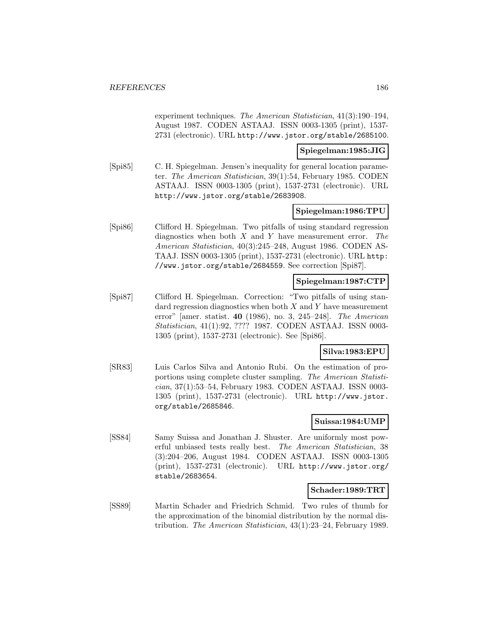experiment techniques. The American Statistician, 41(3):190–194, August 1987. CODEN ASTAAJ. ISSN 0003-1305 (print), 1537- 2731 (electronic). URL http://www.jstor.org/stable/2685100.

### **Spiegelman:1985:JIG**

[Spi85] C. H. Spiegelman. Jensen's inequality for general location parameter. The American Statistician, 39(1):54, February 1985. CODEN ASTAAJ. ISSN 0003-1305 (print), 1537-2731 (electronic). URL http://www.jstor.org/stable/2683908.

### **Spiegelman:1986:TPU**

[Spi86] Clifford H. Spiegelman. Two pitfalls of using standard regression diagnostics when both  $X$  and  $Y$  have measurement error. The American Statistician, 40(3):245–248, August 1986. CODEN AS-TAAJ. ISSN 0003-1305 (print), 1537-2731 (electronic). URL http: //www.jstor.org/stable/2684559. See correction [Spi87].

## **Spiegelman:1987:CTP**

[Spi87] Clifford H. Spiegelman. Correction: "Two pitfalls of using standard regression diagnostics when both  $X$  and  $Y$  have measurement error" [amer. statist. **40** (1986), no. 3, 245–248]. The American Statistician, 41(1):92, ???? 1987. CODEN ASTAAJ. ISSN 0003- 1305 (print), 1537-2731 (electronic). See [Spi86].

#### **Silva:1983:EPU**

[SR83] Luis Carlos Silva and Antonio Rubi. On the estimation of proportions using complete cluster sampling. The American Statistician, 37(1):53–54, February 1983. CODEN ASTAAJ. ISSN 0003- 1305 (print), 1537-2731 (electronic). URL http://www.jstor. org/stable/2685846.

#### **Suissa:1984:UMP**

[SS84] Samy Suissa and Jonathan J. Shuster. Are uniformly most powerful unbiased tests really best. The American Statistician, 38 (3):204–206, August 1984. CODEN ASTAAJ. ISSN 0003-1305 (print), 1537-2731 (electronic). URL http://www.jstor.org/ stable/2683654.

#### **Schader:1989:TRT**

[SS89] Martin Schader and Friedrich Schmid. Two rules of thumb for the approximation of the binomial distribution by the normal distribution. The American Statistician, 43(1):23–24, February 1989.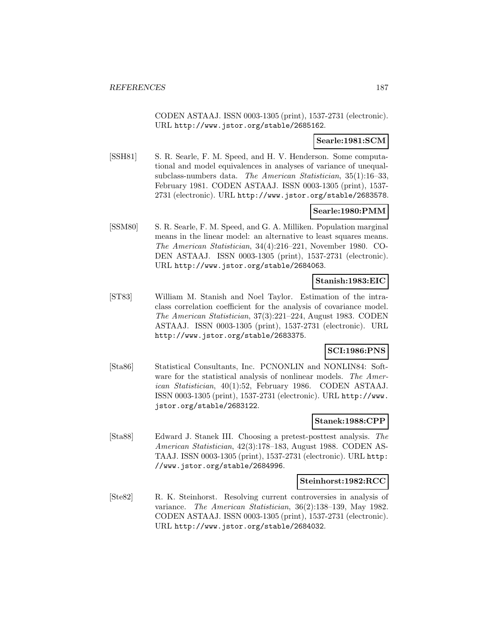CODEN ASTAAJ. ISSN 0003-1305 (print), 1537-2731 (electronic). URL http://www.jstor.org/stable/2685162.

### **Searle:1981:SCM**

[SSH81] S. R. Searle, F. M. Speed, and H. V. Henderson. Some computational and model equivalences in analyses of variance of unequalsubclass-numbers data. The American Statistician, 35(1):16–33, February 1981. CODEN ASTAAJ. ISSN 0003-1305 (print), 1537- 2731 (electronic). URL http://www.jstor.org/stable/2683578.

### **Searle:1980:PMM**

[SSM80] S. R. Searle, F. M. Speed, and G. A. Milliken. Population marginal means in the linear model: an alternative to least squares means. The American Statistician, 34(4):216–221, November 1980. CO-DEN ASTAAJ. ISSN 0003-1305 (print), 1537-2731 (electronic). URL http://www.jstor.org/stable/2684063.

# **Stanish:1983:EIC**

[ST83] William M. Stanish and Noel Taylor. Estimation of the intraclass correlation coefficient for the analysis of covariance model. The American Statistician, 37(3):221–224, August 1983. CODEN ASTAAJ. ISSN 0003-1305 (print), 1537-2731 (electronic). URL http://www.jstor.org/stable/2683375.

## **SCI:1986:PNS**

[Sta86] Statistical Consultants, Inc. PCNONLIN and NONLIN84: Software for the statistical analysis of nonlinear models. The American Statistician, 40(1):52, February 1986. CODEN ASTAAJ. ISSN 0003-1305 (print), 1537-2731 (electronic). URL http://www. jstor.org/stable/2683122.

#### **Stanek:1988:CPP**

[Sta88] Edward J. Stanek III. Choosing a pretest-posttest analysis. The American Statistician, 42(3):178–183, August 1988. CODEN AS-TAAJ. ISSN 0003-1305 (print), 1537-2731 (electronic). URL http: //www.jstor.org/stable/2684996.

#### **Steinhorst:1982:RCC**

[Ste82] R. K. Steinhorst. Resolving current controversies in analysis of variance. The American Statistician, 36(2):138–139, May 1982. CODEN ASTAAJ. ISSN 0003-1305 (print), 1537-2731 (electronic). URL http://www.jstor.org/stable/2684032.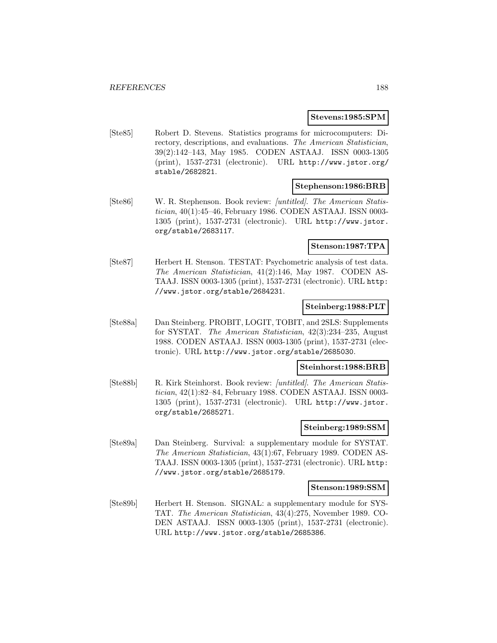#### **Stevens:1985:SPM**

[Ste85] Robert D. Stevens. Statistics programs for microcomputers: Directory, descriptions, and evaluations. The American Statistician, 39(2):142–143, May 1985. CODEN ASTAAJ. ISSN 0003-1305 (print), 1537-2731 (electronic). URL http://www.jstor.org/ stable/2682821.

### **Stephenson:1986:BRB**

[Ste86] W. R. Stephenson. Book review: [untitled]. The American Statistician, 40(1):45–46, February 1986. CODEN ASTAAJ. ISSN 0003- 1305 (print), 1537-2731 (electronic). URL http://www.jstor. org/stable/2683117.

### **Stenson:1987:TPA**

[Ste87] Herbert H. Stenson. TESTAT: Psychometric analysis of test data. The American Statistician, 41(2):146, May 1987. CODEN AS-TAAJ. ISSN 0003-1305 (print), 1537-2731 (electronic). URL http: //www.jstor.org/stable/2684231.

### **Steinberg:1988:PLT**

[Ste88a] Dan Steinberg. PROBIT, LOGIT, TOBIT, and 2SLS: Supplements for SYSTAT. The American Statistician, 42(3):234–235, August 1988. CODEN ASTAAJ. ISSN 0003-1305 (print), 1537-2731 (electronic). URL http://www.jstor.org/stable/2685030.

#### **Steinhorst:1988:BRB**

[Ste88b] R. Kirk Steinhorst. Book review: [untitled]. The American Statistician, 42(1):82–84, February 1988. CODEN ASTAAJ. ISSN 0003- 1305 (print), 1537-2731 (electronic). URL http://www.jstor. org/stable/2685271.

# **Steinberg:1989:SSM**

[Ste89a] Dan Steinberg. Survival: a supplementary module for SYSTAT. The American Statistician, 43(1):67, February 1989. CODEN AS-TAAJ. ISSN 0003-1305 (print), 1537-2731 (electronic). URL http: //www.jstor.org/stable/2685179.

#### **Stenson:1989:SSM**

[Ste89b] Herbert H. Stenson. SIGNAL: a supplementary module for SYS-TAT. The American Statistician, 43(4):275, November 1989. CO-DEN ASTAAJ. ISSN 0003-1305 (print), 1537-2731 (electronic). URL http://www.jstor.org/stable/2685386.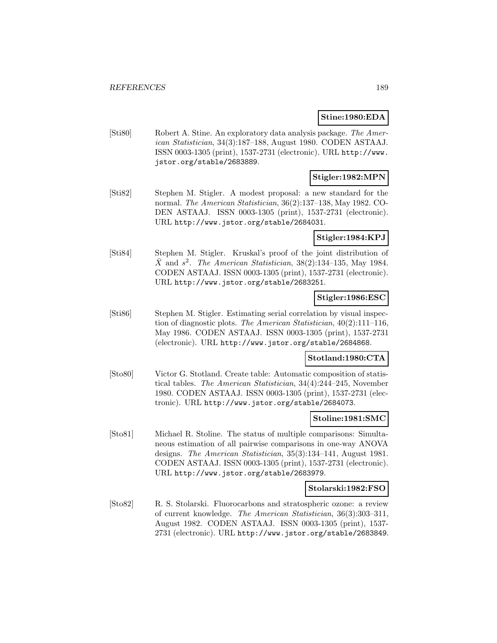### **Stine:1980:EDA**

[Sti80] Robert A. Stine. An exploratory data analysis package. The American Statistician, 34(3):187–188, August 1980. CODEN ASTAAJ. ISSN 0003-1305 (print), 1537-2731 (electronic). URL http://www. jstor.org/stable/2683889.

### **Stigler:1982:MPN**

[Sti82] Stephen M. Stigler. A modest proposal: a new standard for the normal. The American Statistician, 36(2):137–138, May 1982. CO-DEN ASTAAJ. ISSN 0003-1305 (print), 1537-2731 (electronic). URL http://www.jstor.org/stable/2684031.

### **Stigler:1984:KPJ**

[Sti84] Stephen M. Stigler. Kruskal's proof of the joint distribution of  $\overline{X}$  and  $s^2$ . The American Statistician, 38(2):134–135, May 1984. CODEN ASTAAJ. ISSN 0003-1305 (print), 1537-2731 (electronic). URL http://www.jstor.org/stable/2683251.

### **Stigler:1986:ESC**

[Sti86] Stephen M. Stigler. Estimating serial correlation by visual inspection of diagnostic plots. The American Statistician, 40(2):111–116, May 1986. CODEN ASTAAJ. ISSN 0003-1305 (print), 1537-2731 (electronic). URL http://www.jstor.org/stable/2684868.

### **Stotland:1980:CTA**

[Sto80] Victor G. Stotland. Create table: Automatic composition of statistical tables. The American Statistician, 34(4):244–245, November 1980. CODEN ASTAAJ. ISSN 0003-1305 (print), 1537-2731 (electronic). URL http://www.jstor.org/stable/2684073.

### **Stoline:1981:SMC**

[Sto81] Michael R. Stoline. The status of multiple comparisons: Simultaneous estimation of all pairwise comparisons in one-way ANOVA designs. The American Statistician, 35(3):134–141, August 1981. CODEN ASTAAJ. ISSN 0003-1305 (print), 1537-2731 (electronic). URL http://www.jstor.org/stable/2683979.

#### **Stolarski:1982:FSO**

[Sto82] R. S. Stolarski. Fluorocarbons and stratospheric ozone: a review of current knowledge. The American Statistician, 36(3):303–311, August 1982. CODEN ASTAAJ. ISSN 0003-1305 (print), 1537- 2731 (electronic). URL http://www.jstor.org/stable/2683849.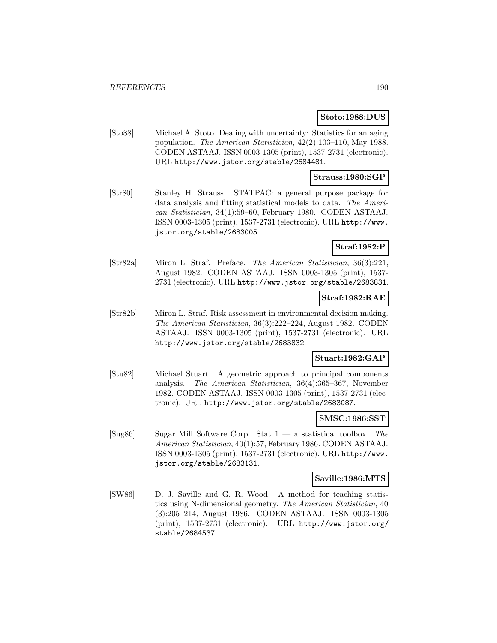### **Stoto:1988:DUS**

[Sto88] Michael A. Stoto. Dealing with uncertainty: Statistics for an aging population. The American Statistician, 42(2):103–110, May 1988. CODEN ASTAAJ. ISSN 0003-1305 (print), 1537-2731 (electronic). URL http://www.jstor.org/stable/2684481.

### **Strauss:1980:SGP**

[Str80] Stanley H. Strauss. STATPAC: a general purpose package for data analysis and fitting statistical models to data. The American Statistician, 34(1):59–60, February 1980. CODEN ASTAAJ. ISSN 0003-1305 (print), 1537-2731 (electronic). URL http://www. jstor.org/stable/2683005.

# **Straf:1982:P**

[Str82a] Miron L. Straf. Preface. The American Statistician, 36(3):221, August 1982. CODEN ASTAAJ. ISSN 0003-1305 (print), 1537- 2731 (electronic). URL http://www.jstor.org/stable/2683831.

# **Straf:1982:RAE**

[Str82b] Miron L. Straf. Risk assessment in environmental decision making. The American Statistician, 36(3):222–224, August 1982. CODEN ASTAAJ. ISSN 0003-1305 (print), 1537-2731 (electronic). URL http://www.jstor.org/stable/2683832.

### **Stuart:1982:GAP**

[Stu82] Michael Stuart. A geometric approach to principal components analysis. The American Statistician, 36(4):365–367, November 1982. CODEN ASTAAJ. ISSN 0003-1305 (print), 1537-2731 (electronic). URL http://www.jstor.org/stable/2683087.

### **SMSC:1986:SST**

[Sug86] Sugar Mill Software Corp. Stat  $1 - a$  statistical toolbox. The American Statistician, 40(1):57, February 1986. CODEN ASTAAJ. ISSN 0003-1305 (print), 1537-2731 (electronic). URL http://www. jstor.org/stable/2683131.

### **Saville:1986:MTS**

[SW86] D. J. Saville and G. R. Wood. A method for teaching statistics using N-dimensional geometry. The American Statistician, 40 (3):205–214, August 1986. CODEN ASTAAJ. ISSN 0003-1305 (print), 1537-2731 (electronic). URL http://www.jstor.org/ stable/2684537.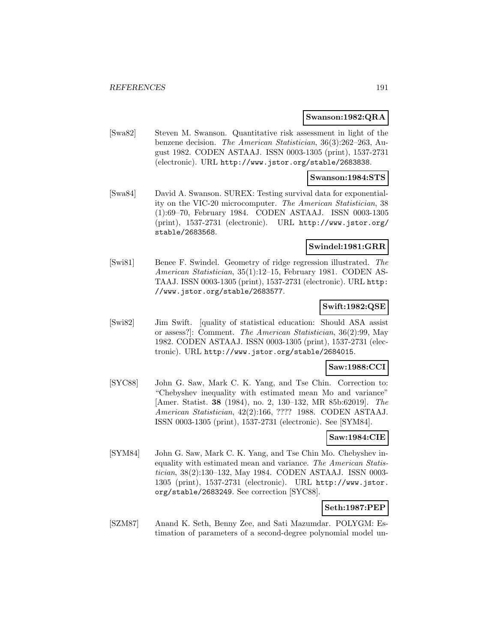#### **Swanson:1982:QRA**

[Swa82] Steven M. Swanson. Quantitative risk assessment in light of the benzene decision. The American Statistician, 36(3):262–263, August 1982. CODEN ASTAAJ. ISSN 0003-1305 (print), 1537-2731 (electronic). URL http://www.jstor.org/stable/2683838.

#### **Swanson:1984:STS**

[Swa84] David A. Swanson. SUREX: Testing survival data for exponentiality on the VIC-20 microcomputer. The American Statistician, 38 (1):69–70, February 1984. CODEN ASTAAJ. ISSN 0003-1305 (print), 1537-2731 (electronic). URL http://www.jstor.org/ stable/2683568.

### **Swindel:1981:GRR**

[Swi81] Benee F. Swindel. Geometry of ridge regression illustrated. The American Statistician, 35(1):12–15, February 1981. CODEN AS-TAAJ. ISSN 0003-1305 (print), 1537-2731 (electronic). URL http: //www.jstor.org/stable/2683577.

### **Swift:1982:QSE**

[Swi82] Jim Swift. [quality of statistical education: Should ASA assist or assess?]: Comment. The American Statistician, 36(2):99, May 1982. CODEN ASTAAJ. ISSN 0003-1305 (print), 1537-2731 (electronic). URL http://www.jstor.org/stable/2684015.

#### **Saw:1988:CCI**

[SYC88] John G. Saw, Mark C. K. Yang, and Tse Chin. Correction to: "Chebyshev inequality with estimated mean Mo and variance" [Amer. Statist. **38** (1984), no. 2, 130–132, MR 85b:62019]. The American Statistician, 42(2):166, ???? 1988. CODEN ASTAAJ. ISSN 0003-1305 (print), 1537-2731 (electronic). See [SYM84].

# **Saw:1984:CIE**

[SYM84] John G. Saw, Mark C. K. Yang, and Tse Chin Mo. Chebyshev inequality with estimated mean and variance. The American Statistician, 38(2):130–132, May 1984. CODEN ASTAAJ. ISSN 0003- 1305 (print), 1537-2731 (electronic). URL http://www.jstor. org/stable/2683249. See correction [SYC88].

# **Seth:1987:PEP**

[SZM87] Anand K. Seth, Benny Zee, and Sati Mazumdar. POLYGM: Estimation of parameters of a second-degree polynomial model un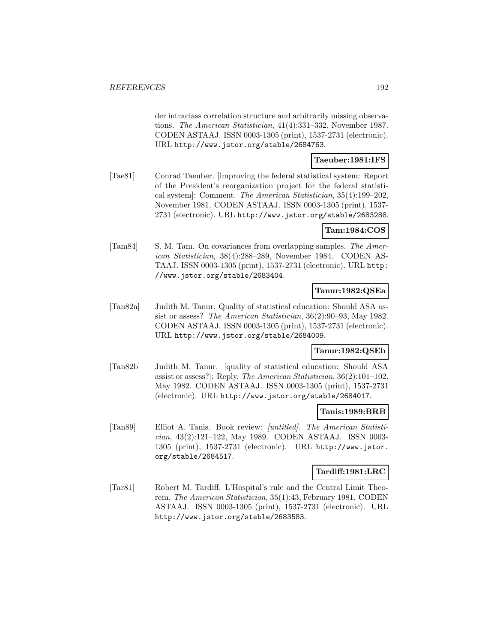der intraclass correlation structure and arbitrarily missing observations. The American Statistician, 41(4):331–332, November 1987. CODEN ASTAAJ. ISSN 0003-1305 (print), 1537-2731 (electronic). URL http://www.jstor.org/stable/2684763.

## **Taeuber:1981:IFS**

[Tae81] Conrad Taeuber. [improving the federal statistical system: Report of the President's reorganization project for the federal statistical system]: Comment. The American Statistician, 35(4):199–202, November 1981. CODEN ASTAAJ. ISSN 0003-1305 (print), 1537- 2731 (electronic). URL http://www.jstor.org/stable/2683288.

### **Tam:1984:COS**

[Tam84] S. M. Tam. On covariances from overlapping samples. The American Statistician, 38(4):288–289, November 1984. CODEN AS-TAAJ. ISSN 0003-1305 (print), 1537-2731 (electronic). URL http: //www.jstor.org/stable/2683404.

## **Tanur:1982:QSEa**

[Tan82a] Judith M. Tanur. Quality of statistical education: Should ASA assist or assess? The American Statistician, 36(2):90–93, May 1982. CODEN ASTAAJ. ISSN 0003-1305 (print), 1537-2731 (electronic). URL http://www.jstor.org/stable/2684009.

## **Tanur:1982:QSEb**

[Tan82b] Judith M. Tanur. [quality of statistical education: Should ASA assist or assess?]: Reply. The American Statistician, 36(2):101–102, May 1982. CODEN ASTAAJ. ISSN 0003-1305 (print), 1537-2731 (electronic). URL http://www.jstor.org/stable/2684017.

## **Tanis:1989:BRB**

[Tan89] Elliot A. Tanis. Book review: [untitled]. The American Statistician, 43(2):121–122, May 1989. CODEN ASTAAJ. ISSN 0003- 1305 (print), 1537-2731 (electronic). URL http://www.jstor. org/stable/2684517.

### **Tardiff:1981:LRC**

[Tar81] Robert M. Tardiff. L'Hospital's rule and the Central Limit Theorem. The American Statistician, 35(1):43, February 1981. CODEN ASTAAJ. ISSN 0003-1305 (print), 1537-2731 (electronic). URL http://www.jstor.org/stable/2683583.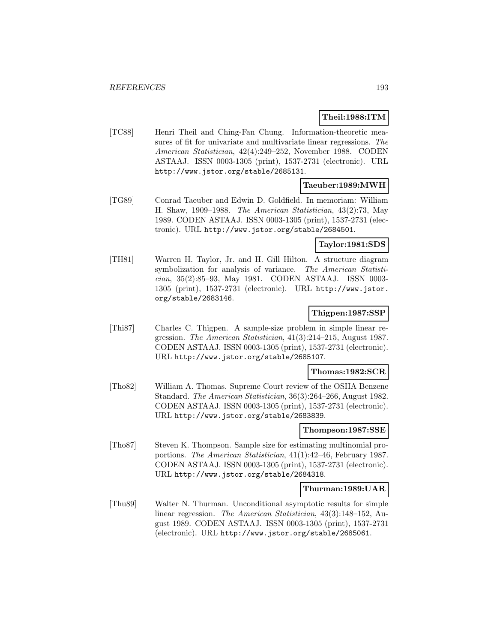### **Theil:1988:ITM**

[TC88] Henri Theil and Ching-Fan Chung. Information-theoretic measures of fit for univariate and multivariate linear regressions. The American Statistician, 42(4):249–252, November 1988. CODEN ASTAAJ. ISSN 0003-1305 (print), 1537-2731 (electronic). URL http://www.jstor.org/stable/2685131.

### **Taeuber:1989:MWH**

[TG89] Conrad Taeuber and Edwin D. Goldfield. In memoriam: William H. Shaw, 1909–1988. The American Statistician, 43(2):73, May 1989. CODEN ASTAAJ. ISSN 0003-1305 (print), 1537-2731 (electronic). URL http://www.jstor.org/stable/2684501.

# **Taylor:1981:SDS**

[TH81] Warren H. Taylor, Jr. and H. Gill Hilton. A structure diagram symbolization for analysis of variance. The American Statistician, 35(2):85–93, May 1981. CODEN ASTAAJ. ISSN 0003- 1305 (print), 1537-2731 (electronic). URL http://www.jstor. org/stable/2683146.

### **Thigpen:1987:SSP**

[Thi87] Charles C. Thigpen. A sample-size problem in simple linear regression. The American Statistician, 41(3):214–215, August 1987. CODEN ASTAAJ. ISSN 0003-1305 (print), 1537-2731 (electronic). URL http://www.jstor.org/stable/2685107.

#### **Thomas:1982:SCR**

[Tho82] William A. Thomas. Supreme Court review of the OSHA Benzene Standard. The American Statistician, 36(3):264–266, August 1982. CODEN ASTAAJ. ISSN 0003-1305 (print), 1537-2731 (electronic). URL http://www.jstor.org/stable/2683839.

#### **Thompson:1987:SSE**

[Tho87] Steven K. Thompson. Sample size for estimating multinomial proportions. The American Statistician, 41(1):42–46, February 1987. CODEN ASTAAJ. ISSN 0003-1305 (print), 1537-2731 (electronic). URL http://www.jstor.org/stable/2684318.

#### **Thurman:1989:UAR**

[Thu89] Walter N. Thurman. Unconditional asymptotic results for simple linear regression. The American Statistician, 43(3):148–152, August 1989. CODEN ASTAAJ. ISSN 0003-1305 (print), 1537-2731 (electronic). URL http://www.jstor.org/stable/2685061.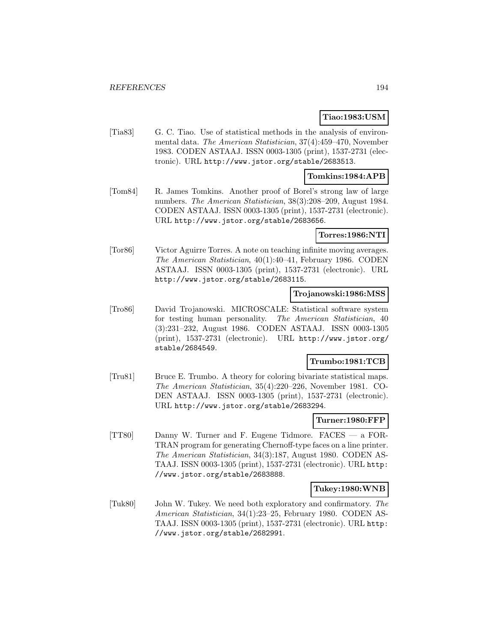### **Tiao:1983:USM**

[Tia83] G. C. Tiao. Use of statistical methods in the analysis of environmental data. The American Statistician, 37(4):459–470, November 1983. CODEN ASTAAJ. ISSN 0003-1305 (print), 1537-2731 (electronic). URL http://www.jstor.org/stable/2683513.

## **Tomkins:1984:APB**

[Tom84] R. James Tomkins. Another proof of Borel's strong law of large numbers. The American Statistician, 38(3):208–209, August 1984. CODEN ASTAAJ. ISSN 0003-1305 (print), 1537-2731 (electronic). URL http://www.jstor.org/stable/2683656.

#### **Torres:1986:NTI**

[Tor86] Victor Aguirre Torres. A note on teaching infinite moving averages. The American Statistician, 40(1):40–41, February 1986. CODEN ASTAAJ. ISSN 0003-1305 (print), 1537-2731 (electronic). URL http://www.jstor.org/stable/2683115.

### **Trojanowski:1986:MSS**

[Tro86] David Trojanowski. MICROSCALE: Statistical software system for testing human personality. The American Statistician, 40 (3):231–232, August 1986. CODEN ASTAAJ. ISSN 0003-1305 (print), 1537-2731 (electronic). URL http://www.jstor.org/ stable/2684549.

# **Trumbo:1981:TCB**

[Tru81] Bruce E. Trumbo. A theory for coloring bivariate statistical maps. The American Statistician, 35(4):220–226, November 1981. CO-DEN ASTAAJ. ISSN 0003-1305 (print), 1537-2731 (electronic). URL http://www.jstor.org/stable/2683294.

### **Turner:1980:FFP**

[TT80] Danny W. Turner and F. Eugene Tidmore. FACES — a FOR-TRAN program for generating Chernoff-type faces on a line printer. The American Statistician, 34(3):187, August 1980. CODEN AS-TAAJ. ISSN 0003-1305 (print), 1537-2731 (electronic). URL http: //www.jstor.org/stable/2683888.

### **Tukey:1980:WNB**

[Tuk80] John W. Tukey. We need both exploratory and confirmatory. The American Statistician, 34(1):23–25, February 1980. CODEN AS-TAAJ. ISSN 0003-1305 (print), 1537-2731 (electronic). URL http: //www.jstor.org/stable/2682991.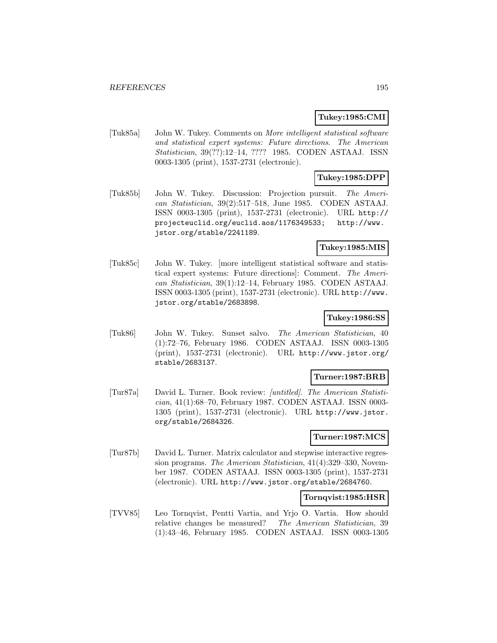### **Tukey:1985:CMI**

[Tuk85a] John W. Tukey. Comments on More intelligent statistical software and statistical expert systems: Future directions. The American Statistician, 39(??):12–14, ???? 1985. CODEN ASTAAJ. ISSN 0003-1305 (print), 1537-2731 (electronic).

# **Tukey:1985:DPP**

[Tuk85b] John W. Tukey. Discussion: Projection pursuit. The American Statistician, 39(2):517–518, June 1985. CODEN ASTAAJ. ISSN 0003-1305 (print), 1537-2731 (electronic). URL http:// projecteuclid.org/euclid.aos/1176349533; http://www. jstor.org/stable/2241189.

## **Tukey:1985:MIS**

[Tuk85c] John W. Tukey. [more intelligent statistical software and statistical expert systems: Future directions]: Comment. The American Statistician, 39(1):12–14, February 1985. CODEN ASTAAJ. ISSN 0003-1305 (print), 1537-2731 (electronic). URL http://www. jstor.org/stable/2683898.

# **Tukey:1986:SS**

[Tuk86] John W. Tukey. Sunset salvo. The American Statistician, 40 (1):72–76, February 1986. CODEN ASTAAJ. ISSN 0003-1305 (print), 1537-2731 (electronic). URL http://www.jstor.org/ stable/2683137.

### **Turner:1987:BRB**

[Tur87a] David L. Turner. Book review: [untitled]. The American Statistician, 41(1):68–70, February 1987. CODEN ASTAAJ. ISSN 0003- 1305 (print), 1537-2731 (electronic). URL http://www.jstor. org/stable/2684326.

### **Turner:1987:MCS**

[Tur87b] David L. Turner. Matrix calculator and stepwise interactive regression programs. The American Statistician, 41(4):329–330, November 1987. CODEN ASTAAJ. ISSN 0003-1305 (print), 1537-2731 (electronic). URL http://www.jstor.org/stable/2684760.

## **Tornqvist:1985:HSR**

[TVV85] Leo Tornqvist, Pentti Vartia, and Yrjo O. Vartia. How should relative changes be measured? The American Statistician, 39 (1):43–46, February 1985. CODEN ASTAAJ. ISSN 0003-1305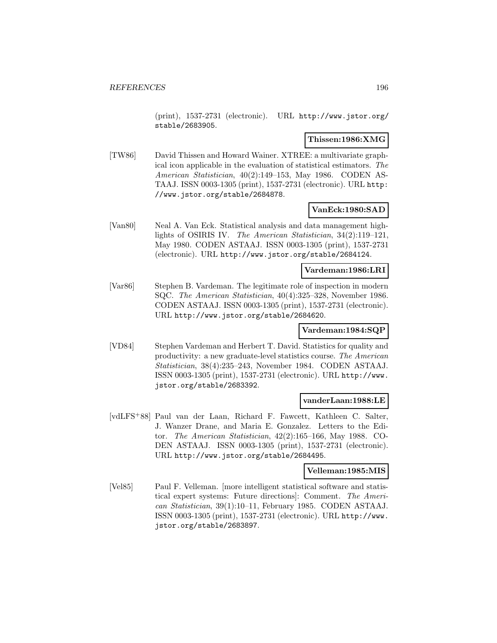(print), 1537-2731 (electronic). URL http://www.jstor.org/ stable/2683905.

# **Thissen:1986:XMG**

[TW86] David Thissen and Howard Wainer. XTREE: a multivariate graphical icon applicable in the evaluation of statistical estimators. The American Statistician, 40(2):149–153, May 1986. CODEN AS-TAAJ. ISSN 0003-1305 (print), 1537-2731 (electronic). URL http: //www.jstor.org/stable/2684878.

### **VanEck:1980:SAD**

[Van80] Neal A. Van Eck. Statistical analysis and data management highlights of OSIRIS IV. The American Statistician, 34(2):119–121, May 1980. CODEN ASTAAJ. ISSN 0003-1305 (print), 1537-2731 (electronic). URL http://www.jstor.org/stable/2684124.

### **Vardeman:1986:LRI**

[Var86] Stephen B. Vardeman. The legitimate role of inspection in modern SQC. The American Statistician, 40(4):325–328, November 1986. CODEN ASTAAJ. ISSN 0003-1305 (print), 1537-2731 (electronic). URL http://www.jstor.org/stable/2684620.

### **Vardeman:1984:SQP**

[VD84] Stephen Vardeman and Herbert T. David. Statistics for quality and productivity: a new graduate-level statistics course. The American Statistician, 38(4):235–243, November 1984. CODEN ASTAAJ. ISSN 0003-1305 (print), 1537-2731 (electronic). URL http://www. jstor.org/stable/2683392.

#### **vanderLaan:1988:LE**

[vdLFS<sup>+</sup>88] Paul van der Laan, Richard F. Fawcett, Kathleen C. Salter, J. Wanzer Drane, and Maria E. Gonzalez. Letters to the Editor. The American Statistician, 42(2):165–166, May 1988. CO-DEN ASTAAJ. ISSN 0003-1305 (print), 1537-2731 (electronic). URL http://www.jstor.org/stable/2684495.

#### **Velleman:1985:MIS**

[Vel85] Paul F. Velleman. [more intelligent statistical software and statistical expert systems: Future directions]: Comment. The American Statistician, 39(1):10–11, February 1985. CODEN ASTAAJ. ISSN 0003-1305 (print), 1537-2731 (electronic). URL http://www. jstor.org/stable/2683897.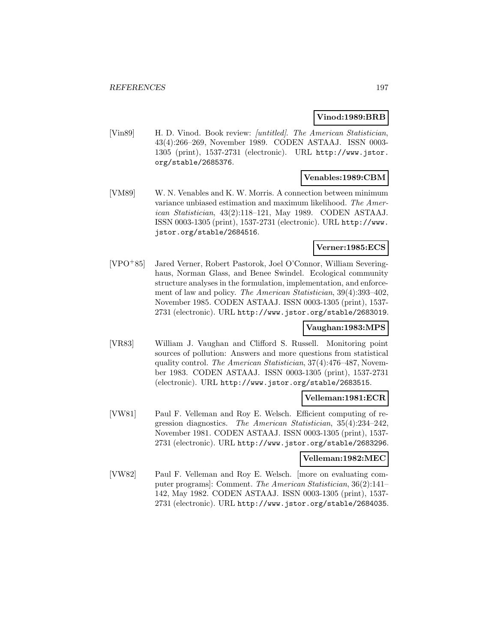### **Vinod:1989:BRB**

[Vin89] H. D. Vinod. Book review: [untitled]. The American Statistician, 43(4):266–269, November 1989. CODEN ASTAAJ. ISSN 0003- 1305 (print), 1537-2731 (electronic). URL http://www.jstor. org/stable/2685376.

## **Venables:1989:CBM**

[VM89] W. N. Venables and K. W. Morris. A connection between minimum variance unbiased estimation and maximum likelihood. The American Statistician, 43(2):118–121, May 1989. CODEN ASTAAJ. ISSN 0003-1305 (print), 1537-2731 (electronic). URL http://www. jstor.org/stable/2684516.

### **Verner:1985:ECS**

[VPO<sup>+</sup>85] Jared Verner, Robert Pastorok, Joel O'Connor, William Severinghaus, Norman Glass, and Benee Swindel. Ecological community structure analyses in the formulation, implementation, and enforcement of law and policy. The American Statistician, 39(4):393–402, November 1985. CODEN ASTAAJ. ISSN 0003-1305 (print), 1537- 2731 (electronic). URL http://www.jstor.org/stable/2683019.

### **Vaughan:1983:MPS**

[VR83] William J. Vaughan and Clifford S. Russell. Monitoring point sources of pollution: Answers and more questions from statistical quality control. The American Statistician, 37(4):476–487, November 1983. CODEN ASTAAJ. ISSN 0003-1305 (print), 1537-2731 (electronic). URL http://www.jstor.org/stable/2683515.

### **Velleman:1981:ECR**

[VW81] Paul F. Velleman and Roy E. Welsch. Efficient computing of regression diagnostics. The American Statistician, 35(4):234–242, November 1981. CODEN ASTAAJ. ISSN 0003-1305 (print), 1537- 2731 (electronic). URL http://www.jstor.org/stable/2683296.

### **Velleman:1982:MEC**

[VW82] Paul F. Velleman and Roy E. Welsch. [more on evaluating computer programs]: Comment. The American Statistician, 36(2):141– 142, May 1982. CODEN ASTAAJ. ISSN 0003-1305 (print), 1537- 2731 (electronic). URL http://www.jstor.org/stable/2684035.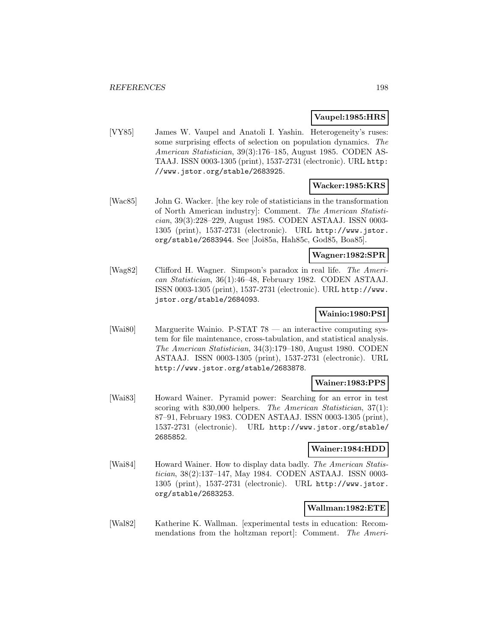### **Vaupel:1985:HRS**

[VY85] James W. Vaupel and Anatoli I. Yashin. Heterogeneity's ruses: some surprising effects of selection on population dynamics. The American Statistician, 39(3):176–185, August 1985. CODEN AS-TAAJ. ISSN 0003-1305 (print), 1537-2731 (electronic). URL http: //www.jstor.org/stable/2683925.

### **Wacker:1985:KRS**

[Wac85] John G. Wacker. [the key role of statisticians in the transformation of North American industry]: Comment. The American Statistician, 39(3):228–229, August 1985. CODEN ASTAAJ. ISSN 0003- 1305 (print), 1537-2731 (electronic). URL http://www.jstor. org/stable/2683944. See [Joi85a, Hah85c, God85, Boa85].

### **Wagner:1982:SPR**

[Wag82] Clifford H. Wagner. Simpson's paradox in real life. The American Statistician, 36(1):46–48, February 1982. CODEN ASTAAJ. ISSN 0003-1305 (print), 1537-2731 (electronic). URL http://www. jstor.org/stable/2684093.

## **Wainio:1980:PSI**

[Wai80] Marguerite Wainio. P-STAT 78 — an interactive computing system for file maintenance, cross-tabulation, and statistical analysis. The American Statistician, 34(3):179–180, August 1980. CODEN ASTAAJ. ISSN 0003-1305 (print), 1537-2731 (electronic). URL http://www.jstor.org/stable/2683878.

## **Wainer:1983:PPS**

[Wai83] Howard Wainer. Pyramid power: Searching for an error in test scoring with 830,000 helpers. The American Statistician, 37(1): 87–91, February 1983. CODEN ASTAAJ. ISSN 0003-1305 (print), 1537-2731 (electronic). URL http://www.jstor.org/stable/ 2685852.

### **Wainer:1984:HDD**

[Wai84] Howard Wainer. How to display data badly. The American Statistician, 38(2):137–147, May 1984. CODEN ASTAAJ. ISSN 0003- 1305 (print), 1537-2731 (electronic). URL http://www.jstor. org/stable/2683253.

# **Wallman:1982:ETE**

[Wal82] Katherine K. Wallman. [experimental tests in education: Recommendations from the holtzman report]: Comment. The Ameri-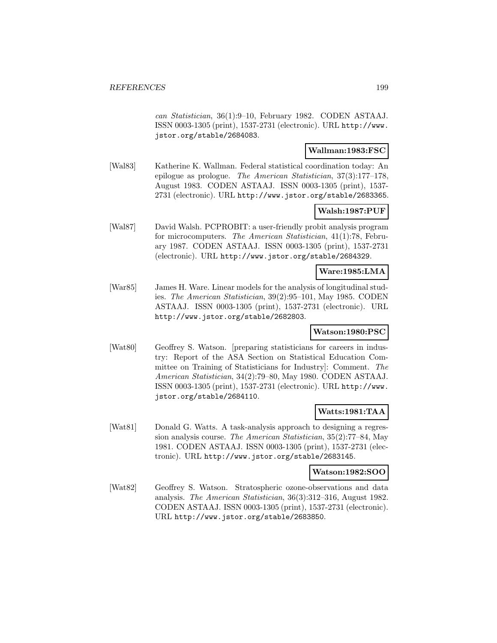can Statistician, 36(1):9–10, February 1982. CODEN ASTAAJ. ISSN 0003-1305 (print), 1537-2731 (electronic). URL http://www. jstor.org/stable/2684083.

### **Wallman:1983:FSC**

[Wal83] Katherine K. Wallman. Federal statistical coordination today: An epilogue as prologue. The American Statistician, 37(3):177–178, August 1983. CODEN ASTAAJ. ISSN 0003-1305 (print), 1537- 2731 (electronic). URL http://www.jstor.org/stable/2683365.

## **Walsh:1987:PUF**

[Wal87] David Walsh. PCPROBIT: a user-friendly probit analysis program for microcomputers. The American Statistician, 41(1):78, February 1987. CODEN ASTAAJ. ISSN 0003-1305 (print), 1537-2731 (electronic). URL http://www.jstor.org/stable/2684329.

#### **Ware:1985:LMA**

[War85] James H. Ware. Linear models for the analysis of longitudinal studies. The American Statistician, 39(2):95–101, May 1985. CODEN ASTAAJ. ISSN 0003-1305 (print), 1537-2731 (electronic). URL http://www.jstor.org/stable/2682803.

### **Watson:1980:PSC**

[Wat80] Geoffrey S. Watson. [preparing statisticians for careers in industry: Report of the ASA Section on Statistical Education Committee on Training of Statisticians for Industry]: Comment. The American Statistician, 34(2):79–80, May 1980. CODEN ASTAAJ. ISSN 0003-1305 (print), 1537-2731 (electronic). URL http://www. jstor.org/stable/2684110.

## **Watts:1981:TAA**

[Wat81] Donald G. Watts. A task-analysis approach to designing a regression analysis course. The American Statistician, 35(2):77–84, May 1981. CODEN ASTAAJ. ISSN 0003-1305 (print), 1537-2731 (electronic). URL http://www.jstor.org/stable/2683145.

#### **Watson:1982:SOO**

[Wat82] Geoffrey S. Watson. Stratospheric ozone-observations and data analysis. The American Statistician, 36(3):312–316, August 1982. CODEN ASTAAJ. ISSN 0003-1305 (print), 1537-2731 (electronic). URL http://www.jstor.org/stable/2683850.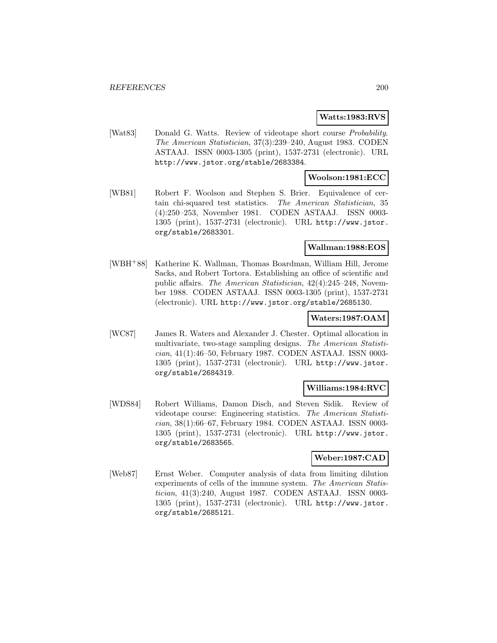### **Watts:1983:RVS**

[Wat83] Donald G. Watts. Review of videotape short course *Probability*. The American Statistician, 37(3):239–240, August 1983. CODEN ASTAAJ. ISSN 0003-1305 (print), 1537-2731 (electronic). URL http://www.jstor.org/stable/2683384.

### **Woolson:1981:ECC**

[WB81] Robert F. Woolson and Stephen S. Brier. Equivalence of certain chi-squared test statistics. The American Statistician, 35 (4):250–253, November 1981. CODEN ASTAAJ. ISSN 0003- 1305 (print), 1537-2731 (electronic). URL http://www.jstor. org/stable/2683301.

### **Wallman:1988:EOS**

[WBH<sup>+</sup>88] Katherine K. Wallman, Thomas Boardman, William Hill, Jerome Sacks, and Robert Tortora. Establishing an office of scientific and public affairs. The American Statistician, 42(4):245–248, November 1988. CODEN ASTAAJ. ISSN 0003-1305 (print), 1537-2731 (electronic). URL http://www.jstor.org/stable/2685130.

### **Waters:1987:OAM**

[WC87] James R. Waters and Alexander J. Chester. Optimal allocation in multivariate, two-stage sampling designs. The American Statistician, 41(1):46–50, February 1987. CODEN ASTAAJ. ISSN 0003- 1305 (print), 1537-2731 (electronic). URL http://www.jstor. org/stable/2684319.

# **Williams:1984:RVC**

[WDS84] Robert Williams, Damon Disch, and Steven Sidik. Review of videotape course: Engineering statistics. The American Statistician, 38(1):66–67, February 1984. CODEN ASTAAJ. ISSN 0003- 1305 (print), 1537-2731 (electronic). URL http://www.jstor. org/stable/2683565.

### **Weber:1987:CAD**

[Web87] Ernst Weber. Computer analysis of data from limiting dilution experiments of cells of the immune system. The American Statistician, 41(3):240, August 1987. CODEN ASTAAJ. ISSN 0003- 1305 (print), 1537-2731 (electronic). URL http://www.jstor. org/stable/2685121.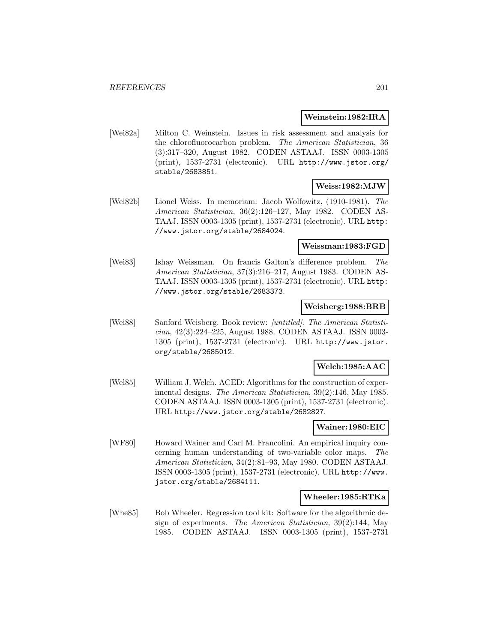### **Weinstein:1982:IRA**

[Wei82a] Milton C. Weinstein. Issues in risk assessment and analysis for the chlorofluorocarbon problem. The American Statistician, 36 (3):317–320, August 1982. CODEN ASTAAJ. ISSN 0003-1305 (print), 1537-2731 (electronic). URL http://www.jstor.org/ stable/2683851.

# **Weiss:1982:MJW**

[Wei82b] Lionel Weiss. In memoriam: Jacob Wolfowitz, (1910-1981). The American Statistician, 36(2):126–127, May 1982. CODEN AS-TAAJ. ISSN 0003-1305 (print), 1537-2731 (electronic). URL http: //www.jstor.org/stable/2684024.

### **Weissman:1983:FGD**

[Wei83] Ishay Weissman. On francis Galton's difference problem. The American Statistician, 37(3):216–217, August 1983. CODEN AS-TAAJ. ISSN 0003-1305 (print), 1537-2731 (electronic). URL http: //www.jstor.org/stable/2683373.

### **Weisberg:1988:BRB**

[Wei88] Sanford Weisberg. Book review: [untitled]. The American Statistician, 42(3):224–225, August 1988. CODEN ASTAAJ. ISSN 0003- 1305 (print), 1537-2731 (electronic). URL http://www.jstor. org/stable/2685012.

### **Welch:1985:AAC**

[Wel85] William J. Welch. ACED: Algorithms for the construction of experimental designs. The American Statistician, 39(2):146, May 1985. CODEN ASTAAJ. ISSN 0003-1305 (print), 1537-2731 (electronic). URL http://www.jstor.org/stable/2682827.

# **Wainer:1980:EIC**

[WF80] Howard Wainer and Carl M. Francolini. An empirical inquiry concerning human understanding of two-variable color maps. The American Statistician, 34(2):81–93, May 1980. CODEN ASTAAJ. ISSN 0003-1305 (print), 1537-2731 (electronic). URL http://www. jstor.org/stable/2684111.

### **Wheeler:1985:RTKa**

[Whe85] Bob Wheeler. Regression tool kit: Software for the algorithmic design of experiments. The American Statistician, 39(2):144, May 1985. CODEN ASTAAJ. ISSN 0003-1305 (print), 1537-2731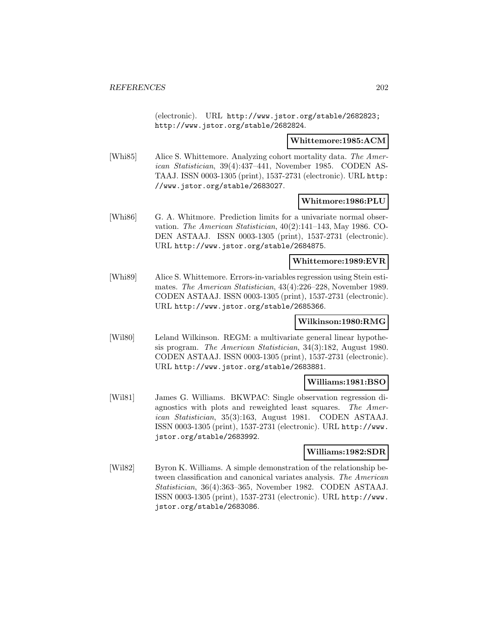(electronic). URL http://www.jstor.org/stable/2682823; http://www.jstor.org/stable/2682824.

**Whittemore:1985:ACM**

[Whi85] Alice S. Whittemore. Analyzing cohort mortality data. The American Statistician, 39(4):437–441, November 1985. CODEN AS-TAAJ. ISSN 0003-1305 (print), 1537-2731 (electronic). URL http: //www.jstor.org/stable/2683027.

## **Whitmore:1986:PLU**

[Whi86] G. A. Whitmore. Prediction limits for a univariate normal observation. The American Statistician, 40(2):141–143, May 1986. CO-DEN ASTAAJ. ISSN 0003-1305 (print), 1537-2731 (electronic). URL http://www.jstor.org/stable/2684875.

# **Whittemore:1989:EVR**

[Whi89] Alice S. Whittemore. Errors-in-variables regression using Stein estimates. The American Statistician, 43(4):226–228, November 1989. CODEN ASTAAJ. ISSN 0003-1305 (print), 1537-2731 (electronic). URL http://www.jstor.org/stable/2685366.

## **Wilkinson:1980:RMG**

[Wil80] Leland Wilkinson. REGM: a multivariate general linear hypothesis program. The American Statistician, 34(3):182, August 1980. CODEN ASTAAJ. ISSN 0003-1305 (print), 1537-2731 (electronic). URL http://www.jstor.org/stable/2683881.

### **Williams:1981:BSO**

[Wil81] James G. Williams. BKWPAC: Single observation regression diagnostics with plots and reweighted least squares. The American Statistician, 35(3):163, August 1981. CODEN ASTAAJ. ISSN 0003-1305 (print), 1537-2731 (electronic). URL http://www. jstor.org/stable/2683992.

### **Williams:1982:SDR**

[Wil82] Byron K. Williams. A simple demonstration of the relationship between classification and canonical variates analysis. The American Statistician, 36(4):363–365, November 1982. CODEN ASTAAJ. ISSN 0003-1305 (print), 1537-2731 (electronic). URL http://www. jstor.org/stable/2683086.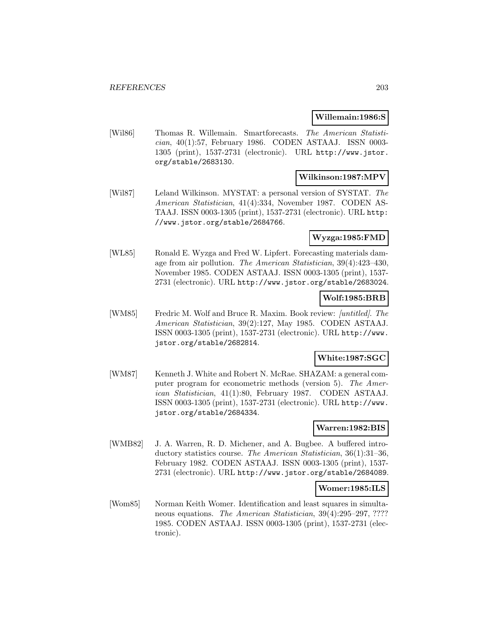### **Willemain:1986:S**

[Wil86] Thomas R. Willemain. Smartforecasts. The American Statistician, 40(1):57, February 1986. CODEN ASTAAJ. ISSN 0003- 1305 (print), 1537-2731 (electronic). URL http://www.jstor. org/stable/2683130.

### **Wilkinson:1987:MPV**

[Wil87] Leland Wilkinson. MYSTAT: a personal version of SYSTAT. The American Statistician, 41(4):334, November 1987. CODEN AS-TAAJ. ISSN 0003-1305 (print), 1537-2731 (electronic). URL http: //www.jstor.org/stable/2684766.

### **Wyzga:1985:FMD**

[WL85] Ronald E. Wyzga and Fred W. Lipfert. Forecasting materials damage from air pollution. The American Statistician, 39(4):423–430, November 1985. CODEN ASTAAJ. ISSN 0003-1305 (print), 1537- 2731 (electronic). URL http://www.jstor.org/stable/2683024.

### **Wolf:1985:BRB**

[WM85] Fredric M. Wolf and Bruce R. Maxim. Book review: [untitled]. The American Statistician, 39(2):127, May 1985. CODEN ASTAAJ. ISSN 0003-1305 (print), 1537-2731 (electronic). URL http://www. jstor.org/stable/2682814.

# **White:1987:SGC**

[WM87] Kenneth J. White and Robert N. McRae. SHAZAM: a general computer program for econometric methods (version 5). The American Statistician, 41(1):80, February 1987. CODEN ASTAAJ. ISSN 0003-1305 (print), 1537-2731 (electronic). URL http://www. jstor.org/stable/2684334.

## **Warren:1982:BIS**

[WMB82] J. A. Warren, R. D. Michener, and A. Bugbee. A buffered introductory statistics course. The American Statistician, 36(1):31–36, February 1982. CODEN ASTAAJ. ISSN 0003-1305 (print), 1537- 2731 (electronic). URL http://www.jstor.org/stable/2684089.

#### **Womer:1985:ILS**

[Wom85] Norman Keith Womer. Identification and least squares in simultaneous equations. The American Statistician, 39(4):295–297, ???? 1985. CODEN ASTAAJ. ISSN 0003-1305 (print), 1537-2731 (electronic).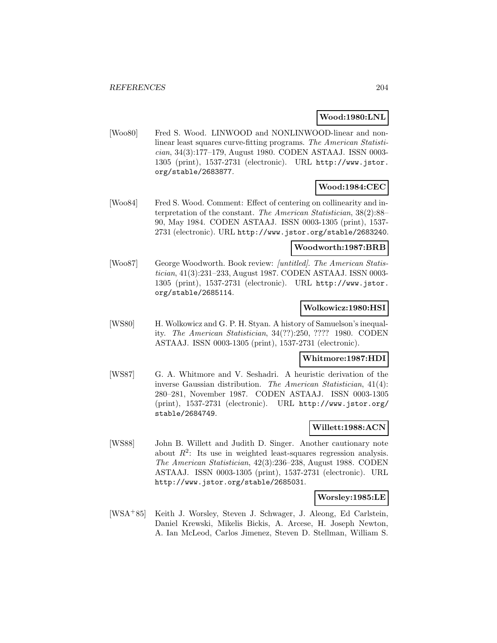## **Wood:1980:LNL**

[Woo80] Fred S. Wood. LINWOOD and NONLINWOOD-linear and nonlinear least squares curve-fitting programs. The American Statistician, 34(3):177–179, August 1980. CODEN ASTAAJ. ISSN 0003- 1305 (print), 1537-2731 (electronic). URL http://www.jstor. org/stable/2683877.

# **Wood:1984:CEC**

[Woo84] Fred S. Wood. Comment: Effect of centering on collinearity and interpretation of the constant. The American Statistician, 38(2):88– 90, May 1984. CODEN ASTAAJ. ISSN 0003-1305 (print), 1537- 2731 (electronic). URL http://www.jstor.org/stable/2683240.

### **Woodworth:1987:BRB**

[Woo87] George Woodworth. Book review: *[untitled]*. The American Statistician, 41(3):231–233, August 1987. CODEN ASTAAJ. ISSN 0003- 1305 (print), 1537-2731 (electronic). URL http://www.jstor. org/stable/2685114.

### **Wolkowicz:1980:HSI**

[WS80] H. Wolkowicz and G. P. H. Styan. A history of Samuelson's inequality. The American Statistician, 34(??):250, ???? 1980. CODEN ASTAAJ. ISSN 0003-1305 (print), 1537-2731 (electronic).

#### **Whitmore:1987:HDI**

[WS87] G. A. Whitmore and V. Seshadri. A heuristic derivation of the inverse Gaussian distribution. The American Statistician, 41(4): 280–281, November 1987. CODEN ASTAAJ. ISSN 0003-1305 (print), 1537-2731 (electronic). URL http://www.jstor.org/ stable/2684749.

### **Willett:1988:ACN**

[WS88] John B. Willett and Judith D. Singer. Another cautionary note about  $R^2$ : Its use in weighted least-squares regression analysis. The American Statistician, 42(3):236–238, August 1988. CODEN ASTAAJ. ISSN 0003-1305 (print), 1537-2731 (electronic). URL http://www.jstor.org/stable/2685031.

### **Worsley:1985:LE**

[WSA<sup>+</sup>85] Keith J. Worsley, Steven J. Schwager, J. Aleong, Ed Carlstein, Daniel Krewski, Mikelis Bickis, A. Arcese, H. Joseph Newton, A. Ian McLeod, Carlos Jimenez, Steven D. Stellman, William S.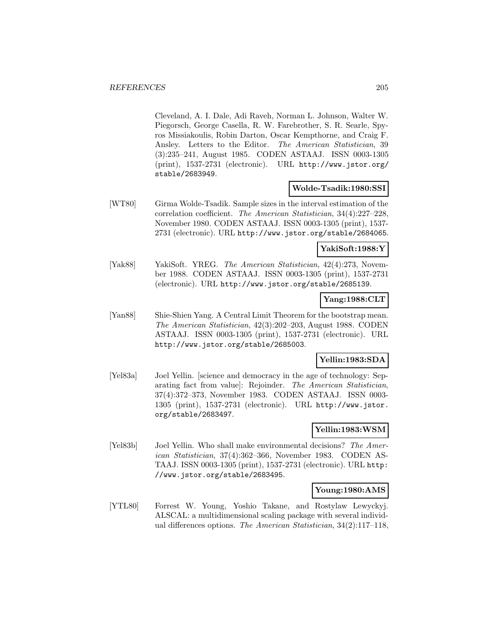Cleveland, A. I. Dale, Adi Raveh, Norman L. Johnson, Walter W. Piegorsch, George Casella, R. W. Farebrother, S. R. Searle, Spyros Missiakoulis, Robin Darton, Oscar Kempthorne, and Craig F. Ansley. Letters to the Editor. The American Statistician, 39 (3):235–241, August 1985. CODEN ASTAAJ. ISSN 0003-1305 (print), 1537-2731 (electronic). URL http://www.jstor.org/ stable/2683949.

### **Wolde-Tsadik:1980:SSI**

[WT80] Girma Wolde-Tsadik. Sample sizes in the interval estimation of the correlation coefficient. The American Statistician, 34(4):227–228, November 1980. CODEN ASTAAJ. ISSN 0003-1305 (print), 1537- 2731 (electronic). URL http://www.jstor.org/stable/2684065.

### **YakiSoft:1988:Y**

[Yak88] YakiSoft. YREG. The American Statistician, 42(4):273, November 1988. CODEN ASTAAJ. ISSN 0003-1305 (print), 1537-2731 (electronic). URL http://www.jstor.org/stable/2685139.

### **Yang:1988:CLT**

[Yan88] Shie-Shien Yang. A Central Limit Theorem for the bootstrap mean. The American Statistician, 42(3):202–203, August 1988. CODEN ASTAAJ. ISSN 0003-1305 (print), 1537-2731 (electronic). URL http://www.jstor.org/stable/2685003.

## **Yellin:1983:SDA**

[Yel83a] Joel Yellin. [science and democracy in the age of technology: Separating fact from value]: Rejoinder. The American Statistician, 37(4):372–373, November 1983. CODEN ASTAAJ. ISSN 0003- 1305 (print), 1537-2731 (electronic). URL http://www.jstor. org/stable/2683497.

# **Yellin:1983:WSM**

[Yel83b] Joel Yellin. Who shall make environmental decisions? The American Statistician, 37(4):362–366, November 1983. CODEN AS-TAAJ. ISSN 0003-1305 (print), 1537-2731 (electronic). URL http: //www.jstor.org/stable/2683495.

## **Young:1980:AMS**

[YTL80] Forrest W. Young, Yoshio Takane, and Rostylaw Lewyckyj. ALSCAL: a multidimensional scaling package with several individual differences options. The American Statistician, 34(2):117–118,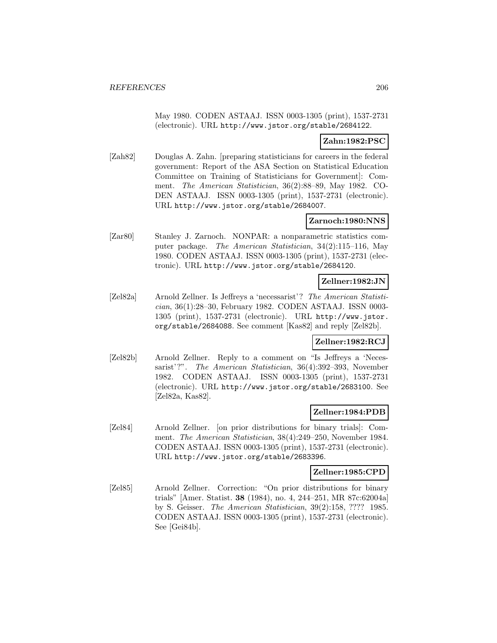May 1980. CODEN ASTAAJ. ISSN 0003-1305 (print), 1537-2731 (electronic). URL http://www.jstor.org/stable/2684122.

### **Zahn:1982:PSC**

[Zah82] Douglas A. Zahn. [preparing statisticians for careers in the federal government: Report of the ASA Section on Statistical Education Committee on Training of Statisticians for Government]: Comment. The American Statistician, 36(2):88–89, May 1982. CO-DEN ASTAAJ. ISSN 0003-1305 (print), 1537-2731 (electronic). URL http://www.jstor.org/stable/2684007.

## **Zarnoch:1980:NNS**

[Zar80] Stanley J. Zarnoch. NONPAR: a nonparametric statistics computer package. The American Statistician, 34(2):115–116, May 1980. CODEN ASTAAJ. ISSN 0003-1305 (print), 1537-2731 (electronic). URL http://www.jstor.org/stable/2684120.

# **Zellner:1982:JN**

[Zel82a] Arnold Zellner. Is Jeffreys a 'necessarist'? The American Statistician, 36(1):28–30, February 1982. CODEN ASTAAJ. ISSN 0003- 1305 (print), 1537-2731 (electronic). URL http://www.jstor. org/stable/2684088. See comment [Kas82] and reply [Zel82b].

### **Zellner:1982:RCJ**

[Zel82b] Arnold Zellner. Reply to a comment on "Is Jeffreys a 'Necessarist'?". The American Statistician, 36(4):392–393, November 1982. CODEN ASTAAJ. ISSN 0003-1305 (print), 1537-2731 (electronic). URL http://www.jstor.org/stable/2683100. See [Zel82a, Kas82].

## **Zellner:1984:PDB**

[Zel84] Arnold Zellner. [on prior distributions for binary trials]: Comment. The American Statistician, 38(4):249–250, November 1984. CODEN ASTAAJ. ISSN 0003-1305 (print), 1537-2731 (electronic). URL http://www.jstor.org/stable/2683396.

### **Zellner:1985:CPD**

[Zel85] Arnold Zellner. Correction: "On prior distributions for binary trials" [Amer. Statist. **38** (1984), no. 4, 244–251, MR 87c:62004a] by S. Geisser. The American Statistician, 39(2):158, ???? 1985. CODEN ASTAAJ. ISSN 0003-1305 (print), 1537-2731 (electronic). See [Gei84b].